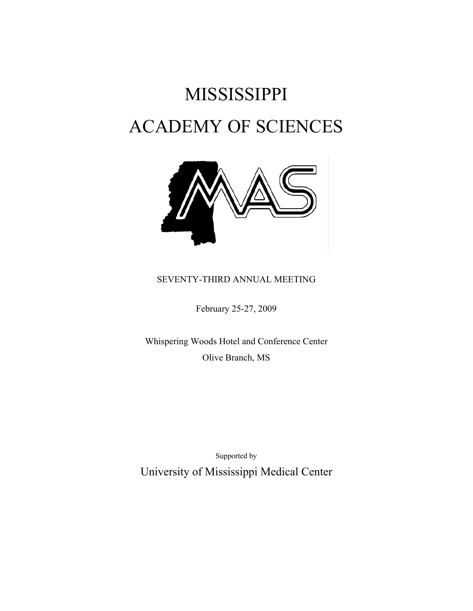# MISSISSIPPI ACADEMY OF SCIENCES



# SEVENTY-THIRD ANNUAL MEETING

February 25-27, 2009

 Whispering Woods Hotel and Conference Center Olive Branch, MS

 Supported by University of Mississippi Medical Center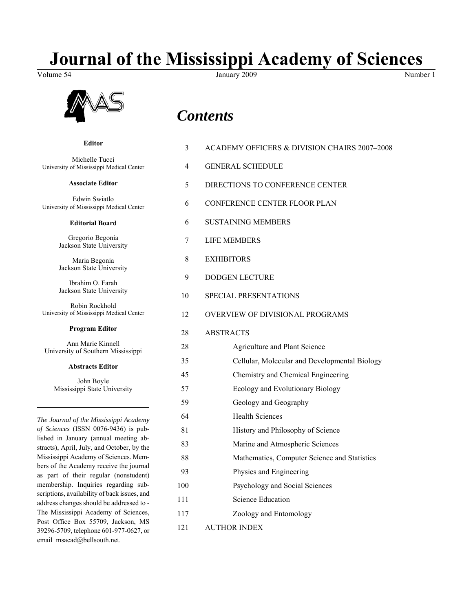# **Journal of the Mississippi Academy of Sciences**

Volume 54 Number 1 January 2009 1991 and 2009 Number 1



**Editor**

email msacad@bellsouth.net.

# *Contents*

|                                                                                     | 3              | ACADEMY OFFICERS & DIVISION CHAIRS 2007-2008  |  |
|-------------------------------------------------------------------------------------|----------------|-----------------------------------------------|--|
| Michelle Tucci<br>University of Mississippi Medical Center                          | $\overline{4}$ | <b>GENERAL SCHEDULE</b>                       |  |
| <b>Associate Editor</b>                                                             | 5              | DIRECTIONS TO CONFERENCE CENTER               |  |
| Edwin Swiatlo<br>University of Mississippi Medical Center                           | 6              | CONFERENCE CENTER FLOOR PLAN                  |  |
| <b>Editorial Board</b>                                                              | 6              | <b>SUSTAINING MEMBERS</b>                     |  |
| Gregorio Begonia<br>Jackson State University                                        | 7              | <b>LIFE MEMBERS</b>                           |  |
| Maria Begonia<br>Jackson State University                                           | 8              | <b>EXHIBITORS</b>                             |  |
| Ibrahim O. Farah                                                                    | 9              | <b>DODGEN LECTURE</b>                         |  |
| Jackson State University                                                            | 10             | <b>SPECIAL PRESENTATIONS</b>                  |  |
| Robin Rockhold<br>University of Mississippi Medical Center                          | 12             | OVERVIEW OF DIVISIONAL PROGRAMS               |  |
| <b>Program Editor</b>                                                               | 28             | <b>ABSTRACTS</b>                              |  |
| Ann Marie Kinnell<br>University of Southern Mississippi                             | 28             | Agriculture and Plant Science                 |  |
| <b>Abstracts Editor</b>                                                             | 35             | Cellular, Molecular and Developmental Biology |  |
|                                                                                     | 45             | Chemistry and Chemical Engineering            |  |
| John Boyle<br>Mississippi State University                                          | 57             | Ecology and Evolutionary Biology              |  |
|                                                                                     | 59             | Geology and Geography                         |  |
| The Journal of the Mississippi Academy                                              | 64             | <b>Health Sciences</b>                        |  |
| of Sciences (ISSN 0076-9436) is pub-                                                | 81             | History and Philosophy of Science             |  |
| lished in January (annual meeting ab-<br>stracts), April, July, and October, by the | 83             | Marine and Atmospheric Sciences               |  |
| Mississippi Academy of Sciences. Mem-                                               | 88             | Mathematics, Computer Science and Statistics  |  |
| bers of the Academy receive the journal                                             | 93             | Physics and Engineering                       |  |
| as part of their regular (nonstudent)<br>membership. Inquiries regarding sub-       | 100            | Psychology and Social Sciences                |  |
| scriptions, availability of back issues, and                                        |                |                                               |  |
| address changes should be addressed to -                                            | 111            | <b>Science Education</b>                      |  |
| The Mississippi Academy of Sciences,<br>Post Office Box 55709, Jackson, MS          | 117            | Zoology and Entomology                        |  |
| 39296-5709, telephone 601-977-0627, or                                              | 121            | <b>AUTHOR INDEX</b>                           |  |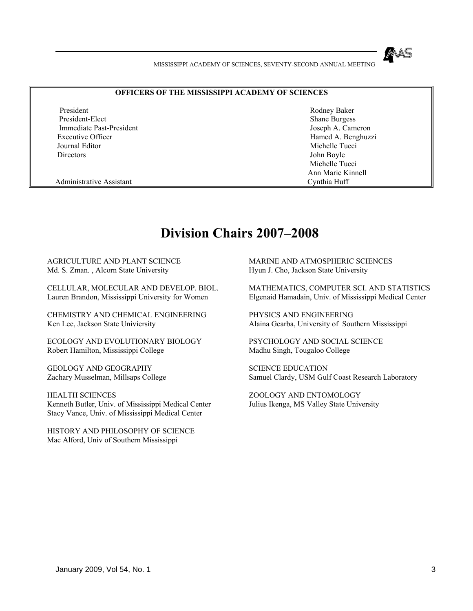#### **OFFICERS OF THE MISSISSIPPI ACADEMY OF SCIENCES**

President Rodney Baker President-Elect Shane Burgess Shane Burgess Immediate Past-President Joseph A. Cameron Executive Officer **Hamed A. Benghuzzi** Journal Editor **Michelle Tucci Michelle Tucci Michelle Tucci Michelle Tucci Michelle Tucci** Directors John Boyle

 Michelle Tucci Ann Marie Kinnell

Administrative Assistant Cynthia Huff

# **Division Chairs 2007–2008**

AGRICULTURE AND PLANT SCIENCE Md. S. Zman. , Alcorn State University

CELLULAR, MOLECULAR AND DEVELOP. BIOL. Lauren Brandon, Mississippi University for Women

CHEMISTRY AND CHEMICAL ENGINEERING Ken Lee, Jackson State Univiersity

ECOLOGY AND EVOLUTIONARY BIOLOGY Robert Hamilton, Mississippi College

GEOLOGY AND GEOGRAPHY Zachary Musselman, Millsaps College

HEALTH SCIENCES Kenneth Butler, Univ. of Mississippi Medical Center Stacy Vance, Univ. of Mississippi Medical Center

HISTORY AND PHILOSOPHY OF SCIENCE Mac Alford, Univ of Southern Mississippi

 MARINE AND ATMOSPHERIC SCIENCES Hyun J. Cho, Jackson State University

MATHEMATICS, COMPUTER SCI. AND STATISTICS Elgenaid Hamadain, Univ. of Mississippi Medical Center

PHYSICS AND ENGINEERING Alaina Gearba, University of Southern Mississippi

PSYCHOLOGY AND SOCIAL SCIENCE Madhu Singh, Tougaloo College

SCIENCE EDUCATION Samuel Clardy, USM Gulf Coast Research Laboratory

ZOOLOGY AND ENTOMOLOGY Julius Ikenga, MS Valley State University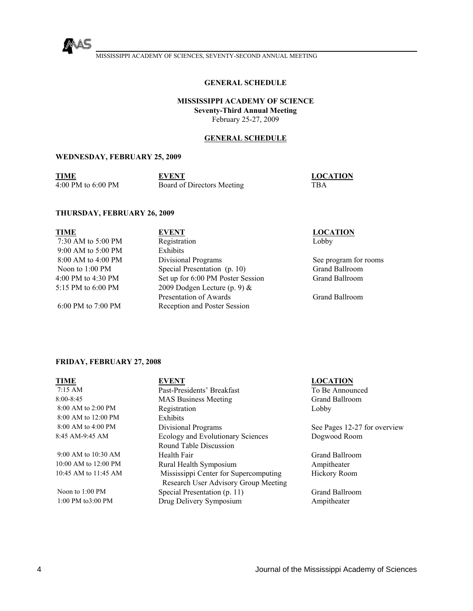

#### **GENERAL SCHEDULE**

**MISSISSIPPI ACADEMY OF SCIENCE Seventy-Third Annual Meeting**  February 25-27, 2009

#### **GENERAL SCHEDULE**

#### **WEDNESDAY, FEBRUARY 25, 2009**

| TIME               | <b>EVENT</b>               | <b>LOCATION</b> |
|--------------------|----------------------------|-----------------|
| 4:00 PM to 6:00 PM | Board of Directors Meeting | TBA             |

#### **THURSDAY, FEBRUARY 26, 2009**

| <b>TIME</b>               | <b>EVENT</b>                      | <b>LOCATION</b>       |
|---------------------------|-----------------------------------|-----------------------|
| 7:30 AM to 5:00 PM        | Registration                      | Lobby                 |
| $9:00$ AM to 5:00 PM      | <b>Exhibits</b>                   |                       |
| 8:00 AM to 4:00 PM        | Divisional Programs               | See program for rooms |
| Noon to $1:00 \text{ PM}$ | Special Presentation (p. 10)      | <b>Grand Ballroom</b> |
| 4:00 PM to 4:30 PM        | Set up for 6:00 PM Poster Session | <b>Grand Ballroom</b> |
| 5:15 PM to $6:00$ PM      | 2009 Dodgen Lecture (p. 9) $&$    |                       |
|                           | Presentation of Awards            | <b>Grand Ballroom</b> |
| 6:00 PM to $7:00$ PM      | Reception and Poster Session      |                       |

### **FRIDAY, FEBRUARY 27, 2008**

| TIME                 | <b>EVENT</b>                          | <b>LOCATION</b>              |
|----------------------|---------------------------------------|------------------------------|
| $7:15 \text{ AM}$    | Past-Presidents' Breakfast            | To Be Announced              |
| 8:00-8:45            | <b>MAS Business Meeting</b>           | <b>Grand Ballroom</b>        |
| 8:00 AM to 2:00 PM   | Registration                          | Lobby                        |
| 8:00 AM to 12:00 PM  | Exhibits                              |                              |
| 8:00 AM to 4:00 PM   | Divisional Programs                   | See Pages 12-27 for overview |
| 8:45 AM-9:45 AM      | Ecology and Evolutionary Sciences     | Dogwood Room                 |
|                      | Round Table Discussion                |                              |
| 9:00 AM to 10:30 AM  | Health Fair                           | <b>Grand Ballroom</b>        |
| 10:00 AM to 12:00 PM | Rural Health Symposium                | Ampitheater                  |
| 10:45 AM to 11:45 AM | Mississippi Center for Supercomputing | <b>Hickory Room</b>          |
|                      | Research User Advisory Group Meeting  |                              |
| Noon to $1:00$ PM    | Special Presentation (p. 11)          | <b>Grand Ballroom</b>        |
| 1:00 PM to 3:00 PM   | Drug Delivery Symposium               | Ampitheater                  |
|                      |                                       |                              |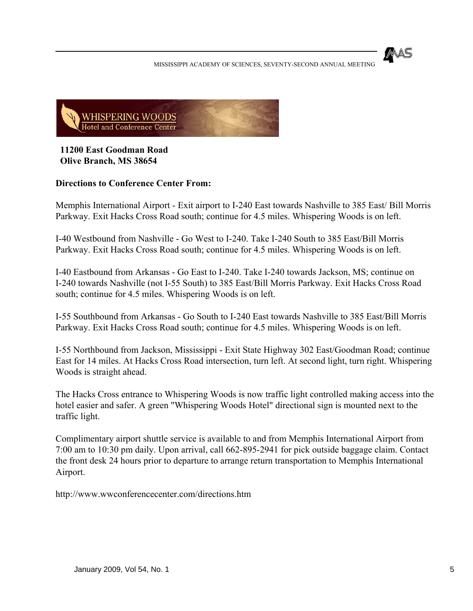



**11200 East Goodman Road Olive Branch, MS 38654** 

# **Directions to Conference Center From:**

Memphis International Airport - Exit airport to I-240 East towards Nashville to 385 East/ Bill Morris Parkway. Exit Hacks Cross Road south; continue for 4.5 miles. Whispering Woods is on left.

I-40 Westbound from Nashville - Go West to I-240. Take I-240 South to 385 East/Bill Morris Parkway. Exit Hacks Cross Road south; continue for 4.5 miles. Whispering Woods is on left.

I-40 Eastbound from Arkansas - Go East to I-240. Take I-240 towards Jackson, MS; continue on I-240 towards Nashville (not I-55 South) to 385 East/Bill Morris Parkway. Exit Hacks Cross Road south; continue for 4.5 miles. Whispering Woods is on left.

I-55 Southbound from Arkansas - Go South to I-240 East towards Nashville to 385 East/Bill Morris Parkway. Exit Hacks Cross Road south; continue for 4.5 miles. Whispering Woods is on left.

I-55 Northbound from Jackson, Mississippi - Exit State Highway 302 East/Goodman Road; continue East for 14 miles. At Hacks Cross Road intersection, turn left. At second light, turn right. Whispering Woods is straight ahead.

The Hacks Cross entrance to Whispering Woods is now traffic light controlled making access into the hotel easier and safer. A green "Whispering Woods Hotel" directional sign is mounted next to the traffic light.

Complimentary airport shuttle service is available to and from Memphis International Airport from 7:00 am to 10:30 pm daily. Upon arrival, call 662-895-2941 for pick outside baggage claim. Contact the front desk 24 hours prior to departure to arrange return transportation to Memphis International Airport.

http://www.wwconferencecenter.com/directions.htm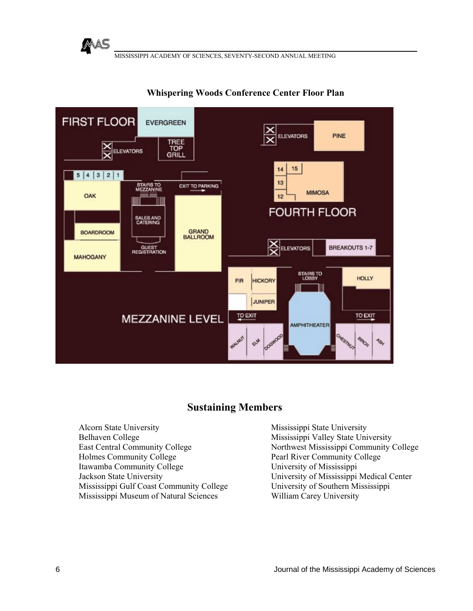



# **Whispering Woods Conference Center Floor Plan**

# **Sustaining Members**

Alcorn State University Belhaven College East Central Community College Holmes Community College Itawamba Community College Jackson State University Mississippi Gulf Coast Community College Mississippi Museum of Natural Sciences

 Mississippi State University Mississippi Valley State University Northwest Mississippi Community College Pearl River Community College University of Mississippi University of Mississippi Medical Center University of Southern Mississippi William Carey University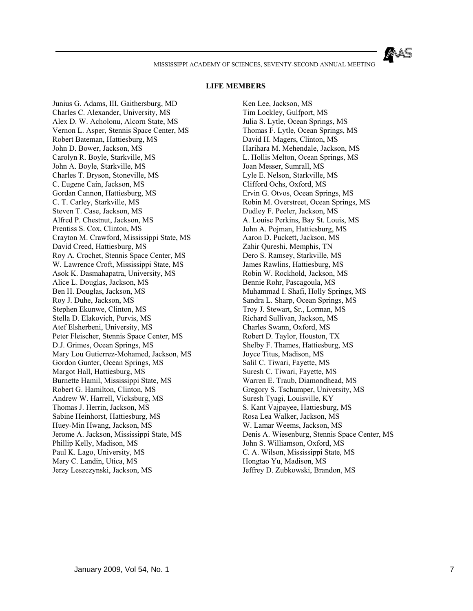#### **LIFE MEMBERS**

Junius G. Adams, III, Gaithersburg, MD Charles C. Alexander, University, MS Alex D. W. Acholonu, Alcorn State, MS Vernon L. Asper, Stennis Space Center, MS Robert Bateman, Hattiesburg, MS John D. Bower, Jackson, MS Carolyn R. Boyle, Starkville, MS John A. Boyle, Starkville, MS Charles T. Bryson, Stoneville, MS C. Eugene Cain, Jackson, MS Gordan Cannon, Hattiesburg, MS C. T. Carley, Starkville, MS Steven T. Case, Jackson, MS Alfred P. Chestnut, Jackson, MS Prentiss S. Cox, Clinton, MS Crayton M. Crawford, Mississippi State, MS David Creed, Hattiesburg, MS Roy A. Crochet, Stennis Space Center, MS W. Lawrence Croft, Mississippi State, MS Asok K. Dasmahapatra, University, MS Alice L. Douglas, Jackson, MS Ben H. Douglas, Jackson, MS Roy J. Duhe, Jackson, MS Stephen Ekunwe, Clinton, MS Stella D. Elakovich, Purvis, MS Atef Elsherbeni, University, MS Peter Fleischer, Stennis Space Center, MS D.J. Grimes, Ocean Springs, MS Mary Lou Gutierrez-Mohamed, Jackson, MS Gordon Gunter, Ocean Springs, MS Margot Hall, Hattiesburg, MS Burnette Hamil, Mississippi State, MS Robert G. Hamilton, Clinton, MS Andrew W. Harrell, Vicksburg, MS Thomas J. Herrin, Jackson, MS Sabine Heinhorst, Hattiesburg, MS Huey-Min Hwang, Jackson, MS Jerome A. Jackson, Mississippi State, MS Phillip Kelly, Madison, MS Paul K. Lago, University, MS Mary C. Landin, Utica, MS Jerzy Leszczynski, Jackson, MS

 Ken Lee, Jackson, MS Tim Lockley, Gulfport, MS Julia S. Lytle, Ocean Springs, MS Thomas F. Lytle, Ocean Springs, MS David H. Magers, Clinton, MS Harihara M. Mehendale, Jackson, MS L. Hollis Melton, Ocean Springs, MS Joan Messer, Sumrall, MS Lyle E. Nelson, Starkville, MS Clifford Ochs, Oxford, MS Ervin G. Otvos, Ocean Springs, MS Robin M. Overstreet, Ocean Springs, MS Dudley F. Peeler, Jackson, MS A. Louise Perkins, Bay St. Louis, MS John A. Pojman, Hattiesburg, MS Aaron D. Puckett, Jackson, MS Zahir Qureshi, Memphis, TN Dero S. Ramsey, Starkville, MS James Rawlins, Hattiesburg, MS Robin W. Rockhold, Jackson, MS Bennie Rohr, Pascagoula, MS Muhammad I. Shafi, Holly Springs, MS Sandra L. Sharp, Ocean Springs, MS Troy J. Stewart, Sr., Lorman, MS Richard Sullivan, Jackson, MS Charles Swann, Oxford, MS Robert D. Taylor, Houston, TX Shelby F. Thames, Hattiesburg, MS Joyce Titus, Madison, MS Salil C. Tiwari, Fayette, MS Suresh C. Tiwari, Fayette, MS Warren E. Traub, Diamondhead, MS Gregory S. Tschumper, University, MS Suresh Tyagi, Louisville, KY S. Kant Vajpayee, Hattiesburg, MS Rosa Lea Walker, Jackson, MS W. Lamar Weems, Jackson, MS Denis A. Wiesenburg, Stennis Space Center, MS John S. Williamson, Oxford, MS C. A. Wilson, Mississippi State, MS Hongtao Yu, Madison, MS Jeffrey D. Zubkowski, Brandon, MS

MAS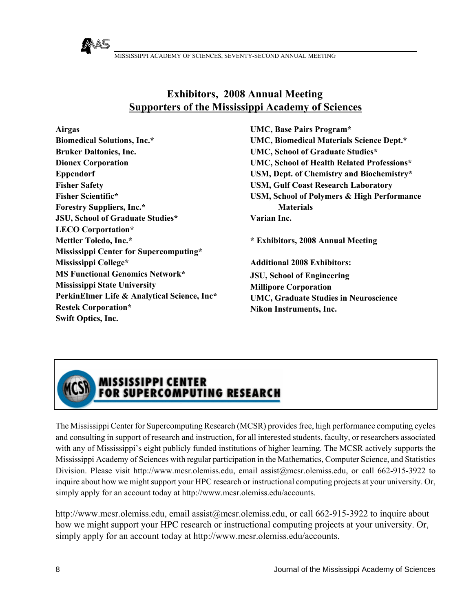# **Exhibitors, 2008 Annual Meeting Supporters of the Mississippi Academy of Sciences**

**Airgas Biomedical Solutions, Inc.\* Bruker Daltonics, Inc. Dionex Corporation Eppendorf Fisher Safety Fisher Scientific\* Forestry Suppliers, Inc.\* JSU, School of Graduate Studies\* LECO Corportation\* Mettler Toledo, Inc.\* Mississippi Center for Supercomputing\* Mississippi College\* MS Functional Genomics Network\* Mississippi State University PerkinElmer Life & Analytical Science, Inc\* Restek Corporation\* Swift Optics, Inc.** 

MAS

 **UMC, Base Pairs Program\* UMC, Biomedical Materials Science Dept.\* UMC, School of Graduate Studies\* UMC, School of Health Related Professions\* USM, Dept. of Chemistry and Biochemistry\* USM, Gulf Coast Research Laboratory USM, School of Polymers & High Performance Materials Varian Inc.**

**\* Exhibitors, 2008 Annual Meeting**

**Additional 2008 Exhibitors: JSU, School of Engineering Millipore Corporation UMC, Graduate Studies in Neuroscience Nikon Instruments, Inc.**



# MISSISSIPPI CENTER<br>FOR SUPERCOMPUTING RESEARCH

The Mississippi Center for Supercomputing Research (MCSR) provides free, high performance computing cycles and consulting in support of research and instruction, for all interested students, faculty, or researchers associated with any of Mississippi's eight publicly funded institutions of higher learning. The MCSR actively supports the Mississippi Academy of Sciences with regular participation in the Mathematics, Computer Science, and Statistics Division. Please visit http://www.mcsr.olemiss.edu, email assist@mcsr.olemiss.edu, or call 662-915-3922 to inquire about how we might support your HPC research or instructional computing projects at your university. Or, simply apply for an account today at http://www.mcsr.olemiss.edu/accounts.

http://www.mcsr.olemiss.edu, email assist@mcsr.olemiss.edu, or call 662-915-3922 to inquire about how we might support your HPC research or instructional computing projects at your university. Or, simply apply for an account today at http://www.mcsr.olemiss.edu/accounts.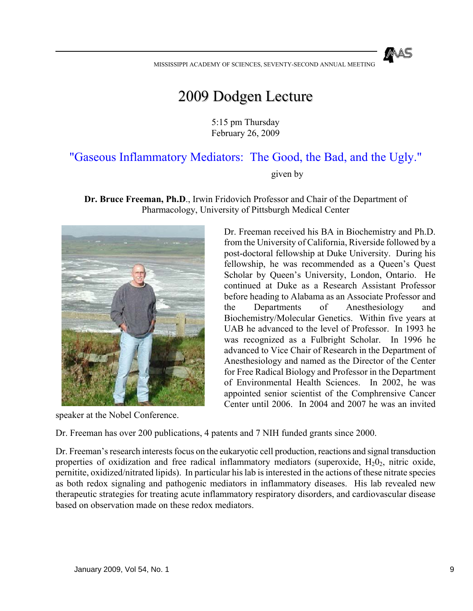# 2009 Dodgen Lecture

5:15 pm Thursday February 26, 2009

# "Gaseous Inflammatory Mediators: The Good, the Bad, and the Ugly."

given by

**Dr. Bruce Freeman, Ph.D**., Irwin Fridovich Professor and Chair of the Department of Pharmacology, University of Pittsburgh Medical Center



speaker at the Nobel Conference.

Dr. Freeman received his BA in Biochemistry and Ph.D. from the University of California, Riverside followed by a post-doctoral fellowship at Duke University. During his fellowship, he was recommended as a Queen's Quest Scholar by Queen's University, London, Ontario. He continued at Duke as a Research Assistant Professor before heading to Alabama as an Associate Professor and the Departments of Anesthesiology and Biochemistry/Molecular Genetics. Within five years at UAB he advanced to the level of Professor. In 1993 he was recognized as a Fulbright Scholar. In 1996 he advanced to Vice Chair of Research in the Department of Anesthesiology and named as the Director of the Center for Free Radical Biology and Professor in the Department of Environmental Health Sciences. In 2002, he was appointed senior scientist of the Comphrensive Cancer Center until 2006. In 2004 and 2007 he was an invited

Dr. Freeman has over 200 publications, 4 patents and 7 NIH funded grants since 2000.

Dr. Freeman's research interests focus on the eukaryotic cell production, reactions and signal transduction properties of oxidization and free radical inflammatory mediators (superoxide,  $H_2O_2$ , nitric oxide, pernitite, oxidized/nitrated lipids). In particular his lab is interested in the actions of these nitrate species as both redox signaling and pathogenic mediators in inflammatory diseases. His lab revealed new therapeutic strategies for treating acute inflammatory respiratory disorders, and cardiovascular disease based on observation made on these redox mediators.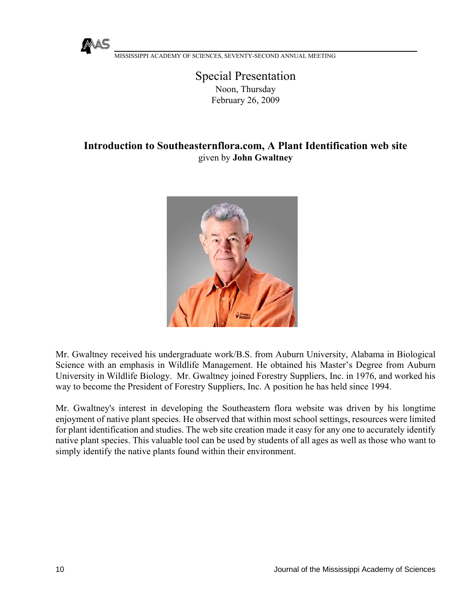

# Special Presentation Noon, Thursday February 26, 2009

# **Introduction to Southeasternflora.com, A Plant Identification web site**  given by **John Gwaltney**



Mr. Gwaltney received his undergraduate work/B.S. from Auburn University, Alabama in Biological Science with an emphasis in Wildlife Management. He obtained his Master's Degree from Auburn University in Wildlife Biology. Mr. Gwaltney joined Forestry Suppliers, Inc. in 1976, and worked his way to become the President of Forestry Suppliers, Inc. A position he has held since 1994.

Mr. Gwaltney's interest in developing the Southeastern flora website was driven by his longtime enjoyment of native plant species. He observed that within most school settings, resources were limited for plant identification and studies. The web site creation made it easy for any one to accurately identify native plant species. This valuable tool can be used by students of all ages as well as those who want to simply identify the native plants found within their environment.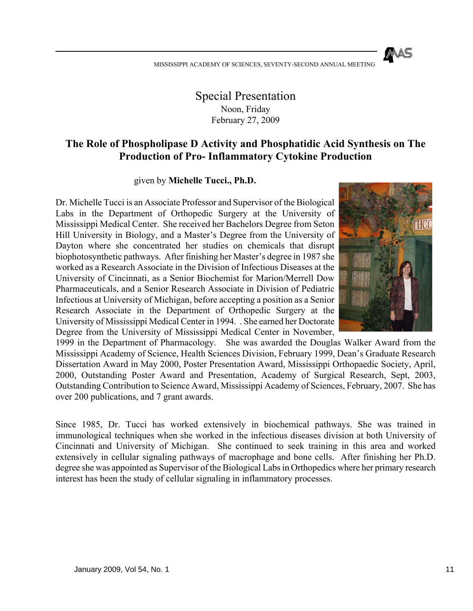Special Presentation Noon, Friday February 27, 2009

# **The Role of Phospholipase D Activity and Phosphatidic Acid Synthesis on The Production of Pro- Inflammatory Cytokine Production**

given by **Michelle Tucci., Ph.D.**

Dr. Michelle Tucci is an Associate Professor and Supervisor of the Biological Labs in the Department of Orthopedic Surgery at the University of Mississippi Medical Center. She received her Bachelors Degree from Seton Hill University in Biology, and a Master's Degree from the University of Dayton where she concentrated her studies on chemicals that disrupt biophotosynthetic pathways. After finishing her Master's degree in 1987 she worked as a Research Associate in the Division of Infectious Diseases at the University of Cincinnati, as a Senior Biochemist for Marion/Merrell Dow Pharmaceuticals, and a Senior Research Associate in Division of Pediatric Infectious at University of Michigan, before accepting a position as a Senior Research Associate in the Department of Orthopedic Surgery at the University of Mississippi Medical Center in 1994. . She earned her Doctorate Degree from the University of Mississippi Medical Center in November,



1999 in the Department of Pharmacology. She was awarded the Douglas Walker Award from the Mississippi Academy of Science, Health Sciences Division, February 1999, Dean's Graduate Research Dissertation Award in May 2000, Poster Presentation Award, Mississippi Orthopaedic Society, April, 2000, Outstanding Poster Award and Presentation, Academy of Surgical Research, Sept, 2003, Outstanding Contribution to Science Award, Mississippi Academy of Sciences, February, 2007. She has over 200 publications, and 7 grant awards.

Since 1985, Dr. Tucci has worked extensively in biochemical pathways. She was trained in immunological techniques when she worked in the infectious diseases division at both University of Cincinnati and University of Michigan. She continued to seek training in this area and worked extensively in cellular signaling pathways of macrophage and bone cells. After finishing her Ph.D. degree she was appointed as Supervisor of the Biological Labs in Orthopedics where her primary research interest has been the study of cellular signaling in inflammatory processes.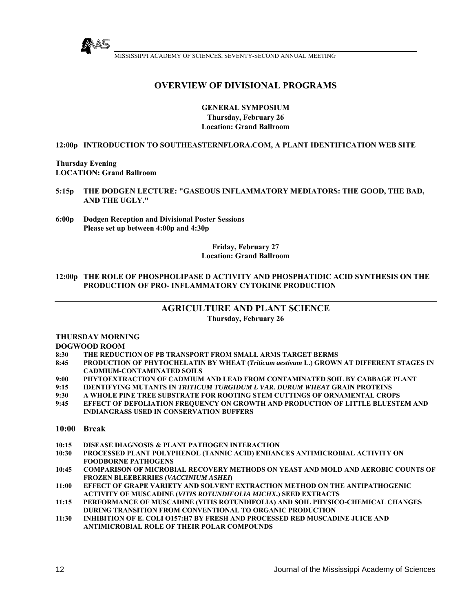

# **OVERVIEW OF DIVISIONAL PROGRAMS**

**GENERAL SYMPOSIUM Thursday, February 26 Location: Grand Ballroom** 

**12:00p INTRODUCTION TO SOUTHEASTERNFLORA.COM, A PLANT IDENTIFICATION WEB SITE** 

**Thursday Evening LOCATION: Grand Ballroom**

- **5:15p THE DODGEN LECTURE: "GASEOUS INFLAMMATORY MEDIATORS: THE GOOD, THE BAD, AND THE UGLY."**
- **6:00p Dodgen Reception and Divisional Poster Sessions Please set up between 4:00p and 4:30p**

#### **Friday, February 27 Location: Grand Ballroom**

#### **12:00p THE ROLE OF PHOSPHOLIPASE D ACTIVITY AND PHOSPHATIDIC ACID SYNTHESIS ON THE PRODUCTION OF PRO- INFLAMMATORY CYTOKINE PRODUCTION**

#### **AGRICULTURE AND PLANT SCIENCE**

**Thursday, February 26** 

#### **THURSDAY MORNING**

#### **DOGWOOD ROOM**

- **8:30 THE REDUCTION OF PB TRANSPORT FROM SMALL ARMS TARGET BERMS**
- **8:45 PRODUCTION OF PHYTOCHELATIN BY WHEAT (***Triticum aestivum* **L.) GROWN AT DIFFERENT STAGES IN CADMIUM-CONTAMINATED SOILS**
- **9:00 PHYTOEXTRACTION OF CADMIUM AND LEAD FROM CONTAMINATED SOIL BY CABBAGE PLANT**
- **9:15 IDENTIFYING MUTANTS IN** *TRITICUM TURGIDUM L VAR. DURUM WHEAT* **GRAIN PROTEINS**
- **9:30 A WHOLE PINE TREE SUBSTRATE FOR ROOTING STEM CUTTINGS OF ORNAMENTAL CROPS**
- **9:45 EFFECT OF DEFOLIATION FREQUENCY ON GROWTH AND PRODUCTION OF LITTLE BLUESTEM AND INDIANGRASS USED IN CONSERVATION BUFFERS**

**10:00 Break** 

**10:15 DISEASE DIAGNOSIS & PLANT PATHOGEN INTERACTION**

- **10:30 PROCESSED PLANT POLYPHENOL (TANNIC ACID) ENHANCES ANTIMICROBIAL ACTIVITY ON FOODBORNE PATHOGENS**
- **10:45 COMPARISON OF MICROBIAL RECOVERY METHODS ON YEAST AND MOLD AND AEROBIC COUNTS OF FROZEN BLEEBERRIES (***VACCINIUM ASHEI***)**
- **11:00 EFFECT OF GRAPE VARIETY AND SOLVENT EXTRACTION METHOD ON THE ANTIPATHOGENIC ACTIVITY OF MUSCADINE (***VITIS ROTUNDIFOLIA MICHX***.) SEED EXTRACTS**
- **11:15 PERFORMANCE OF MUSCADINE (VITIS ROTUNDIFOLIA) AND SOIL PHYSICO-CHEMICAL CHANGES DURING TRANSITION FROM CONVENTIONAL TO ORGANIC PRODUCTION**
- **11:30 INHIBITION OF E. COLI O157:H7 BY FRESH AND PROCESSED RED MUSCADINE JUICE AND ANTIMICROBIAL ROLE OF THEIR POLAR COMPOUNDS**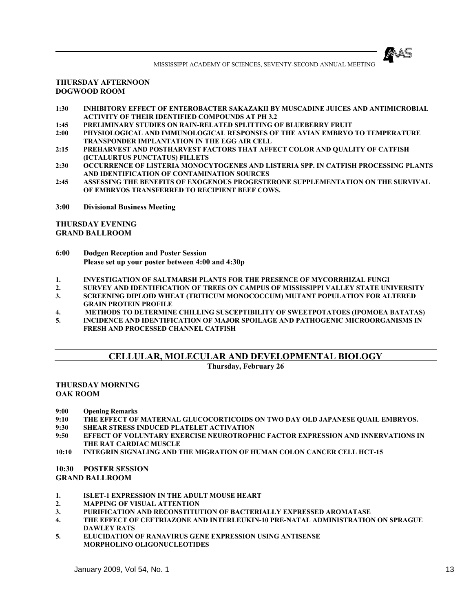

#### **THURSDAY AFTERNOON DOGWOOD ROOM**

- **1:30 INHIBITORY EFFECT OF ENTEROBACTER SAKAZAKII BY MUSCADINE JUICES AND ANTIMICROBIAL ACTIVITY OF THEIR IDENTIFIED COMPOUNDS AT PH 3.2**
- **1:45 PRELIMINARY STUDIES ON RAIN-RELATED SPLITTING OF BLUEBERRY FRUIT**
- **2:00 PHYSIOLOGICAL AND IMMUNOLOGICAL RESPONSES OF THE AVIAN EMBRYO TO TEMPERATURE TRANSPONDER IMPLANTATION IN THE EGG AIR CELL**
- **2:15 PREHARVEST AND POSTHARVEST FACTORS THAT AFFECT COLOR AND QUALITY OF CATFISH (ICTALURTUS PUNCTATUS) FILLETS**
- **2:30 OCCURRENCE OF LISTERIA MONOCYTOGENES AND LISTERIA SPP. IN CATFISH PROCESSING PLANTS AND IDENTIFICATION OF CONTAMINATION SOURCES**
- **2:45 ASSESSING THE BENEFITS OF EXOGENOUS PROGESTERONE SUPPLEMENTATION ON THE SURVIVAL OF EMBRYOS TRANSFERRED TO RECIPIENT BEEF COWS.**
- **3:00 Divisional Business Meeting**

**THURSDAY EVENING GRAND BALLROOM** 

- **6:00 Dodgen Reception and Poster Session Please set up your poster between 4:00 and 4:30p**
- **1. INVESTIGATION OF SALTMARSH PLANTS FOR THE PRESENCE OF MYCORRHIZAL FUNGI**
- **2. SURVEY AND IDENTIFICATION OF TREES ON CAMPUS OF MISSISSIPPI VALLEY STATE UNIVERSITY**
- **3. SCREENING DIPLOID WHEAT (TRITICUM MONOCOCCUM) MUTANT POPULATION FOR ALTERED GRAIN PROTEIN PROFILE**
- **4. METHODS TO DETERMINE CHILLING SUSCEPTIBILITY OF SWEETPOTATOES (IPOMOEA BATATAS)**
- **5. INCIDENCE AND IDENTIFICATION OF MAJOR SPOILAGE AND PATHOGENIC MICROORGANISMS IN FRESH AND PROCESSED CHANNEL CATFISH**

# **CELLULAR, MOLECULAR AND DEVELOPMENTAL BIOLOGY**

**Thursday, February 26**

#### **THURSDAY MORNING OAK ROOM**

**9:00 Opening Remarks** 

- **9:10 THE EFFECT OF MATERNAL GLUCOCORTICOIDS ON TWO DAY OLD JAPANESE QUAIL EMBRYOS.**
- **9:30 SHEAR STRESS INDUCED PLATELET ACTIVATION**
- **9:50 EFFECT OF VOLUNTARY EXERCISE NEUROTROPHIC FACTOR EXPRESSION AND INNERVATIONS IN THE RAT CARDIAC MUSCLE**
- **10:10 INTEGRIN SIGNALING AND THE MIGRATION OF HUMAN COLON CANCER CELL HCT-15**

**10:30 POSTER SESSION GRAND BALLROOM** 

- **1. ISLET-1 EXPRESSION IN THE ADULT MOUSE HEART**
- **2. MAPPING OF VISUAL ATTENTION**
- **3. PURIFICATION AND RECONSTITUTION OF BACTERIALLY EXPRESSED AROMATASE**
- **4. THE EFFECT OF CEFTRIAZONE AND INTERLEUKIN-10 PRE-NATAL ADMINISTRATION ON SPRAGUE DAWLEY RATS**
- **5. ELUCIDATION OF RANAVIRUS GENE EXPRESSION USING ANTISENSE MORPHOLINO OLIGONUCLEOTIDES**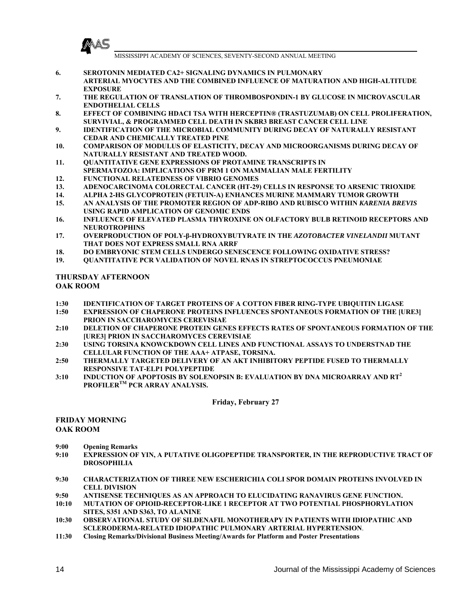

- **6. SEROTONIN MEDIATED CA2+ SIGNALING DYNAMICS IN PULMONARY ARTERIAL MYOCYTES AND THE COMBINED INFLUENCE OF MATURATION AND HIGH-ALTITUDE EXPOSURE**
- **7. THE REGULATION OF TRANSLATION OF THROMBOSPONDIN-1 BY GLUCOSE IN MICROVASCULAR ENDOTHELIAL CELLS**
- **8. EFFECT OF COMBINING HDACI TSA WITH HERCEPTIN® (TRASTUZUMAB) ON CELL PROLIFERATION, SURVIVIAL, & PROGRAMMED CELL DEATH IN SKBR3 BREAST CANCER CELL LINE**
- **9. IDENTIFICATION OF THE MICROBIAL COMMUNITY DURING DECAY OF NATURALLY RESISTANT CEDAR AND CHEMICALLY TREATED PINE**
- **10. COMPARISON OF MODULUS OF ELASTICITY, DECAY AND MICROORGANISMS DURING DECAY OF NATURALLY RESISTANT AND TREATED WOOD.**
- **11. QUANTITATIVE GENE EXPRESSIONS OF PROTAMINE TRANSCRIPTS IN SPERMATOZOA: IMPLICATIONS OF PRM 1 ON MAMMALIAN MALE FERTILITY**
- **12. FUNCTIONAL RELATEDNESS OF VIBRIO GENOMES**
- **13. ADENOCARCINOMA COLORECTAL CANCER (HT-29) CELLS IN RESPONSE TO ARSENIC TRIOXIDE**
- **14. ALPHA 2-HS GLYCOPROTEIN (FETUIN-A) ENHANCES MURINE MAMMARY TUMOR GROWTH**
- **15. AN ANALYSIS OF THE PROMOTER REGION OF ADP-RIBO AND RUBISCO WITHIN** *KARENIA BREVIS* **USING RAPID AMPLICATION OF GENOMIC ENDS**
- **16. INFLUENCE OF ELEVATED PLASMA THYROXINE ON OLFACTORY BULB RETINOID RECEPTORS AND NEUROTROPHINS**
- **17. OVERPRODUCTION OF POLY-β-HYDROXYBUTYRATE IN THE** *AZOTOBACTER VINELANDII* **MUTANT THAT DOES NOT EXPRESS SMALL RNA ARRF**
- **18. DO EMBRYONIC STEM CELLS UNDERGO SENESCENCE FOLLOWING OXIDATIVE STRESS?**
- **19. QUANTITATIVE PCR VALIDATION OF NOVEL RNAS IN STREPTOCOCCUS PNEUMONIAE**

#### **THURSDAY AFTERNOON OAK ROOM**

- **1:30 IDENTIFICATION OF TARGET PROTEINS OF A COTTON FIBER RING-TYPE UBIQUITIN LIGASE**
- **1:50 EXPRESSION OF CHAPERONE PROTEINS INFLUENCES SPONTANEOUS FORMATION OF THE [URE3] PRION IN SACCHAROMYCES CEREVISIAE**
- **2:10 DELETION OF CHAPERONE PROTEIN GENES EFFECTS RATES OF SPONTANEOUS FORMATION OF THE [URE3] PRION IN SACCHAROMYCES CEREVISIAE**
- **2:30 USING TORSINA KNOWCKDOWN CELL LINES AND FUNCTIONAL ASSAYS TO UNDERSTNAD THE CELLULAR FUNCTION OF THE AAA+ ATPASE, TORSINA.**
- **2:50 THERMALLY TARGETED DELIVERY OF AN AKT INHIBITORY PEPTIDE FUSED TO THERMALLY RESPONSIVE TAT-ELP1 POLYPEPTIDE**
- **3:10 INDUCTION OF APOPTOSIS BY SOLENOPSIN B: EVALUATION BY DNA MICROARRAY AND RT<sup>2</sup> PROFILERTM PCR ARRAY ANALYSIS.**

**Friday, February 27**

#### **FRIDAY MORNING OAK ROOM**

- **9:00 Opening Remarks**
- **9:10 EXPRESSION OF YIN, A PUTATIVE OLIGOPEPTIDE TRANSPORTER, IN THE REPRODUCTIVE TRACT OF DROSOPHILIA**
- **9:30 CHARACTERIZATION OF THREE NEW ESCHERICHIA COLI SPOR DOMAIN PROTEINS INVOLVED IN CELL DIVISION**
- **9:50 ANTISENSE TECHNIQUES AS AN APPROACH TO ELUCIDATING RANAVIRUS GENE FUNCTION.**
- **10:10 MUTATION OF OPIOID-RECEPTOR-LIKE 1 RECEPTOR AT TWO POTENTIAL PHOSPHORYLATION SITES, S351 AND S363, TO ALANINE**
- **10:30 OBSERVATIONAL STUDY OF SILDENAFIL MONOTHERAPY IN PATIENTS WITH IDIOPATHIC AND SCLERODERMA-RELATED IDIOPATHIC PULMONARY ARTERIAL HYPERTENSION**.
- **11:30 Closing Remarks/Divisional Business Meeting/Awards for Platform and Poster Presentations**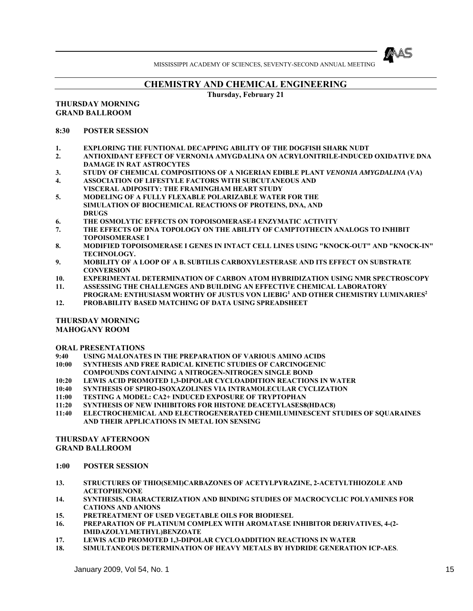

## **CHEMISTRY AND CHEMICAL ENGINEERING**

**Thursday, February 21** 

#### **THURSDAY MORNING GRAND BALLROOM**

#### **8:30 POSTER SESSION**

- **1. EXPLORING THE FUNTIONAL DECAPPING ABILITY OF THE DOGFISH SHARK NUDT**
- **2. ANTIOXIDANT EFFECT OF VERNONIA AMYGDALINA ON ACRYLONITRILE-INDUCED OXIDATIVE DNA DAMAGE IN RAT ASTROCYTES**
- **3. STUDY OF CHEMICAL COMPOSITIONS OF A NIGERIAN EDIBLE PLANT** *VENONIA AMYGDALINA* **(VA)**
- **4. ASSOCIATION OF LIFESTYLE FACTORS WITH SUBCUTANEOUS AND VISCERAL ADIPOSITY: THE FRAMINGHAM HEART STUDY**
- **5. MODELING OF A FULLY FLEXABLE POLARIZABLE WATER FOR THE SIMULATION OF BIOCHEMICAL REACTIONS OF PROTEINS, DNA, AND DRUGS**
- **6. THE OSMOLYTIC EFFECTS ON TOPOISOMERASE-I ENZYMATIC ACTIVITY**
- **7. THE EFFECTS OF DNA TOPOLOGY ON THE ABILITY OF CAMPTOTHECIN ANALOGS TO INHIBIT TOPOISOMERASE I**
- **8. MODIFIED TOPOISOMERASE I GENES IN INTACT CELL LINES USING "KNOCK-OUT" AND "KNOCK-IN" TECHNOLOGY.**
- **9. MOBILITY OF A LOOP OF A B. SUBTILIS CARBOXYLESTERASE AND ITS EFFECT ON SUBSTRATE CONVERSION**
- **10. EXPERIMENTAL DETERMINATION OF CARBON ATOM HYBRIDIZATION USING NMR SPECTROSCOPY**
- **11. ASSESSING THE CHALLENGES AND BUILDING AN EFFECTIVE CHEMICAL LABORATORY PROGRAM: ENTHUSIASM WORTHY OF JUSTUS VON LIEBIG<sup>1</sup> AND OTHER CHEMISTRY LUMINARIES<sup>2</sup>**
- **12. PROBABILITY BASED MATCHING OF DATA USING SPREADSHEET**

#### **THURSDAY MORNING**

**MAHOGANY ROOM** 

#### **ORAL PRESENTATIONS**

- **9:40 USING MALONATES IN THE PREPARATION OF VARIOUS AMINO ACIDS**
- **10:00 SYNTHESIS AND FREE RADICAL KINETIC STUDIES OF CARCINOGENIC**
- **COMPOUNDS CONTAINING A NITROGEN-NITROGEN SINGLE BOND**
- **10:20 LEWIS ACID PROMOTED 1,3-DIPOLAR CYCLOADDITION REACTIONS IN WATER**
- **10:40 SYNTHESIS OF SPIRO-ISOXAZOLINES VIA INTRAMOLECULAR CYCLIZATION**
- **11:00 TESTING A MODEL: CA2+ INDUCED EXPOSURE OF TRYPTOPHAN**
- **11:20 SYNTHESIS OF NEW INHIBITORS FOR HISTONE DEACETYLASES8(HDAC8)**
- **11:40 ELECTROCHEMICAL AND ELECTROGENERATED CHEMILUMINESCENT STUDIES OF SQUARAINES AND THEIR APPLICATIONS IN METAL ION SENSING**

#### **THURSDAY AFTERNOON GRAND BALLROOM**

- **1:00 POSTER SESSION**
- **13. STRUCTURES OF THIO(SEMI)CARBAZONES OF ACETYLPYRAZINE, 2-ACETYLTHIOZOLE AND ACETOPHENONE**
- **14. SYNTHESIS, CHARACTERIZATION AND BINDING STUDIES OF MACROCYCLIC POLYAMINES FOR CATIONS AND ANIONS**
- **15. PRETREATMENT OF USED VEGETABLE OILS FOR BIODIESEL**
- **16. PREPARATION OF PLATINUM COMPLEX WITH AROMATASE INHIBITOR DERIVATIVES, 4-(2- IMIDAZOLYLMETHYL)BENZOATE**
- **17. LEWIS ACID PROMOTED 1,3-DIPOLAR CYCLOADDITION REACTIONS IN WATER**
- **18. SIMULTANEOUS DETERMINATION OF HEAVY METALS BY HYDRIDE GENERATION ICP-AES**.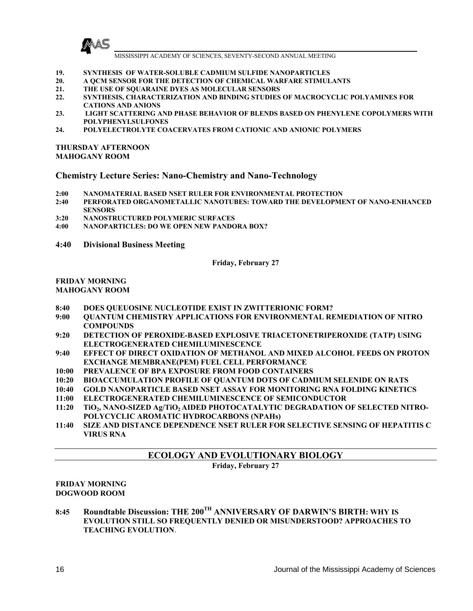

- **19. SYNTHESIS OF WATER-SOLUBLE CADMIUM SULFIDE NANOPARTICLES**
- **20. A QCM SENSOR FOR THE DETECTION OF CHEMICAL WARFARE STIMULANTS**
- **21. THE USE OF SQUARAINE DYES AS MOLECULAR SENSORS**
- **22. SYNTHESIS, CHARACTERIZATION AND BINDING STUDIES OF MACROCYCLIC POLYAMINES FOR CATIONS AND ANIONS**
- **23. LIGHT SCATTERING AND PHASE BEHAVIOR OF BLENDS BASED ON PHENYLENE COPOLYMERS WITH POLYPHENYLSULFONES**
- **24. POLYELECTROLYTE COACERVATES FROM CATIONIC AND ANIONIC POLYMERS**

#### **THURSDAY AFTERNOON MAHOGANY ROOM**

#### **Chemistry Lecture Series: Nano-Chemistry and Nano-Technology**

- **2:00 NANOMATERIAL BASED NSET RULER FOR ENVIRONMENTAL PROTECTION**
- **2:40 PERFORATED ORGANOMETALLIC NANOTUBES: TOWARD THE DEVELOPMENT OF NANO-ENHANCED SENSORS**
- **3:20 NANOSTRUCTURED POLYMERIC SURFACES**
- **4:00 NANOPARTICLES: DO WE OPEN NEW PANDORA BOX?**
- **4:40 Divisional Business Meeting**

**Friday, February 27** 

#### **FRIDAY MORNING MAHOGANY ROOM**

- **8:40 DOES QUEUOSINE NUCLEOTIDE EXIST IN ZWITTERIONIC FORM?**
- **9:00 QUANTUM CHEMISTRY APPLICATIONS FOR ENVIRONMENTAL REMEDIATION OF NITRO COMPOUNDS**
- **9:20 DETECTION OF PEROXIDE-BASED EXPLOSIVE TRIACETONETRIPEROXIDE (TATP) USING ELECTROGENERATED CHEMILUMINESCENCE**
- **9:40 EFFECT OF DIRECT OXIDATION OF METHANOL AND MIXED ALCOHOL FEEDS ON PROTON EXCHANGE MEMBRANE(PEM) FUEL CELL PERFORMANCE**
- **10:00 PREVALENCE OF BPA EXPOSURE FROM FOOD CONTAINERS**
- **10:20 BIOACCUMULATION PROFILE OF QUANTUM DOTS OF CADMIUM SELENIDE ON RATS**
- **10:40 GOLD NANOPARTICLE BASED NSET ASSAY FOR MONITORING RNA FOLDING KINETICS**
- **11:00 ELECTROGENERATED CHEMILUMINESCENCE OF SEMICONDUCTOR**
- 11:20 TiO<sub>2</sub>, NANO-SIZED Ag/TiO<sub>2</sub> AIDED PHOTOCATALYTIC DEGRADATION OF SELECTED NITRO-**POLYCYCLIC AROMATIC HYDROCARBONS (NPAHs)**
- **11:40 SIZE AND DISTANCE DEPENDENCE NSET RULER FOR SELECTIVE SENSING OF HEPATITIS C VIRUS RNA**

# **ECOLOGY AND EVOLUTIONARY BIOLOGY**

**Friday, February 27** 

#### **FRIDAY MORNING DOGWOOD ROOM**

**8:45 Roundtable Discussion: THE 200TH ANNIVERSARY OF DARWIN'S BIRTH: WHY IS EVOLUTION STILL SO FREQUENTLY DENIED OR MISUNDERSTOOD? APPROACHES TO TEACHING EVOLUTION**.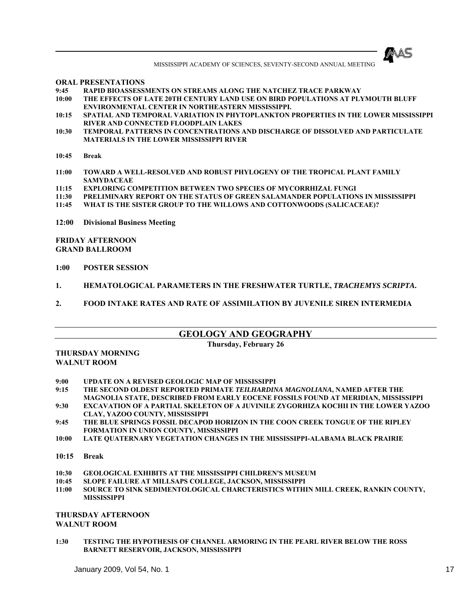

**ORAL PRESENTATIONS** 

- **9:45 RAPID BIOASSESSMENTS ON STREAMS ALONG THE NATCHEZ TRACE PARKWAY**
- THE EFFECTS OF LATE 20TH CENTURY LAND USE ON BIRD POPULATIONS AT PLYMOUTH BLUFF **ENVIRONMENTAL CENTER IN NORTHEASTERN MISSISSIPPI.**
- **10:15 SPATIAL AND TEMPORAL VARIATION IN PHYTOPLANKTON PROPERTIES IN THE LOWER MISSISSIPPI RIVER AND CONNECTED FLOODPLAIN LAKES**
- **10:30 TEMPORAL PATTERNS IN CONCENTRATIONS AND DISCHARGE OF DISSOLVED AND PARTICULATE MATERIALS IN THE LOWER MISSISSIPPI RIVER**
- **10:45 Break**
- **11:00 TOWARD A WELL-RESOLVED AND ROBUST PHYLOGENY OF THE TROPICAL PLANT FAMILY SAMYDACEAE**
- **11:15 EXPLORING COMPETITION BETWEEN TWO SPECIES OF MYCORRHIZAL FUNGI**
- **11:30 PRELIMINARY REPORT ON THE STATUS OF GREEN SALAMANDER POPULATIONS IN MISSISSIPPI**
- **11:45 WHAT IS THE SISTER GROUP TO THE WILLOWS AND COTTONWOODS (SALICACEAE)?**
- **12:00 Divisional Business Meeting**

**FRIDAY AFTERNOON GRAND BALLROOM** 

- **1:00 POSTER SESSION**
- **1. HEMATOLOGICAL PARAMETERS IN THE FRESHWATER TURTLE,** *TRACHEMYS SCRIPTA***.**
- **2. FOOD INTAKE RATES AND RATE OF ASSIMILATION BY JUVENILE SIREN INTERMEDIA**

#### **GEOLOGY AND GEOGRAPHY**

#### **Thursday, February 26**

#### **THURSDAY MORNING WALNUT ROOM**

- **9:00 UPDATE ON A REVISED GEOLOGIC MAP OF MISSISSIPPI**
- **9:15 THE SECOND OLDEST REPORTED PRIMATE** *TEILHARDINA MAGNOLIANA***, NAMED AFTER THE MAGNOLIA STATE, DESCRIBED FROM EARLY EOCENE FOSSILS FOUND AT MERIDIAN, MISSISSIPPI**
- **9:30 EXCAVATION OF A PARTIAL SKELETON OF A JUVINILE ZYGORHIZA KOCHII IN THE LOWER YAZOO CLAY, YAZOO COUNTY, MISSISSIPPI**
- **9:45 THE BLUE SPRINGS FOSSIL DECAPOD HORIZON IN THE COON CREEK TONGUE OF THE RIPLEY FORMATION IN UNION COUNTY, MISSISSIPPI**
- **10:00 LATE QUATERNARY VEGETATION CHANGES IN THE MISSISSIPPI-ALABAMA BLACK PRAIRIE**
- **10:15 Break**
- **10:30 GEOLOGICAL EXHIBITS AT THE MISSISSIPPI CHILDREN'S MUSEUM**
- **10:45 SLOPE FAILURE AT MILLSAPS COLLEGE, JACKSON, MISSISSIPPI**
- **11:00 SOURCE TO SINK SEDIMENTOLOGICAL CHARCTERISTICS WITHIN MILL CREEK, RANKIN COUNTY, MISSISSIPPI**

#### **THURSDAY AFTERNOON WALNUT ROOM**

**1:30 TESTING THE HYPOTHESIS OF CHANNEL ARMORING IN THE PEARL RIVER BELOW THE ROSS BARNETT RESERVOIR, JACKSON, MISSISSIPPI**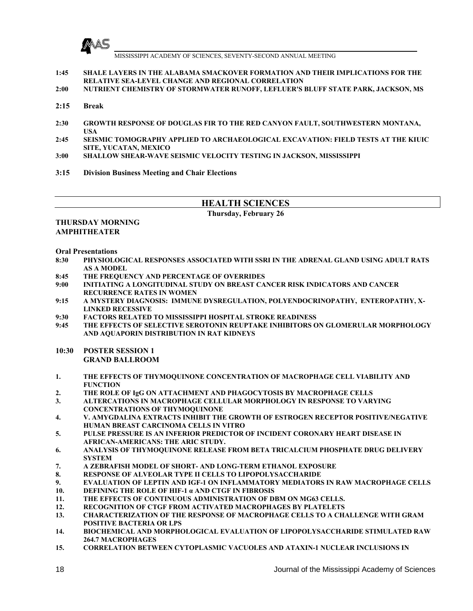

**1:45 SHALE LAYERS IN THE ALABAMA SMACKOVER FORMATION AND THEIR IMPLICATIONS FOR THE RELATIVE SEA-LEVEL CHANGE AND REGIONAL CORRELATION**

- **2:00 NUTRIENT CHEMISTRY OF STORMWATER RUNOFF, LEFLUER'S BLUFF STATE PARK, JACKSON, MS**
- **2:15 Break**
- **2:30 GROWTH RESPONSE OF DOUGLAS FIR TO THE RED CANYON FAULT, SOUTHWESTERN MONTANA, USA**
- **2:45 SEISMIC TOMOGRAPHY APPLIED TO ARCHAEOLOGICAL EXCAVATION: FIELD TESTS AT THE KIUIC SITE, YUCATAN, MEXICO**
- **3:00 SHALLOW SHEAR-WAVE SEISMIC VELOCITY TESTING IN JACKSON, MISSISSIPPI**
- **3:15 Division Business Meeting and Chair Elections**

**Thursday, February 26** 

#### **THURSDAY MORNING AMPHITHEATER**

**Oral Presentations** 

- **8:30 PHYSIOLOGICAL RESPONSES ASSOCIATED WITH SSRI IN THE ADRENAL GLAND USING ADULT RATS AS A MODEL**
- **8:45 THE FREQUENCY AND PERCENTAGE OF OVERRIDES**
- **9:00 INITIATING A LONGITUDINAL STUDY ON BREAST CANCER RISK INDICATORS AND CANCER RECURRENCE RATES IN WOMEN**
- **9:15 A MYSTERY DIAGNOSIS: IMMUNE DYSREGULATION, POLYENDOCRINOPATHY, ENTEROPATHY, X-LINKED RECESSIVE**
- **9:30 FACTORS RELATED TO MISSISSIPPI HOSPITAL STROKE READINESS**
- **9:45 THE EFFECTS OF SELECTIVE SEROTONIN REUPTAKE INHIBITORS ON GLOMERULAR MORPHOLOGY AND AQUAPORIN DISTRIBUTION IN RAT KIDNEYS**
- **10:30 POSTER SESSION 1 GRAND BALLROOM**
- **1. THE EFFECTS OF THYMOQUINONE CONCENTRATION OF MACROPHAGE CELL VIABILITY AND FUNCTION**
- **2. THE ROLE OF IgG ON ATTACHMENT AND PHAGOCYTOSIS BY MACROPHAGE CELLS**
- **3. ALTERCATIONS IN MACROPHAGE CELLULAR MORPHOLOGY IN RESPONSE TO VARYING CONCENTRATIONS OF THYMOQUINONE**
- **4. V. AMYGDALINA EXTRACTS INHIBIT THE GROWTH OF ESTROGEN RECEPTOR POSITIVE/NEGATIVE HUMAN BREAST CARCINOMA CELLS IN VITRO**
- **5. PULSE PRESSURE IS AN INFERIOR PREDICTOR OF INCIDENT CORONARY HEART DISEASE IN AFRICAN-AMERICANS: THE ARIC STUDY.**
- **6. ANALYSIS OF THYMOQUINONE RELEASE FROM BETA TRICALCIUM PHOSPHATE DRUG DELIVERY SYSTEM**
- **7. A ZEBRAFISH MODEL OF SHORT- AND LONG-TERM ETHANOL EXPOSURE**
- **8. RESPONSE OF ALVEOLAR TYPE II CELLS TO LIPOPOLYSACCHARIDE**
- **9. EVALUATION OF LEPTIN AND IGF-1 ON INFLAMMATORY MEDIATORS IN RAW MACROPHAGE CELLS**
- **10. DEFINING THE ROLE OF HIF-1 α AND CTGF IN FIBROSIS**
- **11. THE EFFECTS OF CONTINUOUS ADMINISTRATION OF DBM ON MG63 CELLS.**
- **12. RECOGNITION OF CTGF FROM ACTIVATED MACROPHAGES BY PLATELETS**
- **13. CHARACTERIZATION OF THE RESPONSE OF MACROPHAGE CELLS TO A CHALLENGE WITH GRAM POSITIVE BACTERIA OR LPS**
- **14. BIOCHEMICAL AND MORPHOLOGICAL EVALUATION OF LIPOPOLYSACCHARIDE STIMULATED RAW 264.7 MACROPHAGES**
- **15. CORRELATION BETWEEN CYTOPLASMIC VACUOLES AND ATAXIN-1 NUCLEAR INCLUSIONS IN**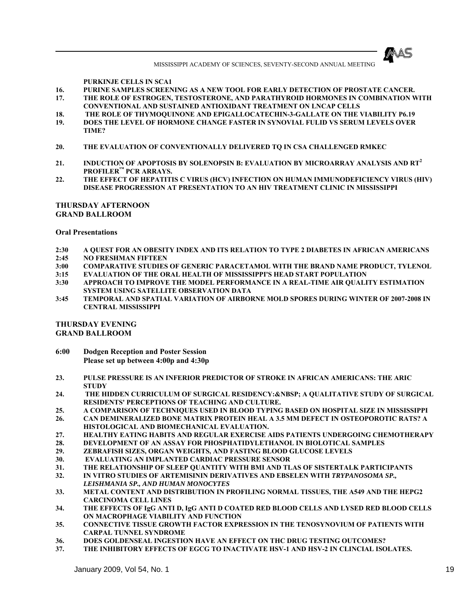

#### **PURKINJE CELLS IN SCA1**

- **16. PURINE SAMPLES SCREENING AS A NEW TOOL FOR EARLY DETECTION OF PROSTATE CANCER.**
- **17. THE ROLE OF ESTROGEN, TESTOSTERONE, AND PARATHYROID HORMONES IN COMBINATION WITH CONVENTIONAL AND SUSTAINED ANTIOXIDANT TREATMENT ON LNCAP CELLS**
- **18. THE ROLE OF THYMOQUINONE AND EPIGALLOCATECHIN-3-GALLATE ON THE VIABILITY P6.19**
- **19. DOES THE LEVEL OF HORMONE CHANGE FASTER IN SYNOVIAL FULID VS SERUM LEVELS OVER TIME?**
- **20. THE EVALUATION OF CONVENTIONALLY DELIVERED TQ IN CSA CHALLENGED RMKEC**
- **21. INDUCTION OF APOPTOSIS BY SOLENOPSIN B: EVALUATION BY MICROARRAY ANALYSIS AND RT<sup>2</sup> PROFILER™ PCR ARRAYS.**
- **22. THE EFFECT OF HEPATITIS C VIRUS (HCV) INFECTION ON HUMAN IMMUNODEFICIENCY VIRUS (HIV) DISEASE PROGRESSION AT PRESENTATION TO AN HIV TREATMENT CLINIC IN MISSISSIPPI**

#### **THURSDAY AFTERNOON GRAND BALLROOM**

#### **Oral Presentations**

- **2:30 A QUEST FOR AN OBESITY INDEX AND ITS RELATION TO TYPE 2 DIABETES IN AFRICAN AMERICANS 2:45 NO FRESHMAN FIFTEEN**
- 
- **3:00 COMPARATIVE STUDIES OF GENERIC PARACETAMOL WITH THE BRAND NAME PRODUCT, TYLENOL**
- **3:15 EVALUATION OF THE ORAL HEALTH OF MISSISSIPPI'S HEAD START POPULATION**
- **3:30 APPROACH TO IMPROVE THE MODEL PERFORMANCE IN A REAL-TIME AIR QUALITY ESTIMATION SYSTEM USING SATELLITE OBSERVATION DATA**
- **3:45 TEMPORAL AND SPATIAL VARIATION OF AIRBORNE MOLD SPORES DURING WINTER OF 2007-2008 IN CENTRAL MISSISSIPPI**

#### **THURSDAY EVENING GRAND BALLROOM**

- **6:00 Dodgen Reception and Poster Session Please set up between 4:00p and 4:30p**
- **23. PULSE PRESSURE IS AN INFERIOR PREDICTOR OF STROKE IN AFRICAN AMERICANS: THE ARIC STUDY**
- **24. THE HIDDEN CURRICULUM OF SURGICAL RESIDENCY: A QUALITATIVE STUDY OF SURGICAL RESIDENTS' PERCEPTIONS OF TEACHING AND CULTURE.**
- **25. A COMPARISON OF TECHNIQUES USED IN BLOOD TYPING BASED ON HOSPITAL SIZE IN MISSISSIPPI**
- **26. CAN DEMINERALIZED BONE MATRIX PROTEIN HEAL A 3.5 MM DEFECT IN OSTEOPOROTIC RATS? A HISTOLOGICAL AND BIOMECHANICAL EVALUATION.**
- **27. HEALTHY EATING HABITS AND REGULAR EXERCISE AIDS PATIENTS UNDERGOING CHEMOTHERAPY**
- **28. DEVELOPMENT OF AN ASSAY FOR PHOSPHATIDYLETHANOL IN BIOLOTICAL SAMPLES**
- **29. ZEBRAFISH SIZES, ORGAN WEIGHTS, AND FASTING BLOOD GLUCOSE LEVELS**
- **30. EVALUATING AN IMPLANTED CARDIAC PRESSURE SENSOR**
- **31. THE RELATIONSHIP OF SLEEP QUANTITY WITH BMI AND TLAS OF SISTERTALK PARTICIPANTS**
- **32. IN VITRO STUDIES OF ARTEMISININ DERIVATIVES AND EBSELEN WITH** *TRYPANOSOMA SP., LEISHMANIA SP., AND HUMAN MONOCYTES*
- **33. METAL CONTENT AND DISTRIBUTION IN PROFILING NORMAL TISSUES, THE A549 AND THE HEPG2 CARCINOMA CELL LINES**
- **34. THE EFFECTS OF IgG ANTI D, IgG ANTI D COATED RED BLOOD CELLS AND LYSED RED BLOOD CELLS ON MACROPHAGE VIABILITY AND FUNCTION**
- **35. CONNECTIVE TISSUE GROWTH FACTOR EXPRESSION IN THE TENOSYNOVIUM OF PATIENTS WITH CARPAL TUNNEL SYNDROME**
- **36. DOES GOLDENSEAL INGESTION HAVE AN EFFECT ON THC DRUG TESTING OUTCOMES?**
- **37. THE INHIBITORY EFFECTS OF EGCG TO INACTIVATE HSV-1 AND HSV-2 IN CLINCIAL ISOLATES.**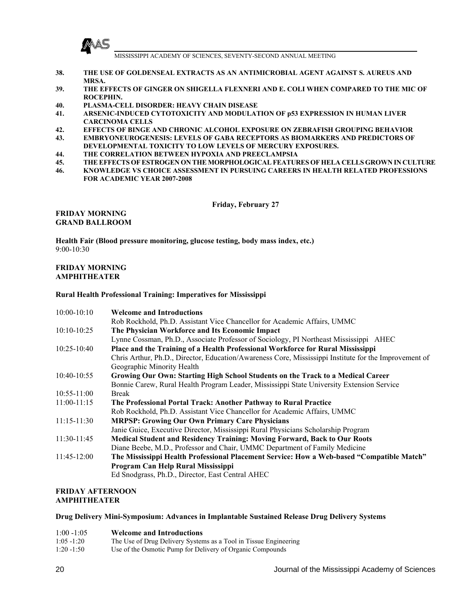

- **38. THE USE OF GOLDENSEAL EXTRACTS AS AN ANTIMICROBIAL AGENT AGAINST S. AUREUS AND MRSA.**
- **39. THE EFFECTS OF GINGER ON SHIGELLA FLEXNERI AND E. COLI WHEN COMPARED TO THE MIC OF ROCEPHIN.**
- **40. PLASMA-CELL DISORDER: HEAVY CHAIN DISEASE**
- **41. ARSENIC-INDUCED CYTOTOXICITY AND MODULATION OF p53 EXPRESSION IN HUMAN LIVER CARCINOMA CELLS**
- **42. EFFECTS OF BINGE AND CHRONIC ALCOHOL EXPOSURE ON ZEBRAFISH GROUPING BEHAVIOR**
- **43. EMBRYONEUROGENESIS: LEVELS OF GABA RECEPTORS AS BIOMARKERS AND PREDICTORS OF DEVELOPMENTAL TOXICITY TO LOW LEVELS OF MERCURY EXPOSURES.**
- **44. THE CORRELATION BETWEEN HYPOXIA AND PREECLAMPSIA**
- **45. THE EFFECTS OF ESTROGEN ON THE MORPHOLOGICAL FEATURES OF HELA CELLS GROWN IN CULTURE**
- **46. KNOWLEDGE VS CHOICE ASSESSMENT IN PURSUING CAREERS IN HEALTH RELATED PROFESSIONS FOR ACADEMIC YEAR 2007-2008**

**Friday, February 27** 

#### **FRIDAY MORNING GRAND BALLROOM**

**Health Fair (Blood pressure monitoring, glucose testing, body mass index, etc.)**  9:00-10:30

#### **FRIDAY MORNING AMPHITHEATER**

#### **Rural Health Professional Training: Imperatives for Mississippi**

| $10:00-10:10$   | <b>Welcome and Introductions</b>                                                                      |
|-----------------|-------------------------------------------------------------------------------------------------------|
|                 | Rob Rockhold, Ph.D. Assistant Vice Chancellor for Academic Affairs, UMMC                              |
| $10:10-10:25$   | The Physician Workforce and Its Economic Impact                                                       |
|                 | Lynne Cossman, Ph.D., Associate Professor of Sociology, PI Northeast Mississippi AHEC                 |
| $10:25 - 10:40$ | Place and the Training of a Health Professional Workforce for Rural Mississippi                       |
|                 | Chris Arthur, Ph.D., Director, Education/Awareness Core, Mississippi Institute for the Improvement of |
|                 | Geographic Minority Health                                                                            |
| $10:40-10:55$   | Growing Our Own: Starting High School Students on the Track to a Medical Career                       |
|                 | Bonnie Carew, Rural Health Program Leader, Mississippi State University Extension Service             |
| $10:55 - 11:00$ | <b>Break</b>                                                                                          |
| $11:00-11:15$   | The Professional Portal Track: Another Pathway to Rural Practice                                      |
|                 | Rob Rockhold, Ph.D. Assistant Vice Chancellor for Academic Affairs, UMMC                              |
| $11:15 - 11:30$ | <b>MRPSP: Growing Our Own Primary Care Physicians</b>                                                 |
|                 | Janie Guice, Executive Director, Mississippi Rural Physicians Scholarship Program                     |
| $11:30-11:45$   | <b>Medical Student and Residency Training: Moving Forward, Back to Our Roots</b>                      |
|                 | Diane Beebe, M.D., Professor and Chair, UMMC Department of Family Medicine                            |
| $11:45-12:00$   | The Mississippi Health Professional Placement Service: How a Web-based "Compatible Match"             |
|                 | Program Can Help Rural Mississippi                                                                    |
|                 | Ed Snodgrass, Ph.D., Director, East Central AHEC                                                      |
|                 |                                                                                                       |

#### **FRIDAY AFTERNOON AMPHITHEATER**

#### **Drug Delivery Mini-Symposium: Advances in Implantable Sustained Release Drug Delivery Systems**

| $1:00 - 1:05$ | <b>Welcome and Introductions</b>                                 |
|---------------|------------------------------------------------------------------|
| $1:05 - 1:20$ | The Use of Drug Delivery Systems as a Tool in Tissue Engineering |
| $1:20 - 1:50$ | Use of the Osmotic Pump for Delivery of Organic Compounds        |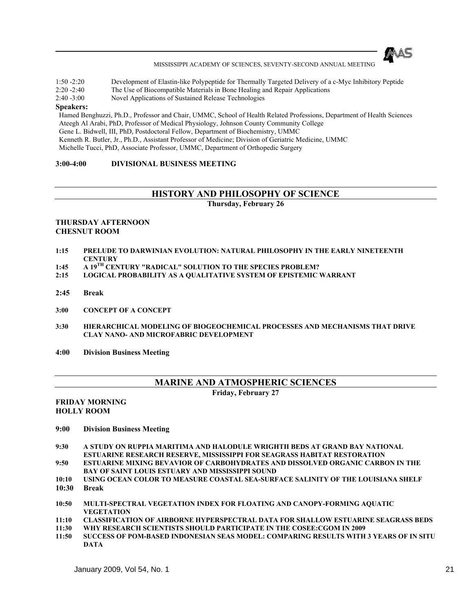

- 1:50 -2:20 Development of Elastin-like Polypeptide for Thermally Targeted Delivery of a c-Myc Inhibitory Peptide
- 2:20 -2:40 The Use of Biocompatible Materials in Bone Healing and Repair Applications
- 2:40 -3:00 Novel Applications of Sustained Release Technologies

#### **Speakers:**

Hamed Benghuzzi, Ph.D., Professor and Chair, UMMC, School of Health Related Professions, Department of Health Sciences Ateegh Al Arabi, PhD, Professor of Medical Physiology, Johnson County Community College Gene L. Bidwell, III, PhD, Postdoctoral Fellow, Department of Biochemistry, UMMC Kenneth R. Butler, Jr., Ph.D., Assistant Professor of Medicine; Division of Geriatric Medicine, UMMC Michelle Tucci, PhD, Associate Professor, UMMC, Department of Orthopedic Surgery

#### **3:00-4:00 DIVISIONAL BUSINESS MEETING**

## **HISTORY AND PHILOSOPHY OF SCIENCE**

**Thursday, February 26** 

#### **THURSDAY AFTERNOON CHESNUT ROOM**

- **1:15 PRELUDE TO DARWINIAN EVOLUTION: NATURAL PHILOSOPHY IN THE EARLY NINETEENTH CENTURY**
- **1:45 A 19TH CENTURY "RADICAL" SOLUTION TO THE SPECIES PROBLEM?**
- **2:15 LOGICAL PROBABILITY AS A QUALITATIVE SYSTEM OF EPISTEMIC WARRANT**
- **2:45 Break**
- **3:00 CONCEPT OF A CONCEPT**
- **3:30 HIERARCHICAL MODELING OF BIOGEOCHEMICAL PROCESSES AND MECHANISMS THAT DRIVE CLAY NANO- AND MICROFABRIC DEVELOPMENT**
- **4:00 Division Business Meeting**

# **MARINE AND ATMOSPHERIC SCIENCES**

**Friday, February 27** 

#### **FRIDAY MORNING HOLLY ROOM**

- **9:00 Division Business Meeting**
- **9:30 A STUDY ON RUPPIA MARITIMA AND HALODULE WRIGHTII BEDS AT GRAND BAY NATIONAL ESTUARINE RESEARCH RESERVE, MISSISSIPPI FOR SEAGRASS HABITAT RESTORATION 9:50 ESTUARINE MIXING BEVAVIOR OF CARBOHYDRATES AND DISSOLVED ORGANIC CARBON IN THE**
- **BAY OF SAINT LOUIS ESTUARY AND MISSISSIPPI SOUND**
- **10:10 USING OCEAN COLOR TO MEASURE COASTAL SEA-SURFACE SALINITY OF THE LOUISIANA SHELF 10:30 Break**
- 
- **10:50 MULTI-SPECTRAL VEGETATION INDEX FOR FLOATING AND CANOPY-FORMING AQUATIC VEGETATION**
- **11:10 CLASSIFICATION OF AIRBORNE HYPERSPECTRAL DATA FOR SHALLOW ESTUARINE SEAGRASS BEDS**
- **11:30 WHY RESEARCH SCIENTISTS SHOULD PARTICIPATE IN THE COSEE:CGOM IN 2009**
- **11:50 SUCCESS OF POM-BASED INDONESIAN SEAS MODEL: COMPARING RESULTS WITH 3 YEARS OF IN SITU DATA**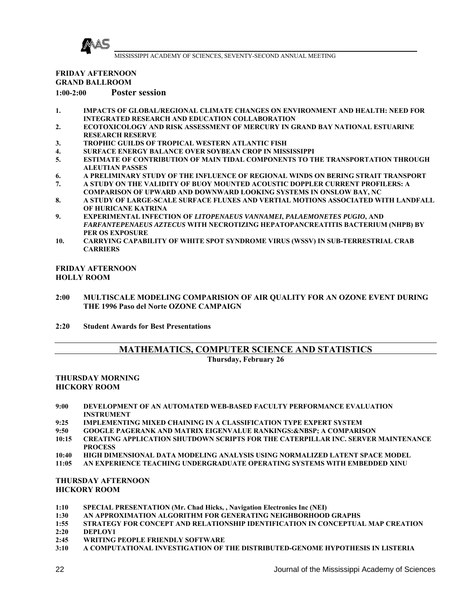

## **FRIDAY AFTERNOON GRAND BALLROOM 1:00-2:00 Poster session**

- **1. IMPACTS OF GLOBAL/REGIONAL CLIMATE CHANGES ON ENVIRONMENT AND HEALTH: NEED FOR INTEGRATED RESEARCH AND EDUCATION COLLABORATION**
- **2. ECOTOXICOLOGY AND RISK ASSESSMENT OF MERCURY IN GRAND BAY NATIONAL ESTUARINE RESEARCH RESERVE**
- **3. TROPHIC GUILDS OF TROPICAL WESTERN ATLANTIC FISH**
- **4. SURFACE ENERGY BALANCE OVER SOYBEAN CROP IN MISSISSIPPI**
- **5. ESTIMATE OF CONTRIBUTION OF MAIN TIDAL COMPONENTS TO THE TRANSPORTATION THROUGH ALEUTIAN PASSES**
- **6. A PRELIMINARY STUDY OF THE INFLUENCE OF REGIONAL WINDS ON BERING STRAIT TRANSPORT**
- **7. A STUDY ON THE VALIDITY OF BUOY MOUNTED ACOUSTIC DOPPLER CURRENT PROFILERS: A COMPARISON OF UPWARD AND DOWNWARD LOOKING SYSTEMS IN ONSLOW BAY, NC**
- **8. A STUDY OF LARGE-SCALE SURFACE FLUXES AND VERTIAL MOTIONS ASSOCIATED WITH LANDFALL OF HURICANE KATRINA**
- **9. EXPERIMENTAL INFECTION OF** *LITOPENAEUS VANNAMEI***,** *PALAEMONETES PUGIO***, AND**  *FARFANTEPENAEUS AZTECUS* **WITH NECROTIZING HEPATOPANCREATITIS BACTERIUM (NHPB) BY PER OS EXPOSURE**
- **10. CARRYING CAPABILITY OF WHITE SPOT SYNDROME VIRUS (WSSV) IN SUB-TERRESTRIAL CRAB CARRIERS**

**FRIDAY AFTERNOON HOLLY ROOM**

- **2:00 MULTISCALE MODELING COMPARISION OF AIR QUALITY FOR AN OZONE EVENT DURING THE 1996 Paso del Norte OZONE CAMPAIGN**
- **2:20 Student Awards for Best Presentations**

## **MATHEMATICS, COMPUTER SCIENCE AND STATISTICS**

**Thursday, February 26** 

#### **THURSDAY MORNING HICKORY ROOM**

- **9:00 DEVELOPMENT OF AN AUTOMATED WEB-BASED FACULTY PERFORMANCE EVALUATION INSTRUMENT**
- **9:25 IMPLEMENTING MIXED CHAINING IN A CLASSIFICATION TYPE EXPERT SYSTEM**
- **9:50 GOOGLE PAGERANK AND MATRIX EIGENVALUE RANKINGS: A COMPARISON**
- **10:15 CREATING APPLICATION SHUTDOWN SCRIPTS FOR THE CATERPILLAR INC. SERVER MAINTENANCE PROCESS**
- **10:40 HIGH DIMENSIONAL DATA MODELING ANALYSIS USING NORMALIZED LATENT SPACE MODEL**
- **11:05 AN EXPERIENCE TEACHING UNDERGRADUATE OPERATING SYSTEMS WITH EMBEDDED XINU**

#### **THURSDAY AFTERNOON HICKORY ROOM**

- **1:10 SPECIAL PRESENTATION (Mr. Chad Hicks, , Navigation Electronics Inc (NEI)**
- **1:30 AN APPROXIMATION ALGORITHM FOR GENERATING NEIGHBORHOOD GRAPHS**
- **1:55 STRATEGY FOR CONCEPT AND RELATIONSHIP IDENTIFICATION IN CONCEPTUAL MAP CREATION**
- **2:20 DEPLOY1**
- **2:45 WRITING PEOPLE FRIENDLY SOFTWARE**
- **3:10 A COMPUTATIONAL INVESTIGATION OF THE DISTRIBUTED-GENOME HYPOTHESIS IN LISTERIA**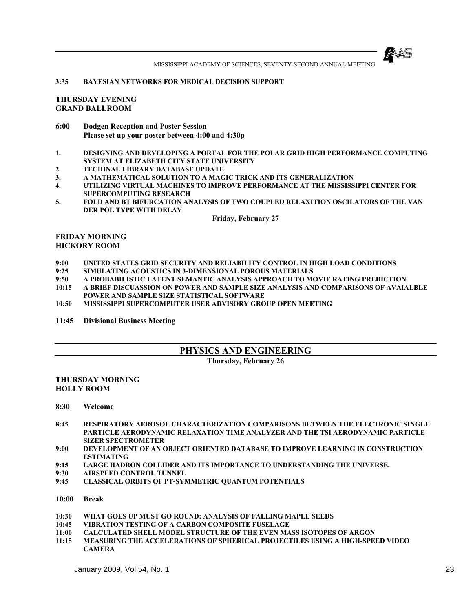

#### **3:35 BAYESIAN NETWORKS FOR MEDICAL DECISION SUPPORT**

#### **THURSDAY EVENING GRAND BALLROOM**

- **6:00 Dodgen Reception and Poster Session Please set up your poster between 4:00 and 4:30p**
- **1. DESIGNING AND DEVELOPING A PORTAL FOR THE POLAR GRID HIGH PERFORMANCE COMPUTING SYSTEM AT ELIZABETH CITY STATE UNIVERSITY**
- **2. TECHINAL LIBRARY DATABASE UPDATE**
- **3. A MATHEMATICAL SOLUTION TO A MAGIC TRICK AND ITS GENERALIZATION**
- **4. UTILIZING VIRTUAL MACHINES TO IMPROVE PERFORMANCE AT THE MISSISSIPPI CENTER FOR SUPERCOMPUTING RESEARCH**
- **5. FOLD AND BT BIFURCATION ANALYSIS OF TWO COUPLED RELAXITION OSCILATORS OF THE VAN DER POL TYPE WITH DELAY**

**Friday, February 27**

#### **FRIDAY MORNING HICKORY ROOM**

- **9:00 UNITED STATES GRID SECURITY AND RELIABILITY CONTROL IN HIGH LOAD CONDITIONS**
- **9:25 SIMULATING ACOUSTICS IN 3-DIMENSIONAL POROUS MATERIALS**
- **9:50 A PROBABILISTIC LATENT SEMANTIC ANALYSIS APPROACH TO MOVIE RATING PREDICTION**
- **10:15 A BRIEF DISCUASSION ON POWER AND SAMPLE SIZE ANALYSIS AND COMPARISONS OF AVAIALBLE POWER AND SAMPLE SIZE STATISTICAL SOFTWARE**
- **10:50 MISSISSIPPI SUPERCOMPUTER USER ADVISORY GROUP OPEN MEETING**

**11:45 Divisional Business Meeting** 

## **PHYSICS AND ENGINEERING**

#### **Thursday, February 26**

#### **THURSDAY MORNING HOLLY ROOM**

- **8:30 Welcome**
- **8:45 RESPIRATORY AEROSOL CHARACTERIZATION COMPARISONS BETWEEN THE ELECTRONIC SINGLE PARTICLE AERODYNAMIC RELAXATION TIME ANALYZER AND THE TSI AERODYNAMIC PARTICLE SIZER SPECTROMETER**
- **9:00 DEVELOPMENT OF AN OBJECT ORIENTED DATABASE TO IMPROVE LEARNING IN CONSTRUCTION ESTIMATING**
- **9:15 LARGE HADRON COLLIDER AND ITS IMPORTANCE TO UNDERSTANDING THE UNIVERSE.**
- **9:30 AIRSPEED CONTROL TUNNEL**
- **9:45 CLASSICAL ORBITS OF PT-SYMMETRIC QUANTUM POTENTIALS**
- **10:00 Break**
- **10:30 WHAT GOES UP MUST GO ROUND: ANALYSIS OF FALLING MAPLE SEEDS**
- **10:45 VIBRATION TESTING OF A CARBON COMPOSITE FUSELAGE**
- **11:00 CALCULATED SHELL MODEL STRUCTURE OF THE EVEN MASS ISOTOPES OF ARGON**
- **11:15 MEASURING THE ACCELERATIONS OF SPHERICAL PROJECTILES USING A HIGH-SPEED VIDEO CAMERA**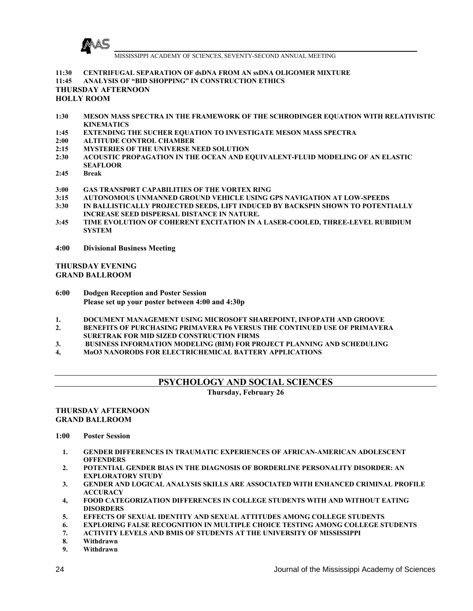

**11:30 CENTRIFUGAL SEPARATION OF dsDNA FROM AN ssDNA OLIGOMER MIXTURE**

**11:45 ANALYSIS OF "BID SHOPPING" IN CONSTRUCTION ETHICS**

# **THURSDAY AFTERNOON**

#### **HOLLY ROOM**

- **1:30 MESON MASS SPECTRA IN THE FRAMEWORK OF THE SCHRODINGER EQUATION WITH RELATIVISTIC KINEMATICS**
- **1:45 EXTENDING THE SUCHER EQUATION TO INVESTIGATE MESON MASS SPECTRA**
- **2:00 ALTITUDE CONTROL CHAMBER**
- **2:15 MYSTERIES OF THE UNIVERSE NEED SOLUTION**
- **2:30 ACOUSTIC PROPAGATION IN THE OCEAN AND EQUIVALENT-FLUID MODELING OF AN ELASTIC SEAFLOOR**
- **2:45 Break**
- **3:00 GAS TRANSP0RT CAPABILITIES OF THE VORTEX RING**
- **3:15 AUTONOMOUS UNMANNED GROUND VEHICLE USING GPS NAVIGATION AT LOW-SPEEDS**
- **3:30 IN BALLISTICALLY PROJECTED SEEDS, LIFT INDUCED BY BACKSPIN SHOWN TO POTENTIALLY INCREASE SEED DISPERSAL DISTANCE IN NATURE.**
- **3:45 TIME EVOLUTION OF COHERENT EXCITATION IN A LASER-COOLED, THREE-LEVEL RUBIDIUM SYSTEM**
- **4:00 Divisional Business Meeting**

#### **THURSDAY EVENING GRAND BALLROOM**

- **6:00 Dodgen Reception and Poster Session Please set up your poster between 4:00 and 4:30p**
- **1. DOCUMENT MANAGEMENT USING MICROSOFT SHAREPOINT, INFOPATH AND GROOVE**
- **2. BENEFITS OF PURCHASING PRIMAVERA P6 VERSUS THE CONTINUED USE OF PRIMAVERA SURETRAK FOR MID SIZED CONSTRUCTION FIRMS**
- **3. BUSINESS INFORMATION MODELING (BIM) FOR PROJECT PLANNING AND SCHEDULING**
- **4, MoO3 NANORODS FOR ELECTRICHEMICAL BATTERY APPLICATIONS**

## **PSYCHOLOGY AND SOCIAL SCIENCES**

**Thursday, February 26** 

#### **THURSDAY AFTERNOON GRAND BALLROOM**

**1:00 Poster Session** 

- **1. GENDER DIFFERENCES IN TRAUMATIC EXPERIENCES OF AFRICAN-AMERICAN ADOLESCENT OFFENDERS**
- **2. POTENTIAL GENDER BIAS IN THE DIAGNOSIS OF BORDERLINE PERSONALITY DISORDER: AN EXPLORATORY STUDY**
- **3. GENDER AND LOGICAL ANALYSIS SKILLS ARE ASSOCIATED WITH ENHANCED CRIMINAL PROFILE ACCURACY**
- **4, FOOD CATEGORIZATION DIFFERENCES IN COLLEGE STUDENTS WITH AND WITHOUT EATING DISORDERS**
- **5. EFFECTS OF SEXUAL IDENTITY AND SEXUAL ATTITUDES AMONG COLLEGE STUDENTS**
- **6. EXPLORING FALSE RECOGNITION IN MULTIPLE CHOICE TESTING AMONG COLLEGE STUDENTS**
- **7. ACTIVITY LEVELS AND BMIS OF STUDENTS AT THE UNIVERSITY OF MISSISSIPPI**
- **8. Withdrawn**
- **9. Withdrawn**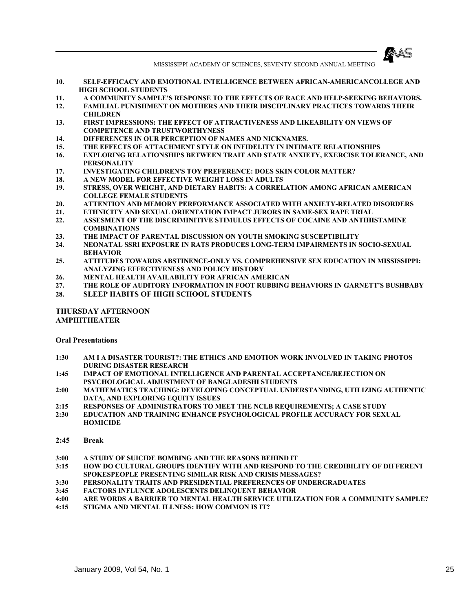

- **10. SELF-EFFICACY AND EMOTIONAL INTELLIGENCE BETWEEN AFRICAN-AMERICANCOLLEGE AND HIGH SCHOOL STUDENTS**
- **11. A COMMUNITY SAMPLE'S RESPONSE TO THE EFFECTS OF RACE AND HELP-SEEKING BEHAVIORS. 12. FAMILIAL PUNISHMENT ON MOTHERS AND THEIR DISCIPLINARY PRACTICES TOWARDS THEIR**
- **CHILDREN 13. FIRST IMPRESSIONS: THE EFFECT OF ATTRACTIVENESS AND LIKEABILITY ON VIEWS OF COMPETENCE AND TRUSTWORTHYNESS**
- **14. DIFFERENCES IN OUR PERCEPTION OF NAMES AND NICKNAMES.**
- **15. THE EFFECTS OF ATTACHMENT STYLE ON INFIDELITY IN INTIMATE RELATIONSHIPS**
- **16. EXPLORING RELATIONSHIPS BETWEEN TRAIT AND STATE ANXIETY, EXERCISE TOLERANCE, AND PERSONALITY**
- **17. INVESTIGATING CHILDREN'S TOY PREFERENCE: DOES SKIN COLOR MATTER?**
- **18. A NEW MODEL FOR EFFECTIVE WEIGHT LOSS IN ADULTS**
- **19. STRESS, OVER WEIGHT, AND DIETARY HABITS: A CORRELATION AMONG AFRICAN AMERICAN COLLEGE FEMALE STUDENTS**
- **20. ATTENTION AND MEMORY PERFORMANCE ASSOCIATED WITH ANXIETY-RELATED DISORDERS**
- **21. ETHNICITY AND SEXUAL ORIENTATION IMPACT JURORS IN SAME-SEX RAPE TRIAL**
- **22. ASSESMENT OF THE DISCRIMINITIVE STIMULUS EFFECTS OF COCAINE AND ANTIHISTAMINE COMBINATIONS**
- **23. THE IMPACT OF PARENTAL DISCUSSION ON YOUTH SMOKING SUSCEPTIBILITY**
- **24. NEONATAL SSRI EXPOSURE IN RATS PRODUCES LONG-TERM IMPAIRMENTS IN SOCIO-SEXUAL BEHAVIOR**
- **25. ATTITUDES TOWARDS ABSTINENCE-ONLY VS. COMPREHENSIVE SEX EDUCATION IN MISSISSIPPI: ANALYZING EFFECTIVENESS AND POLICY HISTORY**
- **26. MENTAL HEALTH AVAILABILITY FOR AFRICAN AMERICAN**
- **27. THE ROLE OF AUDITORY INFORMATION IN FOOT RUBBING BEHAVIORS IN GARNETT'S BUSHBABY**
- **28. SLEEP HABITS OF HIGH SCHOOL STUDENTS**

#### **THURSDAY AFTERNOON AMPHITHEATER**

#### **Oral Presentations**

- **1:30 AM I A DISASTER TOURIST?: THE ETHICS AND EMOTION WORK INVOLVED IN TAKING PHOTOS DURING DISASTER RESEARCH**
- **1:45 IMPACT OF EMOTIONAL INTELLIGENCE AND PARENTAL ACCEPTANCE/REJECTION ON PSYCHOLOGICAL ADJUSTMENT OF BANGLADESHI STUDENTS**
- **2:00 MATHEMATICS TEACHING: DEVELOPING CONCEPTUAL UNDERSTANDING, UTILIZING AUTHENTIC DATA, AND EXPLORING EQUITY ISSUES**
- **2:15 RESPONSES OF ADMINISTRATORS TO MEET THE NCLB REQUIREMENTS; A CASE STUDY**
- **2:30 EDUCATION AND TRAINING ENHANCE PSYCHOLOGICAL PROFILE ACCURACY FOR SEXUAL HOMICIDE**

#### **2:45 Break**

- **3:00 A STUDY OF SUICIDE BOMBING AND THE REASONS BEHIND IT**
- **3:15 HOW DO CULTURAL GROUPS IDENTIFY WITH AND RESPOND TO THE CREDIBILITY OF DIFFERENT SPOKESPEOPLE PRESENTING SIMILAR RISK AND CRISIS MESSAGES?**
- **3:30 PERSONALITY TRAITS AND PRESIDENTIAL PREFERENCES OF UNDERGRADUATES**
- **3:45 FACTORS INFLUNCE ADOLESCENTS DELINQUENT BEHAVIOR**
- **4:00 ARE WORDS A BARRIER TO MENTAL HEALTH SERVICE UTILIZATION FOR A COMMUNITY SAMPLE?**
- **4:15 STIGMA AND MENTAL ILLNESS: HOW COMMON IS IT?**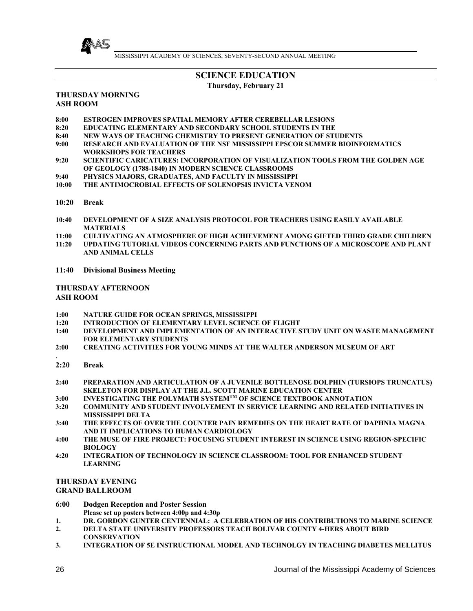

# **SCIENCE EDUCATION**

**Thursday, February 21** 

#### **THURSDAY MORNING ASH ROOM**

- **8:00 ESTROGEN IMPROVES SPATIAL MEMORY AFTER CEREBELLAR LESIONS**
- **8:20 EDUCATING ELEMENTARY AND SECONDARY SCHOOL STUDENTS IN THE**
- **8:40 NEW WAYS OF TEACHING CHEMISTRY TO PRESENT GENERATION OF STUDENTS**
- **9:00 RESEARCH AND EVALUATION OF THE NSF MISSISSIPPI EPSCOR SUMMER BIOINFORMATICS WORKSHOPS FOR TEACHERS**
- **9:20 SCIENTIFIC CARICATURES: INCORPORATION OF VISUALIZATION TOOLS FROM THE GOLDEN AGE OF GEOLOGY (1788-1840) IN MODERN SCIENCE CLASSROOMS**
- **9:40 PHYSICS MAJORS, GRADUATES, AND FACULTY IN MISSISSIPPI**
- **10:00 THE ANTIMOCROBIAL EFFECTS OF SOLENOPSIS INVICTA VENOM**
- **10:20 Break**
- **10:40 DEVELOPMENT OF A SIZE ANALYSIS PROTOCOL FOR TEACHERS USING EASILY AVAILABLE MATERIALS**
- **11:00 CULTIVATING AN ATMOSPHERE OF HIGH ACHIEVEMENT AMONG GIFTED THIRD GRADE CHILDREN**
- **11:20 UPDATING TUTORIAL VIDEOS CONCERNING PARTS AND FUNCTIONS OF A MICROSCOPE AND PLANT AND ANIMAL CELLS**
- **11:40 Divisional Business Meeting**

#### **THURSDAY AFTERNOON ASH ROOM**

- **1:00 NATURE GUIDE FOR OCEAN SPRINGS, MISSISSIPPI**
- **INTRODUCTION OF ELEMENTARY LEVEL SCIENCE OF FLIGHT**
- **1:40 DEVELOPMENT AND IMPLEMENTATION OF AN INTERACTIVE STUDY UNIT ON WASTE MANAGEMENT FOR ELEMENTARY STUDENTS**
- **2:00 CREATING ACTIVITIES FOR YOUNG MINDS AT THE WALTER ANDERSON MUSEUM OF ART**
- . **2:20 Break**
- **2:40 PREPARATION AND ARTICULATION OF A JUVENILE BOTTLENOSE DOLPHIN (TURSIOPS TRUNCATUS) SKELETON FOR DISPLAY AT THE J.L. SCOTT MARINE EDUCATION CENTER**
- **3:00 INVESTIGATING THE POLYMATH SYSTEMTM OF SCIENCE TEXTBOOK ANNOTATION**
- **3:20 COMMUNITY AND STUDENT INVOLVEMENT IN SERVICE LEARNING AND RELATED INITIATIVES IN MISSISSIPPI DELTA**
- **3:40 THE EFFECTS OF OVER THE COUNTER PAIN REMEDIES ON THE HEART RATE OF DAPHNIA MAGNA AND IT IMPLICATIONS TO HUMAN CARDIOLOGY**
- **4:00 THE MUSE OF FIRE PROJECT: FOCUSING STUDENT INTEREST IN SCIENCE USING REGION-SPECIFIC BIOLOGY**
- **4:20 INTEGRATION OF TECHNOLOGY IN SCIENCE CLASSROOM: TOOL FOR ENHANCED STUDENT LEARNING**

#### **THURSDAY EVENING GRAND BALLROOM**

- **6:00 Dodgen Reception and Poster Session Please set up posters between 4:00p and 4:30p**
- **1. DR. GORDON GUNTER CENTENNIAL: A CELEBRATION OF HIS CONTRIBUTIONS TO MARINE SCIENCE**
- **2. DELTA STATE UNIVERSITY PROFESSORS TEACH BOLIVAR COUNTY 4-HERS ABOUT BIRD CONSERVATION**
- **3. INTEGRATION OF 5E INSTRUCTIONAL MODEL AND TECHNOLGY IN TEACHING DIABETES MELLITUS**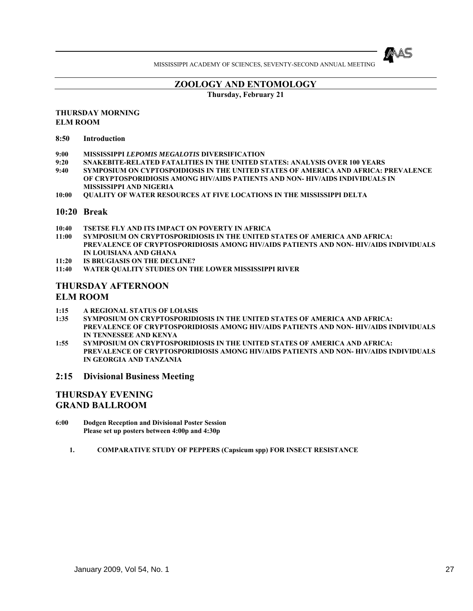

# **ZOOLOGY AND ENTOMOLOGY**

**Thursday, February 21** 

#### **THURSDAY MORNING ELM ROOM**

- **8:50 Introduction**
- **9:00 MISSISSIPPI** *LEPOMIS MEGALOTIS* **DIVERSIFICATION**
- **9:20 SNAKEBITE-RELATED FATALITIES IN THE UNITED STATES: ANALYSIS OVER 100 YEARS**
- **9:40 SYMPOSIUM ON CYPTOSPOIDIOSIS IN THE UNITED STATES OF AMERICA AND AFRICA: PREVALENCE OF CRYPTOSPORIDIOSIS AMONG HIV/AIDS PATIENTS AND NON- HIV/AIDS INDIVIDUALS IN MISSISSIPPI AND NIGERIA**
- **10:00 QUALITY OF WATER RESOURCES AT FIVE LOCATIONS IN THE MISSISSIPPI DELTA**

#### **10:20 Break**

- **10:40 TSETSE FLY AND ITS IMPACT ON POVERTY IN AFRICA**
- **11:00 SYMPOSIUM ON CRYPTOSPORIDIOSIS IN THE UNITED STATES OF AMERICA AND AFRICA: PREVALENCE OF CRYPTOSPORIDIOSIS AMONG HIV/AIDS PATIENTS AND NON- HIV/AIDS INDIVIDUALS IN LOUISIANA AND GHANA**
- **11:20 IS BRUGIASIS ON THE DECLINE?**
- **11:40 WATER QUALITY STUDIES ON THE LOWER MISSISSIPPI RIVER**

## **THURSDAY AFTERNOON ELM ROOM**

- **1:15 A REGIONAL STATUS OF LOIASIS**
- **1:35 SYMPOSIUM ON CRYPTOSPORIDIOSIS IN THE UNITED STATES OF AMERICA AND AFRICA: PREVALENCE OF CRYPTOSPORIDIOSIS AMONG HIV/AIDS PATIENTS AND NON- HIV/AIDS INDIVIDUALS IN TENNESSEE AND KENYA**
- **1:55 SYMPOSIUM ON CRYPTOSPORIDIOSIS IN THE UNITED STATES OF AMERICA AND AFRICA: PREVALENCE OF CRYPTOSPORIDIOSIS AMONG HIV/AIDS PATIENTS AND NON- HIV/AIDS INDIVIDUALS IN GEORGIA AND TANZANIA**

#### **2:15 Divisional Business Meeting**

# **THURSDAY EVENING GRAND BALLROOM**

- **6:00 Dodgen Reception and Divisional Poster Session Please set up posters between 4:00p and 4:30p** 
	- **1. COMPARATIVE STUDY OF PEPPERS (Capsicum spp) FOR INSECT RESISTANCE**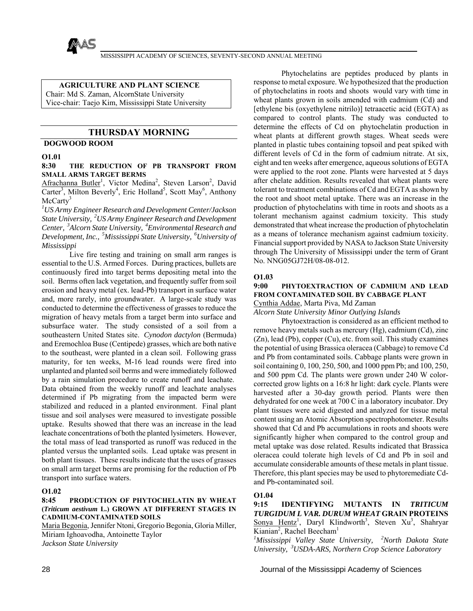

### **AGRICULTURE AND PLANT SCIENCE**

Chair: Md S. Zaman, AlcornState University

Vice-chair: Taejo Kim, Mississippi State University

### **THURSDAY MORNING**

#### **DOGWOOD ROOM**

#### **O1.01**

#### **8:30 THE REDUCTION OF PB TRANSPORT FROM SMALL ARMS TARGET BERMS**

Afrachanna Butler<sup>1</sup>, Victor Medina<sup>2</sup>, Steven Larson<sup>2</sup>, David Carter<sup>3</sup>, Milton Beverly<sup>4</sup>, Eric Holland<sup>5</sup>, Scott May<sup>6</sup>, Anthony  $McCartv<sup>3</sup>$ 

*1 US Army Engineer Research and Development Center/Jackson State University, 2US Army Engineer Research and Development Center, 3Alcorn State University, 4Environmental Research and Development, Inc., 5Mississippi State University, 6University of Mississippi*

 Live fire testing and training on small arm ranges is essential to the U.S. Armed Forces. During practices, bullets are continuously fired into target berms depositing metal into the soil. Berms often lack vegetation, and frequently suffer from soil erosion and heavy metal (ex. lead-Pb) transport in surface water and, more rarely, into groundwater. A large-scale study was conducted to determine the effectiveness of grasses to reduce the migration of heavy metals from a target berm into surface and subsurface water. The study consisted of a soil from a southeastern United States site. *Cynodon dactylon* (Bermuda) and Eremochloa Buse (Centipede) grasses, which are both native to the southeast, were planted in a clean soil. Following grass maturity, for ten weeks, M-16 lead rounds were fired into unplanted and planted soil berms and were immediately followed by a rain simulation procedure to create runoff and leachate. Data obtained from the weekly runoff and leachate analyses determined if Pb migrating from the impacted berm were stabilized and reduced in a planted environment. Final plant tissue and soil analyses were measured to investigate possible uptake. Results showed that there was an increase in the lead leachate concentrations of both the planted lysimeters. However, the total mass of lead transported as runoff was reduced in the planted versus the unplanted soils. Lead uptake was present in both plant tissues. These results indicate that the uses of grasses on small arm target berms are promising for the reduction of Pb transport into surface waters.

#### **O1.02**

#### **8:45 PRODUCTION OF PHYTOCHELATIN BY WHEAT (***Triticum aestivum* **L.) GROWN AT DIFFERENT STAGES IN CADMIUM-CONTAMINATED SOILS**

Maria Begonia, Jennifer Ntoni, Gregorio Begonia, Gloria Miller, Miriam Ighoavodha, Antoinette Taylor *Jackson State University*

 Phytochelatins are peptides produced by plants in response to metal exposure. We hypothesized that the production of phytochelatins in roots and shoots would vary with time in wheat plants grown in soils amended with cadmium (Cd) and [ethylene bis (oxyethylene nitrilo)] tetraacetic acid (EGTA) as compared to control plants. The study was conducted to determine the effects of Cd on phytochelatin production in wheat plants at different growth stages. Wheat seeds were planted in plastic tubes containing topsoil and peat spiked with different levels of Cd in the form of cadmium nitrate. At six, eight and ten weeks after emergence, aqueous solutions of EGTA were applied to the root zone. Plants were harvested at 5 days after chelate addition. Results revealed that wheat plants were tolerant to treatment combinations of Cd and EGTA as shown by the root and shoot metal uptake. There was an increase in the production of phytochelatins with time in roots and shoots as a tolerant mechanism against cadmium toxicity. This study demonstrated that wheat increase the production of phytochelatin as a means of tolerance mechanism against cadmium toxicity. Financial support provided by NASA to Jackson State University through The University of Mississippi under the term of Grant No. NNG05GJ72H/08-08-012.

#### **O1.03**

#### **9:00 PHYTOEXTRACTION OF CADMIUM AND LEAD FROM CONTAMINATED SOIL BY CABBAGE PLANT** Cynthia Addae, Marta Piva, Md Zaman

*Alcorn State University Minor Outlying Islands*

 Phytoextraction is considered as an efficient method to remove heavy metals such as mercury (Hg), cadmium (Cd), zinc (Zn), lead (Pb), copper (Cu), etc. from soil. This study examines the potential of using Brassica oleracea (Cabbage) to remove Cd and Pb from contaminated soils. Cabbage plants were grown in soil containing 0, 100, 250, 500, and 1000 ppm Pb; and 100, 250, and 500 ppm Cd. The plants were grown under 240 W colorcorrected grow lights on a 16:8 hr light: dark cycle. Plants were harvested after a 30-day growth period. Plants were then dehydrated for one week at 700 C in a laboratory incubator. Dry plant tissues were acid digested and analyzed for tissue metal content using an Atomic Absorption spectrophotometer. Results showed that Cd and Pb accumulations in roots and shoots were significantly higher when compared to the control group and metal uptake was dose related. Results indicated that Brassica oleracea could tolerate high levels of Cd and Pb in soil and accumulate considerable amounts of these metals in plant tissue. Therefore, this plant species may be used to phytoremediate Cdand Pb-contaminated soil.

#### **O1.04**

**9:15 IDENTIFYING MUTANTS IN** *TRITICUM TURGIDUM L VAR. DURUM WHEAT* **GRAIN PROTEINS** Sonya Hentz<sup>1</sup>, Daryl Klindworth<sup>3</sup>, Steven Xu<sup>3</sup>, Shahryar Kianian<sup>2</sup>, Rachel Beecham<sup>1</sup>

*1 Mississippi Valley State University, 2North Dakota State University, 3USDA-ARS, Northern Crop Science Laboratory*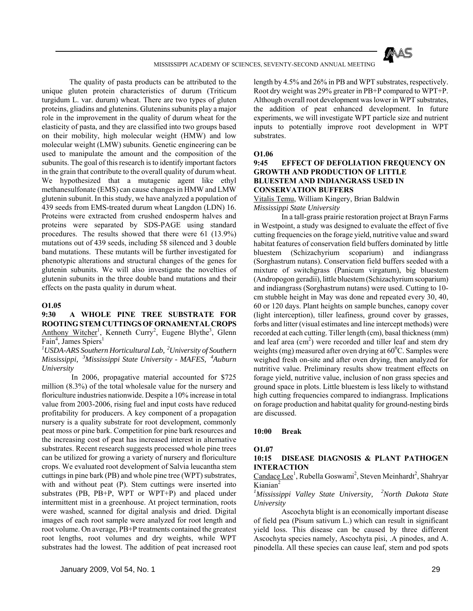

 The quality of pasta products can be attributed to the unique gluten protein characteristics of durum (Triticum turgidum L. var. durum) wheat. There are two types of gluten proteins, gliadins and glutenins. Glutenins subunits play a major role in the improvement in the quality of durum wheat for the elasticity of pasta, and they are classified into two groups based on their mobility, high molecular weight (HMW) and low molecular weight (LMW) subunits. Genetic engineering can be used to manipulate the amount and the composition of the subunits. The goal of this research is to identify important factors in the grain that contribute to the overall quality of durum wheat. We hypothesized that a mutagenic agent like ethyl methanesulfonate (EMS) can cause changes in HMW and LMW glutenin subunit. In this study, we have analyzed a population of 439 seeds from EMS-treated durum wheat Langdon (LDN) 16. Proteins were extracted from crushed endosperm halves and proteins were separated by SDS-PAGE using standard procedures. The results showed that there were 61 (13.9%) mutations out of 439 seeds, including 58 silenced and 3 double band mutations. These mutants will be further investigated for phenotypic alterations and structural changes of the genes for glutenin subunits. We will also investigate the novelties of glutenin subunits in the three double band mutations and their effects on the pasta quality in durum wheat.

#### **O1.05**

#### **9:30 A WHOLE PINE TREE SUBSTRATE FOR ROOTING STEM CUTTINGS OF ORNAMENTAL CROPS** Anthony Witcher<sup>1</sup>, Kenneth Curry<sup>2</sup>, Eugene Blythe<sup>3</sup>, Glenn Fain<sup>4</sup>, James Spiers<sup>1</sup>

*1 USDA-ARS Southern Horticultural Lab, 2University of Southern Mississippi, 3Mississippi State University - MAFES, 4Auburn University*

 In 2006, propagative material accounted for \$725 million (8.3%) of the total wholesale value for the nursery and floriculture industries nationwide. Despite a 10% increase in total value from 2003-2006, rising fuel and input costs have reduced profitability for producers. A key component of a propagation nursery is a quality substrate for root development, commonly peat moss or pine bark. Competition for pine bark resources and the increasing cost of peat has increased interest in alternative substrates. Recent research suggests processed whole pine trees can be utilized for growing a variety of nursery and floriculture crops. We evaluated root development of Salvia leucantha stem cuttings in pine bark (PB) and whole pine tree (WPT) substrates, with and without peat (P). Stem cuttings were inserted into substrates (PB, PB+P, WPT or WPT+P) and placed under intermittent mist in a greenhouse. At project termination, roots were washed, scanned for digital analysis and dried. Digital images of each root sample were analyzed for root length and root volume. On average, PB+P treatments contained the greatest root lengths, root volumes and dry weights, while WPT substrates had the lowest. The addition of peat increased root

length by 4.5% and 26% in PB and WPT substrates, respectively. Root dry weight was 29% greater in PB+P compared to WPT+P. Although overall root development was lower in WPT substrates, the addition of peat enhanced development. In future experiments, we will investigate WPT particle size and nutrient inputs to potentially improve root development in WPT substrates.

#### **O1.06**

#### **9:45 EFFECT OF DEFOLIATION FREQUENCY ON GROWTH AND PRODUCTION OF LITTLE BLUESTEM AND INDIANGRASS USED IN CONSERVATION BUFFERS**

Vitalis Temu, William Kingery, Brian Baldwin *Mississippi State University*

 In a tall-grass prairie restoration project at Brayn Farms in Westpoint, a study was designed to evaluate the effect of five cutting frequencies on the forage yield, nutritive value and sward habitat features of conservation field buffers dominated by little bluestem (Schizachyrium scoparium) and indiangrass (Sorghastrum nutans). Conservation field buffers seeded with a mixture of switchgrass (Panicum virgatum), big bluestem (Andropogon geradii), little bluestem (Schizachyrium scoparium) and indiangrass (Sorghastrum nutans) were used. Cutting to 10 cm stubble height in May was done and repeated every 30, 40, 60 or 120 days. Plant heights on sample bunches, canopy cover (light interception), tiller leafiness, ground cover by grasses, forbs and litter (visual estimates and line intercept methods) were recorded at each cutting. Tiller length (cm), basal thickness (mm) and leaf area  $(cm<sup>2</sup>)$  were recorded and tiller leaf and stem dry weights (mg) measured after oven drying at  $60^{\circ}$ C. Samples were weighed fresh on-site and after oven drying, then analyzed for nutritive value. Preliminary results show treatment effects on forage yield, nutritive value, inclusion of non grass species and ground space in plots. Little bluestem is less likely to withstand high cutting frequencies compared to indiangrass. Implications on forage production and habitat quality for ground-nesting birds are discussed.

#### **10:00 Break**

#### **O1.07**

#### **10:15 DISEASE DIAGNOSIS & PLANT PATHOGEN INTERACTION**

#### Candace Lee<sup>1</sup>, Rubella Goswami<sup>2</sup>, Steven Meinhardt<sup>2</sup>, Shahryar Kianian<sup>2</sup>

#### *1 Mississippi Valley State University, 2North Dakota State University*

 Ascochyta blight is an economically important disease of field pea (Pisum sativum L.) which can result in significant yield loss. This disease can be caused by three different Ascochyta species namely, Ascochyta pisi, .A pinodes, and A. pinodella. All these species can cause leaf, stem and pod spots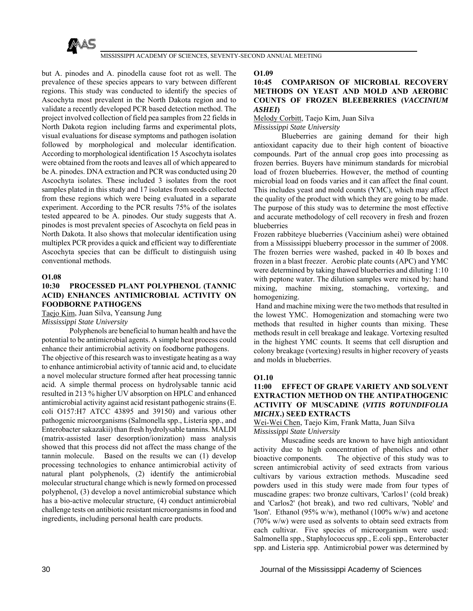

but A. pinodes and A. pinodella cause foot rot as well. The prevalence of these species appears to vary between different regions. This study was conducted to identify the species of Ascochyta most prevalent in the North Dakota region and to validate a recently developed PCR based detection method. The project involved collection of field pea samples from 22 fields in North Dakota region including farms and experimental plots, visual evaluations for disease symptoms and pathogen isolation followed by morphological and molecular identification. According to morphological identification 15 Ascochyta isolates were obtained from the roots and leaves all of which appeared to be A. pinodes. DNA extraction and PCR was conducted using 20 Ascochyta isolates. These included 3 isolates from the root samples plated in this study and 17 isolates from seeds collected from these regions which were being evaluated in a separate experiment. According to the PCR results 75% of the isolates tested appeared to be A. pinodes. Our study suggests that A. pinodes is most prevalent species of Ascochyta on field peas in North Dakota. It also shows that molecular identification using multiplex PCR provides a quick and efficient way to differentiate Ascochyta species that can be difficult to distinguish using conventional methods.

#### **O1.08**

#### **10:30 PROCESSED PLANT POLYPHENOL (TANNIC ACID) ENHANCES ANTIMICROBIAL ACTIVITY ON FOODBORNE PATHOGENS**

Taejo Kim, Juan Silva, Yeansung Jung *Mississippi State University*

 Polyphenols are beneficial to human health and have the potential to be antimicrobial agents. A simple heat process could enhance their antimicrobial activity on foodborne pathogens. The objective of this research was to investigate heating as a way to enhance antimicrobial activity of tannic acid and, to elucidate a novel molecular structure formed after heat processing tannic

acid. A simple thermal process on hydrolysable tannic acid resulted in 213 % higher UV absorption on HPLC and enhanced antimicrobial activity against acid resistant pathogenic strains (E. coli O157:H7 ATCC 43895 and 39150) and various other pathogenic microorganisms (Salmonella spp., Listeria spp., and Enterobacter sakazakii) than fresh hydrolysable tannins. MALDI (matrix-assisted laser desorption/ionization) mass analysis showed that this process did not affect the mass change of the tannin molecule. Based on the results we can (1) develop processing technologies to enhance antimicrobial activity of natural plant polyphenols, (2) identify the antimicrobial molecular structural change which is newly formed on processed polyphenol, (3) develop a novel antimicrobial substance which has a bio-active molecular structure, (4) conduct antimicrobial challenge tests on antibiotic resistant microorganisms in food and ingredients, including personal health care products.

**O1.09**

#### **10:45 COMPARISON OF MICROBIAL RECOVERY METHODS ON YEAST AND MOLD AND AEROBIC COUNTS OF FROZEN BLEEBERRIES (***VACCINIUM ASHEI***)**

Melody Corbitt, Taejo Kim, Juan Silva

*Mississippi State University*

 Blueberries are gaining demand for their high antioxidant capacity due to their high content of bioactive compounds. Part of the annual crop goes into processing as frozen berries. Buyers have minimum standards for microbial load of frozen blueberries. However, the method of counting microbial load on foods varies and it can affect the final count. This includes yeast and mold counts (YMC), which may affect the quality of the product with which they are going to be made. The purpose of this study was to determine the most effective and accurate methodology of cell recovery in fresh and frozen blueberries

Frozen rabbiteye blueberries (Vaccinium ashei) were obtained from a Mississippi blueberry processor in the summer of 2008. The frozen berries were washed, packed in 40 lb boxes and frozen in a blast freezer. Aerobic plate counts (APC) and YMC were determined by taking thawed blueberries and diluting 1:10 with peptone water. The dilution samples were mixed by: hand mixing, machine mixing, stomaching, vortexing, and homogenizing.

 Hand and machine mixing were the two methods that resulted in the lowest YMC. Homogenization and stomaching were two methods that resulted in higher counts than mixing. These methods result in cell breakage and leakage. Vortexing resulted in the highest YMC counts. It seems that cell disruption and colony breakage (vortexing) results in higher recovery of yeasts and molds in blueberries.

#### **O1.10**

#### **11:00 EFFECT OF GRAPE VARIETY AND SOLVENT EXTRACTION METHOD ON THE ANTIPATHOGENIC ACTIVITY OF MUSCADINE (***VITIS ROTUNDIFOLIA MICHX***.) SEED EXTRACTS**

Wei-Wei Chen, Taejo Kim, Frank Matta, Juan Silva *Mississippi State University*

 Muscadine seeds are known to have high antioxidant activity due to high concentration of phenolics and other bioactive components. The objective of this study was to screen antimicrobial activity of seed extracts from various cultivars by various extraction methods. Muscadine seed powders used in this study were made from four types of muscadine grapes: two bronze cultivars, 'Carlos1' (cold break) and 'Carlos2' (hot break), and two red cultivars, 'Noble' and 'Ison'. Ethanol (95% w/w), methanol (100% w/w) and acetone (70% w/w) were used as solvents to obtain seed extracts from each cultivar. Five species of microorganism were used: Salmonella spp., Staphylococcus spp., E.coli spp., Enterobacter spp. and Listeria spp. Antimicrobial power was determined by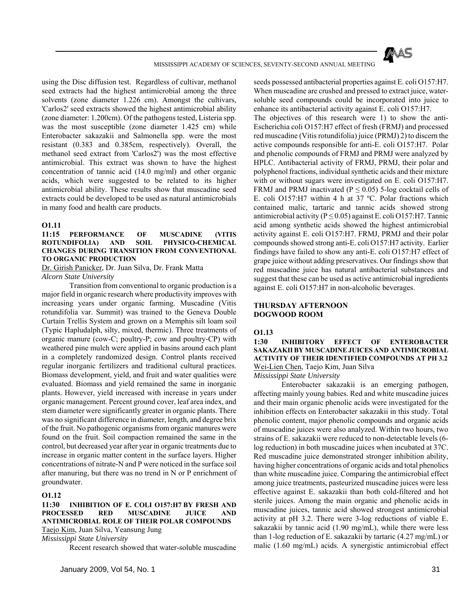

using the Disc diffusion test. Regardless of cultivar, methanol seed extracts had the highest antimicrobial among the three solvents (zone diameter 1.226 cm). Amongst the cultivars, 'Carlos2' seed extracts showed the highest antimicrobial ability (zone diameter: 1.200cm). Of the pathogens tested, Listeria spp. was the most susceptible (zone diameter 1.425 cm) while Enterobacter sakazakii and Salmonella spp. were the most resistant (0.383 and 0.385cm, respectively). Overall, the methanol seed extract from 'Carlos2') was the most effective antimicrobial. This extract was shown to have the highest concentration of tannic acid (14.0 mg/ml) and other organic acids, which were suggested to be related to its higher antimicrobial ability. These results show that muscadine seed extracts could be developed to be used as natural antimicrobials in many food and health care products.

#### **O1.11**

**11:15 PERFORMANCE OF MUSCADINE (VITIS ROTUNDIFOLIA) AND SOIL PHYSICO-CHEMICAL CHANGES DURING TRANSITION FROM CONVENTIONAL TO ORGANIC PRODUCTION**

Dr. Girish Panicker, Dr. Juan Silva, Dr. Frank Matta *Alcorn State University*

 Transition from conventional to organic production is a major field in organic research where productivity improves with increasing years under organic farming. Muscadine (Vitis rotundifolia var. Summit) was trained to the Geneva Double Curtain Trellis System and grown on a Memphis silt loam soil (Typic Hapludalph, silty, mixed, thermic). Three treatments of organic manure (cow-C; poultry-P; cow and poultry-CP) with weathered pine mulch were applied in basins around each plant in a completely randomized design. Control plants received regular inorganic fertilizers and traditional cultural practices. Biomass development, yield, and fruit and water qualities were evaluated. Biomass and yield remained the same in inorganic plants. However, yield increased with increase in years under organic management. Percent ground cover, leaf area index, and stem diameter were significantly greater in organic plants. There was no significant difference in diameter, length, and degree brix of the fruit. No pathogenic organisms from organic manures were found on the fruit. Soil compaction remained the same in the control, but decreased year after year in organic treatments due to increase in organic matter content in the surface layers. Higher concentrations of nitrate-N and P were noticed in the surface soil after manuring, but there was no trend in N or P enrichment of groundwater.

## **O1.12**

**11:30 INHIBITION OF E. COLI O157:H7 BY FRESH AND PROCESSED RED MUSCADINE JUICE AND ANTIMICROBIAL ROLE OF THEIR POLAR COMPOUNDS** Taejo Kim, Juan Silva, Yeansung Jung

*Mississippi State University*

Recent research showed that water-soluble muscadine

seeds possessed antibacterial properties against E. coli O157:H7. When muscadine are crushed and pressed to extract juice, watersoluble seed compounds could be incorporated into juice to enhance its antibacterial activity against E. coli O157:H7.

The objectives of this research were 1) to show the anti-Escherichia coli O157:H7 effect of fresh (FRMJ) and processed red muscadine (Vitis rotundifolia) juice (PRMJ) 2) to discern the active compounds responsible for anti-E. coli O157:H7. Polar and phenolic compounds of FRMJ and PRMJ were analyzed by HPLC. Antibacterial activity of FRMJ, PRMJ, their polar and polyphenol fractions, individual synthetic acids and their mixture with or without sugars were investigated on E. coli O157:H7. FRMJ and PRMJ inactivated ( $P \le 0.05$ ) 5-log cocktail cells of E. coli O157:H7 within 4 h at 37 ºC. Polar fractions which contained malic, tartaric and tannic acids showed strong antimicrobial activity ( $P \le 0.05$ ) against E. coli O157:H7. Tannic acid among synthetic acids showed the highest antimicrobial activity against E. coli O157:H7. FRMJ, PRMJ and their polar compounds showed strong anti-E. coli O157:H7 activity. Earlier findings have failed to show any anti-E. coli O157:H7 effect of grape juice without adding preservatives. Our findings show that red muscadine juice has natural antibacterial substances and suggest that these can be used as active antimicrobial ingredients against E. coli O157:H7 in non-alcoholic beverages.

#### **THURSDAY AFTERNOON DOGWOOD ROOM**

#### **O1.13**

#### **1:30 INHIBITORY EFFECT OF ENTEROBACTER SAKAZAKII BY MUSCADINE JUICES AND ANTIMICROBIAL ACTIVITY OF THEIR IDENTIFIED COMPOUNDS AT PH 3.2** Wei-Lien Chen, Taejo Kim, Juan Silva

*Mississippi State University*

 Enterobacter sakazakii is an emerging pathogen, affecting mainly young babies. Red and white muscadine juices and their main organic phenolic acids were investigated for the inhibition effects on Enterobacter sakazakii in this study. Total phenolic content, major phenolic compounds and organic acids of muscadine juices were also analyzed. Within two hours, two strains of E. sakazakii were reduced to non-detectable levels (6 log reduction) in both muscadine juices when incubated at 37C. Red muscadine juice demonstrated stronger inhibition ability. having higher concentrations of organic acids and total phenolics than white muscadine juice. Comparing the antimicrobial effect among juice treatments, pasteurized muscadine juices were less effective against E. sakazakii than both cold-filtered and hot sterile juices. Among the main organic and phenolic acids in muscadine juices, tannic acid showed strongest antimicrobial activity at pH 3.2. There were 3-log reductions of viable E. sakazakii by tannic acid (1.90 mg/mL), while there were less than 1-log reduction of E. sakazakii by tartaric (4.27 mg/mL) or malic (1.60 mg/mL) acids. A synergistic antimicrobial effect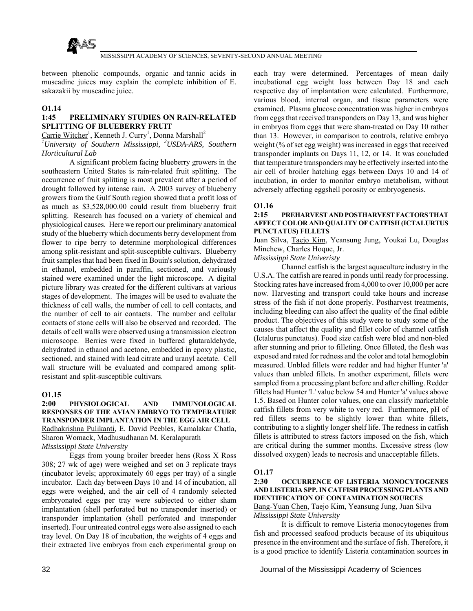

between phenolic compounds, organic and tannic acids in muscadine juices may explain the complete inhibition of E. sakazakii by muscadine juice.

#### **O1.14**

#### **1:45 PRELIMINARY STUDIES ON RAIN-RELATED SPLITTING OF BLUEBERRY FRUIT**

Carrie Witcher<sup>1</sup>, Kenneth J. Curry<sup>1</sup>, Donna Marshall<sup>2</sup>

*1 University of Southern Mississippi, 2USDA-ARS, Southern Horticultural Lab*

 A significant problem facing blueberry growers in the southeastern United States is rain-related fruit splitting. The occurrence of fruit splitting is most prevalent after a period of drought followed by intense rain. A 2003 survey of blueberry growers from the Gulf South region showed that a profit loss of as much as \$3,528,000.00 could result from blueberry fruit splitting. Research has focused on a variety of chemical and physiological causes. Here we report our preliminary anatomical study of the blueberry which documents berry development from flower to ripe berry to determine morphological differences among split-resistant and split-susceptible cultivars. Blueberry fruit samples that had been fixed in Bouin's solution, dehydrated in ethanol, embedded in paraffin, sectioned, and variously stained were examined under the light microscope. A digital picture library was created for the different cultivars at various stages of development. The images will be used to evaluate the thickness of cell walls, the number of cell to cell contacts, and the number of cell to air contacts. The number and cellular contacts of stone cells will also be observed and recorded. The details of cell walls were observed using a transmission electron microscope. Berries were fixed in buffered glutaraldehyde, dehydrated in ethanol and acetone, embedded in epoxy plastic, sectioned, and stained with lead citrate and uranyl acetate. Cell wall structure will be evaluated and compared among splitresistant and split-susceptible cultivars.

#### **O1.15**

#### **2:00 PHYSIOLOGICAL AND IMMUNOLOGICAL RESPONSES OF THE AVIAN EMBRYO TO TEMPERATURE TRANSPONDER IMPLANTATION IN THE EGG AIR CELL** Radhakrishna Pulikanti, E. David Peebles, Kamalakar Chatla,

Sharon Womack, Madhusudhanan M. Keralapurath *Mississippi State University*

 Eggs from young broiler breeder hens (Ross X Ross 308; 27 wk of age) were weighed and set on 3 replicate trays (incubator levels; approximately 60 eggs per tray) of a single incubator. Each day between Days 10 and 14 of incubation, all eggs were weighed, and the air cell of 4 randomly selected embryonated eggs per tray were subjected to either sham implantation (shell perforated but no transponder inserted) or transponder implantation (shell perforated and transponder inserted). Four untreated control eggs were also assigned to each tray level. On Day 18 of incubation, the weights of 4 eggs and their extracted live embryos from each experimental group on

each tray were determined. Percentages of mean daily incubational egg weight loss between Day 18 and each respective day of implantation were calculated. Furthermore, various blood, internal organ, and tissue parameters were examined. Plasma glucose concentration was higher in embryos from eggs that received transponders on Day 13, and was higher in embryos from eggs that were sham-treated on Day 10 rather than 13. However, in comparison to controls, relative embryo weight (% of set egg weight) was increased in eggs that received transponder implants on Days 11, 12, or 14. It was concluded that temperature transponders may be effectively inserted into the air cell of broiler hatching eggs between Days 10 and 14 of incubation, in order to monitor embryo metabolism, without adversely affecting eggshell porosity or embryogenesis.

#### **O1.16**

#### **2:15 PREHARVEST AND POSTHARVEST FACTORS THAT AFFECT COLOR AND QUALITY OF CATFISH (ICTALURTUS PUNCTATUS) FILLETS**

Juan Silva, Taejo Kim, Yeansung Jung, Youkai Lu, Douglas Minchew, Charles Hoque, Jr.

*Mississippi State Univeristy*

 Channel catfish is the largest aquaculture industry in the U.S.A. The catfish are reared in ponds until ready for processing. Stocking rates have increased from 4,000 to over 10,000 per acre now. Harvesting and transport could take hours and increase stress of the fish if not done properly. Postharvest treatments, including bleeding can also affect the quality of the final edible product. The objectives of this study were to study some of the causes that affect the quality and fillet color of channel catfish (Ictalurus punctatus). Food size catfish were bled and non-bled after stunning and prior to filleting. Once filleted, the flesh was exposed and rated for redness and the color and total hemoglobin measured. Unbled fillets were redder and had higher Hunter 'a' values than unbled fillets. In another experiment, fillets were sampled from a processing plant before and after chilling. Redder fillets had Hunter 'L' value below 54 and Hunter 'a' values above 1.5. Based on Hunter color values, one can classify marketable catfish fillets from very white to very red. Furthermore, pH of red fillets seems to be slightly lower than white fillets, contributing to a slightly longer shelf life. The redness in catfish fillets is attributed to stress factors imposed on the fish, which are critical during the summer months. Excessive stress (low dissolved oxygen) leads to necrosis and unacceptable fillets.

#### **O1.17**

### **2:30 OCCURRENCE OF LISTERIA MONOCYTOGENES AND LISTERIA SPP. IN CATFISH PROCESSING PLANTS AND IDENTIFICATION OF CONTAMINATION SOURCES**

Bang-Yuan Chen, Taejo Kim, Yeansung Jung, Juan Silva *Mississippi State University*

 It is difficult to remove Listeria monocytogenes from fish and processed seafood products because of its ubiquitous presence in the environment and the surface of fish. Therefore, it is a good practice to identify Listeria contamination sources in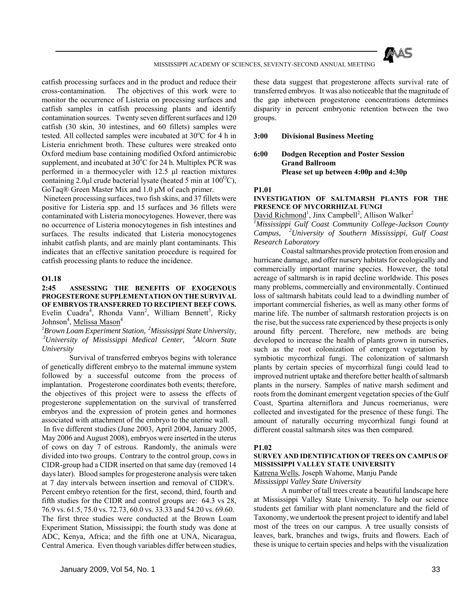

catfish processing surfaces and in the product and reduce their cross-contamination. The objectives of this work were to monitor the occurrence of Listeria on processing surfaces and catfish samples in catfish processing plants and identify contamination sources. Twenty seven different surfaces and 120 catfish (30 skin, 30 intestines, and 60 fillets) samples were tested. All collected samples were incubated at 30°C for 4 h in Listeria enrichment broth. These cultures were streaked onto Oxford medium base containing modified Oxford antimicrobic supplement, and incubated at  $30^{\circ}$ C for 24 h. Multiplex PCR was performed in a thermocycler with 12.5 μl reaction mixtures containing 2.0μl crude bacterial lysate (heated 5 min at  $100^{\circ}$ C), GoTaq® Green Master Mix and 1.0 μM of each primer.

 Nineteen processing surfaces, two fish skins, and 37 fillets were positive for Listeria spp. and 15 surfaces and 36 fillets were contaminated with Listeria monocytogenes. However, there was no occurrence of Listeria monocytogenes in fish intestines and surfaces. The results indicated that Listeria monocytogenes inhabit catfish plants, and are mainly plant contaminants. This indicates that an effective sanitation procedure is required for catfish processing plants to reduce the incidence.

#### **O1.18**

**2:45 ASSESSING THE BENEFITS OF EXOGENOUS PROGESTERONE SUPPLEMENTATION ON THE SURVIVAL OF EMBRYOS TRANSFERRED TO RECIPIENT BEEF COWS.** Evelin Cuadra<sup>4</sup>, Rhonda Vann<sup>2</sup>, William Bennett<sup>3</sup>, Ricky Johnson<sup>4</sup>, Melissa Mason<sup>4</sup>

<sup>1</sup> Brown Loam Experiment Station, <sup>2</sup> Mississippi State University, <sup>3</sup> University of Mississippi Medical Center, <sup>4</sup> Alcorn State *University*

 Survival of transferred embryos begins with tolerance of genetically different embryo to the maternal immune system followed by a successful outcome from the process of implantation. Progesterone coordinates both events; therefore, the objectives of this project were to assess the effects of progesterone supplementation on the survival of transferred embryos and the expression of protein genes and hormones associated with attachment of the embryo to the uterine wall.

 In five different studies (June 2003, April 2004, January 2005, May 2006 and August 2008), embryos were inserted in the uterus of cows on day 7 of estrous. Randomly, the animals were divided into two groups. Contrary to the control group, cows in CIDR-group had a CIDR inserted on that same day (removed 14 days later). Blood samples for progesterone analysis were taken at 7 day intervals between insertion and removal of CIDR's. Percent embryo retention for the first, second, third, fourth and fifth studies for the CIDR and control groups are: 64.3 vs 28, 76.9 vs. 61.5, 75.0 vs. 72.73, 60.0 vs. 33.33 and 54.20 vs. 69.60. The first three studies were conducted at the Brown Loam Experiment Station, Mississippi; the fourth study was done at ADC, Kenya, Africa; and the fifth one at UNA, Nicaragua, Central America. Even though variables differ between studies, these data suggest that progesterone affects survival rate of transferred embryos. It was also noticeable that the magnitude of the gap inbetween progesterone concentrations determines disparity in percent embryonic retention between the two groups.

**3:00 Divisional Business Meeting**

#### **6:00 Dodgen Reception and Poster Session Grand Ballroom Please set up between 4:00p and 4:30p**

#### **P1.01**

#### **INVESTIGATION OF SALTMARSH PLANTS FOR THE PRESENCE OF MYCORRHIZAL FUNGI**

David Richmond<sup>1</sup>, Jinx Campbell<sup>2</sup>, Allison Walker<sup>2</sup>

<sup>1</sup>Mississippi Gulf Coast Community College-Jackson County *Campus, 2University of Southern Mississippi, Gulf Coast Research Laboratory*

 Coastal saltmarshes provide protection from erosion and hurricane damage, and offer nursery habitats for ecologically and commercially important marine species. However, the total acreage of saltmarsh is in rapid decline worldwide. This poses many problems, commercially and environmentally. Continued loss of saltmarsh habitats could lead to a dwindling number of important commercial fisheries, as well as many other forms of marine life. The number of saltmarsh restoration projects is on the rise, but the success rate experienced by these projects is only around fifty percent. Therefore, new methods are being developed to increase the health of plants grown in nurseries, such as the root colonization of emergent vegetation by symbiotic mycorrhizal fungi. The colonization of saltmarsh plants by certain species of mycorrhizal fungi could lead to improved nutrient uptake and therefore better health of saltmarsh plants in the nursery. Samples of native marsh sediment and roots from the dominant emergent vegetation species of the Gulf Coast, Spartina alterniflora and Juncus roemerianus, were collected and investigated for the presence of these fungi. The amount of naturally occurring mycorrhizal fungi found at different coastal saltmarsh sites was then compared.

#### **P1.02**

#### **SURVEY AND IDENTIFICATION OF TREES ON CAMPUS OF MISSISSIPPI VALLEY STATE UNIVERSITY**

Katrena Wells, Joseph Wahome, Manju Pande

*Mississippi Valley State University*

 A number of tall trees create a beautiful landscape here at Mississippi Valley State University. To help our science students get familiar with plant nomenclature and the field of Taxonomy, we undertook the present project to identify and label most of the trees on our campus. A tree usually consists of leaves, bark, branches and twigs, fruits and flowers. Each of these is unique to certain species and helps with the visualization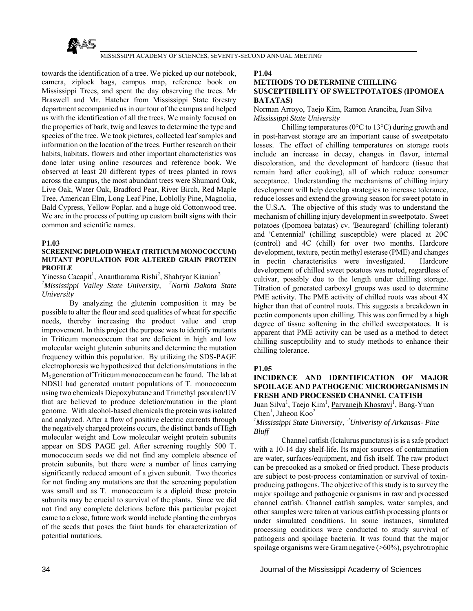

towards the identification of a tree. We picked up our notebook, camera, ziplock bags, campus map, reference book on Mississippi Trees, and spent the day observing the trees. Mr Braswell and Mr. Hatcher from Mississippi State forestry department accompanied us in our tour of the campus and helped us with the identification of all the trees. We mainly focused on the properties of bark, twig and leaves to determine the type and species of the tree. We took pictures, collected leaf samples and information on the location of the trees. Further research on their habits, habitats, flowers and other important characteristics was done later using online resources and reference book. We observed at least 20 different types of trees planted in rows across the campus, the most abundant trees were Shumard Oak, Live Oak, Water Oak, Bradford Pear, River Birch, Red Maple Tree, American Elm, Long Leaf Pine, Loblolly Pine, Magnolia, Bald Cypress, Yellow Poplar. and a huge old Cottonwood tree. We are in the process of putting up custom built signs with their common and scientific names.

#### **P1.03**

#### **SCREENING DIPLOID WHEAT (TRITICUM MONOCOCCUM) MUTANT POPULATION FOR ALTERED GRAIN PROTEIN PROFILE**

Yinessa Cacapit<sup>1</sup>, Anantharama Rishi<sup>2</sup>, Shahryar Kianian<sup>2</sup> *1 Mississippi Valley State University, 2North Dakota State University*

 By analyzing the glutenin composition it may be possible to alter the flour and seed qualities of wheat for specific needs, thereby increasing the product value and crop improvement. In this project the purpose was to identify mutants in Triticum monococcum that are deficient in high and low molecular weight glutenin subunits and determine the mutation frequency within this population. By utilizing the SDS-PAGE electrophoresis we hypothesized that deletions/mutations in the M3 generation of Triticum monococcum can be found. The lab at NDSU had generated mutant populations of T. monococcum using two chemicals Diepoxybutane and Trimethyl psoralen/UV that are believed to produce deletion/mutation in the plant genome. With alcohol-based chemicals the protein was isolated and analyzed. After a flow of positive electric currents through the negatively charged proteins occurs, the distinct bands of High molecular weight and Low molecular weight protein subunits appear on SDS PAGE gel. After screening roughly 500 T. monococcum seeds we did not find any complete absence of protein subunits, but there were a number of lines carrying significantly reduced amount of a given subunit. Two theories for not finding any mutations are that the screening population was small and as T. monococcum is a diploid these protein subunits may be crucial to survival of the plants. Since we did not find any complete deletions before this particular project came to a close, future work would include planting the embryos of the seeds that poses the faint bands for characterization of potential mutations.

#### **P1.04**

#### **METHODS TO DETERMINE CHILLING SUSCEPTIBILITY OF SWEETPOTATOES (IPOMOEA BATATAS)**

Norman Arroyo, Taejo Kim, Ramon Aranciba, Juan Silva *Mississippi State University*

 Chilling temperatures (0°C to 13°C) during growth and in post-harvest storage are an important cause of sweetpotato losses. The effect of chilling temperatures on storage roots include an increase in decay, changes in flavor, internal discoloration, and the development of hardcore (tissue that remain hard after cooking), all of which reduce consumer acceptance. Understanding the mechanisms of chilling injury development will help develop strategies to increase tolerance, reduce losses and extend the growing season for sweet potato in the U.S.A. The objective of this study was to understand the mechanism of chilling injury development in sweetpotato. Sweet potatoes (Ipomoea batatas) cv. 'Beauregard' (chilling tolerant) and 'Centennial' (chilling susceptible) were placed at 20C (control) and 4C (chill) for over two months. Hardcore development, texture, pectin methyl esterase (PME) and changes in pectin characteristics were investigated. Hardcore development of chilled sweet potatoes was noted, regardless of cultivar, possibly due to the length under chilling storage. Titration of generated carboxyl groups was used to determine PME activity. The PME activity of chilled roots was about  $4X$ higher than that of control roots. This suggests a breakdown in pectin components upon chilling. This was confirmed by a high degree of tissue softening in the chilled sweetpotatoes. It is apparent that PME activity can be used as a method to detect chilling susceptibility and to study methods to enhance their chilling tolerance.

#### **P1.05**

# **INCIDENCE AND IDENTIFICATION OF MAJOR SPOILAGE AND PATHOGENIC MICROORGANISMS IN FRESH AND PROCESSED CHANNEL CATFISH**

Juan Silva<sup>1</sup>, Taejo Kim<sup>1</sup>, Parvanejh Khosravi<sup>1</sup>, Bang-Yuan Chen<sup>1</sup>, Jaheon Koo<sup>2</sup>

#### *1 Mississippi State University, 2Univeristy of Arkansas- Pine Bluff*

 Channel catfish (Ictalurus punctatus) is is a safe product with a 10-14 day shelf-life. Its major sources of contamination are water, surfaces/equipment, and fish itself. The raw product can be precooked as a smoked or fried product. These products are subject to post-process contamination or survival of toxinproducing pathogens. The objective of this study is to survey the major spoilage and pathogenic organisms in raw and processed channel catfish. Channel catfish samples, water samples, and other samples were taken at various catfish processing plants or under simulated conditions. In some instances, simulated processing conditions were conducted to study survival of pathogens and spoilage bacteria. It was found that the major spoilage organisms were Gram negative (>60%), psychrotrophic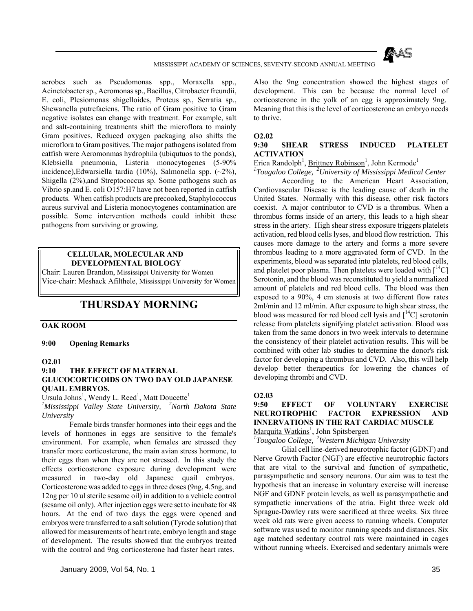

aerobes such as Pseudomonas spp., Moraxella spp., Acinetobacter sp., Aeromonas sp., Bacillus, Citrobacter freundii, E. coli, Plesiomonas shigelloides, Proteus sp., Serratia sp., Shewanella putrefaciens. The ratio of Gram positive to Gram negativc isolates can change with treatment. For example, salt and salt-containing treatments shift the microflora to mainly Gram positives. Reduced oxygen packaging also shifts the microflora to Gram positives. The major pathogens isolated from catfish were Aeromonmas hydrophila (ubiqutuos to the ponds), Klebsiella pneumonia, Listeria monocytogenes (5-90% incidence),Edwarsiella tardia (10%), Salmonella spp.  $(-2\%)$ . Shigella (2%),and Streptococcus sp. Some pathogens such as Vibrio sp.and E. coli O157:H7 have not been reported in catfish products. When catfish products are precooked, Staphylococcus aureus survival and Listeria monocytogenes contamination are possible. Some intervention methods could inhibit these pathogens from surviving or growing.

## **CELLULAR, MOLECULAR AND DEVELOPMENTAL BIOLOGY**

Chair: Lauren Brandon, Mississippi University for Women Vice-chair: Meshack Afilthele, Mississippi University for Women

# **THURSDAY MORNING**

#### **OAK ROOM**

**9:00 Opening Remarks** 

#### **O2.01**

#### **9:10 THE EFFECT OF MATERNAL GLUCOCORTICOIDS ON TWO DAY OLD JAPANESE QUAIL EMBRYOS.**

Ursula Johns<sup>1</sup>, Wendy L. Reed<sup>1</sup>, Matt Doucette<sup>1</sup>

*1 Mississippi Valley State University, 2North Dakota State University*

 Female birds transfer hormones into their eggs and the levels of hormones in eggs are sensitive to the female's environment. For example, when females are stressed they transfer more corticosterone, the main avian stress hormone, to their eggs than when they are not stressed. In this study the effects corticosterone exposure during development were measured in two-day old Japanese quail embryos. Corticosterone was added to eggs in three doses (9ng, 4.5ng, and 12ng per 10 ul sterile sesame oil) in addition to a vehicle control (sesame oil only). After injection eggs were set to incubate for 48 hours. At the end of two days the eggs were opened and embryos were transferred to a salt solution (Tyrode solution) that allowed for measurements of heart rate, embryo length and stage of development. The results showed that the embryos treated with the control and 9ng corticosterone had faster heart rates.

Also the 9ng concentration showed the highest stages of development. This can be because the normal level of corticosterone in the yolk of an egg is approximately 9ng. Meaning that this is the level of corticosterone an embryo needs to thrive.

#### **O2.02**

#### **9:30 SHEAR STRESS INDUCED PLATELET ACTIVATION**

Erica Randolph<sup>1</sup>, Brittney Robinson<sup>1</sup>, John Kermode<sup>1</sup>

*1 Tougaloo College, 2University of Mississippi Medical Center*

 According to the American Heart Association, Cardiovascular Disease is the leading cause of death in the United States. Normally with this disease, other risk factors coexist. A major contributor to CVD is a thrombus. When a thrombus forms inside of an artery, this leads to a high shear stress in the artery. High shear stress exposure triggers platelets activation, red blood cells lyses, and blood flow restriction. This causes more damage to the artery and forms a more severe thrombus leading to a more aggravated form of CVD. In the experiments, blood was separated into platelets, red blood cells, and platelet poor plasma. Then platelets were loaded with  $\lceil {^{14}C} \rceil$ Serotonin, and the blood was reconstituted to yield a normalized amount of platelets and red blood cells. The blood was then exposed to a 90%, 4 cm stenosis at two different flow rates 2ml/min and 12 ml/min. After exposure to high shear stress, the blood was measured for red blood cell lysis and  $\lceil {^{14}C} \rceil$  serotonin release from platelets signifying platelet activation. Blood was taken from the same donors in two week intervals to determine the consistency of their platelet activation results. This will be combined with other lab studies to determine the donor's risk factor for developing a thrombus and CVD. Also, this will help develop better therapeutics for lowering the chances of developing thrombi and CVD.

#### **O2.03**

# **9:50 EFFECT OF VOLUNTARY EXERCISE NEUROTROPHIC FACTOR EXPRESSION AND INNERVATIONS IN THE RAT CARDIAC MUSCLE**

Marquita Watkins1 , John Spitsbergen1 *1 Tougaloo College, 2Western Michigan University*

 Glial cell line-derived neurotrophic factor (GDNF) and Nerve Growth Factor (NGF) are effective neurotrophic factors that are vital to the survival and function of sympathetic, parasympathetic and sensory neurons. Our aim was to test the hypothesis that an increase in voluntary exercise will increase NGF and GDNF protein levels, as well as parasympathetic and sympathetic innervations of the atria. Eight three week old Sprague-Dawley rats were sacrificed at three weeks. Six three week old rats were given access to running wheels. Computer software was used to monitor running speeds and distances. Six age matched sedentary control rats were maintained in cages without running wheels. Exercised and sedentary animals were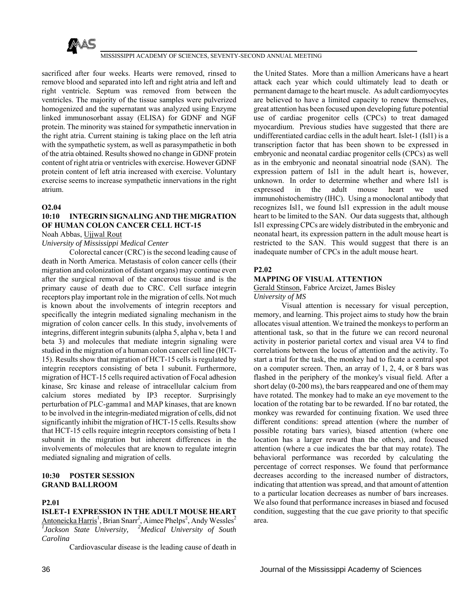

sacrificed after four weeks. Hearts were removed, rinsed to remove blood and separated into left and right atria and left and right ventricle. Septum was removed from between the ventricles. The majority of the tissue samples were pulverized homogenized and the supernatant was analyzed using Enzyme linked immunosorbant assay (ELISA) for GDNF and NGF protein. The minority was stained for sympathetic innervation in the right atria. Current staining is taking place on the left atria with the sympathetic system, as well as parasympathetic in both of the atria obtained. Results showed no change in GDNF protein content of right atria or ventricles with exercise. However GDNF protein content of left atria increased with exercise. Voluntary exercise seems to increase sympathetic innervations in the right atrium.

#### **O2.04**

# **10:10 INTEGRIN SIGNALING AND THE MIGRATION OF HUMAN COLON CANCER CELL HCT-15**

Noah Abbas, Ujjwal Rout

#### *University of Mississippi Medical Center*

 Colorectal cancer (CRC) is the second leading cause of death in North America. Metastasis of colon cancer cells (their migration and colonization of distant organs) may continue even after the surgical removal of the cancerous tissue and is the primary cause of death due to CRC. Cell surface integrin receptors play important role in the migration of cells. Not much is known about the involvements of integrin receptors and specifically the integrin mediated signaling mechanism in the migration of colon cancer cells. In this study, involvements of integrins, different integrin subunits (alpha 5, alpha v, beta 1 and beta 3) and molecules that mediate integrin signaling were studied in the migration of a human colon cancer cell line (HCT-15). Results show that migration of HCT-15 cells is regulated by integrin receptors consisting of beta 1 subunit. Furthermore, migration of HCT-15 cells required activation of Focal adhesion kinase, Src kinase and release of intracellular calcium from calcium stores mediated by IP3 receptor. Surprisingly perturbation of PLC-gamma1 and MAP kinases, that are known to be involved in the integrin-mediated migration of cells, did not significantly inhibit the migration of HCT-15 cells. Results show that HCT-15 cells require integrin receptors consisting of beta 1 subunit in the migration but inherent differences in the involvements of molecules that are known to regulate integrin mediated signaling and migration of cells.

#### **10:30 POSTER SESSION GRAND BALLROOM**

#### **P2.01**

# **ISLET-1 EXPRESSION IN THE ADULT MOUSE HEART**

Antoneicka Harris<sup>1</sup>, Brian Snarr<sup>2</sup>, Aimee Phelps<sup>2</sup>, Andy Wessles<sup>2</sup> *1 Jackson State University, 2Medical University of South Carolina*

Cardiovascular disease is the leading cause of death in

the United States. More than a million Americans have a heart attack each year which could ultimately lead to death or permanent damage to the heart muscle. As adult cardiomyocytes are believed to have a limited capacity to renew themselves, great attention has been focused upon developing future potential use of cardiac progenitor cells (CPCs) to treat damaged myocardium. Previous studies have suggested that there are undifferentiated cardiac cells in the adult heart. Islet-1 (Isl1) is a transcription factor that has been shown to be expressed in embryonic and neonatal cardiac progenitor cells (CPCs) as well as in the embryonic and neonatal sinoatrial node (SAN). The expression pattern of Isl1 in the adult heart is, however, unknown. In order to determine whether and where Isl1 is expressed in the adult mouse heart we used immunohistochemistry (IHC). Using a monoclonal antibody that recognizes Isl1, we found Isl1 expression in the adult mouse heart to be limited to the SAN. Our data suggests that, although Isl1 expressing CPCs are widely distributed in the embryonic and neonatal heart, its expression pattern in the adult mouse heart is restricted to the SAN. This would suggest that there is an inadequate number of CPCs in the adult mouse heart.

#### **P2.02**

#### **MAPPING OF VISUAL ATTENTION**

#### Gerald Stinson, Fabrice Arcizet, James Bisley *University of MS*

 Visual attention is necessary for visual perception, memory, and learning. This project aims to study how the brain allocates visual attention. We trained the monkeys to perform an attentional task, so that in the future we can record neuronal activity in posterior parietal cortex and visual area V4 to find correlations between the locus of attention and the activity. To start a trial for the task, the monkey had to fixate a central spot on a computer screen. Then, an array of 1, 2, 4, or 8 bars was flashed in the periphery of the monkey's visual field. After a short delay (0-200 ms), the bars reappeared and one of them may have rotated. The monkey had to make an eye movement to the location of the rotating bar to be rewarded. If no bar rotated, the monkey was rewarded for continuing fixation. We used three different conditions: spread attention (where the number of possible rotating bars varies), biased attention (where one location has a larger reward than the others), and focused attention (where a cue indicates the bar that may rotate). The behavioral performance was recorded by calculating the percentage of correct responses. We found that performance decreases according to the increased number of distractors, indicating that attention was spread, and that amount of attention to a particular location decreases as number of bars increases. We also found that performance increases in biased and focused condition, suggesting that the cue gave priority to that specific area.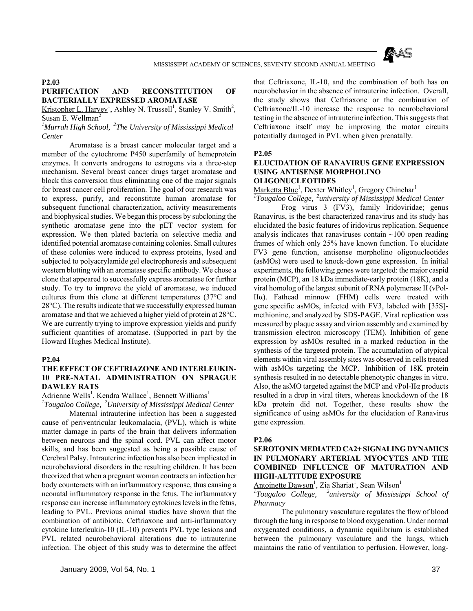

#### **P2.03**

# **PURIFICATION AND RECONSTITUTION OF BACTERIALLY EXPRESSED AROMATASE**

Kristopher L. Harvey<sup>1</sup>, Ashley N. Trussell<sup>1</sup>, Stanley V. Smith<sup>2</sup>, Susan E. Wellman<sup>2</sup>

*1 Murrah High School, 2The University of Mississippi Medical Center*

 Aromatase is a breast cancer molecular target and a member of the cytochrome P450 superfamily of hemeprotein enzymes. It converts androgens to estrogens via a three-step mechanism. Several breast cancer drugs target aromatase and block this conversion thus eliminating one of the major signals for breast cancer cell proliferation. The goal of our research was to express, purify, and reconstitute human aromatase for subsequent functional characterization, activity measurements and biophysical studies. We began this process by subcloning the synthetic aromatase gene into the pET vector system for expression. We then plated bacteria on selective media and identified potential aromatase containing colonies. Small cultures of these colonies were induced to express proteins, lysed and subjected to polyacrylamide gel electrophoresis and subsequent western blotting with an aromatase specific antibody. We chose a clone that appeared to successfully express aromatase for further study. To try to improve the yield of aromatase, we induced cultures from this clone at different temperatures (37°C and 28°C). The results indicate that we successfully expressed human aromatase and that we achieved a higher yield of protein at 28°C. We are currently trying to improve expression yields and purify sufficient quantities of aromatase. (Supported in part by the Howard Hughes Medical Institute).

#### **P2.04**

## **THE EFFECT OF CEFTRIAZONE AND INTERLEUKIN-10 PRE-NATAL ADMINISTRATION ON SPRAGUE DAWLEY RATS**

Adrienne Wells<sup>1</sup>, Kendra Wallace<sup>1</sup>, Bennett Williams<sup>1</sup>

*1 Tougaloo College, 2University of Mississippi Medical Center*

 Maternal intrauterine infection has been a suggested cause of periventricular leukomalacia, (PVL), which is white matter damage in parts of the brain that delivers information between neurons and the spinal cord. PVL can affect motor skills, and has been suggested as being a possible cause of Cerebral Palsy. Intrauterine infection has also been implicated in neurobehavioral disorders in the resulting children. It has been theorized that when a pregnant woman contracts an infection her body counteracts with an inflammatory response, thus causing a neonatal inflammatory response in the fetus. The inflammatory response can increase inflammatory cytokines levels in the fetus, leading to PVL. Previous animal studies have shown that the combination of antibiotic, Ceftriaxone and anti-inflammatory cytokine Interleukin-10 (IL-10) prevents PVL type lesions and PVL related neurobehavioral alterations due to intrauterine infection. The object of this study was to determine the affect that Ceftriaxone, IL-10, and the combination of both has on neurobehavior in the absence of intrauterine infection. Overall, the study shows that Ceftriaxone or the combination of Ceftriaxone/IL-10 increase the response to neurobehavioral testing in the absence of intrauterine infection. This suggests that Ceftriaxone itself may be improving the motor circuits potentially damaged in PVL when given prenatally.

#### **P2.05**

#### **ELUCIDATION OF RANAVIRUS GENE EXPRESSION USING ANTISENSE MORPHOLINO OLIGONUCLEOTIDES**

Marketta Blue<sup>1</sup>, Dexter Whitley<sup>1</sup>, Gregory Chinchar<sup>1</sup>

*1 Tougaloo College, 2university of Mississippi Medical Center*

 Frog virus 3 (FV3), family Iridoviridae; genus Ranavirus, is the best characterized ranavirus and its study has elucidated the basic features of iridovirus replication. Sequence analysis indicates that ranaviruses contain  $\sim$ 100 open reading frames of which only 25% have known function. To elucidate FV3 gene function, antisense morpholino oligonucleotides (asMOs) were used to knock-down gene expression. In initial experiments, the following genes were targeted: the major caspid protein (MCP), an 18 kDa immediate-early protein (18K), and a viral homolog of the largest subunit of RNA polymerase II (vPol-IIα). Fathead minnow (FHM) cells were treated with gene specific asMOs, infected with FV3, labeled with [35S] methionine, and analyzed by SDS-PAGE. Viral replication was measured by plaque assay and virion assembly and examined by transmission electron microscopy (TEM). Inhibition of gene expression by asMOs resulted in a marked reduction in the synthesis of the targeted protein. The accumulation of atypical elements within viral assembly sites was observed in cells treated with asMOs targeting the MCP. Inhibition of 18K protein synthesis resulted in no detectable phenotypic changes in vitro. Also, the asMO targeted against the MCP and vPol-IIα products resulted in a drop in viral titers, whereas knockdown of the 18 kDa protein did not. Together, these results show the significance of using asMOs for the elucidation of Ranavirus gene expression.

#### **P2.06**

## **SEROTONIN MEDIATED CA2+ SIGNALING DYNAMICS IN PULMONARY ARTERIAL MYOCYTES AND THE COMBINED INFLUENCE OF MATURATION AND HIGH-ALTITUDE EXPOSURE**

Antoinette Dawson<sup>1</sup>, Zia Shariat<sup>1</sup>, Sean Wilson<sup>1</sup>

*1 Tougaloo College, 2university of Mississippi School of Pharmacy*

 The pulmonary vasculature regulates the flow of blood through the lung in response to blood oxygenation. Under normal oxygenated conditions, a dynamic equilibrium is established between the pulmonary vasculature and the lungs, which maintains the ratio of ventilation to perfusion. However, long-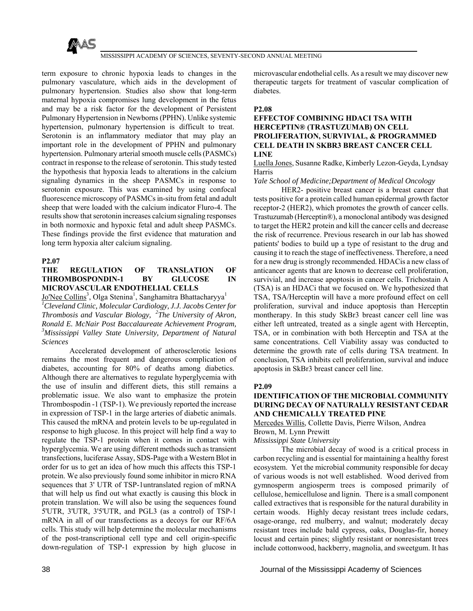

term exposure to chronic hypoxia leads to changes in the pulmonary vasculature, which aids in the development of pulmonary hypertension. Studies also show that long-term maternal hypoxia compromises lung development in the fetus and may be a risk factor for the development of Persistent Pulmonary Hypertension in Newborns (PPHN). Unlike systemic hypertension, pulmonary hypertension is difficult to treat. Serotonin is an inflammatory mediator that may play an important role in the development of PPHN and pulmonary hypertension. Pulmonary arterial smooth muscle cells (PASMCs) contract in response to the release of serotonin. This study tested the hypothesis that hypoxia leads to alterations in the calcium signaling dynamics in the sheep PASMCs in response to serotonin exposure. This was examined by using confocal fluorescence microscopy of PASMCs in-situ from fetal and adult sheep that were loaded with the calcium indicator Fluro-4. The results show that serotonin increases calcium signaling responses in both normoxic and hypoxic fetal and adult sheep PASMCs. These findings provide the first evidence that maturation and long term hypoxia alter calcium signaling.

#### **P2.07**

## **THE REGULATION OF TRANSLATION OF THROMBOSPONDIN-1 BY GLUCOSE IN MICROVASCULAR ENDOTHELIAL CELLS**

Jo'Nee Collins<sup>3</sup>, Olga Stenina<sup>1</sup>, Sanghamitra Bhattacharyya<sup>1</sup> *1 Cleveland Clinic, Molecular Cardiology, J.J. Jacobs Center for Thrombosis and Vascular Biology, 2The University of Akron, Ronald E. McNair Post Baccalaureate Achievement Program, 3 Mississippi Valley State University, Department of Natural Sciences*

 Accelerated development of atherosclerotic lesions remains the most frequent and dangerous complication of diabetes, accounting for 80% of deaths among diabetics. Although there are alternatives to regulate hyperglycemia with the use of insulin and different diets, this still remains a problematic issue. We also want to emphasize the protein Thrombospodin -1 (TSP-1). We previously reported the increase in expression of TSP-1 in the large arteries of diabetic animals. This caused the mRNA and protein levels to be up-regulated in response to high glucose. In this project will help find a way to regulate the TSP-1 protein when it comes in contact with hyperglycemia. We are using different methods such as transient transfections, luciferase Assay, SDS-Page with a Western Blot in order for us to get an idea of how much this affects this TSP-1 protein. We also previously found some inhibitor in micro RNA sequences that 3' UTR of TSP-1untranslated region of mRNA that will help us find out what exactly is causing this block in protein translation. We will also be using the sequences found 5'UTR, 3'UTR, 3'5'UTR, and PGL3 (as a control) of TSP-1 mRNA in all of our transfections as a decoys for our RF/6A cells. This study will help determine the molecular mechanisms of the post-transcriptional cell type and cell origin-specific down-regulation of TSP-1 expression by high glucose in

microvascular endothelial cells. As a result we may discover new therapeutic targets for treatment of vascular complication of diabetes.

### **P2.08**

## **EFFECTOF COMBINING HDACI TSA WITH HERCEPTIN® (TRASTUZUMAB) ON CELL PROLIFERATION, SURVIVIAL, & PROGRAMMED CELL DEATH IN SKBR3 BREAST CANCER CELL LINE**

Luella Jones, Susanne Radke, Kimberly Lezon-Geyda, Lyndsay Harris

#### *Yale School of Medicine;Department of Medical Oncology*

 HER2- positive breast cancer is a breast cancer that tests positive for a protein called human epidermal growth factor receptor-2 (HER2), which promotes the growth of cancer cells. Trastuzumab (Herceptin®), a monoclonal antibody was designed to target the HER2 protein and kill the cancer cells and decrease the risk of recurrence. Previous research in our lab has showed patients' bodies to build up a type of resistant to the drug and causing it to reach the stage of ineffectiveness. Therefore, a need for a new drug is strongly recommended. HDACis a new class of anticancer agents that are known to decrease cell proliferation, survivial, and increase apoptosis in cancer cells. Trichostain A (TSA) is an HDACi that we focused on. We hypothesized that TSA, TSA/Herceptin will have a more profound effect on cell proliferation, survival and induce apoptosis than Herceptin montherapy. In this study SkBr3 breast cancer cell line was either left untreated, treated as a single agent with Herceptin, TSA, or in combination with both Herceptin and TSA at the same concentrations. Cell Viability assay was conducted to determine the growth rate of cells during TSA treatment. In conclusion, TSA inhibits cell proliferation, survival and induce apoptosis in SkBr3 breast cancer cell line.

#### **P2.09**

## **IDENTIFICATION OF THE MICROBIAL COMMUNITY DURING DECAY OF NATURALLY RESISTANT CEDAR AND CHEMICALLY TREATED PINE**

Mercedes Willis, Collette Davis, Pierre Wilson, Andrea Brown, M. Lynn Prewitt

*Mississippi State University*

 The microbial decay of wood is a critical process in carbon recycling and is essential for maintaining a healthy forest ecosystem. Yet the microbial community responsible for decay of various woods is not well established. Wood derived from gymnosperm angiosperm trees is composed primarily of cellulose, hemicellulose and lignin. There is a small component called extractives that is responsible for the natural durability in certain woods. Highly decay resistant trees include cedars, osage-orange, red mulberry, and walnut; moderately decay resistant trees include bald cypress, oaks, Douglas-fir, honey locust and certain pines; slightly resistant or nonresistant trees include cottonwood, hackberry, magnolia, and sweetgum. It has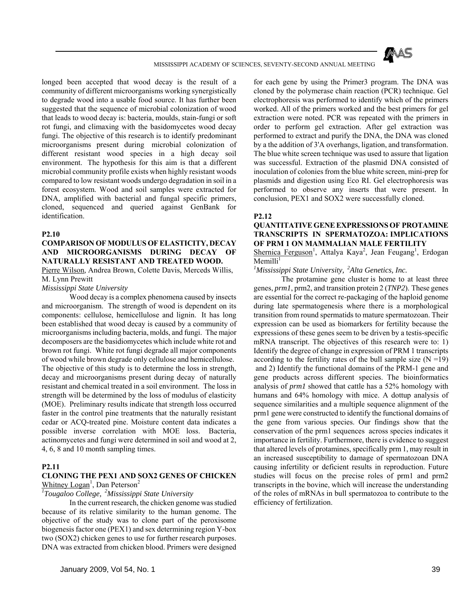

longed been accepted that wood decay is the result of a community of different microorganisms working synergistically to degrade wood into a usable food source. It has further been suggested that the sequence of microbial colonization of wood that leads to wood decay is: bacteria, moulds, stain-fungi or soft rot fungi, and climaxing with the basidomycetes wood decay fungi. The objective of this research is to identify predominant microorganisms present during microbial colonization of different resistant wood species in a high decay soil environment. The hypothesis for this aim is that a different microbial community profile exists when highly resistant woods compared to low resistant woods undergo degradation in soil in a forest ecosystem. Wood and soil samples were extracted for DNA, amplified with bacterial and fungal specific primers, cloned, sequenced and queried against GenBank for identification.

#### **P2.10**

## **COMPARISON OF MODULUS OF ELASTICITY, DECAY AND MICROORGANISMS DURING DECAY OF NATURALLY RESISTANT AND TREATED WOOD.**

Pierre Wilson, Andrea Brown, Colette Davis, Merceds Willis, M. Lynn Prewitt

## *Mississippi State University*

 Wood decay is a complex phenomena caused by insects and microorganism. The strength of wood is dependent on its components: cellulose, hemicellulose and lignin. It has long been established that wood decay is caused by a community of microorganisms including bacteria, molds, and fungi. The major decomposers are the basidiomycetes which include white rot and brown rot fungi. White rot fungi degrade all major components of wood while brown degrade only cellulose and hemicellulose. The objective of this study is to determine the loss in strength, decay and microorganisms present during decay of naturally resistant and chemical treated in a soil environment. The loss in strength will be determined by the loss of modulus of elasticity (MOE). Preliminary results indicate that strength loss occurred faster in the control pine treatments that the naturally resistant cedar or ACQ-treated pine. Moisture content data indicates a possible inverse correlation with MOE loss. Bacteria, actinomycetes and fungi were determined in soil and wood at 2, 4, 6, 8 and 10 month sampling times.

#### **P2.11**

## **CLONING THE PEX1 AND SOX2 GENES OF CHICKEN** Whitney  $Logan^1$ , Dan Peterson<sup>2</sup>

## *1 Tougaloo College, 2Mississippi State University*

 In the current research, the chicken genome was studied because of its relative similarity to the human genome. The objective of the study was to clone part of the peroxisome biogenesis factor one (PEX1) and sex determining region Y-box two (SOX2) chicken genes to use for further research purposes. DNA was extracted from chicken blood. Primers were designed

for each gene by using the Primer3 program. The DNA was cloned by the polymerase chain reaction (PCR) technique. Gel electrophoresis was performed to identify which of the primers worked. All of the primers worked and the best primers for gel extraction were noted. PCR was repeated with the primers in order to perform gel extraction. After gel extraction was performed to extract and purify the DNA, the DNA was cloned by a the addition of 3'A overhangs, ligation, and transformation. The blue white screen technique was used to assure that ligation was successful. Extraction of the plasmid DNA consisted of inoculation of colonies from the blue white screen, mini-prep for plasmids and digestion using Eco RI. Gel electrophoresis was performed to observe any inserts that were present. In conclusion, PEX1 and SOX2 were successfully cloned.

#### **P2.12**

## **QUANTITATIVE GENE EXPRESSIONS OF PROTAMINE TRANSCRIPTS IN SPERMATOZOA: IMPLICATIONS OF PRM 1 ON MAMMALIAN MALE FERTILITY**

Shernica Ferguson<sup>1</sup>, Attalya Kaya<sup>2</sup>, Jean Feugang<sup>1</sup>, Erdogan  $M$ emilli<sup>1</sup>

*1 Mississippi State University, 2Alta Genetics, Inc.*

 The protamine gene cluster is home to at least three genes, *prm1*, prm2, and transition protein 2 (*TNP2*). These genes are essential for the correct re-packaging of the haploid genome during late spermatogenesis where there is a morphological transition from round spermatids to mature spermatozoan. Their expression can be used as biomarkers for fertility because the expressions of these genes seem to be driven by a testis-specific mRNA transcript. The objectives of this research were to: 1) Identify the degree of change in expression of PRM 1 transcripts according to the fertility rates of the bull sample size  $(N = 19)$  and 2) Identify the functional domains of the PRM-1 gene and gene products across different species. The bioinformatics analysis of *prm1* showed that cattle has a 52% homology with humans and 64% homology with mice. A dottup analysis of sequence similarities and a multiple sequence alignment of the prm1 gene were constructed to identify the functional domains of the gene from various species. Our findings show that the conservation of the prm1 sequences across species indicates it importance in fertility. Furthermore, there is evidence to suggest that altered levels of protamines, specifically prm 1, may result in an increased susceptibility to damage of spermatozoan DNA causing infertility or deficient results in reproduction. Future studies will focus on the precise roles of prm1 and prm2 transcripts in the bovine, which will increase the understanding of the roles of mRNAs in bull spermatozoa to contribute to the efficiency of fertilization.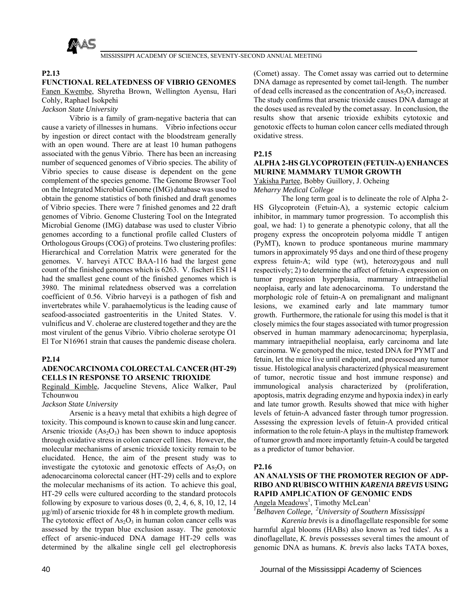

### **P2.13**

## **FUNCTIONAL RELATEDNESS OF VIBRIO GENOMES** Fanen Kwembe, Shyretha Brown, Wellington Ayensu, Hari Cohly, Raphael Isokpehi

*Jackson State University*

 Vibrio is a family of gram-negative bacteria that can cause a variety of illnesses in humans. Vibrio infections occur by ingestion or direct contact with the bloodstream generally with an open wound. There are at least 10 human pathogens associated with the genus Vibrio. There has been an increasing number of sequenced genomes of Vibrio species. The ability of Vibrio species to cause disease is dependent on the gene complement of the species genome. The Genome Browser Tool on the Integrated Microbial Genome (IMG) database was used to obtain the genome statistics of both finished and draft genomes of Vibrio species. There were 7 finished genomes and 22 draft genomes of Vibrio. Genome Clustering Tool on the Integrated Microbial Genome (IMG) database was used to cluster Vibrio genomes according to a functional profile called Clusters of Orthologous Groups (COG) of proteins. Two clustering profiles: Hierarchical and Correlation Matrix were generated for the genomes. V. harveyi ATCC BAA-116 had the largest gene count of the finished genomes which is 6263. V. fischeri ES114 had the smallest gene count of the finished genomes which is 3980. The minimal relatedness observed was a correlation coefficient of 0.56. Vibrio harveyi is a pathogen of fish and invertebrates while V. parahaemolyticus is the leading cause of seafood-associated gastroenteritis in the United States. V. vulnificus and V. cholerae are clustered together and they are the most virulent of the genus Vibrio. Vibrio cholerae serotype O1 El Tor N16961 strain that causes the pandemic disease cholera.

## **P2.14**

## **ADENOCARCINOMA COLORECTAL CANCER (HT-29) CELLS IN RESPONSE TO ARSENIC TRIOXIDE**

## Reginald Kimble, Jacqueline Stevens, Alice Walker, Paul Tchounwou

## *Jackson State University*

 Arsenic is a heavy metal that exhibits a high degree of toxicity. This compound is known to cause skin and lung cancer. Arsenic trioxide  $(As<sub>2</sub>O<sub>3</sub>)$  has been shown to induce apoptosis through oxidative stress in colon cancer cell lines. However, the molecular mechanisms of arsenic trioxide toxicity remain to be elucidated. Hence, the aim of the present study was to investigate the cytotoxic and genotoxic effects of  $As<sub>2</sub>O<sub>3</sub>$  on adenocarcinoma colorectal cancer (HT-29) cells and to explore the molecular mechanisms of its action. To achieve this goal, HT-29 cells were cultured according to the standard protocols following by exposure to various doses  $(0, 2, 4, 6, 8, 10, 12, 14)$ µg/ml) of arsenic trioxide for 48 h in complete growth medium. The cytotoxic effect of  $As_2O_3$  in human colon cancer cells was assessed by the trypan blue exclusion assay. The genotoxic effect of arsenic-induced DNA damage HT-29 cells was determined by the alkaline single cell gel electrophoresis

(Comet) assay. The Comet assay was carried out to determine DNA damage as represented by comet tail-length. The number of dead cells increased as the concentration of  $As_2O_3$  increased. The study confirms that arsenic trioxide causes DNA damage at the doses used as revealed by the comet assay. In conclusion, the results show that arsenic trioxide exhibits cytotoxic and genotoxic effects to human colon cancer cells mediated through oxidative stress.

#### **P2.15**

## **ALPHA 2-HS GLYCOPROTEIN (FETUIN-A) ENHANCES MURINE MAMMARY TUMOR GROWTH**

Yakisha Partee, Bobby Guillory, J. Ocheing

*Meharry Medical College*

 The long term goal is to delineate the role of Alpha 2- HS Glycoprotein (Fetuin-A), a systemic ectopic calcium inhibitor, in mammary tumor progression. To accomplish this goal, we had: 1) to generate a phenotypic colony, that all the progeny express the oncoprotein polyoma middle T antigen (PyMT), known to produce spontaneous murine mammary tumors in approximately 95 days and one third of these progeny express fetuin-A; wild type (wt), heterozygous and null respectively; 2) to determine the affect of fetuin-A expression on tumor progression hyperplasia, mammary intraepithelial neoplaisa, early and late adenocarcinoma. To understand the morphologic role of fetuin-A on premalignant and malignant lesions, we examined early and late mammary tumor growth. Furthermore, the rationale for using this model is that it closely mimics the four stages associated with tumor progression observed in human mammary adenocarcinoma; hyperplasia, mammary intraepithelial neoplaisa, early carcinoma and late carcinoma. We genotyped the mice, tested DNA for PYMT and fetuin, let the mice live until endpoint, and processed any tumor tissue. Histological analysis characterized (physical measurement of tumor, necrotic tissue and host immune response) and immunological analysis characterized by (proliferation, apoptosis, matrix degrading enzyme and hypoxia index) in early and late tumor growth. Results showed that mice with higher levels of fetuin-A advanced faster through tumor progression. Assessing the expression levels of fetuin-A provided critical information to the role fetuin-A plays in the multistep framework of tumor growth and more importantly fetuin-A could be targeted as a predictor of tumor behavior.

#### **P2.16**

## **AN ANALYSIS OF THE PROMOTER REGION OF ADP-RIBO AND RUBISCO WITHIN** *KARENIA BREVIS* **USING RAPID AMPLICATION OF GENOMIC ENDS**

Angela Meadows<sup>1</sup>, Timothy McLean<sup>1</sup>

*1 Belhaven College, 2University of Southern Mississippi*

 *Karenia brevis* is a dinoflagellate responsible for some harmful algal blooms (HABs) also known as 'red tides'. As a dinoflagellate, *K. brevis* possesses several times the amount of genomic DNA as humans. *K. brevis* also lacks TATA boxes,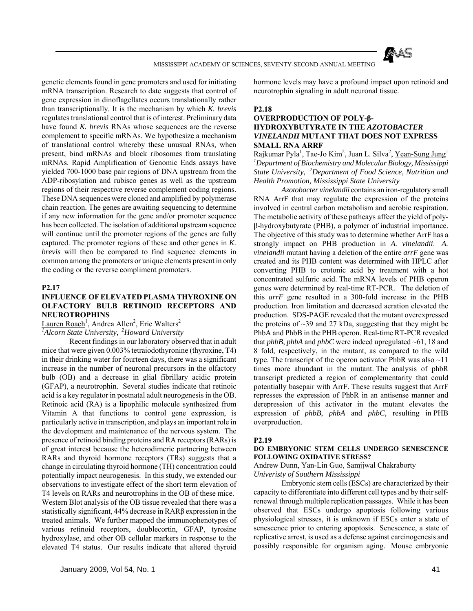

genetic elements found in gene promoters and used for initiating mRNA transcription. Research to date suggests that control of gene expression in dinoflagellates occurs translationally rather than transcriptionally. It is the mechanism by which *K. brevis* regulates translational control that is of interest. Preliminary data have found *K. brevis* RNAs whose sequences are the reverse complement to specific mRNAs. We hypothesize a mechanism of translational control whereby these unusual RNAs, when present, bind mRNAs and block ribosomes from translating mRNAs. Rapid Amplification of Genomic Ends assays have yielded 700-1000 base pair regions of DNA upstream from the ADP-ribosylation and rubisco genes as well as the upstream regions of their respective reverse complement coding regions. These DNA sequences were cloned and amplified by polymerase chain reaction. The genes are awaiting sequencing to determine if any new information for the gene and/or promoter sequence has been collected. The isolation of additional upstream sequence will continue until the promoter regions of the genes are fully captured. The promoter regions of these and other genes in *K. brevis* will then be compared to find sequence elements in common among the promoters or unique elements present in only the coding or the reverse compliment promoters.

#### **P2.17**

## **INFLUENCE OF ELEVATED PLASMA THYROXINE ON OLFACTORY BULB RETINOID RECEPTORS AND NEUROTROPHINS**

Lauren Roach<sup>1</sup>, Andrea Allen<sup>2</sup>, Eric Walters<sup>2</sup>

*1 Alcorn State University, 2Howard University*

 Recent findings in our laboratory observed that in adult mice that were given 0.003% tetraiodothyronine (thyroxine, T4) in their drinking water for fourteen days, there was a significant increase in the number of neuronal precursors in the olfactory bulb (OB) and a decrease in glial fibrillary acidic protein (GFAP), a neurotrophin. Several studies indicate that retinoic acid is a key regulator in postnatal adult neurogenesis in the OB. Retinoic acid (RA) is a lipophilic molecule synthesized from Vitamin A that functions to control gene expression, is particularly active in transcription, and plays an important role in the development and maintenance of the nervous system. The presence of retinoid binding proteins and RA receptors (RARs) is of great interest because the heterodimeric partnering between RARs and thyroid hormone receptors (TRs) suggests that a change in circulating thyroid hormone (TH) concentration could potentially impact neurogenesis. In this study, we extended our observations to investigate effect of the short term elevation of T4 levels on RARs and neurotrophins in the OB of these mice. Western Blot analysis of the OB tissue revealed that there was a statistically significant, 44% decrease in RARβ expression in the treated animals. We further mapped the immunophenotypes of various retinoid receptors, doublecortin, GFAP, tyrosine hydroxylase, and other OB cellular markers in response to the elevated T4 status. Our results indicate that altered thyroid

hormone levels may have a profound impact upon retinoid and neurotrophin signaling in adult neuronal tissue.

#### **P2.18**

## **OVERPRODUCTION OF POLY-β-HYDROXYBUTYRATE IN THE** *AZOTOBACTER VINELANDII* **MUTANT THAT DOES NOT EXPRESS SMALL RNA ARRF**

Rajkumar Pyla<sup>1</sup>, Tae-Jo Kim<sup>2</sup>, Juan L. Silva<sup>2</sup>, <u>Yean-Sung Jung</u><sup>1</sup> *1 Department of Biochemistry and Molecular Biology, Mississippi State University, 2Department of Food Science, Nutrition and Health Promotion, Mississippi State University*

 *Azotobacter vinelandii* contains an iron-regulatory small RNA ArrF that may regulate the expression of the proteins involved in central carbon metabolism and aerobic respiration. The metabolic activity of these patheays affect the yield of polyβ-hydroxybutyrate (PHB), a polymer of industrial importance. The objective of this study was to determine whether ArrF has a strongly impact on PHB production in *A. vinelandii*. *A. vinelandii* mutant having a deletion of the entire *arrF* gene was created and its PHB content was determined with HPLC after converting PHB to crotonic acid by treatment with a hot concentrated sulfuric acid. The mRNA levels of PHB operon genes were determined by real-time RT-PCR. The deletion of this *arrF* gene resulted in a 300-fold increase in the PHB production. Iron limitation and decreased aeration elevated the production. SDS-PAGE revealed that the mutant overexpressed the proteins of  $\sim$ 39 and 27 kDa, suggesting that they might be PhbA and PhbB in the PHB operon. Real-time RT-PCR revealed that *phbB*, *phbA* and *phbC* were indeed upregulated  $~61$ , 18 and 8 fold, respectively, in the mutant, as compared to the wild type. The transcript of the operon activator PhbR was also ~11 times more abundant in the mutant. The analysis of phbR transcript predicted a region of complementarity that could potentially basepair with ArrF. These results suggest that ArrF represses the expression of PhbR in an antisense manner and derepression of this activator in the mutant elevates the expression of *phbB*, *phbA* and *phbC*, resulting in PHB overproduction.

#### **P2.19**

#### **DO EMBRYONIC STEM CELLS UNDERGO SENESCENCE FOLLOWING OXIDATIVE STRESS?**

## Andrew Dunn, Yan-Lin Guo, Samjjwal Chakraborty *Univeristy of Southern Mississippi*

 Embryonic stem cells (ESCs) are characterized by their capacity to differentiate into different cell types and by their selfrenewal through multiple replication passages. While it has been observed that ESCs undergo apoptosis following various physiological stresses, it is unknown if ESCs enter a state of senescence prior to entering apoptosis. Senescence, a state of replicative arrest, is used as a defense against carcinogenesis and possibly responsible for organism aging. Mouse embryonic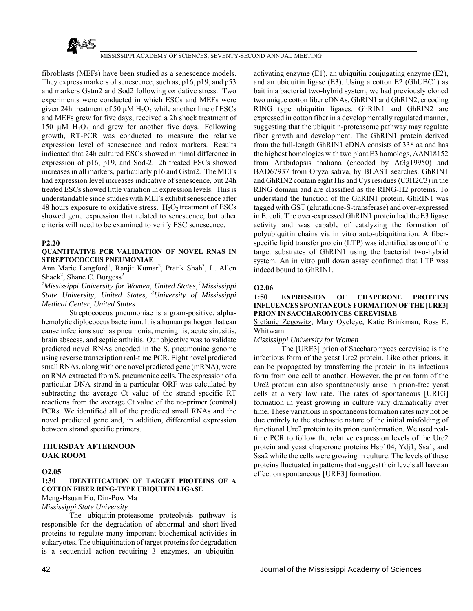

fibroblasts (MEFs) have been studied as a senescence models. They express markers of senescence, such as, p16, p19, and p53 and markers Gstm2 and Sod2 following oxidative stress. Two experiments were conducted in which ESCs and MEFs were given 24h treatment of 50  $\mu$ M H<sub>2</sub>O<sub>2</sub> while another line of ESCs and MEFs grew for five days, received a 2h shock treatment of 150  $\mu$ M H<sub>2</sub>O<sub>2</sub> and grew for another five days. Following growth, RT-PCR was conducted to measure the relative expression level of senescence and redox markers. Results indicated that 24h cultured ESCs showed minimal difference in expression of p16, p19, and Sod-2. 2h treated ESCs showed increases in all markers, particularly p16 and Gstm2. The MEFs had expression level increases indicative of senescence, but 24h treated ESCs showed little variation in expression levels. This is understandable since studies with MEFs exhibit senescence after 48 hours exposure to oxidative stress.  $H_2O_2$  treatment of ESCs showed gene expression that related to senescence, but other criteria will need to be examined to verify ESC senescence.

#### **P2.20**

## **QUANTITATIVE PCR VALIDATION OF NOVEL RNAS IN STREPTOCOCCUS PNEUMONIAE**

Ann Marie Langford<sup>1</sup>, Ranjit Kumar<sup>2</sup>, Pratik Shah<sup>3</sup>, L. Allen Shack<sup>2</sup>, Shane C. Burgess<sup>2</sup>

*1 Mississippi University for Women, United States, 2Mississippi State University, United States, 3University of Mississippi Medical Center, United States*

 Streptococcus pneumoniae is a gram-positive, alphahemolytic diplococcus bacterium. It is a human pathogen that can cause infections such as pneumonia, meningitis, acute sinusitis, brain abscess, and septic arthritis. Our objective was to validate predicted novel RNAs encoded in the S. pneumoniae genome using reverse transcription real-time PCR. Eight novel predicted small RNAs, along with one novel predicted gene (mRNA), were on RNA extracted from S. pneumoniae cells. The expression of a particular DNA strand in a particular ORF was calculated by subtracting the average Ct value of the strand specific RT reactions from the average Ct value of the no-primer (control) PCRs. We identified all of the predicted small RNAs and the novel predicted gene and, in addition, differential expression between strand specific primers.

#### **THURSDAY AFTERNOON OAK ROOM**

## **O2.05**

## **1:30 IDENTIFICATION OF TARGET PROTEINS OF A COTTON FIBER RING-TYPE UBIQUITIN LIGASE**

# Meng-Hsuan Ho, Din-Pow Ma

*Mississippi State University*

 The ubiquitin-proteasome proteolysis pathway is responsible for the degradation of abnormal and short-lived proteins to regulate many important biochemical activities in eukaryotes. The ubiquitination of target proteins for degradation is a sequential action requiring 3 enzymes, an ubiquitin-

activating enzyme (E1), an ubiquitin conjugating enzyme (E2), and an ubiquitin ligase (E3). Using a cotton E2 (GhUBC1) as bait in a bacterial two-hybrid system, we had previously cloned two unique cotton fiber cDNAs, GhRIN1 and GhRIN2, encoding RING type ubiquitin ligases. GhRIN1 and GhRIN2 are expressed in cotton fiber in a developmentally regulated manner, suggesting that the ubiquitin-proteasome pathway may regulate fiber growth and development. The GhRIN1 protein derived from the full-length GhRIN1 cDNA consists of 338 aa and has the highest homologies with two plant E3 homologs, AAN18152 from Arabidopsis thaliana (encoded by At3g19950) and BAD67937 from Oryza sativa, by BLAST searches. GhRIN1 and GhRIN2 contain eight His and Cys residues (C3H2C3) in the RING domain and are classified as the RING-H2 proteins. To understand the function of the GhRIN1 protein, GhRIN1 was tagged with GST (glutathione-S-transferase) and over-expressed in E. coli. The over-expressed GhRIN1 protein had the E3 ligase activity and was capable of catalyzing the formation of polyubiquitin chains via in vitro auto-ubiquitination. A fiberspecific lipid transfer protein (LTP) was identified as one of the target substrates of GhRIN1 using the bacterial two-hybrid system. An in vitro pull down assay confirmed that LTP was indeed bound to GhRIN1.

## **O2.06**

**1:50 EXPRESSION OF CHAPERONE PROTEINS INFLUENCES SPONTANEOUS FORMATION OF THE [URE3] PRION IN SACCHAROMYCES CEREVISIAE**

Stefanie Zegowitz, Mary Oyeleye, Katie Brinkman, Ross E. Whitwam

#### *Mississippi University for Women*

 The [URE3] prion of Saccharomyces cerevisiae is the infectious form of the yeast Ure2 protein. Like other prions, it can be propagated by transferring the protein in its infectious form from one cell to another. However, the prion form of the Ure2 protein can also spontaneously arise in prion-free yeast cells at a very low rate. The rates of spontaneous [URE3] formation in yeast growing in culture vary dramatically over time. These variations in spontaneous formation rates may not be due entirely to the stochastic nature of the initial misfolding of functional Ure2 protein to its prion conformation. We used realtime PCR to follow the relative expression levels of the Ure2 protein and yeast chaperone proteins Hsp104, Ydj1, Ssa1, and Ssa2 while the cells were growing in culture. The levels of these proteins fluctuated in patterns that suggest their levels all have an effect on spontaneous [URE3] formation.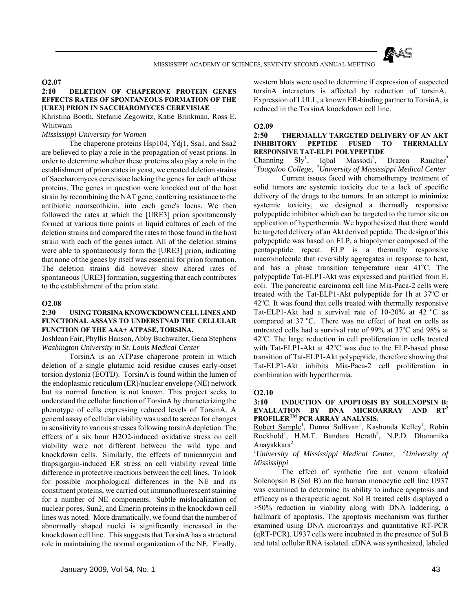

## **O2.07**

## **2:10 DELETION OF CHAPERONE PROTEIN GENES EFFECTS RATES OF SPONTANEOUS FORMATION OF THE [URE3] PRION IN SACCHAROMYCES CEREVISIAE**

Khristina Booth, Stefanie Zegowitz, Katie Brinkman, Ross E. Whitwam

## *Mississippi University for Women*

 The chaperone proteins Hsp104, Ydj1, Ssa1, and Ssa2 are believed to play a role in the propagation of yeast prions. In order to determine whether these proteins also play a role in the establishment of prion states in yeast, we created deletion strains of Saccharomyces cerevisiae lacking the genes for each of these proteins. The genes in question were knocked out of the host strain by recombining the NAT gene, conferring resistance to the antibiotic nourseothicin, into each gene's locus. We then followed the rates at which the [URE3] prion spontaneously formed at various time points in liquid cultures of each of the deletion strains and compared the rates to those found in the host strain with each of the genes intact. All of the deletion strains were able to spontaneously form the [URE3] prion, indicating that none of the genes by itself was essential for prion formation. The deletion strains did however show altered rates of spontaneous [URE3] formation, suggesting that each contributes to the establishment of the prion state.

#### **O2.08**

#### **2:30 USING TORSINA KNOWCKDOWN CELL LINES AND FUNCTIONAL ASSAYS TO UNDERSTNAD THE CELLULAR FUNCTION OF THE AAA+ ATPASE, TORSINA.**

Joshlean Fair, Phyllis Hanson, Abby Buchwalter, Gena Stephens *Washington University in St. Louis Medical Center*

 TorsinA is an ATPase chaperone protein in which deletion of a single glutamic acid residue causes early-onset torsion dystonia (EOTD). TorsinA is found within the lumen of the endoplasmic reticulum (ER)/nuclear envelope (NE) network but its normal function is not known. This project seeks to understand the cellular function of TorsinA by characterizing the phenotype of cells expressing reduced levels of TorsinA. A general assay of cellular viability was used to screen for changes in sensitivity to various stresses following torsinA depletion. The effects of a six hour H2O2-induced oxidative stress on cell viability were not different between the wild type and knockdown cells. Similarly, the effects of tunicamycin and thapsigargin-induced ER stress on cell viability reveal little difference in protective reactions between the cell lines. To look for possible morphological differences in the NE and its constituent proteins, we carried out immunofluorescent staining for a number of NE components. Subtle mislocalization of nuclear pores, Sun2, and Emerin proteins in the knockdown cell lines was noted. More dramatically, we found that the number of abnormally shaped nuclei is significantly increased in the knockdown cell line. This suggests that TorsinA has a structural role in maintaining the normal organization of the NE. Finally, western blots were used to determine if expression of suspected torsinA interactors is affected by reduction of torsinA. Expression of LULL, a known ER-binding partner to TorsinA, is reduced in the TorsinA knockdown cell line.

#### **O2.09**

## **2:50 THERMALLY TARGETED DELIVERY OF AN AKT INHIBITORY PEPTIDE FUSED TO THERMALLY RESPONSIVE TAT-ELP1 POLYPEPTIDE**

Channing  $Sly^1$ , Iqbal Massodi<sup>2</sup> Drazen Raucher<sup>2</sup> *1 Tougaloo College, 2University of Mississippi Medical Center*

 Current issues faced with chemotherapy treatment of solid tumors are systemic toxicity due to a lack of specific delivery of the drugs to the tumors. In an attempt to minimize systemic toxicity, we designed a thermally responsive polypeptide inhibitor which can be targeted to the tumor site on application of hyperthermia. We hypothesized that there would be targeted delivery of an Akt derived peptide. The design of this polypeptide was based on ELP, a biopolymer composed of the pentapeptide repeat. ELP is a thermally responsive macromolecule that reversibly aggregates in response to heat, and has a phase transition temperature near 41°C. The polypeptide Tat-ELP1-Akt was expressed and purified from E. coli. The pancreatic carcinoma cell line Mia-Paca-2 cells were treated with the Tat-ELP1-Akt polypeptide for 1h at 37°C or 42°C. It was found that cells treated with thermally responsive Tat-ELP1-Akt had a survival rate of  $10-20\%$  at 42 °C as compared at  $37^{\circ}$ C. There was no effect of heat on cells as untreated cells had a survival rate of 99% at 37°C and 98% at 42°C. The large reduction in cell proliferation in cells treated with Tat-ELP1-Akt at  $42^{\circ}$ C was due to the ELP-based phase transition of Tat-ELP1-Akt polypeptide, therefore showing that Tat-ELP1-Akt inhibits Mia-Paca-2 cell proliferation in combination with hyperthermia.

#### **O2.10**

#### **3:10 INDUCTION OF APOPTOSIS BY SOLENOPSIN B: EVALUATION BY DNA MICROARRAY AND RT<sup>2</sup> PROFILERTM PCR ARRAY ANALYSIS.**

Robert Sample<sup>1</sup>, Donna Sullivan<sup>1</sup>, Kashonda Kelley<sup>1</sup>, Robin Rockhold<sup>1</sup>, H.M.T. Bandara Herath<sup>2</sup>, N.P.D. Dhammika Anayakkara<sup>2</sup>

## *1 University of Mississippi Medical Center, 2University of Mississippi*

 The effect of synthetic fire ant venom alkaloid Solenopsin B (Sol B) on the human monocytic cell line U937 was examined to determine its ability to induce apoptosis and efficacy as a therapeutic agent. Sol B treated cells displayed a >50% reduction in viability along with DNA laddering, a hallmark of apoptosis. The apoptosis mechanism was further examined using DNA microarrays and quantitative RT-PCR (qRT-PCR). U937 cells were incubated in the presence of Sol B and total cellular RNA isolated. cDNA was synthesized, labeled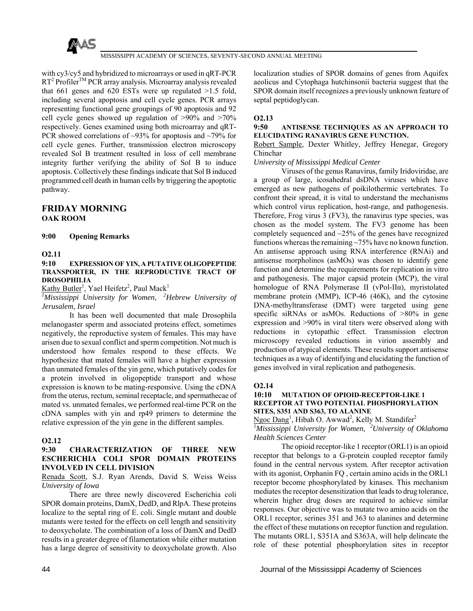

with cy3/cy5 and hybridized to microarrays or used in qRT-PCR  $RT<sup>2</sup>$  Profiler<sup>TM</sup> PCR array analysis. Microarray analysis revealed that 661 genes and 620 ESTs were up regulated  $>1.5$  fold, including several apoptosis and cell cycle genes. PCR arrays representing functional gene groupings of 90 apoptosis and 92 cell cycle genes showed up regulation of >90% and >70% respectively. Genes examined using both microarray and qRT-PCR showed correlations of ~93% for apoptosis and ~79% for cell cycle genes. Further, transmission electron microscopy revealed Sol B treatment resulted in loss of cell membrane integrity further verifying the ability of Sol B to induce apoptosis. Collectively these findings indicate that Sol B induced programmed cell death in human cells by triggering the apoptotic pathway.

## **FRIDAY MORNING OAK ROOM**

#### **9:00 Opening Remarks**

#### **O2.11**

#### **9:10 EXPRESSION OF YIN, A PUTATIVE OLIGOPEPTIDE TRANSPORTER, IN THE REPRODUCTIVE TRACT OF DROSOPHILIA**

Kathy Butler<sup>1</sup>, Yael Heifetz<sup>2</sup>, Paul Mack<sup>1</sup>

*1 Mississippi University for Women, 2Hebrew University of Jerusalem, Israel*

 It has been well documented that male Drosophila melanogaster sperm and associated proteins effect, sometimes negatively, the reproductive system of females. This may have arisen due to sexual conflict and sperm competition. Not much is understood how females respond to these effects. We hypothesize that mated females will have a higher expression than unmated females of the yin gene, which putatively codes for a protein involved in oligopeptide transport and whose expression is known to be mating-responsive. Using the cDNA from the uterus, rectum, seminal receptacle, and spermathecae of mated vs. unmated females, we performed real-time PCR on the cDNA samples with yin and rp49 primers to determine the relative expression of the yin gene in the different samples.

#### **O2.12**

## **9:30 CHARACTERIZATION OF THREE NEW ESCHERICHIA COLI SPOR DOMAIN PROTEINS INVOLVED IN CELL DIVISION**

Renada Scott, S.J. Ryan Arends, David S. Weiss Weiss *University of Iowa*

 There are three newly discovered Escherichia coli SPOR domain proteins, DamX, DedD, and RlpA. These proteins localize to the septal ring of E. coli. Single mutant and double mutants were tested for the effects on cell length and sensitivity to deoxycholate. The combination of a loss of DamX and DedD results in a greater degree of filamentation while either mutation has a large degree of sensitivity to deoxycholate growth. Also

localization studies of SPOR domains of genes from Aquifex aeolicus and Cytophaga hutchinsonii bacteria suggest that the SPOR domain itself recognizes a previously unknown feature of septal peptidoglycan.

## **O2.13**

## **9:50 ANTISENSE TECHNIQUES AS AN APPROACH TO ELUCIDATING RANAVIRUS GENE FUNCTION.**

#### Robert Sample, Dexter Whitley, Jeffrey Henegar, Gregory Chinchar

#### *University of Mississippi Medical Center*

 Viruses of the genus Ranavirus, family Iridoviridae, are a group of large, icosahedral dsDNA viruses which have emerged as new pathogens of poikilothermic vertebrates. To confront their spread, it is vital to understand the mechanisms which control virus replication, host-range, and pathogenesis. Therefore, Frog virus 3 (FV3), the ranavirus type species, was chosen as the model system. The FV3 genome has been completely sequenced and ~25% of the genes have recognized functions whereas the remaining ~75% have no known function. An antisense approach using RNA interference (RNAi) and antisense morpholinos (asMOs) was chosen to identify gene function and determine the requirements for replication in vitro and pathogenesis. The major capsid protein (MCP), the viral homologue of RNA Polymerase II (vPol-IIα), myristolated membrane protein (MMP), ICP-46 (46K), and the cytosine DNA-methyltransferase (DMT) were targeted using gene specific siRNAs or asMOs. Reductions of  $>80\%$  in gene expression and >90% in viral titers were observed along with reductions in cytopathic effect. Transmission electron microscopy revealed reductions in virion assembly and production of atypical elements. These results support antisense techniques as a way of identifying and elucidating the function of genes involved in viral replication and pathogenesis.

## **O2.14**

#### **10:10 MUTATION OF OPIOID-RECEPTOR-LIKE 1 RECEPTOR AT TWO POTENTIAL PHOSPHORYLATION SITES, S351 AND S363, TO ALANINE**

Ngoc Dang<sup>1</sup>, Hibah O. Awwad<sup>2</sup>, Kelly M. Standifer<sup>2</sup> *1 Mississippi University for Women, 2University of Oklahoma Health Sciences Center*

 The opioid receptor-like 1 receptor (ORL1) is an opioid receptor that belongs to a G-protein coupled receptor family found in the central nervous system. After receptor activation with its agonist, Orphanin FQ , certain amino acids in the ORL1 receptor become phosphorylated by kinases. This mechanism mediates the receptor desensitization that leads to drug tolerance, wherein higher drug doses are required to achieve similar responses. Our objective was to mutate two amino acids on the ORL1 receptor, serines 351 and 363 to alanines and determine the effect of these mutations on receptor function and regulation. The mutants ORL1, S351A and S363A, will help delineate the role of these potential phosphorylation sites in receptor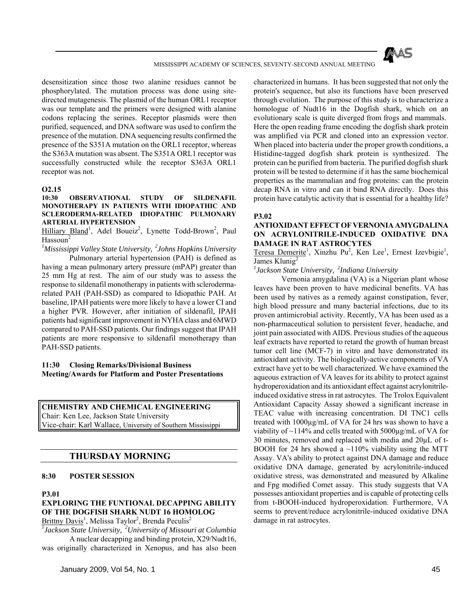

desensitization since those two alanine residues cannot be phosphorylated. The mutation process was done using sitedirected mutagenesis. The plasmid of the human ORL1 receptor was our template and the primers were designed with alanine codons replacing the serines. Receptor plasmids were then purified, sequenced, and DNA software was used to confirm the presence of the mutation. DNA sequencing results confirmed the presence of the S351A mutation on the ORL1 receptor, whereas the S363A mutation was absent. The S351A ORL1 receptor was successfully constructed while the receptor S363A ORL1 receptor was not.

#### **O2.15**

#### **10:30 OBSERVATIONAL STUDY OF SILDENAFIL MONOTHERAPY IN PATIENTS WITH IDIOPATHIC AND SCLERODERMA-RELATED IDIOPATHIC PULMONARY ARTERIAL HYPERTENSION**

Hilliary Bland<sup>1</sup>, Adel Boueiz<sup>2</sup>, Lynette Todd-Brown<sup>2</sup>, Paul  $Hassoun<sup>2</sup>$ 

*1 Mississippi Valley State University, 2Johns Hopkins University*

 Pulmonary arterial hypertension (PAH) is defined as having a mean pulmonary artery pressure (mPAP) greater than 25 mm Hg at rest. The aim of our study was to assess the response to sildenafil monotherapy in patients with sclerodermarelated PAH (PAH-SSD) as compared to Idiopathic PAH. At baseline, IPAH patients were more likely to have a lower CI and a higher PVR. However, after initiation of sildenafil, IPAH patients had significant improvement in NYHA class and 6MWD compared to PAH-SSD patients. Our findings suggest that IPAH patients are more responsive to sildenafil monotherapy than PAH-SSD patients.

**11:30 Closing Remarks/Divisional Business Meeting/Awards for Platform and Poster Presentations** 

**CHEMISTRY AND CHEMICAL ENGINEERING** Chair: Ken Lee, Jackson State University Vice-chair: Karl Wallace, University of Southern Mississippi

## **THURSDAY MORNING**

#### **8:30 POSTER SESSION**

#### **P3.01**

## **EXPLORING THE FUNTIONAL DECAPPING ABILITY OF THE DOGFISH SHARK NUDT 16 HOMOLOG**

Brittny Davis<sup>1</sup>, Melissa Taylor<sup>2</sup>, Brenda Peculis<sup>2</sup> *1 Jackson State University, 2University of Missouri at Columbia*

 A nuclear decapping and binding protein, X29/Nudt16, was originally characterized in Xenopus, and has also been characterized in humans. It has been suggested that not only the protein's sequence, but also its functions have been preserved through evolution. The purpose of this study is to characterize a homologue of Nudt16 in the Dogfish shark, which on an evolutionary scale is quite diverged from frogs and mammals. Here the open reading frame encoding the dogfish shark protein was amplified via PCR and cloned into an expression vector. When placed into bacteria under the proper growth conditions, a Histidine-tagged dogfish shark protein is synthesized. The protein can be purified from bacteria. The purified dogfish shark protein will be tested to determine if it has the same biochemical properties as the mammalian and frog proteins: can the protein decap RNA in vitro and can it bind RNA directly. Does this protein have catalytic activity that is essential for a healthy life?

#### **P3.02**

## **ANTIOXIDANT EFFECT OF VERNONIA AMYGDALINA ON ACRYLONITRILE-INDUCED OXIDATIVE DNA DAMAGE IN RAT ASTROCYTES**

Teresa Demerite<sup>1</sup>, Xinzhu Pu<sup>2</sup>, Ken Lee<sup>1</sup>, Ernest Izevbigie<sup>1</sup>, James Klunig<sup>2</sup>

*1 Jackson State University, 2Indiana University*

 Vernonia amygdalina (VA) is a Nigerian plant whose leaves have been proven to have medicinal benefits. VA has been used by natives as a remedy against constipation, fever, high blood pressure and many bacterial infections, due to its proven antimicrobial activity. Recently, VA has been used as a non-pharmaceutical solution to persistent fever, headache, and joint pain associated with AIDS. Previous studies of the aqueous leaf extracts have reported to retard the growth of human breast tumor cell line (MCF-7) in vitro and have demonstrated its antioxidant activity. The biologically-active components of VA extract have yet to be well characterized. We have examined the aqueous extraction of VA leaves for its ability to protect against hydroperoxidation and its antioxidant effect against acrylonitrileinduced oxidative stress in rat astrocytes. The Trolox Equivalent Antioxidant Capacity Assay showed a significant increase in TEAC value with increasing concentration. DI TNC1 cells treated with 1000µg/mL of VA for 24 hrs was shown to have a viability of  $\sim$ 114% and cells treated with 5000 $\mu$ g/mL of VA for 30 minutes, removed and replaced with media and 20µL of t-BOOH for 24 hrs showed a  $\sim$ 110% viability using the MTT Assay. VA's ability to protect against DNA damage and reduce oxidative DNA damage, generated by acrylonitrile-induced oxidative stress, was demonstrated and measured by Alkaline and Fpg modified Comet assay. This study suggests that VA possesses antioxidant properties and is capable of protecting cells from t-BOOH-induced hydroperoxidation. Furthermore, VA seems to prevent/reduce acrylonitrile-induced oxidative DNA damage in rat astrocytes.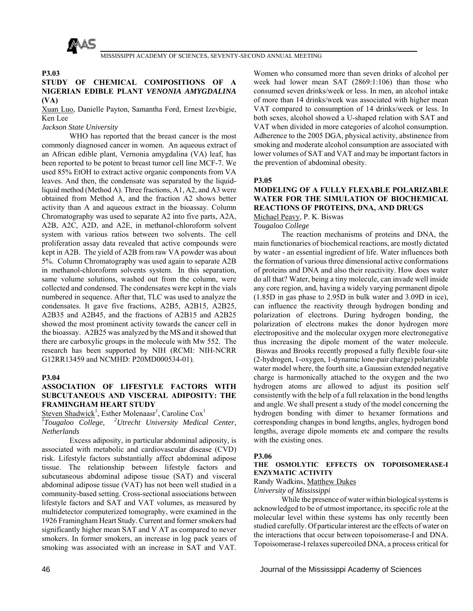

### **P3.03**

## **STUDY OF CHEMICAL COMPOSITIONS OF A NIGERIAN EDIBLE PLANT** *VENONIA AMYGDALINA* **(VA)**

Xuan Luo, Danielle Payton, Samantha Ford, Ernest Izevbigie, Ken Lee

## *Jackson State University*

 WHO has reported that the breast cancer is the most commonly diagnosed cancer in women. An aqueous extract of an African edible plant, Vernonia amygdalina (VA) leaf, has been reported to be potent to breast tumor cell line MCF-7. We used 85% EtOH to extract active organic components from VA leaves. And then, the condensate was separated by the liquidliquid method (Method A). Three fractions, A1, A2, and A3 were obtained from Method A, and the fraction A2 shows better activity than A and aqueous extract in the bioassay. Column Chromatography was used to separate A2 into five parts, A2A, A2B, A2C, A2D, and A2E, in methanol-chloroform solvent system with various ratios between two solvents. The cell proliferation assay data revealed that active compounds were kept in A2B. The yield of A2B from raw VA powder was about 5%. Column Chromatography was used again to separate A2B in methanol-chloroform solvents system. In this separation, same volume solutions, washed out from the column, were collected and condensed. The condensates were kept in the vials numbered in sequence. After that, TLC was used to analyze the condensates. It gave five fractions, A2B5, A2B15, A2B25, A2B35 and A2B45, and the fractions of A2B15 and A2B25 showed the most prominent activity towards the cancer cell in the bioassay. A2B25 was analyzed by the MS and it showed that there are carboxylic groups in the molecule with Mw 552. The research has been supported by NIH (RCMI: NIH-NCRR G12RR13459 and NCMHD: P20MD000534-01).

## **P3.04**

## **ASSOCIATION OF LIFESTYLE FACTORS WITH SUBCUTANEOUS AND VISCERAL ADIPOSITY: THE FRAMINGHAM HEART STUDY**

Steven Shadwick<sup>1</sup>, Esther Molenaasr<sup>1</sup>, Caroline Cox<sup>1</sup>

*1 Tougaloo College, 2Utrecht University Medical Center, Netherlands*

 Excess adiposity, in particular abdominal adiposity, is associated with metabolic and cardiovascular disease (CVD) risk. Lifestyle factors substantially affect abdominal adipose tissue. The relationship between lifestyle factors and subcutaneous abdominal adipose tissue (SAT) and visceral abdominal adipose tissue (VAT) has not been well studied in a community-based setting. Cross-sectional associations between lifestyle factors and SAT and VAT volumes, as measured by multidetector computerized tomography, were examined in the 1926 Framingham Heart Study. Current and former smokers had significantly higher mean SAT and V AT as compared to never smokers. In former smokers, an increase in log pack years of smoking was associated with an increase in SAT and VAT.

Women who consumed more than seven drinks of alcohol per week had lower mean SAT (2869:1:106) than those who consumed seven drinks/week or less. In men, an alcohol intake of more than 14 drinks/week was associated with higher mean VAT compared to consumption of 14 drinks/week or less. In both sexes, alcohol showed a U-shaped relation with SAT and VAT when divided in more categories of alcohol consumption. Adherence to the 2005 DGA, physical activity, abstinence from smoking and moderate alcohol consumption are associated with lower volumes of SAT and VAT and may be important factors in the prevention of abdominal obesity.

#### **P3.05**

## **MODELING OF A FULLY FLEXABLE POLARIZABLE WATER FOR THE SIMULATION OF BIOCHEMICAL REACTIONS OF PROTEINS, DNA, AND DRUGS**

Michael Peavy, P. K. Biswas

*Tougaloo College*

 The reaction mechanisms of proteins and DNA, the main functionaries of biochemical reactions, are mostly dictated by water - an essential ingredient of life. Water influences both the formation of various three dimensional active conformations of proteins and DNA and also their reactivity. How does water do all that? Water, being a tiny molecule, can invade well inside any core region, and, having a widely varying permanent dipole (1.85D in gas phase to 2.95D in bulk water and 3.09D in ice), can influence the reactivity through hydrogen bonding and polarization of electrons. During hydrogen bonding, the polarization of electrons makes the donor hydrogen more electropositive and the molecular oxygen more electronegative thus increasing the dipole moment of the water molecule. Biswas and Brooks recently proposed a fully flexible four-site (2-hydrogen, 1-oxygen, 1-dynamic lone-pair charge) polarizable water model where, the fourth site, a Gaussian extended negative charge is harmonically attached to the oxygen and the two hydrogen atoms are allowed to adjust its position self consistently with the help of a full relaxation in the bond lengths and angle. We shall present a study of the model concerning the hydrogen bonding with dimer to hexamer formations and corresponding changes in bond lengths, angles, hydrogen bond lengths, average dipole moments etc and compare the results with the existing ones.

#### **P3.06**

### **THE OSMOLYTIC EFFECTS ON TOPOISOMERASE-I ENZYMATIC ACTIVITY**

## Randy Wadkins, Matthew Dukes

## *University of Mississippi*

 While the presence of water within biological systems is acknowledged to be of utmost importance, its specific role at the molecular level within these systems has only recently been studied carefully. Of particular interest are the effects of water on the interactions that occur between topoisomerase-I and DNA. Topoisomerase-I relaxes supercoiled DNA, a process critical for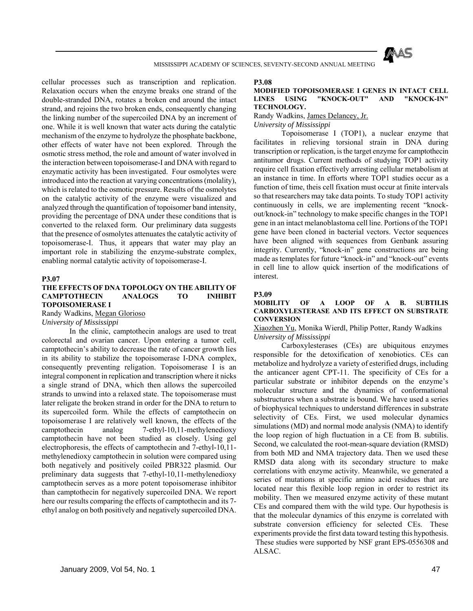

cellular processes such as transcription and replication. Relaxation occurs when the enzyme breaks one strand of the double-stranded DNA, rotates a broken end around the intact strand, and rejoins the two broken ends, consequently changing the linking number of the supercoiled DNA by an increment of one. While it is well known that water acts during the catalytic mechanism of the enzyme to hydrolyze the phosphate backbone, other effects of water have not been explored. Through the osmotic stress method, the role and amount of water involved in the interaction between topoisomerase-I and DNA with regard to enzymatic activity has been investigated. Four osmolytes were introduced into the reaction at varying concentrations (molality), which is related to the osmotic pressure. Results of the osmolytes on the catalytic activity of the enzyme were visualized and analyzed through the quantification of topoisomer band intensity, providing the percentage of DNA under these conditions that is converted to the relaxed form. Our preliminary data suggests that the presence of osmolytes attenuates the catalytic activity of topoisomerase-I. Thus, it appears that water may play an important role in stabilizing the enzyme-substrate complex, enabling normal catalytic activity of topoisomerase-I.

#### **P3.07**

### **THE EFFECTS OF DNA TOPOLOGY ON THE ABILITY OF CAMPTOTHECIN ANALOGS TO INHIBIT TOPOISOMERASE I**

Randy Wadkins, Megan Glorioso

### *University of Mississippi*

 In the clinic, camptothecin analogs are used to treat colorectal and ovarian cancer. Upon entering a tumor cell, camptothecin's ability to decrease the rate of cancer growth lies in its ability to stabilize the topoisomerase I-DNA complex, consequently preventing religation. Topoisomerase I is an integral component in replication and transcription where it nicks a single strand of DNA, which then allows the supercoiled strands to unwind into a relaxed state. The topoisomerase must later religate the broken strand in order for the DNA to return to its supercoiled form. While the effects of camptothecin on topoisomerase I are relatively well known, the effects of the camptothecin analog 7-ethyl-10,11-methylenedioxy camptothecin have not been studied as closely. Using gel electrophoresis, the effects of camptothecin and 7-ethyl-10,11 methylenedioxy camptothecin in solution were compared using both negatively and positively coiled PBR322 plasmid. Our preliminary data suggests that 7-ethyl-10,11-methylenedioxy camptothecin serves as a more potent topoisomerase inhibitor than camptothecin for negatively supercoiled DNA. We report here our results comparing the effects of camptothecin and its 7 ethyl analog on both positively and negatively supercoiled DNA.

#### **P3.08**

#### **MODIFIED TOPOISOMERASE I GENES IN INTACT CELL LINES USING "KNOCK-OUT" AND "KNOCK-IN" TECHNOLOGY.**

## Randy Wadkins, James Delancey, Jr.

*University of Mississippi*

 Topoisomerase I (TOP1), a nuclear enzyme that facilitates in relieving torsional strain in DNA during transcription or replication, is the target enzyme for camptothecin antitumor drugs. Current methods of studying TOP1 activity require cell fixation effectively arresting cellular metabolism at an instance in time. In efforts where TOP1 studies occur as a function of time, theis cell fixation must occur at finite intervals so that researchers may take data points. To study TOP1 activity continuously in cells, we are implementing recent "knockout/knock-in" technology to make specific changes in the TOP1 gene in an intact melanoblastoma cell line. Portions of the TOP1 gene have been cloned in bacterial vectors. Vector sequences have been aligned with sequences from Genbank assuring integrity. Currently, "knock-in" gene constructions are being made as templates for future "knock-in" and "knock-out" events in cell line to allow quick insertion of the modifications of interest.

#### **P3.09**

#### **MOBILITY OF A LOOP OF A B. SUBTILIS CARBOXYLESTERASE AND ITS EFFECT ON SUBSTRATE CONVERSION**

Xiaozhen Yu, Monika Wierdl, Philip Potter, Randy Wadkins *University of Mississippi*

 Carboxylesterases (CEs) are ubiquitous enzymes responsible for the detoxification of xenobiotics. CEs can metabolize and hydrolyze a variety of esterified drugs, including the anticancer agent CPT-11. The specificity of CEs for a particular substrate or inhibitor depends on the enzyme's molecular structure and the dynamics of conformational substructures when a substrate is bound. We have used a series of biophysical techniques to understand differences in substrate selectivity of CEs. First, we used molecular dynamics simulations (MD) and normal mode analysis (NMA) to identify the loop region of high fluctuation in a CE from B. subtilis. Second, we calculated the root-mean-square deviation (RMSD) from both MD and NMA trajectory data. Then we used these RMSD data along with its secondary structure to make correlations with enzyme activity. Meanwhile, we generated a series of mutations at specific amino acid residues that are located near this flexible loop region in order to restrict its mobility. Then we measured enzyme activity of these mutant CEs and compared them with the wild type. Our hypothesis is that the molecular dynamics of this enzyme is correlated with substrate conversion efficiency for selected CEs. These experiments provide the first data toward testing this hypothesis. These studies were supported by NSF grant EPS-0556308 and ALSAC.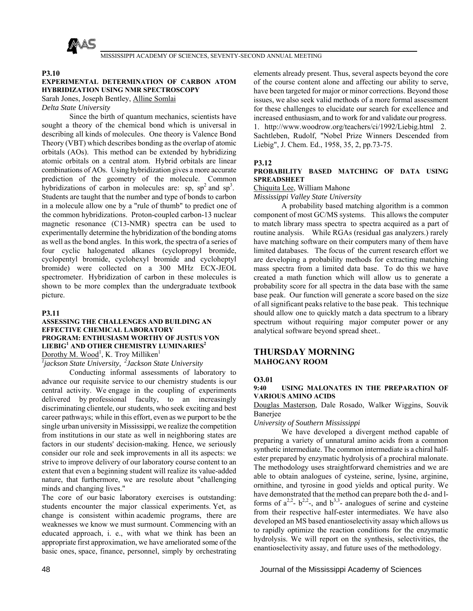

#### **P3.10**

## **EXPERIMENTAL DETERMINATION OF CARBON ATOM HYBRIDIZATION USING NMR SPECTROSCOPY**

Sarah Jones, Joseph Bentley, Alline Somlai

*Delta State University*

 Since the birth of quantum mechanics, scientists have sought a theory of the chemical bond which is universal in describing all kinds of molecules. One theory is Valence Bond Theory (VBT) which describes bonding as the overlap of atomic orbitals (AOs). This method can be extended by hybridizing atomic orbitals on a central atom. Hybrid orbitals are linear combinations of AOs. Using hybridization gives a more accurate prediction of the geometry of the molecule. Common hybridizations of carbon in molecules are: sp,  $sp^2$  and  $sp^3$ . Students are taught that the number and type of bonds to carbon in a molecule allow one by a "rule of thumb" to predict one of the common hybridizations. Proton-coupled carbon-13 nuclear magnetic resonance (C13-NMR) spectra can be used to experimentally determine the hybridization of the bonding atoms as well as the bond angles. In this work, the spectra of a series of four cyclic halogenated alkanes (cyclopropyl bromide, cyclopentyl bromide, cyclohexyl bromide and cycloheptyl bromide) were collected on a 300 MHz ECX-JEOL spectrometer. Hybridization of carbon in these molecules is shown to be more complex than the undergraduate textbook picture.

#### **P3.11**

### **ASSESSING THE CHALLENGES AND BUILDING AN EFFECTIVE CHEMICAL LABORATORY PROGRAM: ENTHUSIASM WORTHY OF JUSTUS VON LIEBIG<sup>1</sup> AND OTHER CHEMISTRY LUMINARIES<sup>2</sup>** Dorothy M. Wood<sup>1</sup>, K. Troy Milliken<sup>1</sup>

*1 jackson State University, 2Jackson State University*

 Conducting informal assessments of laboratory to advance our requisite service to our chemistry students is our central activity. We engage in the coupling of experiments delivered by professional faculty, to an increasingly discriminating clientele, our students, who seek exciting and best career pathways; while in this effort, even as we purport to be the single urban university in Mississippi, we realize the competition from institutions in our state as well in neighboring states are factors in our students' decision-making. Hence, we seriously consider our role and seek improvements in all its aspects: we strive to improve delivery of our laboratory course content to an extent that even a beginning student will realize its value-added nature, that furthermore, we are resolute about "challenging minds and changing lives."

The core of our basic laboratory exercises is outstanding: students encounter the major classical experiments. Yet, as change is consistent within academic programs, there are weaknesses we know we must surmount. Commencing with an educated approach, i. e., with what we think has been an appropriate first approximation, we have ameliorated some of the basic ones, space, finance, personnel, simply by orchestrating

elements already present. Thus, several aspects beyond the core of the course content alone and affecting our ability to serve, have been targeted for major or minor corrections. Beyond those issues, we also seek valid methods of a more formal assessment for these challenges to elucidate our search for excellence and increased enthusiasm, and to work for and validate our progress.

1. http://www.woodrow.org/teachers/ci/1992/Liebig.html 2. Sachtleben, Rudolf, "Nobel Prize Winners Descended from Liebig", J. Chem. Ed., 1958, 35, 2, pp.73-75.

## **P3.12**

### **PROBABILITY BASED MATCHING OF DATA USING SPREADSHEET**

Chiquita Lee, William Mahone

*Mississippi Valley State University*

 A probability based matching algorithm is a common component of most GC/MS systems. This allows the computer to match library mass spectra to spectra acquired as a part of routine analysis. While RGAs (residual gas analyzers.) rarely have matching software on their computers many of them have limited databases. The focus of the current research effort we are developing a probability methods for extracting matching mass spectra from a limited data base. To do this we have created a math function which will allow us to generate a probability score for all spectra in the data base with the same base peak. Our function will generate a score based on the size of all significant peaks relative to the base peak. This technique should allow one to quickly match a data spectrum to a library spectrum without requiring major computer power or any analytical software beyond spread sheet..

## **THURSDAY MORNING MAHOGANY ROOM**

## **O3.01**

#### **9:40 USING MALONATES IN THE PREPARATION OF VARIOUS AMINO ACIDS**

Douglas Masterson, Dale Rosado, Walker Wiggins, Souvik Banerjee

*University of Southern Mississippi*

 We have developed a divergent method capable of preparing a variety of unnatural amino acids from a common synthetic intermediate. The common intermediate is a chiral halfester prepared by enzymatic hydrolysis of a prochiral malonate. The methodology uses straightforward chemistries and we are able to obtain analogues of cysteine, serine, lysine, arginine, ornithine, and tyrosine in good yields and optical purity. We have demonstrated that the method can prepare both the d- and lforms of  $a^{2,2}$ -  $b^{2,2}$ -, and  $b^{3,3}$ - analogues of serine and cysteine from their respective half-ester intermediates. We have also developed an MS based enantioselectivity assay which allows us to rapidly optimize the reaction conditions for the enzymatic hydrolysis. We will report on the synthesis, selectivities, the enantioselectivity assay, and future uses of the methodology.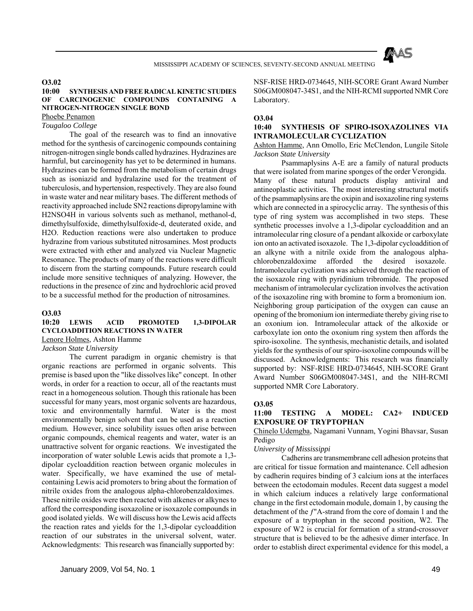

## **O3.02**

## **10:00 SYNTHESIS AND FREE RADICAL KINETIC STUDIES OF CARCINOGENIC COMPOUNDS CONTAINING A NITROGEN-NITROGEN SINGLE BOND**

Phoebe Penamon

## *Tougaloo College*

 The goal of the research was to find an innovative method for the synthesis of carcinogenic compounds containing nitrogen-nitrogen single bonds called hydrazines. Hydrazines are harmful, but carcinogenity has yet to be determined in humans. Hydrazines can be formed from the metabolism of certain drugs such as isoniazid and hydralazine used for the treatment of tuberculosis, and hypertension, respectively. They are also found in waste water and near military bases. The different methods of reactivity approached include SN2 reactions dipropylamine with H2NSO4H in various solvents such as methanol, methanol-d, dimethylsulfoxide, dimethylsulfoxide-d, deuterated oxide, and H2O. Reduction reactions were also undertaken to produce hydrazine from various substituted nitrosamines. Most products were extracted with ether and analyzed via Nuclear Magnetic Resonance. The products of many of the reactions were difficult to discern from the starting compounds. Future research could include more sensitive techniques of analyzing. However, the reductions in the presence of zinc and hydrochloric acid proved to be a successful method for the production of nitrosamines.

#### **O3.03**

## **10:20 LEWIS ACID PROMOTED 1,3-DIPOLAR CYCLOADDITION REACTIONS IN WATER**

Lenore Holmes, Ashton Hamme

*Jackson State University*

 The current paradigm in organic chemistry is that organic reactions are performed in organic solvents. This premise is based upon the "like dissolves like" concept. In other words, in order for a reaction to occur, all of the reactants must react in a homogeneous solution. Though this rationale has been successful for many years, most organic solvents are hazardous, toxic and environmentally harmful. Water is the most environmentally benign solvent that can be used as a reaction medium. However, since solubility issues often arise between organic compounds, chemical reagents and water, water is an unattractive solvent for organic reactions. We investigated the incorporation of water soluble Lewis acids that promote a 1,3 dipolar cycloaddition reaction between organic molecules in water. Specifically, we have examined the use of metalcontaining Lewis acid promoters to bring about the formation of nitrile oxides from the analogous alpha-chlorobenzaldoximes. These nitrile oxides were then reacted with alkenes or alkynes to afford the corresponding isoxazoline or isoxazole compounds in good isolated yields. We will discuss how the Lewis acid affects the reaction rates and yields for the 1,3-dipolar cycloaddition reaction of our substrates in the universal solvent, water. Acknowledgments: This research was financially supported by:

NSF-RISE HRD-0734645, NIH-SCORE Grant Award Number S06GM008047-34S1, and the NIH-RCMI supported NMR Core Laboratory.

#### **O3.04**

## **10:40 SYNTHESIS OF SPIRO-ISOXAZOLINES VIA INTRAMOLECULAR CYCLIZATION**

## Ashton Hamme, Ann Omollo, Eric McClendon, Lungile Sitole *Jackson State University*

 Psammaplysins A-E are a family of natural products that were isolated from marine sponges of the order Verongida. Many of these natural products display antiviral and antineoplastic activities. The most interesting structural motifs of the psammaplysins are the oxipin and isoxazoline ring systems which are connected in a spirocyclic array. The synthesis of this type of ring system was accomplished in two steps. These synthetic processes involve a 1,3-dipolar cycloaddition and an intramolecular ring closure of a pendant alkoxide or carboxylate ion onto an activated isoxazole. The 1,3-dipolar cycloaddition of an alkyne with a nitrile oxide from the analogous alphachlorobenzaldoxime afforded the desired isoxazole. Intramolecular cyclization was achieved through the reaction of the isoxazole ring with pyridinium tribromide. The proposed mechanism of intramolecular cyclization involves the activation of the isoxazoline ring with bromine to form a bromonium ion. Neighboring group participation of the oxygen can cause an opening of the bromonium ion intermediate thereby giving rise to an oxonium ion. Intramolecular attack of the alkoxide or carboxylate ion onto the oxonium ring system then affords the spiro-isoxoline. The synthesis, mechanistic details, and isolated yields for the synthesis of our spiro-isoxoline compounds will be discussed. Acknowledgments: This research was financially supported by: NSF-RISE HRD-0734645, NIH-SCORE Grant Award Number S06GM008047-34S1, and the NIH-RCMI supported NMR Core Laboratory.

#### **O3.05**

#### **11:00 TESTING A MODEL: CA2+ INDUCED EXPOSURE OF TRYPTOPHAN**

Chinelo Udemgba, Nagamani Vunnam, Yogini Bhavsar, Susan Pedigo

## *University of Mississippi*

 Cadherins are transmembrane cell adhesion proteins that are critical for tissue formation and maintenance. Cell adhesion by cadherin requires binding of 3 calcium ions at the interfaces between the ectodomain modules. Recent data suggest a model in which calcium induces a relatively large conformational change in the first ectodomain module, domain 1, by causing the detachment of the ƒ"A-strand from the core of domain 1 and the exposure of a tryptophan in the second position, W2. The exposure of W2 is crucial for formation of a strand-crossover structure that is believed to be the adhesive dimer interface. In order to establish direct experimental evidence for this model, a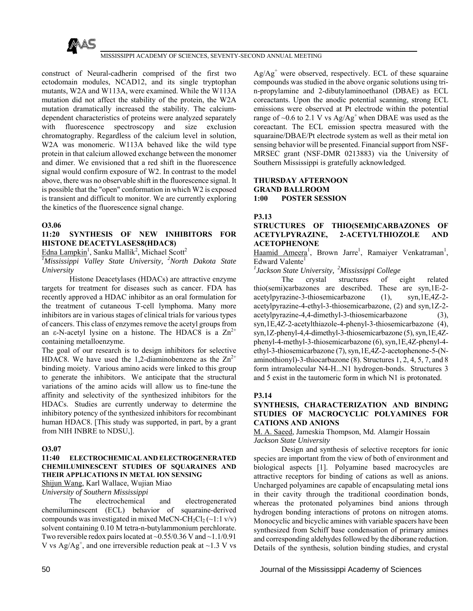

construct of Neural-cadherin comprised of the first two ectodomain modules, NCAD12, and its single tryptophan mutants, W2A and W113A, were examined. While the W113A mutation did not affect the stability of the protein, the W2A mutation dramatically increased the stability. The calciumdependent characteristics of proteins were analyzed separately with fluorescence spectroscopy and size exclusion chromatography. Regardless of the calcium level in solution, W2A was monomeric. W113A behaved like the wild type protein in that calcium allowed exchange between the monomer and dimer. We envisioned that a red shift in the fluorescence signal would confirm exposure of W2. In contrast to the model above, there was no observable shift in the fluorescence signal. It is possible that the "open" conformation in which W2 is exposed is transient and difficult to monitor. We are currently exploring the kinetics of the fluorescence signal change.

#### **O3.06**

## **11:20 SYNTHESIS OF NEW INHIBITORS FOR HISTONE DEACETYLASES8(HDAC8)**

Edna Lampkin<sup>1</sup>, Sanku Mallik<sup>2</sup>, Michael Scott<sup>2</sup>

<sup>1</sup>Mississippi Valley State University, <sup>2</sup>North Dakota State *University*

 Histone Deacetylases (HDACs) are attractive enzyme targets for treatment for diseases such as cancer. FDA has recently approved a HDAC inhibitor as an oral formulation for the treatment of cutaneous T-cell lymphoma. Many more inhibitors are in various stages of clinical trials for various types of cancers. This class of enzymes remove the acetyl groups from an  $\varepsilon$ -N-acetyl lysine on a histone. The HDAC8 is a  $\text{Zn}^{2+}$ containing metalloenzyme.

The goal of our research is to design inhibitors for selective HDAC8. We have used the 1,2-diaminobenzene as the  $\text{Zn}^{2+}$ binding moiety. Various amino acids were linked to this group to generate the inhibitors. We anticipate that the structural variations of the amino acids will allow us to fine-tune the affinity and selectivity of the synthesized inhibitors for the HDACs. Studies are currently underway to determine the inhibitory potency of the synthesized inhibitors for recombinant human HDAC8. [This study was supported, in part, by a grant from NIH INBRE to NDSU,].

#### **O3.07**

#### **11:40 ELECTROCHEMICAL AND ELECTROGENERATED CHEMILUMINESCENT STUDIES OF SQUARAINES AND THEIR APPLICATIONS IN METAL ION SENSING**

Shijun Wang, Karl Wallace, Wujian Miao

*University of Southern Mississippi*

 The electrochemical and electrogenerated chemiluminescent (ECL) behavior of squaraine-derived compounds was investigated in mixed MeCN-CH<sub>2</sub>Cl<sub>2</sub> ( $\sim$ 1:1 v/v) solvent containing 0.10 M tetra-n-butylammonium perchlorate. Two reversible redox pairs located at  $\sim 0.55/0.36$  V and  $\sim 1.1/0.91$ V vs  $Ag/Ag^+$ , and one irreversible reduction peak at  $\sim$ 1.3 V vs

 $Ag/Ag<sup>+</sup>$  were observed, respectively. ECL of these squaraine compounds was studied in the above organic solutions using trin-propylamine and 2-dibutylaminoethanol (DBAE) as ECL coreactants. Upon the anodic potential scanning, strong ECL emissions were observed at Pt electrode within the potential range of  $\sim$ 0.6 to 2.1 V vs Ag/Ag<sup>+</sup> when DBAE was used as the coreactant. The ECL emission spectra measured with the squaraine/DBAE/Pt electrode system as well as their metal ion sensing behavior will be presented. Financial support from NSF-MRSEC grant (NSF-DMR 0213883) via the University of Southern Mississippi is gratefully acknowledged.

#### **THURSDAY AFTERNOON GRAND BALLROOM 1:00 POSTER SESSION**

**P3.13**

## **STRUCTURES OF THIO(SEMI)CARBAZONES OF ACETYLPYRAZINE, 2-ACETYLTHIOZOLE AND ACETOPHENONE**

Haamid Ameera<sup>1</sup>, Brown Jarre<sup>1</sup>, Ramaiyer Venkatraman<sup>1</sup>, Edward Valente<sup>1</sup>

*1 Jackson State University, 2Mississippi College*

 The crystal structures of eight related thio(semi)carbazones are described. These are syn,1E-2 acetylpyrazine-3-thiosemicarbazone (1), syn,1E,4Z-2 acetylpyrazine-4-ethyl-3-thiosemicarbazone, (2) and syn,1Z-2 acetylpyrazine-4,4-dimethyl-3-thiosemicarbazone (3), syn,1E,4Z-2-acetylthiazole-4-phenyl-3-thiosemicarbazone (4), syn,1Z-phenyl-4,4-dimethyl-3-thiosemicarbazone (5), syn,1E,4Zphenyl-4-methyl-3-thiosemicarbazone (6), syn,1E,4Z-phenyl-4 ethyl-3-thiosemicarbazone (7), syn,1E,4Z-2-acetophenone-5-(Naminothionyl)-3-thiocarbazone (8). Structures 1, 2, 4, 5, 7, and 8 form intramolecular N4-H...N1 hydrogen-bonds. Structures 3 and 5 exist in the tautomeric form in which N1 is protonated.

## **P3.14**

## **SYNTHESIS, CHARACTERIZATION AND BINDING STUDIES OF MACROCYCLIC POLYAMINES FOR CATIONS AND ANIONS**

M. A. Saeed, Jameskia Thompson, Md. Alamgir Hossain *Jackson State University*

 Design and synthesis of selective receptors for ionic species are important from the view of both of environment and biological aspects [1]. Polyamine based macrocycles are attractive receptors for binding of cations as well as anions. Uncharged polyamines are capable of encapsulating metal ions in their cavity through the traditional coordination bonds, whereas the protonated polyamines bind anions through hydrogen bonding interactions of protons on nitrogen atoms. Monocyclic and bicyclic amines with variable spacers have been synthesized from Schiff base condensation of primary amines and corresponding aldehydes followed by the diborane reduction. Details of the synthesis, solution binding studies, and crystal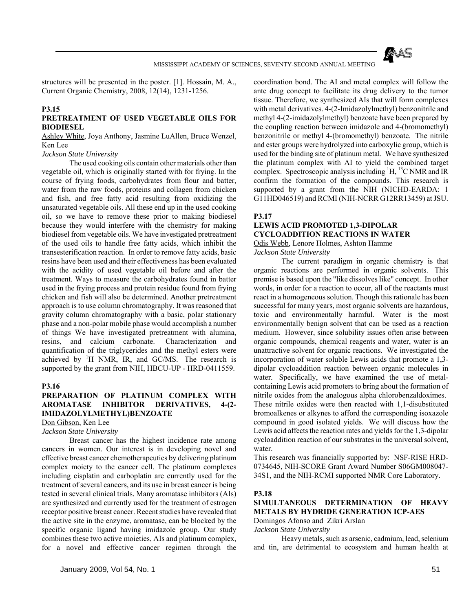

structures will be presented in the poster. [1]. Hossain, M. A., Current Organic Chemistry, 2008, 12(14), 1231-1256.

### **P3.15**

## **PRETREATMENT OF USED VEGETABLE OILS FOR BIODIESEL**

Ashley White, Joya Anthony, Jasmine LuAllen, Bruce Wenzel, Ken Lee

*Jackson State University*

 The used cooking oils contain other materials other than vegetable oil, which is originally started with for frying. In the course of frying foods, carbohydrates from flour and batter, water from the raw foods, proteins and collagen from chicken and fish, and free fatty acid resulting from oxidizing the unsaturated vegetable oils. All these end up in the used cooking oil, so we have to remove these prior to making biodiesel because they would interfere with the chemistry for making biodiesel from vegetable oils. We have investigated pretreatment of the used oils to handle free fatty acids, which inhibit the transesterification reaction. In order to remove fatty acids, basic resins have been used and their effectiveness has been evaluated with the acidity of used vegetable oil before and after the treatment. Ways to measure the carbohydrates found in batter used in the frying process and protein residue found from frying chicken and fish will also be determined. Another pretreatment approach is to use column chromatography. It was reasoned that gravity column chromatography with a basic, polar stationary phase and a non-polar mobile phase would accomplish a number of things We have investigated pretreatment with alumina, resins, and calcium carbonate. Characterization and quantification of the triglycerides and the methyl esters were achieved by  ${}^{1}H$  NMR, IR, and GC/MS. The research is supported by the grant from NIH, HBCU-UP - HRD-0411559.

#### **P3.16**

## **PREPARATION OF PLATINUM COMPLEX WITH AROMATASE INHIBITOR DERIVATIVES, 4-(2- IMIDAZOLYLMETHYL)BENZOATE**

Don Gibson, Ken Lee

*Jackson State University*

 Breast cancer has the highest incidence rate among cancers in women. Our interest is in developing novel and effective breast cancer chemotherapeutics by delivering platinum complex moiety to the cancer cell. The platinum complexes including cisplatin and carboplatin are currently used for the treatment of several cancers, and its use in breast cancer is being tested in several clinical trials. Many aromatase inhibitors (AIs) are synthesized and currently used for the treatment of estrogen receptor positive breast cancer. Recent studies have revealed that the active site in the enzyme, aromatase, can be blocked by the specific organic ligand having imidazole group. Our study combines these two active moieties, AIs and platinum complex, for a novel and effective cancer regimen through the

coordination bond. The AI and metal complex will follow the ante drug concept to facilitate its drug delivery to the tumor tissue. Therefore, we synthesized AIs that will form complexes with metal derivatives. 4-(2-Imidazolylmethyl) benzonitrile and methyl 4-(2-imidazolylmethyl) benzoate have been prepared by the coupling reaction between imidazole and 4-(bromomethyl) benzonitrile or methyl 4-(bromomethyl) benzoate. The nitrile and ester groups were hydrolyzed into carboxylic group, which is used for the binding site of platinum metal. We have synthesized the platinum complex with AI to yield the combined target complex. Spectroscopic analysis including  ${}^{1}H, {}^{13}C$  NMR and IR confirm the formation of the compounds. This research is supported by a grant from the NIH (NICHD-EARDA: 1 G11HD046519) and RCMI (NIH-NCRR G12RR13459) at JSU.

## **P3.17**

## **LEWIS ACID PROMOTED 1,3-DIPOLAR CYCLOADDITION REACTIONS IN WATER**

Odis Webb, Lenore Holmes, Ashton Hamme

*Jackson State University*

 The current paradigm in organic chemistry is that organic reactions are performed in organic solvents. This premise is based upon the "like dissolves like" concept. In other words, in order for a reaction to occur, all of the reactants must react in a homogeneous solution. Though this rationale has been successful for many years, most organic solvents are hazardous, toxic and environmentally harmful. Water is the most environmentally benign solvent that can be used as a reaction medium. However, since solubility issues often arise between organic compounds, chemical reagents and water, water is an unattractive solvent for organic reactions. We investigated the incorporation of water soluble Lewis acids that promote a 1,3 dipolar cycloaddition reaction between organic molecules in water. Specifically, we have examined the use of metalcontaining Lewis acid promoters to bring about the formation of nitrile oxides from the analogous alpha chlorobenzaldoximes. These nitrile oxides were then reacted with 1,1-disubstituted bromoalkenes or alkynes to afford the corresponding isoxazole compound in good isolated yields. We will discuss how the Lewis acid affects the reaction rates and yields for the 1,3-dipolar cycloaddition reaction of our substrates in the universal solvent, water.

This research was financially supported by: NSF-RISE HRD-0734645, NIH-SCORE Grant Award Number S06GM008047- 34S1, and the NIH-RCMI supported NMR Core Laboratory.

#### **P3.18**

## **SIMULTANEOUS DETERMINATION OF HEAVY METALS BY HYDRIDE GENERATION ICP-AES**

Domingos Afonso and Zikri Arslan

*Jackson State University*

 Heavy metals, such as arsenic, cadmium, lead, selenium and tin, are detrimental to ecosystem and human health at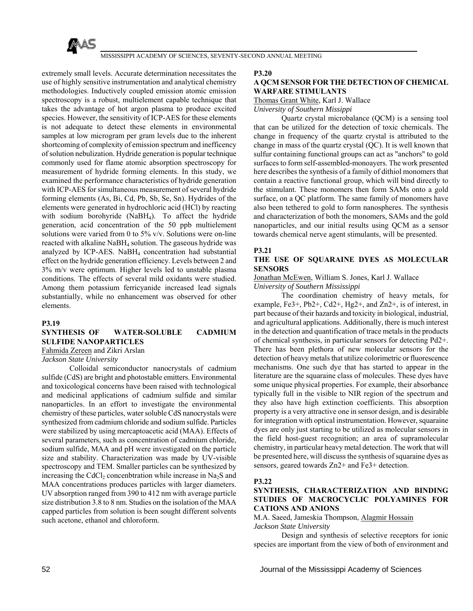

extremely small levels. Accurate determination necessitates the use of highly sensitive instrumentation and analytical chemistry methodologies. Inductively coupled emission atomic emission spectroscopy is a robust, multielement capable technique that takes the advantage of hot argon plasma to produce excited species. However, the sensitivity of ICP-AES for these elements is not adequate to detect these elements in environmental samples at low microgram per gram levels due to the inherent shortcoming of complexity of emission spectrum and inefficency of solution nebulization. Hydride generation is popular technique commonly used for flame atomic absorption spectroscopy for measurement of hydride forming elements. In this study, we examined the performance characteristics of hydride generation with ICP-AES for simultaneous measurement of several hydride forming elements (As, Bi, Cd, Pb, Sb, Se, Sn). Hydrides of the elements were generated in hydrochloric acid (HCl) by reacting with sodium borohyride (NaBH4). To affect the hydride generation, acid concentration of the 50 ppb multielement solutions were varied from 0 to 5% v/v. Solutions were on-line reacted with alkaline NaBH4 solution. The gaseous hydride was analyzed by ICP-AES. NaBH4 concentration had substantial effect on the hydride generation efficiency. Levels between 2 and 3% m/v were optimum. Higher levels led to unstable plasma conditions. The effects of several mild oxidants were studied. Among them potassium ferricyanide increased lead signals substantially, while no enhancement was observed for other elements.

#### **P3.19**

## **SYNTHESIS OF WATER-SOLUBLE CADMIUM SULFIDE NANOPARTICLES**

Fahmida Zereen and Zikri Arslan

*Jackson State University*

 Colloidal semiconductor nanocrystals of cadmium sulfide (CdS) are bright and photostable emitters. Environmental and toxicological concerns have been raised with technological and medicinal applications of cadmium sulfide and similar nanoparticles. In an effort to investigate the environmental chemistry of these particles, water soluble CdS nanocrystals were synthesized from cadmium chloride and sodium sulfide. Particles were stabilized by using mercaptoacetic acid (MAA). Effects of several parameters, such as concentration of cadmium chloride, sodium sulfide, MAA and pH were investigated on the particle size and stability. Characterization was made by UV-visible spectroscopy and TEM. Smaller particles can be synthesized by increasing the CdCl<sub>2</sub> concenbtration while increase in Na<sub>2</sub>S and MAA concentrations produces particles with larger diameters. UV absorption ranged from 390 to 412 nm with average particle size distribution 3.8 to 8 nm. Studies on the isolation of the MAA capped particles from solution is been sought different solvents such acetone, ethanol and chloroform.

#### **P3.20**

#### **A QCM SENSOR FOR THE DETECTION OF CHEMICAL WARFARE STIMULANTS**

Thomas Grant White, Karl J. Wallace

*University of Southern Missippi*

 Quartz crystal microbalance (QCM) is a sensing tool that can be utilized for the detection of toxic chemicals. The change in frequency of the quartz crystal is attributed to the change in mass of the quartz crystal (QC). It is well known that sulfur containing functional groups can act as "anchors" to gold surfaces to form self-assembled-monoayers. The work presented here describes the synthesis of a family of dithiol monomers that contain a reactive functional group, which will bind directly to the stimulant. These monomers then form SAMs onto a gold surface, on a QC platform. The same family of monomers have also been tethered to gold to form nanospheres. The synthesis and characterization of both the monomers, SAMs and the gold nanoparticles, and our initial results using QCM as a sensor towards chemical nerve agent stimulants, will be presented.

#### **P3.21**

## **THE USE OF SQUARAINE DYES AS MOLECULAR SENSORS**

Jonathan McEwen, William S. Jones, Karl J. Wallace

*University of Southern Mississippi*

 The coordination chemistry of heavy metals, for example, Fe3+, Pb2+, Cd2+, Hg2+, and Zn2+, is of interest, in part because of their hazards and toxicity in biological, industrial, and agricultural applications. Additionally, there is much interest in the detection and quantification of trace metals in the products of chemical synthesis, in particular sensors for detecting Pd2+. There has been plethora of new molecular sensors for the detection of heavy metals that utilize colorimetric or fluorescence mechanisms. One such dye that has started to appear in the literature are the squaraine class of molecules. These dyes have some unique physical properties. For example, their absorbance typically full in the visible to NIR region of the spectrum and they also have high extinction coefficients. This absorption property is a very attractive one in sensor design, and is desirable for integration with optical instrumentation. However, squaraine dyes are only just starting to be utilized as molecular sensors in the field host-guest recognition; an area of supramolecular chemistry, in particular heavy metal detection. The work that will be presented here, will discuss the synthesis of squaraine dyes as sensors, geared towards Zn2+ and Fe3+ detection.

#### **P3.22**

## **SYNTHESIS, CHARACTERIZATION AND BINDING STUDIES OF MACROCYCLIC POLYAMINES FOR CATIONS AND ANIONS**

M.A. Saeed, Jameskia Thompson, Alagmir Hossain *Jackson State University*

 Design and synthesis of selective receptors for ionic species are important from the view of both of environment and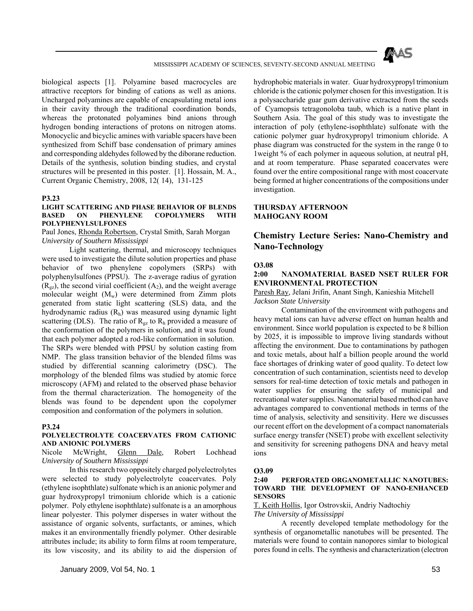

biological aspects [1]. Polyamine based macrocycles are attractive receptors for binding of cations as well as anions. Uncharged polyamines are capable of encapsulating metal ions in their cavity through the traditional coordination bonds, whereas the protonated polyamines bind anions through hydrogen bonding interactions of protons on nitrogen atoms. Monocyclic and bicyclic amines with variable spacers have been synthesized from Schiff base condensation of primary amines and corresponding aldehydes followed by the diborane reduction. Details of the synthesis, solution binding studies, and crystal structures will be presented in this poster. [1]. Hossain, M. A., Current Organic Chemistry, 2008, 12( 14), 131-125

#### **P3.23**

### **LIGHT SCATTERING AND PHASE BEHAVIOR OF BLENDS BASED ON PHENYLENE COPOLYMERS WITH POLYPHENYLSULFONES**

### Paul Jones, Rhonda Robertson, Crystal Smith, Sarah Morgan *University of Southern Mississippi*

 Light scattering, thermal, and microscopy techniques were used to investigate the dilute solution properties and phase behavior of two phenylene copolymers (SRPs) with polyphenylsulfones (PPSU). The z-average radius of gyration  $(R_{\alpha z})$ , the second virial coefficient  $(A_2)$ , and the weight average molecular weight  $(M_w)$  were determined from Zimm plots generated from static light scattering (SLS) data, and the hydrodynamic radius  $(R<sub>h</sub>)$  was measured using dynamic light scattering (DLS). The ratio of  $R_{gz}$  to  $R_h$  provided a measure of the conformation of the polymers in solution, and it was found that each polymer adopted a rod-like conformation in solution. The SRPs were blended with PPSU by solution casting from NMP. The glass transition behavior of the blended films was studied by differential scanning calorimetry (DSC). The morphology of the blended films was studied by atomic force microscopy (AFM) and related to the observed phase behavior from the thermal characterization. The homogeneity of the blends was found to be dependent upon the copolymer composition and conformation of the polymers in solution.

#### **P3.24**

## **POLYELECTROLYTE COACERVATES FROM CATIONIC AND ANIONIC POLYMERS**

Nicole McWright, Glenn Dale, Robert Lochhead *University of Southern Mississippi*

 In this research two oppositely charged polyelectrolytes were selected to study polyelectrolyte coacervates. Poly (ethylene isophthlate) sulfonate which is an anionic polymer and guar hydroxypropyl trimonium chloride which is a cationic polymer. Poly ethylene isophthlate) sulfonate is a an amorphous linear polyester. This polymer disperses in water without the assistance of organic solvents, surfactants, or amines, which makes it an environmentally friendly polymer. Other desirable attributes include; its ability to form films at room temperature, its low viscosity, and its ability to aid the dispersion of hydrophobic materials in water. Guar hydroxypropyl trimonium chloride is the cationic polymer chosen for this investigation. It is a polysaccharide guar gum derivative extracted from the seeds of Cyamopsis tetragonoloba taub, which is a native plant in Southern Asia. The goal of this study was to investigate the interaction of poly (ethylene-isophthlate) sulfonate with the cationic polymer guar hydroxypropyl trimonium chloride. A phase diagram was constructed for the system in the range 0 to 1weight % of each polymer in aqueous solution, at neutral pH, and at room temperature. Phase separated coacervates were found over the entire compositional range with most coacervate being formed at higher concentrations of the compositions under investigation.

## **THURSDAY AFTERNOON MAHOGANY ROOM**

## **Chemistry Lecture Series: Nano-Chemistry and Nano-Technology**

## **O3.08**

## **2:00 NANOMATERIAL BASED NSET RULER FOR ENVIRONMENTAL PROTECTION**

Paresh Ray, Jelani Jrifin, Anant Singh, Kanieshia Mitchell *Jackson State University*

 Contamination of the environment with pathogens and heavy metal ions can have adverse effect on human health and environment. Since world population is expected to be 8 billion by 2025, it is impossible to improve living standards without affecting the environment. Due to contaminations by pathogen and toxic metals, about half a billion people around the world face shortages of drinking water of good quality. To detect low concentration of such contamination, scientists need to develop sensors for real-time detection of toxic metals and pathogen in water supplies for ensuring the safety of municipal and recreational water supplies. Nanomaterial based method can have advantages compared to conventional methods in terms of the time of analysis, selectivity and sensitivity. Here we discusses our recent effort on the development of a compact nanomaterials surface energy transfer (NSET) probe with excellent selectivity and sensitivity for screening pathogens DNA and heavy metal ions

#### **O3.09**

#### **2:40 PERFORATED ORGANOMETALLIC NANOTUBES: TOWARD THE DEVELOPMENT OF NANO-ENHANCED SENSORS**

T. Keith Hollis, Igor Ostrovskii, Andriy Nadtochiy *The University of Mississippi*

 A recently developed template methodology for the synthesis of organometallic nanotubes will be presented. The materials were found to contain nanopores simlar to biological pores found in cells. The synthesis and characterization (electron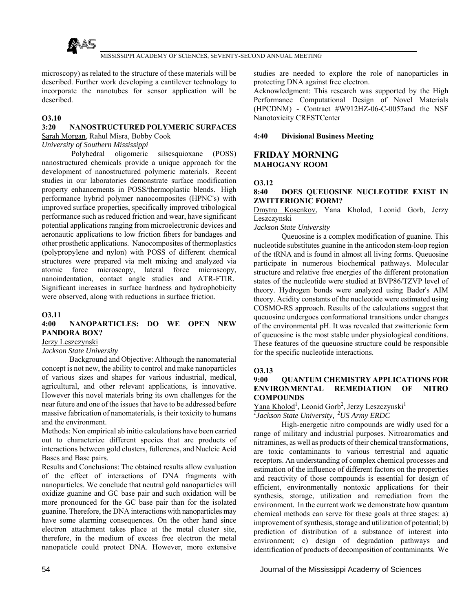

microscopy) as related to the structure of these materials will be described. Further work developing a cantilever technology to incorporate the nanotubes for sensor application will be described.

## **O3.10**

## **3:20 NANOSTRUCTURED POLYMERIC SURFACES**

Sarah Morgan, Rahul Misra, Bobby Cook

## *University of Southern Mississippi*

 Polyhedral oligomeric silsesquioxane (POSS) nanostructured chemicals provide a unique approach for the development of nanostructured polymeric materials. Recent studies in our laboratories demonstrate surface modification property enhancements in POSS/thermoplastic blends. High performance hybrid polymer nanocomposites (HPNC's) with improved surface properties, specifically improved tribological performance such as reduced friction and wear, have significant potential applications ranging from microelectronic devices and aeronautic applications to low friction fibers for bandages and other prosthetic applications. Nanocomposites of thermoplastics (polypropylene and nylon) with POSS of different chemical structures were prepared via melt mixing and analyzed via atomic force microscopy, lateral force microscopy, nanoindentation, contact angle studies and ATR-FTIR. Significant increases in surface hardness and hydrophobicity were observed, along with reductions in surface friction.

### **O3.11**

## **4:00 NANOPARTICLES: DO WE OPEN NEW PANDORA BOX?**

## Jerzy Leszczynski

*Jackson State University*

 Background and Objective: Although the nanomaterial concept is not new, the ability to control and make nanoparticles of various sizes and shapes for various industrial, medical, agricultural, and other relevant applications, is innovative. However this novel materials bring its own challenges for the near future and one of the issues that have to be addressed before massive fabrication of nanomaterials, is their toxicity to humans and the environment.

Methods: Non empirical ab initio calculations have been carried out to characterize different species that are products of interactions between gold clusters, fullerenes, and Nucleic Acid Bases and Base pairs.

Results and Conclusions: The obtained results allow evaluation of the effect of interactions of DNA fragments with nanoparticles. We conclude that neutral gold nanoparticles will oxidize guanine and GC base pair and such oxidation will be more pronounced for the GC base pair than for the isolated guanine. Therefore, the DNA interactions with nanoparticles may have some alarming consequences. On the other hand since electron attachment takes place at the metal cluster site, therefore, in the medium of excess free electron the metal nanopaticle could protect DNA. However, more extensive

studies are needed to explore the role of nanoparticles in protecting DNA against free electron.

Acknowledgment: This research was supported by the High Performance Computational Design of Novel Materials (HPCDNM) - Contract #W912HZ-06-C-0057and the NSF Nanotoxicity CRESTCenter

## **4:40 Divisional Business Meeting**

## **FRIDAY MORNING MAHOGANY ROOM**

## **O3.12**

## **8:40 DOES QUEUOSINE NUCLEOTIDE EXIST IN ZWITTERIONIC FORM?**

Dmytro Kosenkov, Yana Kholod, Leonid Gorb, Jerzy Leszczynski

*Jackson State University*

 Queuosine is a complex modification of guanine. This nucleotide substitutes guanine in the anticodon stem-loop region of the tRNA and is found in almost all living forms. Queuosine participate in numerous biochemical pathways. Molecular structure and relative free energies of the different protonation states of the nucleotide were studied at BVP86/TZVP level of theory. Hydrogen bonds were analyzed using Bader's AIM theory. Acidity constants of the nucleotide were estimated using COSMO-RS approach. Results of the calculations suggest that queuosine undergoes conformational transitions under changes of the environmental pH. It was revealed that zwitterionic form of queuosine is the most stable under physiological conditions. These features of the queuosine structure could be responsible for the specific nucleotide interactions.

#### **O3.13**

## **9:00 QUANTUM CHEMISTRY APPLICATIONS FOR ENVIRONMENTAL REMEDIATION OF NITRO COMPOUNDS**

Yana Kholod<sup>1</sup>, Leonid Gorb<sup>2</sup>, Jerzy Leszczynski<sup>1</sup>

*1 Jackson State University, 2US Army ERDC*

 High-energetic nitro compounds are widly used for a range of military and industrial purposes. Nitroaromatics and nitramines, as well as products of their chemical transformations, are toxic contaminants to various terrestrial and aquatic receptors. An understanding of complex chemical processes and estimation of the influence of different factors on the properties and reactivity of those compounds is essential for design of efficient, environmentally nontoxic applications for their synthesis, storage, utilization and remediation from the environment. In the current work we demonstrate how quantum chemical methods can serve for these goals at three stages: a) improvement of synthesis, storage and utilization of potential; b) prediction of distribution of a substance of interest into environment; c) design of degradation pathways and identification of products of decomposition of contaminants. We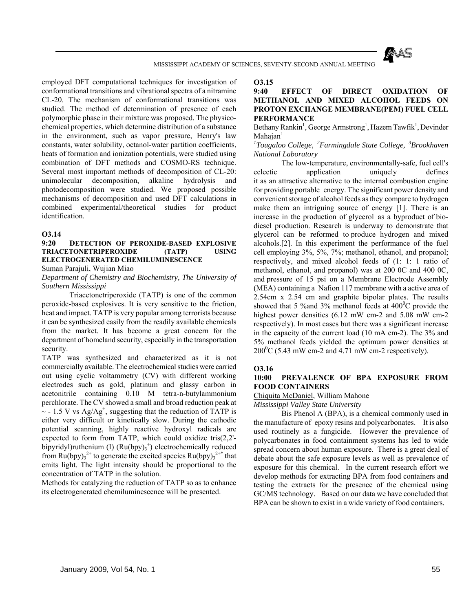

employed DFT computational techniques for investigation of conformational transitions and vibrational spectra of a nitramine CL-20. The mechanism of conformational transitions was studied. The method of determination of presence of each polymorphic phase in their mixture was proposed. The physicochemical properties, which determine distribution of a substance in the environment, such as vapor pressure, Henry's law constants, water solubility, octanol-water partition coefficients, heats of formation and ionization potentials, were studied using combination of DFT methods and COSMO-RS technique. Several most important methods of decomposition of CL-20: unimolecular decomposition, alkaline hydrolysis and photodecomposition were studied. We proposed possible mechanisms of decomposition and used DFT calculations in combined experimental/theoretical studies for product identification.

#### **O3.14**

## **9:20 DETECTION OF PEROXIDE-BASED EXPLOSIVE TRIACETONETRIPEROXIDE (TATP) USING ELECTROGENERATED CHEMILUMINESCENCE**

Suman Parajuli, Wujian Miao

*Department of Chemistry and Biochemistry, The University of Southern Mississippi*

 Triacetonetriperoxide (TATP) is one of the common peroxide-based explosives. It is very sensitive to the friction, heat and impact. TATP is very popular among terrorists because it can be synthesized easily from the readily available chemicals from the market. It has become a great concern for the department of homeland security, especially in the transportation security.

TATP was synthesized and characterized as it is not commercially available. The electrochemical studies were carried out using cyclic voltammetry (CV) with different working electrodes such as gold, platinum and glassy carbon in acetonitrile containing 0.10 M tetra-n-butylammonium perchlorate. The CV showed a small and broad reduction peak at  $\sim$  - 1.5 V vs Ag/Ag<sup>+</sup>, suggesting that the reduction of TATP is either very difficult or kinetically slow. During the cathodic potential scanning, highly reactive hydroxyl radicals are expected to form from TATP, which could oxidize tris(2,2' bipyridyl)ruthenium (I)  $(Ru(bpy)_3^+)$  electrochemically reduced from  $Ru(bpy)_{3}^{2+}$  to generate the excited species  $Ru(bpy)_{3}^{2+*}$  that emits light. The light intensity should be proportional to the concentration of TATP in the solution.

Methods for catalyzing the reduction of TATP so as to enhance its electrogenerated chemiluminescence will be presented.

**O3.15**

## **9:40 EFFECT OF DIRECT OXIDATION OF METHANOL AND MIXED ALCOHOL FEEDS ON PROTON EXCHANGE MEMBRANE(PEM) FUEL CELL PERFORMANCE**

Bethany Rankin<sup>1</sup>, George Armstrong<sup>1</sup>, Hazem Tawfik<sup>1</sup>, Devinder  $Mahajan<sup>1</sup>$ 

*1 Tougaloo College, 2Farmingdale State College, 3Brookhaven National Laboratory*

 The low-temperature, environmentally-safe, fuel cell's eclectic application uniquely defines it as an attractive alternative to the internal combustion engine for providing portable energy. The significant power density and convenient storage of alcohol feeds as they compare to hydrogen make them an intriguing source of energy [1]. There is an increase in the production of glycerol as a byproduct of biodiesel production. Research is underway to demonstrate that glycerol can be reformed to produce hydrogen and mixed alcohols.[2]. In this experiment the performance of the fuel cell employing 3%, 5%, 7%; methanol, ethanol, and propanol; respectively, and mixed alcohol feeds of (1: 1: 1 ratio of methanol, ethanol, and propanol) was at 200 0C and 400 0C, and pressure of 15 psi on a Membrane Electrode Assembly (MEA) containing a Nafion 117 membrane with a active area of 2.54cm x 2.54 cm and graphite bipolar plates. The results showed that 5 % and 3% methanol feeds at  $400^{\circ}$ C provide the highest power densities (6.12 mW cm-2 and 5.08 mW cm-2 respectively). In most cases but there was a significant increase in the capacity of the current load (10 mA cm-2). The 3% and 5% methanol feeds yielded the optimum power densities at  $200^{\circ}$ C (5.43 mW cm-2 and 4.71 mW cm-2 respectively).

#### **O3.16**

#### **10:00 PREVALENCE OF BPA EXPOSURE FROM FOOD CONTAINERS**

#### Chiquita McDaniel, William Mahone

*Mississippi Valley State University*

 Bis Phenol A (BPA), is a chemical commonly used in the manufacture of epoxy resins and polycarbonates. It is also used routinely as a fungicide. However the prevalence of polycarbonates in food containment systems has led to wide spread concern about human exposure. There is a great deal of debate about the safe exposure levels as well as prevalence of exposure for this chemical. In the current research effort we develop methods for extracting BPA from food containers and testing the extracts for the presence of the chemical using GC/MS technology. Based on our data we have concluded that BPA can be shown to exist in a wide variety of food containers.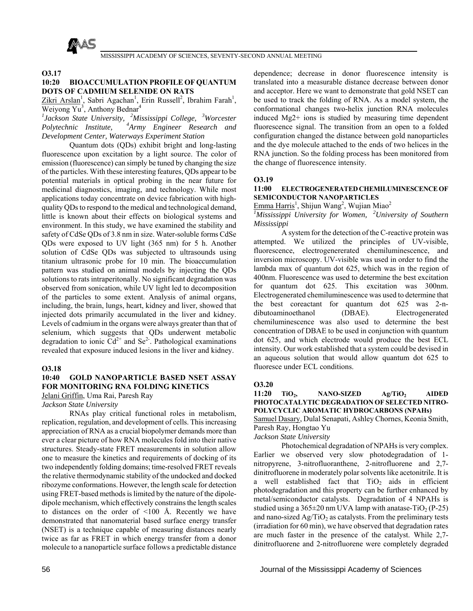

**O3.17**

## **10:20 BIOACCUMULATION PROFILE OF QUANTUM DOTS OF CADMIUM SELENIDE ON RATS**

 $Zikri Arslan<sup>1</sup>$ , Sabri Agachan<sup>1</sup>, Erin Russell<sup>2</sup>, Ibrahim Farah<sup>1</sup>, Weiyong Yu<sup>3</sup>, Anthony Bednar<sup>4</sup>

*1 Jackson State University, 2Mississippi College, 3Worcester Polytechnic Institute, 4Army Engineer Research and Development Center, Waterways Experiment Station*

 Quantum dots (QDs) exhibit bright and long-lasting fluorescence upon excitation by a light source. The color of emission (fluorescence) can simply be tuned by changing the size of the particles. With these interesting features, QDs appear to be potential materials in optical probing in the near future for medicinal diagnostics, imaging, and technology. While most applications today concentrate on device fabrication with highquality QDs to respond to the medical and technological demand, little is known about their effects on biological systems and environment. In this study, we have examined the stability and safety of CdSe QDs of 3.8 nm in size. Water-soluble forms CdSe QDs were exposed to UV light (365 nm) for 5 h. Another solution of CdSe QDs was subjected to ultrasounds using titanium ultrasonic probe for 10 min. The bioaccumulation pattern was studied on animal models by injecting the QDs solutions to rats intraperitonally. No significant degradation was observed from sonication, while UV light led to decomposition of the particles to some extent. Analysis of animal organs, including, the brain, lungs, heart, kidney and liver, showed that injected dots primarily accumulated in the liver and kidney. Levels of cadmium in the organs were always greater than that of selenium, which suggests that QDs underwent metabolic degradation to ionic  $Cd^{2+}$  and  $Se^{2}$ . Pathological examinations revealed that exposure induced lesions in the liver and kidney.

#### **O3.18**

## **10:40 GOLD NANOPARTICLE BASED NSET ASSAY FOR MONITORING RNA FOLDING KINETICS**

Jelani Griffin, Uma Rai, Paresh Ray

*Jackson State University*

 RNAs play critical functional roles in metabolism, replication, regulation, and development of cells. This increasing appreciation of RNA as a crucial biopolymer demands more than ever a clear picture of how RNA molecules fold into their native structures. Steady-state FRET measurements in solution allow one to measure the kinetics and requirements of docking of its two independently folding domains; time-resolved FRET reveals the relative thermodynamic stability of the undocked and docked ribozyme conformations. However, the length scale for detection using FRET-based methods is limited by the nature of the dipoledipole mechanism, which effectively constrains the length scales to distances on the order of  $\leq 100$  Å. Recently we have demonstrated that nanomaterial based surface energy transfer (NSET) is a technique capable of measuring distances nearly twice as far as FRET in which energy transfer from a donor molecule to a nanoparticle surface follows a predictable distance

dependence; decrease in donor fluorescence intensity is translated into a measurable distance decrease between donor and acceptor. Here we want to demonstrate that gold NSET can be used to track the folding of RNA. As a model system, the conformational changes two-helix junction RNA molecules induced Mg2+ ions is studied by measuring time dependent fluorescence signal. The transition from an open to a folded configuration changed the distance between gold nanoparticles and the dye molecule attached to the ends of two helices in the RNA junction. So the folding process has been monitored from the change of fluorescence intensity.

#### **O3.19**

## **11:00 ELECTROGENERATED CHEMILUMINESCENCE OF SEMICONDUCTOR NANOPARTICLES**

Emma Harris<sup>1</sup>, Shijun Wang<sup>2</sup>, Wujian Miao<sup>2</sup>

*1 Mississippi University for Women, 2University of Southern Mississippi*

 A system for the detection of the C-reactive protein was attempted. We utilized the principles of UV-visible, fluorescence, electrogenererated chemiluminescence, and inversion microscopy. UV-visible was used in order to find the lambda max of quantum dot 625, which was in the region of 400nm. Fluorescence was used to determine the best excitation for quantum dot 625. This excitation was 300nm. Electrogenerated chemiluminescence was used to determine that the best coreactant for quantum dot 625 was 2-ndibutoaminoethanol (DBAE). Electrogenerated chemiluminescence was also used to determine the best concentration of DBAE to be used in conjunction with quantum dot 625, and which electrode would produce the best ECL intensity. Our work established that a system could be devised in an aqueous solution that would allow quantum dot 625 to fluoresce under ECL conditions.

#### **O3.20**

11:20 TiO<sub>2</sub>, NANO-SIZED Ag/TiO<sub>2</sub> AIDED **PHOTOCATALYTIC DEGRADATION OF SELECTED NITRO-POLYCYCLIC AROMATIC HYDROCARBONS (NPAHs)** Samuel Dasary, Dulal Senapati, Ashley Chornes, Keonia Smith,

Paresh Ray, Hongtao Yu

*Jackson State University*

 Photochemical degradation of NPAHs is very complex. Earlier we observed very slow photodegradation of 1 nitropyrene, 3-nitrofluoranthene, 2-nitrofluorene and 2,7 dinitrofluorene in moderately polar solvents like acetonitrile. It is a well established fact that  $TiO<sub>2</sub>$  aids in efficient photodegradation and this property can be further enhanced by metal/semiconductor catalysts. Degradation of 4 NPAHs is studied using a  $365\pm20$  nm UVA lamp with anatase-TiO<sub>2</sub> (P-25) and nano-sized  $Ag/TiO<sub>2</sub>$  as catalysts. From the preliminary tests (irradiation for 60 min), we have observed that degradation rates are much faster in the presence of the catalyst. While 2,7 dinitrofluorene and 2-nitrofluorene were completely degraded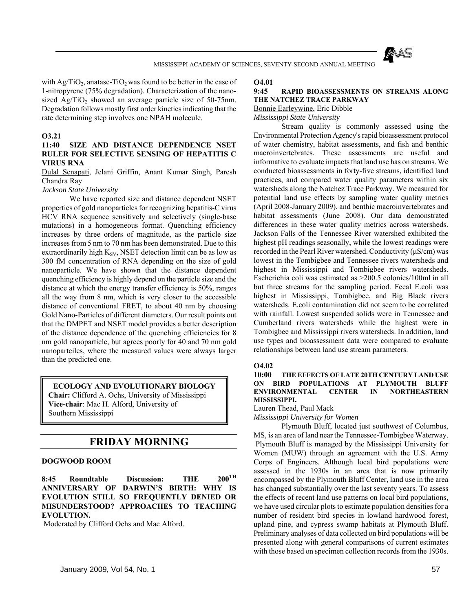

with  $Ag/TiO<sub>2</sub>$ , anatase-TiO<sub>2</sub> was found to be better in the case of 1-nitropyrene (75% degradation). Characterization of the nanosized  $Ag/TiO<sub>2</sub>$  showed an average particle size of 50-75nm. Degradation follows mostly first order kinetics indicating that the rate determining step involves one NPAH molecule.

#### **O3.21**

## **11:40 SIZE AND DISTANCE DEPENDENCE NSET RULER FOR SELECTIVE SENSING OF HEPATITIS C VIRUS RNA**

Dulal Senapati, Jelani Griffin, Anant Kumar Singh, Paresh Chandra Ray

#### *Jackson State University*

 We have reported size and distance dependent NSET properties of gold nanoparticles for recognizing hepatitis-C virus HCV RNA sequence sensitively and selectively (single-base mutations) in a homogeneous format. Quenching efficiency increases by three orders of magnitude, as the particle size increases from 5 nm to 70 nm has been demonstrated. Due to this extraordinarily high  $K_{SV}$ , NSET detection limit can be as low as 300 fM concentration of RNA depending on the size of gold nanoparticle. We have shown that the distance dependent quenching efficiency is highly depend on the particle size and the distance at which the energy transfer efficiency is 50%, ranges all the way from 8 nm, which is very closer to the accessible distance of conventional FRET, to about 40 nm by choosing Gold Nano-Particles of different diameters. Our result points out that the DMPET and NSET model provides a better description of the distance dependence of the quenching efficiencies for 8 nm gold nanoparticle, but agrees poorly for 40 and 70 nm gold nanopartciles, where the measured values were always larger than the predicted one.

## **ECOLOGY AND EVOLUTIONARY BIOLOGY**

**Chair:** Clifford A. Ochs, University of Mississippi **Vice-chair**: Mac H. Alford, University of Southern Mississippi

# **FRIDAY MORNING**

#### **DOGWOOD ROOM**

**8:45 Roundtable Discussion: THE 200TH ANNIVERSARY OF DARWIN'S BIRTH: WHY IS EVOLUTION STILL SO FREQUENTLY DENIED OR MISUNDERSTOOD? APPROACHES TO TEACHING EVOLUTION.**

Moderated by Clifford Ochs and Mac Alford.

#### **O4.01**

#### **9:45 RAPID BIOASSESSMENTS ON STREAMS ALONG THE NATCHEZ TRACE PARKWAY** Bonnie Earleywine, Eric Dibble

*Mississippi State University*

 Stream quality is commonly assessed using the Environmental Protection Agency's rapid bioassessment protocol of water chemistry, habitat assessments, and fish and benthic macroinvertebrates. These assessments are useful and informative to evaluate impacts that land use has on streams. We conducted bioassessments in forty-five streams, identified land practices, and compared water quality parameters within six watersheds along the Natchez Trace Parkway. We measured for potential land use effects by sampling water quality metrics (April 2008-January 2009), and benthic macroinvertebrates and habitat assessments (June 2008). Our data demonstrated differences in these water quality metrics across watersheds. Jackson Falls of the Tennessee River watershed exhibited the highest pH readings seasonally, while the lowest readings were recorded in the Pearl River watershed. Conductivity (μS/cm) was lowest in the Tombigbee and Tennessee rivers watersheds and highest in Mississippi and Tombigbee rivers watersheds. Escherichia coli was estimated as >200.5 colonies/100ml in all but three streams for the sampling period. Fecal E.coli was highest in Mississippi, Tombigbee, and Big Black rivers watersheds. E.coli contamination did not seem to be correlated with rainfall. Lowest suspended solids were in Tennessee and Cumberland rivers watersheds while the highest were in Tombigbee and Mississippi rivers watersheds. In addition, land use types and bioassessment data were compared to evaluate relationships between land use stream parameters.

#### **O4.02**

**10:00 THE EFFECTS OF LATE 20TH CENTURY LAND USE ON BIRD POPULATIONS AT PLYMOUTH BLUFF ENVIRONMENTAL CENTER IN NORTHEASTERN MISSISSIPPI.**

Lauren Thead, Paul Mack

*Mississippi University for Women*

 Plymouth Bluff, located just southwest of Columbus, MS, is an area of land near the Tennessee-Tombigbee Waterway. Plymouth Bluff is managed by the Mississippi University for Women (MUW) through an agreement with the U.S. Army Corps of Engineers. Although local bird populations were assessed in the 1930s in an area that is now primarily encompassed by the Plymouth Bluff Center, land use in the area has changed substantially over the last seventy years. To assess the effects of recent land use patterns on local bird populations, we have used circular plots to estimate population densities for a number of resident bird species in lowland hardwood forest, upland pine, and cypress swamp habitats at Plymouth Bluff. Preliminary analyses of data collected on bird populations will be presented along with general comparisons of current estimates with those based on specimen collection records from the 1930s.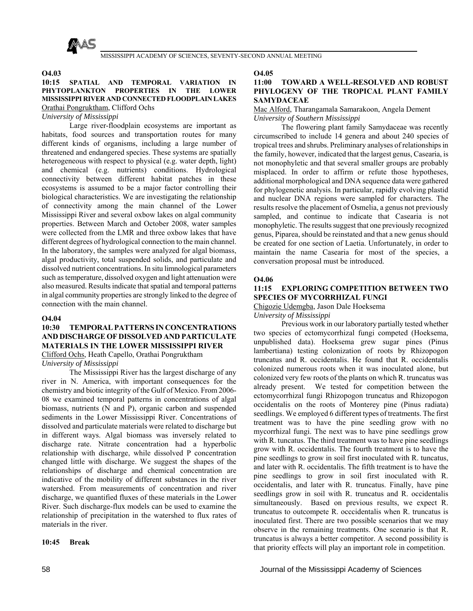

#### **O4.03**

## **10:15 SPATIAL AND TEMPORAL VARIATION IN PHYTOPLANKTON PROPERTIES IN THE LOWER MISSISSIPPI RIVER AND CONNECTED FLOODPLAIN LAKES** Orathai Pongruktham, Clifford Ochs

### *University of Mississippi*

 Large river-floodplain ecosystems are important as habitats, food sources and transportation routes for many different kinds of organisms, including a large number of threatened and endangered species. These systems are spatially heterogeneous with respect to physical (e.g. water depth, light) and chemical (e.g. nutrients) conditions. Hydrological connectivity between different habitat patches in these ecosystems is assumed to be a major factor controlling their biological characteristics. We are investigating the relationship of connectivity among the main channel of the Lower Mississippi River and several oxbow lakes on algal community properties. Between March and October 2008, water samples were collected from the LMR and three oxbow lakes that have different degrees of hydrological connection to the main channel. In the laboratory, the samples were analyzed for algal biomass, algal productivity, total suspended solids, and particulate and dissolved nutrient concentrations. In situ limnological parameters such as temperature, dissolved oxygen and light attenuation were also measured. Results indicate that spatial and temporal patterns in algal community properties are strongly linked to the degree of connection with the main channel.

## **O4.04**

## **10:30 TEMPORAL PATTERNS IN CONCENTRATIONS AND DISCHARGE OF DISSOLVED AND PARTICULATE MATERIALS IN THE LOWER MISSISSIPPI RIVER**

Clifford Ochs, Heath Capello, Orathai Pongruktham *University of Mississippi*

 The Mississippi River has the largest discharge of any river in N. America, with important consequences for the chemistry and biotic integrity of the Gulf of Mexico. From 2006- 08 we examined temporal patterns in concentrations of algal biomass, nutrients (N and P), organic carbon and suspended sediments in the Lower Mississippi River. Concentrations of dissolved and particulate materials were related to discharge but in different ways. Algal biomass was inversely related to discharge rate. Nitrate concentration had a hyperbolic relationship with discharge, while dissolved P concentration changed little with discharge. We suggest the shapes of the relationships of discharge and chemical concentration are indicative of the mobility of different substances in the river watershed. From measurements of concentration and river discharge, we quantified fluxes of these materials in the Lower River. Such discharge-flux models can be used to examine the relationship of precipitation in the watershed to flux rates of materials in the river.

### **10:45 Break**

**O4.05**

## **11:00 TOWARD A WELL-RESOLVED AND ROBUST PHYLOGENY OF THE TROPICAL PLANT FAMILY SAMYDACEAE**

#### Mac Alford, Tharangamala Samarakoon, Angela Dement *University of Southern Mississippi*

 The flowering plant family Samydaceae was recently circumscribed to include 14 genera and about 240 species of tropical trees and shrubs. Preliminary analyses of relationships in the family, however, indicated that the largest genus, Casearia, is not monophyletic and that several smaller groups are probably misplaced. In order to affirm or refute those hypotheses, additional morphological and DNA sequence data were gathered for phylogenetic analysis. In particular, rapidly evolving plastid and nuclear DNA regions were sampled for characters. The results resolve the placement of Osmelia, a genus not previously sampled, and continue to indicate that Casearia is not monophyletic. The results suggest that one previously recognized genus, Piparea, should be reinstated and that a new genus should be created for one section of Laetia. Unfortunately, in order to maintain the name Casearia for most of the species, a conversation proposal must be introduced.

## **O4.06**

## **11:15 EXPLORING COMPETITION BETWEEN TWO SPECIES OF MYCORRHIZAL FUNGI**

Chigozie Udemgba, Jason Dale Hoeksema

*University of Mississippi*

 Previous work in our laboratory partially tested whether two species of ectomycorrhizal fungi competed (Hoeksema, unpublished data). Hoeksema grew sugar pines (Pinus lambertiana) testing colonization of roots by Rhizopogon truncatus and R. occidentalis. He found that R. occidentalis colonized numerous roots when it was inoculated alone, but colonized very few roots of the plants on which R. truncatus was already present. We tested for competition between the ectomycorrhizal fungi Rhizopogon truncatus and Rhizopogon occidentalis on the roots of Monterey pine (Pinus radiata) seedlings. We employed 6 different types of treatments. The first treatment was to have the pine seedling grow with no mycorrhizal fungi. The next was to have pine seedlings grow with R. tuncatus. The third treatment was to have pine seedlings grow with R. occidentalis. The fourth treatment is to have the pine seedlings to grow in soil first inoculated with R. tuncatus, and later with R. occidentalis. The fifth treatment is to have the pine seedlings to grow in soil first inoculated with R. occidentalis, and later with R. truncatus. Finally, have pine seedlings grow in soil with R. truncatus and R. occidentalis simultaneously. Based on previous results, we expect R. truncatus to outcompete R. occcidentalis when R. truncatus is inoculated first. There are two possible scenarios that we may observe in the remaining treatments. One scenario is that R. truncatus is always a better competitor. A second possibility is that priority effects will play an important role in competition.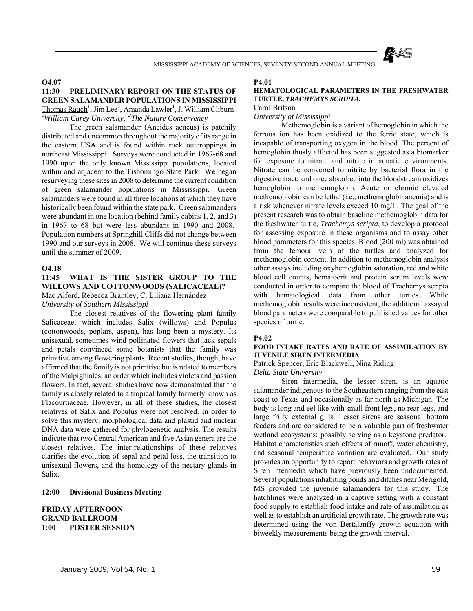

### **O4.07**

## **11:30 PRELIMINARY REPORT ON THE STATUS OF GREEN SALAMANDER POPULATIONS IN MISSISSIPPI** Thomas Rauch<sup>1</sup>, Jim Lee<sup>2</sup>, Amanda Lawler<sup>1</sup>, J. William Cliburn<sup>1</sup> *1 William Carey University, 2The Nature Conservency*

 The green salamander (Aneides aeneus) is patchily distributed and uncommon throughout the majority of its range in the eastern USA and is found within rock outcroppings in northeast Mississippi. Surveys were conducted in 1967-68 and 1990 upon the only known Mississippi populations, located within and adjacent to the Tishomingo State Park. We began resurveying these sites in 2008 to determine the current condition of green salamander populations in Mississippi. Green salamanders were found in all three locations at which they have historically been found within the state park. Green salamanders were abundant in one location (behind family cabins 1, 2, and 3) in 1967 to 68 but were less abundant in 1990 and 2008. Population numbers at Springhill Cliffs did not change between 1990 and our surveys in 2008. We will continue these surveys until the summer of 2009.

#### **O4.18**

## **11:45 WHAT IS THE SISTER GROUP TO THE WILLOWS AND COTTONWOODS (SALICACEAE)?**

Mac Alford, Rebecca Brantley, C. Liliana Hernández

*University of Southern Mississippi*

 The closest relatives of the flowering plant family Salicaceae, which includes Salix (willows) and Populus (cottonwoods, poplars, aspen), has long been a mystery. Its unisexual, sometimes wind-pollinated flowers that lack sepals and petals convinced some botanists that the family was primitive among flowering plants. Recent studies, though, have affirmed that the family is not primitive but is related to members of the Malpighiales, an order which includes violets and passion flowers. In fact, several studies have now demonstrated that the family is closely related to a tropical family formerly known as Flacourtiaceae. However, in all of these studies, the closest relatives of Salix and Populus were not resolved. In order to solve this mystery, morphological data and plastid and nuclear DNA data were gathered for phylogenetic analysis. The results indicate that two Central American and five Asian genera are the closest relatives. The inter-relationships of these relatives clarifies the evolution of sepal and petal loss, the transition to unisexual flowers, and the homology of the nectary glands in Salix.

### **12:00 Divisional Business Meeting**

## **FRIDAY AFTERNOON GRAND BALLROOM 1:00 POSTER SESSION**

#### **P4.01**

## **HEMATOLOGICAL PARAMETERS IN THE FRESHWATER TURTLE,** *TRACHEMYS SCRIPTA***.**

## Carol Britson

*University of Mississippi*

 Methemoglobin is a variant of hemoglobin in which the ferrous ion has been oxidized to the ferric state, which is incapable of transporting oxygen in the blood. The percent of hemoglobin thusly affected has been suggested as a biomarker for exposure to nitrate and nitrite in aquatic environments. Nitrate can be converted to nitrite by bacterial flora in the digestive tract, and once absorbed into the bloodstream oxidizes hemoglobin to methemoglobin. Acute or chronic elevated methemoblobin can be lethal (i.e., methemoglobinanemia) and is a risk whenever nitrate levels exceed 10 mg/L. The goal of the present research was to obtain baseline methemoglobin data for the freshwater turtle, *Trachemys scripta*, to develop a protocol for assessing exposure in these organisms and to assay other blood parameters for this species. Blood (200 ml) was obtained from the femoral vein of the turtles and analyzed for methemoglobin content. In addition to methemoglobin analysis other assays including oxyhemoglobin saturation, red and white blood cell counts, hematocrit and protein serum levels were conducted in order to compare the blood of Trachemys scripta with hematological data from other turtles. While methemoglobin results were inconsistent, the additional assayed blood parameters were comparable to published values for other species of turtle.

#### **P4.02**

### **FOOD INTAKE RATES AND RATE OF ASSIMILATION BY JUVENILE SIREN INTERMEDIA**

#### Patrick Spencer, Eric Blackwell, Nina Riding *Delta State University*

 Siren intermedia, the lesser siren, is an aquatic salamander indigenous to the Southeastern ranging from the east coast to Texas and occasionally as far north as Michigan. The body is long and eel like with small front legs, no rear legs, and large frilly external gills. Lesser sirens are seasonal bottom feeders and are considered to be a valuable part of freshwater wetland ecosystems; possibly serving as a keystone predator. Habitat characteristics such effects of runoff, water chemistry, and seasonal temperature variation are evaluated. Our study provides an opportunity to report behaviors and growth rates of Siren intermedia which have previously been undocumented. Several populations inhabiting ponds and ditches near Merigold, MS provided the juvenile salamanders for this study. The hatchlings were analyzed in a captive setting with a constant food supply to establish food intake and rate of assimilation as well as to establish an artificial growth rate. The growth rate was determined using the von Bertalanffy growth equation with biweekly measurements being the growth interval.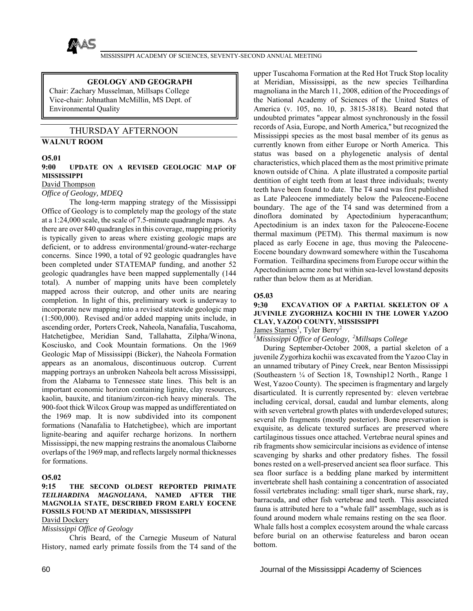

#### **GEOLOGY AND GEOGRAPH**

Chair: Zachary Musselman, Millsaps College Vice-chair: Johnathan McMillin, MS Dept. of Environmental Quality

## THURSDAY AFTERNOON

## **WALNUT ROOM**

### **O5.01**

### **9:00 UPDATE ON A REVISED GEOLOGIC MAP OF MISSISSIPPI**

David Thompson

## *Office of Geology, MDEQ*

 The long-term mapping strategy of the Mississippi Office of Geology is to completely map the geology of the state at a 1:24,000 scale, the scale of 7.5-minute quadrangle maps. As there are over 840 quadrangles in this coverage, mapping priority is typically given to areas where existing geologic maps are deficient, or to address environmental/ground-water-recharge concerns. Since 1990, a total of 92 geologic quadrangles have been completed under STATEMAP funding, and another 52 geologic quadrangles have been mapped supplementally (144 total). A number of mapping units have been completely mapped across their outcrop, and other units are nearing completion. In light of this, preliminary work is underway to incorporate new mapping into a revised statewide geologic map (1:500,000). Revised and/or added mapping units include, in ascending order, Porters Creek, Naheola, Nanafalia, Tuscahoma, Hatchetigbee, Meridian Sand, Tallahatta, Zilpha/Winona, Kosciusko, and Cook Mountain formations. On the 1969 Geologic Map of Mississippi (Bicker), the Naheola Formation appears as an anomalous, discontinuous outcrop. Current mapping portrays an unbroken Naheola belt across Mississippi, from the Alabama to Tennessee state lines. This belt is an important economic horizon containing lignite, clay resources, kaolin, bauxite, and titanium/zircon-rich heavy minerals. The 900-foot thick Wilcox Group was mapped as undifferentiated on the 1969 map. It is now subdivided into its component formations (Nanafalia to Hatchetigbee), which are important lignite-bearing and aquifer recharge horizons. In northern Mississippi, the new mapping restrains the anomalous Claiborne overlaps of the 1969 map, and reflects largely normal thicknesses for formations.

## **O5.02**

## **9:15 THE SECOND OLDEST REPORTED PRIMATE**  *TEILHARDINA MAGNOLIANA***, NAMED AFTER THE MAGNOLIA STATE, DESCRIBED FROM EARLY EOCENE FOSSILS FOUND AT MERIDIAN, MISSISSIPPI**

## David Dockery

*Mississippi Office of Geology*

 Chris Beard, of the Carnegie Museum of Natural History, named early primate fossils from the T4 sand of the

upper Tuscahoma Formation at the Red Hot Truck Stop locality at Meridian, Mississippi, as the new species Teilhardina magnoliana in the March 11, 2008, edition of the Proceedings of the National Academy of Sciences of the United States of America (v. 105, no. 10, p. 3815-3818). Beard noted that undoubted primates "appear almost synchronously in the fossil records of Asia, Europe, and North America," but recognized the Mississippi species as the most basal member of its genus as currently known from either Europe or North America. This status was based on a phylogenetic analysis of dental characteristics, which placed them as the most primitive primate known outside of China. A plate illustrated a composite partial dentition of eight teeth from at least three individuals; twenty teeth have been found to date. The T4 sand was first published as Late Paleocene immediately below the Paleocene-Eocene boundary. The age of the T4 sand was determined from a dinoflora dominated by Apectodinium hyperacanthum; Apectodinium is an index taxon for the Paleocene-Eocene thermal maximum (PETM). This thermal maximum is now placed as early Eocene in age, thus moving the Paleocene-Eocene boundary downward somewhere within the Tuscahoma Formation. Teilhardina specimens from Europe occur within the Apectodinium acme zone but within sea-level lowstand deposits rather than below them as at Meridian.

## **O5.03**

## **9:30 EXCAVATION OF A PARTIAL SKELETON OF A JUVINILE ZYGORHIZA KOCHII IN THE LOWER YAZOO CLAY, YAZOO COUNTY, MISSISSIPPI**

James Starnes<sup>1</sup>, Tyler Berry<sup>2</sup>

## *1 Mississippi Office of Geology, 2Millsaps College*

 During September-October 2008, a partial skeleton of a juvenile Zygorhiza kochii was excavated from the Yazoo Clay in an unnamed tributary of Piney Creek, near Benton Mississippi (Southeastern ¼ of Section 18, Township12 North., Range 1 West, Yazoo County). The specimen is fragmentary and largely disarticulated. It is currently represented by: eleven vertebrae including cervical, dorsal, caudal and lumbar elements, along with seven vertebral growth plates with underdeveloped sutures; several rib fragments (mostly posterior). Bone preservation is exquisite, as delicate textured surfaces are preserved where cartilaginous tissues once attached. Vertebrae neural spines and rib fragments show semicircular incisions as evidence of intense scavenging by sharks and other predatory fishes. The fossil bones rested on a well-preserved ancient sea floor surface. This sea floor surface is a bedding plane marked by intermittent invertebrate shell hash containing a concentration of associated fossil vertebrates including: small tiger shark, nurse shark, ray, barracuda, and other fish vertebrae and teeth. This associated fauna is attributed here to a "whale fall" assemblage, such as is found around modern whale remains resting on the sea floor. Whale falls host a complex ecosystem around the whale carcass before burial on an otherwise featureless and baron ocean bottom.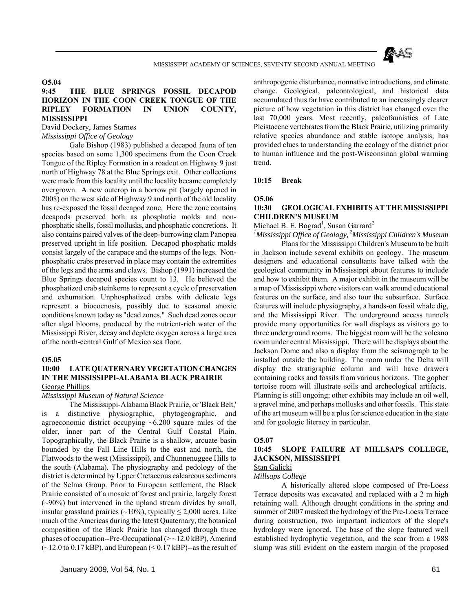

## **O5.04**

## **9:45 THE BLUE SPRINGS FOSSIL DECAPOD HORIZON IN THE COON CREEK TONGUE OF THE RIPLEY FORMATION IN UNION COUNTY, MISSISSIPPI**

# David Dockery, James Starnes

## *Mississippi Office of Geology*

 Gale Bishop (1983) published a decapod fauna of ten species based on some 1,300 specimens from the Coon Creek Tongue of the Ripley Formation in a roadcut on Highway 9 just north of Highway 78 at the Blue Springs exit. Other collections were made from this locality until the locality became completely overgrown. A new outcrop in a borrow pit (largely opened in 2008) on the west side of Highway 9 and north of the old locality has re-exposed the fossil decapod zone. Here the zone contains decapods preserved both as phosphatic molds and nonphosphatic shells, fossil mollusks, and phosphatic concretions. It also contains paired valves of the deep-burrowing clam Panopea preserved upright in life position. Decapod phosphatic molds consist largely of the carapace and the stumps of the legs. Nonphosphatic crabs preserved in place may contain the extremities of the legs and the arms and claws. Bishop (1991) increased the Blue Springs decapod species count to 13. He believed the phosphatized crab steinkerns to represent a cycle of preservation and exhumation. Unphosphatized crabs with delicate legs represent a biocoenosis, possibly due to seasonal anoxic conditions known today as "dead zones." Such dead zones occur after algal blooms, produced by the nutrient-rich water of the Mississippi River, decay and deplete oxygen across a large area of the north-central Gulf of Mexico sea floor.

#### **O5.05**

### **10:00 LATE QUATERNARY VEGETATION CHANGES IN THE MISSISSIPPI-ALABAMA BLACK PRAIRIE** George Phillips

## *Mississippi Museum of Natural Science*

 The Mississippi-Alabama Black Prairie, or 'Black Belt,' is a distinctive physiographic, phytogeographic, and agroeconomic district occupying  $\sim 6,200$  square miles of the older, inner part of the Central Gulf Coastal Plain. Topographically, the Black Prairie is a shallow, arcuate basin bounded by the Fall Line Hills to the east and north, the Flatwoods to the west (Mississippi), and Chunnenuggee Hills to the south (Alabama). The physiography and pedology of the district is determined by Upper Cretaceous calcareous sediments of the Selma Group. Prior to European settlement, the Black Prairie consisted of a mosaic of forest and prairie, largely forest  $(\sim)0\%)$  but intervened in the upland stream divides by small, insular grassland prairies (~10%), typically  $\leq$  2,000 acres. Like much of the Americas during the latest Quaternary, the botanical composition of the Black Prairie has changed through three phases of occupation--Pre-Occupational  $(>12.0 \text{ kBP})$ , Amerind  $(-12.0 \text{ to } 0.17 \text{ kBP})$ , and European  $( $0.17 \text{ kBP}$ )$ -as the result of

anthropogenic disturbance, nonnative introductions, and climate change. Geological, paleontological, and historical data accumulated thus far have contributed to an increasingly clearer picture of how vegetation in this district has changed over the last 70,000 years. Most recently, paleofaunistics of Late Pleistocene vertebrates from the Black Prairie, utilizing primarily relative species abundance and stable isotope analysis, has provided clues to understanding the ecology of the district prior to human influence and the post-Wisconsinan global warming trend.

#### **10:15 Break**

### **O5.06**

## **10:30 GEOLOGICAL EXHIBITS AT THE MISSISSIPPI CHILDREN'S MUSEUM**

Michael B. E. Bograd<sup>1</sup>, Susan Garrard<sup>2</sup>

*1 Mississippi Office of Geology, 2Mississippi Children's Museum* Plans for the Mississippi Children's Museum to be built in Jackson include several exhibits on geology. The museum designers and educational consultants have talked with the

geological community in Mississippi about features to include and how to exhibit them. A major exhibit in the museum will be a map of Mississippi where visitors can walk around educational features on the surface, and also tour the subsurface. Surface features will include physiography, a hands-on fossil whale dig, and the Mississippi River. The underground access tunnels provide many opportunities for wall displays as visitors go to three underground rooms. The biggest room will be the volcano room under central Mississippi. There will be displays about the Jackson Dome and also a display from the seismograph to be installed outside the building. The room under the Delta will display the stratigraphic column and will have drawers containing rocks and fossils from various horizons. The gopher tortoise room will illustrate soils and archeological artifacts. Planning is still ongoing; other exhibits may include an oil well, a gravel mine, and perhaps mollusks and other fossils. This state of the art museum will be a plus for science education in the state and for geologic literacy in particular.

#### **O5.07**

## **10:45 SLOPE FAILURE AT MILLSAPS COLLEGE, JACKSON, MISSISSIPPI**

#### Stan Galicki *Millsaps College*

 A historically altered slope composed of Pre-Loess Terrace deposits was excavated and replaced with a 2 m high retaining wall. Although drought conditions in the spring and summer of 2007 masked the hydrology of the Pre-Loess Terrace during construction, two important indicators of the slope's hydrology were ignored. The base of the slope featured well established hydrophytic vegetation, and the scar from a 1988 slump was still evident on the eastern margin of the proposed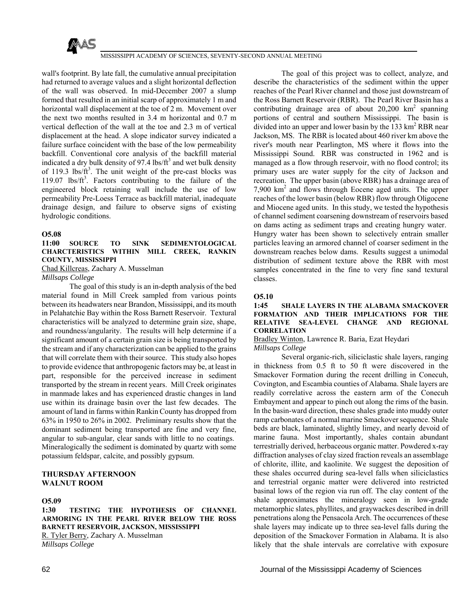

wall's footprint. By late fall, the cumulative annual precipitation had returned to average values and a slight horizontal deflection of the wall was observed. In mid-December 2007 a slump formed that resulted in an initial scarp of approximately 1 m and horizontal wall displacement at the toe of 2 m. Movement over the next two months resulted in 3.4 m horizontal and 0.7 m vertical deflection of the wall at the toe and 2.3 m of vertical displacement at the head. A slope indicator survey indicated a failure surface coincident with the base of the low permeability backfill. Conventional core analysis of the backfill material indicated a dry bulk density of 97.4 lbs/ $ft^3$  and wet bulk density of 119.3 lbs/ $ft^3$ . The unit weight of the pre-cast blocks was 119.07  $\text{lbs/ft}^3$ . Factors contributing to the failure of the engineered block retaining wall include the use of low permeability Pre-Loess Terrace as backfill material, inadequate drainage design, and failure to observe signs of existing hydrologic conditions.

#### **O5.08**

## **11:00 SOURCE TO SINK SEDIMENTOLOGICAL CHARCTERISTICS WITHIN MILL CREEK, RANKIN COUNTY, MISSISSIPPI**

Chad Killcreas, Zachary A. Musselman

#### *Millsaps College*

 The goal of this study is an in-depth analysis of the bed material found in Mill Creek sampled from various points between its headwaters near Brandon, Mississippi, and its mouth in Pelahatchie Bay within the Ross Barnett Reservoir. Textural characteristics will be analyzed to determine grain size, shape, and roundness/angularity. The results will help determine if a significant amount of a certain grain size is being transported by the stream and if any characterization can be applied to the grains that will correlate them with their source. This study also hopes to provide evidence that anthropogenic factors may be, at least in part, responsible for the perceived increase in sediment transported by the stream in recent years. Mill Creek originates in manmade lakes and has experienced drastic changes in land use within its drainage basin over the last few decades. The amount of land in farms within Rankin County has dropped from 63% in 1950 to 26% in 2002. Preliminary results show that the dominant sediment being transported are fine and very fine, angular to sub-angular, clear sands with little to no coatings. Mineralogically the sediment is dominated by quartz with some potassium feldspar, calcite, and possibly gypsum.

## **THURSDAY AFTERNOON WALNUT ROOM**

## **O5.09**

**1:30 TESTING THE HYPOTHESIS OF CHANNEL ARMORING IN THE PEARL RIVER BELOW THE ROSS BARNETT RESERVOIR, JACKSON, MISSISSIPPI** R. Tyler Berry, Zachary A. Musselman

*Millsaps College*

 The goal of this project was to collect, analyze, and describe the characteristics of the sediment within the upper reaches of the Pearl River channel and those just downstream of the Ross Barnett Reservoir (RBR). The Pearl River Basin has a contributing drainage area of about  $20,200 \text{ km}^2$  spanning portions of central and southern Mississippi. The basin is divided into an upper and lower basin by the  $133 \text{ km}^2 \text{ RBR}$  near Jackson, MS. The RBR is located about 460 river km above the river's mouth near Pearlington, MS where it flows into the Mississippi Sound. RBR was constructed in 1962 and is managed as a flow through reservoir, with no flood control; its primary uses are water supply for the city of Jackson and recreation. The upper basin (above RBR) has a drainage area of 7,900 km2 and flows through Eocene aged units. The upper reaches of the lower basin (below RBR) flow through Oligocene and Miocene aged units. In this study, we tested the hypothesis of channel sediment coarsening downstream of reservoirs based on dams acting as sediment traps and creating hungry water. Hungry water has been shown to selectively entrain smaller particles leaving an armored channel of coarser sediment in the downstream reaches below dams. Results suggest a unimodal distribution of sediment texture above the RBR with most samples concentrated in the fine to very fine sand textural classes.

## **O5.10**

#### **1:45 SHALE LAYERS IN THE ALABAMA SMACKOVER FORMATION AND THEIR IMPLICATIONS FOR THE RELATIVE SEA-LEVEL CHANGE AND REGIONAL CORRELATION**

## Bradley Winton, Lawrence R. Baria, Ezat Heydari *Millsaps College*

 Several organic-rich, siliciclastic shale layers, ranging in thickness from 0.5 ft to 50 ft were discovered in the Smackover Formation during the recent drilling in Conecuh, Covington, and Escambia counties of Alabama. Shale layers are readily correlative across the eastern arm of the Conecuh Embayment and appear to pinch out along the rims of the basin. In the basin-ward direction, these shales grade into muddy outer ramp carbonates of a normal marine Smackover sequence. Shale beds are black, laminated, slightly limey, and nearly devoid of marine fauna. Most importantly, shales contain abundant terrestrially derived, herbaceous organic matter. Powdered x-ray diffraction analyses of clay sized fraction reveals an assemblage of chlorite, illite, and kaolinite. We suggest the deposition of these shales occurred during sea-level falls when siliciclastics and terrestrial organic matter were delivered into restricted basinal lows of the region via run off. The clay content of the shale approximates the mineralogy seen in low-grade metamorphic slates, phyllites, and graywackes described in drill penetrations along the Pensacola Arch. The occurrences of these shale layers may indicate up to three sea-level falls during the deposition of the Smackover Formation in Alabama. It is also likely that the shale intervals are correlative with exposure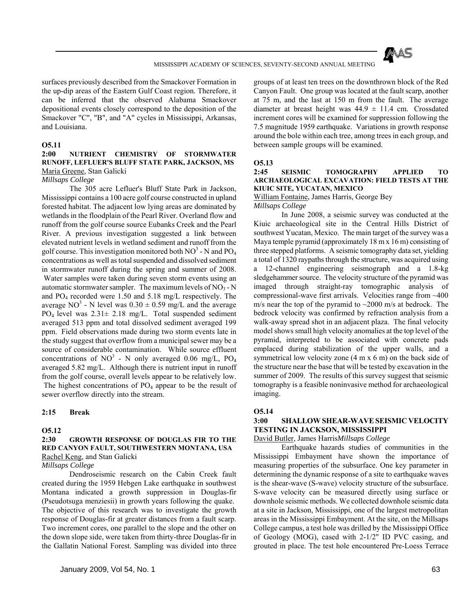

surfaces previously described from the Smackover Formation in the up-dip areas of the Eastern Gulf Coast region. Therefore, it can be inferred that the observed Alabama Smackover depositional events closely correspond to the deposition of the Smackover "C", "B", and "A" cycles in Mississippi, Arkansas, and Louisiana.

### **O5.11**

### **2:00 NUTRIENT CHEMISTRY OF STORMWATER RUNOFF, LEFLUER'S BLUFF STATE PARK, JACKSON, MS** Maria Greene, Stan Galicki

#### *Millsaps College*

 The 305 acre Lefluer's Bluff State Park in Jackson, Mississippi contains a 100 acre golf course constructed in upland forested habitat. The adjacent low lying areas are dominated by wetlands in the floodplain of the Pearl River. Overland flow and runoff from the golf course source Eubanks Creek and the Pearl River. A previous investigation suggested a link between elevated nutrient levels in wetland sediment and runoff from the golf course. This investigation monitored both  $NO^3$  - N and  $PO_4$ concentrations as well as total suspended and dissolved sediment in stormwater runoff during the spring and summer of 2008. Water samples were taken during seven storm events using an automatic stormwater sampler. The maximum levels of  $NO_3 - N$ and PO4 recorded were 1.50 and 5.18 mg/L respectively. The average NO<sup>3</sup> - N level was  $0.30 \pm 0.59$  mg/L and the average PO4 level was 2.31± 2.18 mg/L. Total suspended sediment averaged 513 ppm and total dissolved sediment averaged 199 ppm. Field observations made during two storm events late in the study suggest that overflow from a municipal sewer may be a source of considerable contamination. While source effluent concentrations of NO<sup>3</sup> - N only averaged 0.06 mg/L, PO<sub>4</sub> averaged 5.82 mg/L. Although there is nutrient input in runoff from the golf course, overall levels appear to be relatively low. The highest concentrations of  $PO<sub>4</sub>$  appear to be the result of sewer overflow directly into the stream.

#### **2:15 Break**

#### **O5.12**

## **2:30 GROWTH RESPONSE OF DOUGLAS FIR TO THE RED CANYON FAULT, SOUTHWESTERN MONTANA, USA** Rachel Keng, and Stan Galicki

*Millsaps College*

 Dendroseismic research on the Cabin Creek fault created during the 1959 Hebgen Lake earthquake in southwest Montana indicated a growth suppression in Douglas-fir (Pseudotsuga menziesii) in growth years following the quake. The objective of this research was to investigate the growth response of Douglas-fir at greater distances from a fault scarp. Two increment cores, one parallel to the slope and the other on the down slope side, were taken from thirty-three Douglas-fir in the Gallatin National Forest. Sampling was divided into three groups of at least ten trees on the downthrown block of the Red Canyon Fault. One group was located at the fault scarp, another at 75 m, and the last at 150 m from the fault. The average diameter at breast height was  $44.9 \pm 11.4$  cm. Crossdated increment cores will be examined for suppression following the 7.5 magnitude 1959 earthquake. Variations in growth response around the bole within each tree, among trees in each group, and between sample groups will be examined.

#### **O5.13**

#### **2:45 SEISMIC TOMOGRAPHY APPLIED TO ARCHAEOLOGICAL EXCAVATION: FIELD TESTS AT THE KIUIC SITE, YUCATAN, MEXICO**

William Fontaine, James Harris, George Bey *Millsaps College*

 In June 2008, a seismic survey was conducted at the Kiuic archaeological site in the Central Hills District of southwest Yucatan, Mexico. The main target of the survey was a Maya temple pyramid (approximately 18 m x 16 m) consisting of three stepped platforms. A seismic tomography data set, yielding a total of 1320 raypaths through the structure, was acquired using a 12-channel engineering seismograph and a 1.8-kg sledgehammer source. The velocity structure of the pyramid was imaged through straight-ray tomographic analysis of compressional-wave first arrivals. Velocities range from ~400 m/s near the top of the pyramid to  $\sim$ 2000 m/s at bedrock. The bedrock velocity was confirmed by refraction analysis from a walk-away spread shot in an adjacent plaza. The final velocity model shows small high velocity anomalies at the top level of the pyramid, interpreted to be associated with concrete pads emplaced during stabilization of the upper walls, and a symmetrical low velocity zone (4 m x 6 m) on the back side of the structure near the base that will be tested by excavation in the summer of 2009. The results of this survey suggest that seismic tomography is a feasible noninvasive method for archaeological imaging.

#### **O5.14**

## **3:00 SHALLOW SHEAR-WAVE SEISMIC VELOCITY TESTING IN JACKSON, MISSISSIPPI**

David Butler, James Harris*Millsaps College*

 Earthquake hazards studies of communities in the Mississippi Embayment have shown the importance of measuring properties of the subsurface. One key parameter in determining the dynamic response of a site to earthquake waves is the shear-wave (S-wave) velocity structure of the subsurface. S-wave velocity can be measured directly using surface or downhole seismic methods. We collected downhole seismic data at a site in Jackson, Mississippi, one of the largest metropolitan areas in the Mississippi Embayment. At the site, on the Millsaps College campus, a test hole was drilled by the Mississippi Office of Geology (MOG), cased with 2-1/2" ID PVC casing, and grouted in place. The test hole encountered Pre-Loess Terrace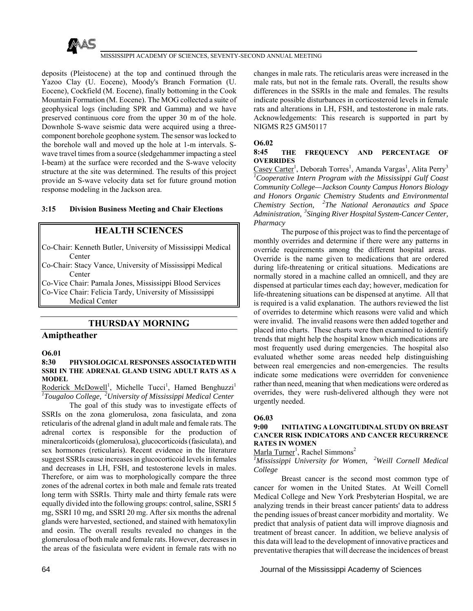

deposits (Pleistocene) at the top and continued through the Yazoo Clay (U. Eocene), Moody's Branch Formation (U. Eocene), Cockfield (M. Eocene), finally bottoming in the Cook Mountain Formation (M. Eocene). The MOG collected a suite of geophysical logs (including SPR and Gamma) and we have preserved continuous core from the upper 30 m of the hole. Downhole S-wave seismic data were acquired using a threecomponent borehole geophone system. The sensor was locked to the borehole wall and moved up the hole at 1-m intervals. Swave travel times from a source (sledgehammer impacting a steel I-beam) at the surface were recorded and the S-wave velocity structure at the site was determined. The results of this project provide an S-wave velocity data set for future ground motion response modeling in the Jackson area.

#### **3:15 Division Business Meeting and Chair Elections**

## **HEALTH SCIENCES**

Co-Chair: Kenneth Butler, University of Mississippi Medical Center

Co-Chair: Stacy Vance, University of Mississippi Medical **Center** 

Co-Vice Chair: Pamala Jones, Mississippi Blood Services Co-Vice Chair: Felicia Tardy, University of Mississippi

Medical Center

## **THURSDAY MORNING**

## **Amiptheather**

## **O6.01**

#### **8:30 PHYSIOLOGICAL RESPONSES ASSOCIATED WITH SSRI IN THE ADRENAL GLAND USING ADULT RATS AS A MODEL**

Roderick McDowell<sup>1</sup>, Michelle Tucci<sup>1</sup>, Hamed Benghuzzi<sup>1</sup> *1 Tougaloo College, 2University of Mississippi Medical Center* 

 The goal of this study was to investigate effects of SSRIs on the zona glomerulosa, zona fasiculata, and zona reticularis of the adrenal gland in adult male and female rats. The adrenal cortex is responsible for the production of mineralcorticoids (glomerulosa), glucocorticoids (fasiculata), and sex hormones (reticularis). Recent evidence in the literature suggest SSRIs cause increases in glucocorticoid levels in females and decreases in LH, FSH, and testosterone levels in males. Therefore, or aim was to morphologically compare the three zones of the adrenal cortex in both male and female rats treated long term with SSRIs. Thirty male and thirty female rats were equally divided into the following groups: control, saline, SSRI 5 mg, SSRI 10 mg, and SSRI 20 mg. After six months the adrenal glands were harvested, sectioned, and stained with hematoxylin and eosin. The overall results revealed no changes in the glomerulosa of both male and female rats. However, decreases in the areas of the fasiculata were evident in female rats with no

changes in male rats. The reticularis areas were increased in the male rats, but not in the female rats. Overall, the results show differences in the SSRIs in the male and females. The results indicate possible disturbances in corticosteroid levels in female rats and alterations in LH, FSH, and testosterone in male rats. Acknowledgements: This research is supported in part by NIGMS R25 GM50117

#### **O6.02**

#### **8:45 THE FREQUENCY AND PERCENTAGE OF OVERRIDES**

Casey Carter<sup>1</sup>, Deborah Torres<sup>1</sup>, Amanda Vargas<sup>1</sup>, Alita Perry<sup>3</sup> *1 Cooperative Intern Program with the Mississippi Gulf Coast Community College—Jackson County Campus Honors Biology and Honors Organic Chemistry Students and Environmental Chemistry Section, 2The National Aeronautics and Space Administration, 3Singing River Hospital System-Cancer Center, Pharmacy* 

 The purpose of this project was to find the percentage of monthly overrides and determine if there were any patterns in override requirements among the different hospital areas. Override is the name given to medications that are ordered during life-threatening or critical situations. Medications are normally stored in a machine called an omnicell, and they are dispensed at particular times each day; however, medication for life-threatening situations can be dispensed at anytime. All that is required is a valid explanation. The authors reviewed the list of overrides to determine which reasons were valid and which were invalid. The invalid reasons were then added together and placed into charts. These charts were then examined to identify trends that might help the hospital know which medications are most frequently used during emergencies. The hospital also evaluated whether some areas needed help distinguishing between real emergencies and non-emergencies. The results indicate some medications were overridden for convenience rather than need, meaning that when medications were ordered as overrides, they were rush-delivered although they were not urgently needed.

### **O6.03**

#### **9:00 INITIATING A LONGITUDINAL STUDY ON BREAST CANCER RISK INDICATORS AND CANCER RECURRENCE RATES IN WOMEN**

Marla Turner<sup>1</sup>, Rachel Simmons<sup>2</sup>

*1 Mississippi University for Women, 2Weill Cornell Medical College* 

 Breast cancer is the second most common type of cancer for women in the United States. At Weill Cornell Medical College and New York Presbyterian Hospital, we are analyzing trends in their breast cancer patients' data to address the pending issues of breast cancer morbidity and mortality. We predict that analysis of patient data will improve diagnosis and treatment of breast cancer. In addition, we believe analysis of this data will lead to the development of innovative practices and preventative therapies that will decrease the incidences of breast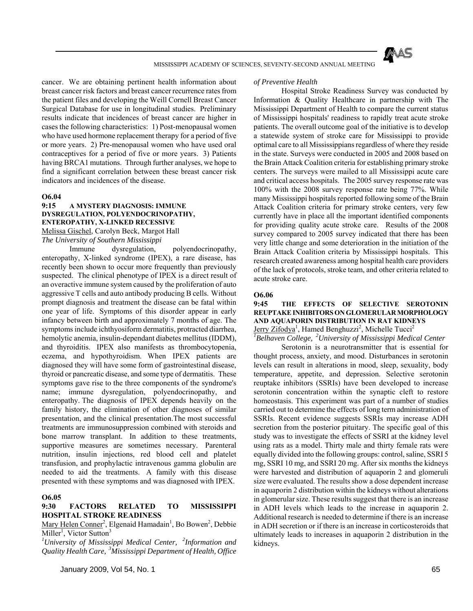

cancer. We are obtaining pertinent health information about breast cancer risk factors and breast cancer recurrence rates from the patient files and developing the Weill Cornell Breast Cancer Surgical Database for use in longitudinal studies. Preliminary results indicate that incidences of breast cancer are higher in cases the following characteristics: 1) Post-menopausal women who have used hormone replacement therapy for a period of five or more years. 2) Pre-menopausal women who have used oral contraceptives for a period of five or more years. 3) Patients having BRCA1 mutations. Through further analyses, we hope to find a significant correlation between these breast cancer risk indicators and incidences of the disease.

#### **O6.04**

## **9:15 A MYSTERY DIAGNOSIS: IMMUNE DYSREGULATION, POLYENDOCRINOPATHY, ENTEROPATHY, X-LINKED RECESSIVE**

Melissa Gischel, Carolyn Beck, Margot Hall *The University of Southern Mississippi* 

 Immune dysregulation, polyendocrinopathy, enteropathy, X-linked syndrome (IPEX), a rare disease, has recently been shown to occur more frequently than previously suspected. The clinical phenotype of IPEX is a direct result of an overactive immune system caused by the proliferation of auto aggressive T cells and auto antibody producing B cells. Without prompt diagnosis and treatment the disease can be fatal within one year of life. Symptoms of this disorder appear in early infancy between birth and approximately 7 months of age. The symptoms include ichthyosiform dermatitis, protracted diarrhea, hemolytic anemia, insulin-dependant diabetes mellitus (IDDM), and thyroiditis. IPEX also manifests as thrombocytopenia, eczema, and hypothyroidism. When IPEX patients are diagnosed they will have some form of gastrointestinal disease, thyroid or pancreatic disease, and some type of dermatitis. These symptoms gave rise to the three components of the syndrome's name; immune dysregulation, polyendocrinopathy, and enteropathy. The diagnosis of IPEX depends heavily on the family history, the elimination of other diagnoses of similar presentation, and the clinical presentation.The most successful treatments are immunosuppression combined with steroids and bone marrow transplant. In addition to these treatments, supportive measures are sometimes necessary. Parenteral nutrition, insulin injections, red blood cell and platelet transfusion, and prophylactic intravenous gamma globulin are needed to aid the treatments. A family with this disease presented with these symptoms and was diagnosed with IPEX.

#### **O6.05**

## **9:30 FACTORS RELATED TO MISSISSIPPI HOSPITAL STROKE READINESS**

Mary Helen Conner<sup>2</sup>, Elgenaid Hamadain<sup>1</sup>, Bo Bowen<sup>2</sup>, Debbie Miller<sup>1</sup>, Victor Sutton<sup>3</sup>

*1 University of Mississippi Medical Center, 2Information and Quality Health Care, 3Mississippi Department of Health, Office* 

#### *of Preventive Health*

 Hospital Stroke Readiness Survey was conducted by Information & Quality Healthcare in partnership with The Mississippi Department of Health to compare the current status of Mississippi hospitals' readiness to rapidly treat acute stroke patients. The overall outcome goal of the initiative is to develop a statewide system of stroke care for Mississippi to provide optimal care to all Mississippians regardless of where they reside in the state. Surveys were conducted in 2005 and 2008 based on the Brain Attack Coalition criteria for establishing primary stroke centers. The surveys were mailed to all Mississippi acute care and critical access hospitals. The 2005 survey response rate was 100% with the 2008 survey response rate being 77%. While many Mississippi hospitals reported following some of the Brain Attack Coalition criteria for primary stroke centers, very few currently have in place all the important identified components for providing quality acute stroke care. Results of the 2008 survey compared to 2005 survey indicated that there has been very little change and some deterioration in the initiation of the Brain Attack Coalition criteria by Mississippi hospitals. This research created awareness among hospital health care providers of the lack of protocols, stroke team, and other criteria related to acute stroke care.

#### **O6.06**

## **9:45 THE EFFECTS OF SELECTIVE SEROTONIN REUPTAKE INHIBITORS ON GLOMERULAR MORPHOLOGY AND AQUAPORIN DISTRIBUTION IN RAT KIDNEYS**

Jerry Zifodya<sup>1</sup>, Hamed Benghuzzi<sup>2</sup>, Michelle Tucci<sup>2</sup>

*1 Belhaven College, 2University of Mississippi Medical Center*  Serotonin is a neurotransmitter that is essential for thought process, anxiety, and mood. Disturbances in serotonin levels can result in alterations in mood, sleep, sexuality, body temperature, appetite, and depression. Selective serotonin reuptake inhibitors (SSRIs) have been developed to increase serotonin concentration within the synaptic cleft to restore homeostasis. This experiment was part of a number of studies carried out to determine the effects of long term administration of SSRIs. Recent evidence suggests SSRIs may increase ADH secretion from the posterior pituitary. The specific goal of this study was to investigate the effects of SSRI at the kidney level using rats as a model. Thirty male and thirty female rats were equally divided into the following groups: control, saline, SSRI 5 mg, SSRI 10 mg, and SSRI 20 mg. After six months the kidneys were harvested and distribution of aquaporin 2 and glomeruli size were evaluated. The results show a dose dependent increase in aquaporin 2 distribution within the kidneys without alterations in glomerular size. These results suggest that there is an increase in ADH levels which leads to the increase in aquaporin 2. Additional research is needed to determine if there is an increase in ADH secretion or if there is an increase in corticosteroids that ultimately leads to increases in aquaporin 2 distribution in the kidneys.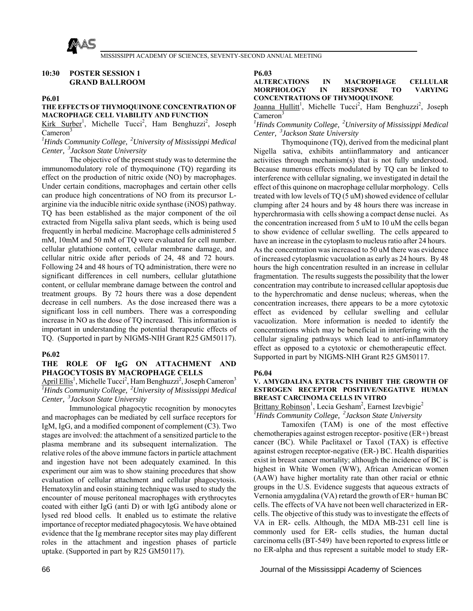

## **10:30 POSTER SESSION 1 GRAND BALLROOM**

#### **P6.01**

## **THE EFFECTS OF THYMOQUINONE CONCENTRATION OF MACROPHAGE CELL VIABILITY AND FUNCTION**

Kirk Surber<sup>1</sup>, Michelle Tucci<sup>2</sup>, Ham Benghuzzi<sup>2</sup>, Joseph  $C$ ameron $3$ 

*1 Hinds Community College, 2University of Mississippi Medical Center, 3Jackson State University* 

 The objective of the present study was to determine the immunomodulatory role of thymoquinone (TQ) regarding its effect on the production of nitric oxide (NO) by macrophages. Under certain conditions, macrophages and certain other cells can produce high concentrations of NO from its precursor Larginine via the inducible nitric oxide synthase (iNOS) pathway. TQ has been established as the major component of the oil extracted from Nigella saliva plant seeds, which is being used frequently in herbal medicine. Macrophage cells administered 5 mM, 10mM and 50 mM of TQ were evaluated for cell number. cellular glutathione content, cellular membrane damage, and cellular nitric oxide after periods of 24, 48 and 72 hours. Following 24 and 48 hours of TQ administration, there were no significant differences in cell numbers, cellular glutathione content, or cellular membrane damage between the control and treatment groups. By 72 hours there was a dose dependent decrease in cell numbers. As the dose increased there was a significant loss in cell numbers. There was a corresponding increase in NO as the dose of TQ increased. This information is important in understanding the potential therapeutic effects of TQ. (Supported in part by NIGMS-NIH Grant R25 GM50117).

#### **P6.02**

#### **THE ROLE OF IgG ON ATTACHMENT AND PHAGOCYTOSIS BY MACROPHAGE CELLS**

April Ellis<sup>1</sup>, Michelle Tucci<sup>2</sup>, Ham Benghuzzi<sup>2</sup>, Joseph Cameron<sup>3</sup> *1 Hinds Community College, 2University of Mississippi Medical Center, 3Jackson State University* 

 Immunological phagocytic recognition by monocytes and macrophages can be mediated by cell surface receptors for IgM, IgG, and a modified component of complement (C3). Two stages are involved: the attachment of a sensitized particle to the plasma membrane and its subsequent internalization. The relative roles of the above immune factors in particle attachment and ingestion have not been adequately examined. In this experiment our aim was to show staining procedures that show evaluation of cellular attachment and cellular phagocytosis. Hematoxylin and eosin staining technique was used to study the encounter of mouse peritoneal macrophages with erythrocytes coated with either IgG (anti D) or with IgG antibody alone or lysed red blood cells. It enabled us to estimate the relative importance of receptor mediated phagocytosis. We have obtained evidence that the Ig membrane receptor sites may play different roles in the attachment and ingestion phases of particle uptake. (Supported in part by R25 GM50117).

**P6.03** 

### **ALTERCATIONS IN MACROPHAGE CELLULAR MORPHOLOGY IN RESPONSE TO VARYING CONCENTRATIONS OF THYMOQUINONE**

Joanna Hullitt<sup>1</sup>, Michelle Tucci<sup>2</sup>, Ham Benghuzzi<sup>2</sup>, Joseph  $C$ ameron<sup>3</sup>

*1 Hinds Community College, 2University of Mississippi Medical Center, 3Jackson State University* 

 Thymoquinone (TQ), derived from the medicinal plant Nigella sativa, exhibits antiinflammatory and anticancer activities through mechanism(s) that is not fully understood. Because numerous effects modulated by TQ can be linked to interference with cellular signaling, we investigated in detail the effect of this quinone on macrophage cellular morphology. Cells treated with low levels of TQ (5 uM) showed evidence of cellular clumping after 24 hours and by 48 hours there was increase in hyperchrormasia with cells showing a compact dense nuclei. As the concentration increased from 5 uM to 10 uM the cells began to show evidence of cellular swelling. The cells appeared to have an increase in the cytoplasm to nucleus ratio after 24 hours. As the concentration was increased to 50 uM there was evidence of increased cytoplasmic vacuolation as early as 24 hours. By 48 hours the high concentration resulted in an increase in cellular fragmentation. The results suggests the possibility that the lower concentration may contribute to increased cellular apoptosis due to the hyperchromatic and dense nucleus; whereas, when the concentration increases, there appears to be a more cytotoxic effect as evidenced by cellular swelling and cellular vacuolization. More information is needed to identify the concentrations which may be beneficial in interfering with the cellular signaling pathways which lead to anti-inflammatory effect as opposed to a cytotoxic or chemotherapeutic effect. Supported in part by NIGMS-NIH Grant R25 GM50117.

#### **P6.04**

#### **V. AMYGDALINA EXTRACTS INHIBIT THE GROWTH OF ESTROGEN RECEPTOR POSITIVE/NEGATIVE HUMAN BREAST CARCINOMA CELLS IN VITRO**

Brittany Robinson<sup>1</sup>, Lecia Gesham<sup>2</sup>, Earnest Izevbigie<sup>2</sup> *1 Hinds Community College, 2Jackson State University* 

 Tamoxifen (TAM) is one of the most effective chemotherapies against estrogen receptor- positive (ER+) breast cancer (BC). While Paclitaxel or Taxol (TAX) is effective against estrogen receptor-negative (ER-) BC. Health disparities exist in breast cancer mortality; although the incidence of BC is highest in White Women (WW), African American women (AAW) have higher mortality rate than other racial or ethnic groups in the U.S. Evidence suggests that aqueous extracts of Vernonia amygdalina (VA) retard the growth of ER+ human BC cells. The effects of VA have not been well characterized in ERcells. The objective of this study was to investigate the effects of VA in ER- cells. Although, the MDA MB-231 cell line is commonly used for ER- cells studies, the human ductal carcinoma cells (BT-549) have been reported to express little or no ER-alpha and thus represent a suitable model to study ER-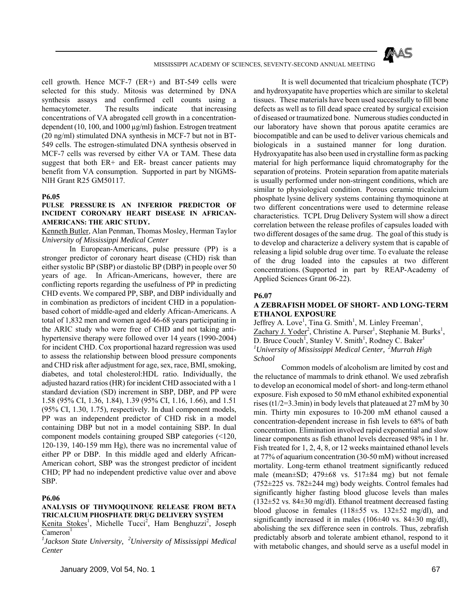

cell growth. Hence MCF-7 (ER+) and BT-549 cells were selected for this study. Mitosis was determined by DNA synthesis assays and confirmed cell counts using a hemacytometer. The results indicate that increasing concentrations of VA abrogated cell growth in a concentrationdependent (10, 100, and 1000 µg/ml) fashion. Estrogen treatment (20 ng/ml) stimulated DNA synthesis in MCF-7 but not in BT-549 cells. The estrogen-stimulated DNA synthesis observed in MCF-7 cells was reversed by either VA or TAM. These data suggest that both ER+ and ER- breast cancer patients may benefit from VA consumption. Supported in part by NIGMS-NIH Grant R25 GM50117.

#### **P6.05**

#### **PULSE PRESSURE IS AN INFERIOR PREDICTOR OF INCIDENT CORONARY HEART DISEASE IN AFRICAN-AMERICANS: THE ARIC STUDY.**

#### Kenneth Butler, Alan Penman, Thomas Mosley, Herman Taylor *University of Mississippi Medical Center*

 In European-Americans, pulse pressure (PP) is a stronger predictor of coronary heart disease (CHD) risk than either systolic BP (SBP) or diastolic BP (DBP) in people over 50 years of age. In African-Americans, however, there are conflicting reports regarding the usefulness of PP in predicting CHD events. We compared PP, SBP, and DBP individually and in combination as predictors of incident CHD in a populationbased cohort of middle-aged and elderly African-Americans. A total of 1,832 men and women aged 46-68 years participating in the ARIC study who were free of CHD and not taking antihypertensive therapy were followed over 14 years (1990-2004) for incident CHD. Cox proportional hazard regression was used to assess the relationship between blood pressure components and CHD risk after adjustment for age, sex, race, BMI, smoking, diabetes, and total cholesterol:HDL ratio. Individually, the adjusted hazard ratios (HR) for incident CHD associated with a 1 standard deviation (SD) increment in SBP, DBP, and PP were 1.58 (95% CI, 1.36, 1.84), 1.39 (95% CI, 1.16, 1.66), and 1.51 (95% CI, 1.30, 1.75), respectively. In dual component models, PP was an independent predictor of CHD risk in a model containing DBP but not in a model containing SBP. In dual component models containing grouped SBP categories (<120, 120-139, 140-159 mm Hg), there was no incremental value of either PP or DBP. In this middle aged and elderly African-American cohort, SBP was the strongest predictor of incident CHD; PP had no independent predictive value over and above SBP.

#### **P6.06**

## **ANALYSIS OF THYMOQUINONE RELEASE FROM BETA TRICALCIUM PHOSPHATE DRUG DELIVERY SYSTEM**

Kenita Stokes<sup>1</sup>, Michelle Tucci<sup>2</sup>, Ham Benghuzzi<sup>2</sup>, Joseph  $C$ ameron<sup>1</sup>

*1 Jackson State University, 2University of Mississippi Medical Center* 

 It is well documented that tricalcium phosphate (TCP) and hydroxyapatite have properties which are similar to skeletal tissues. These materials have been used successfully to fill bone defects as well as to fill dead space created by surgical excision of diseased or traumatized bone. Numerous studies conducted in our laboratory have shown that porous apatite ceramics are biocompatible and can be used to deliver various chemicals and biologicals in a sustained manner for long duration. Hydroxyapatite has also been used in crystalline form as packing material for high performance liquid chromatography for the separation of proteins. Protein separation from apatite materials is usually performed under non-stringent conditions, which are similar to physiological condition. Porous ceramic tricalcium phosphate lysine delivery systems containing thymoquinone at two different concentrations were used to determine release characteristics. TCPL Drug Delivery System will show a direct correlation between the release profiles of capsules loaded with two different dosages of the same drug. The goal of this study is to develop and characterize a delivery system that is capable of releasing a lipid soluble drug over time. To evaluate the release of the drug loaded into the capsules at two different concentrations. (Supported in part by REAP-Academy of Applied Sciences Grant 06-22).

#### **P6.07**

## **A ZEBRAFISH MODEL OF SHORT- AND LONG-TERM ETHANOL EXPOSURE**

Jeffrey A. Love<sup>1</sup>, Tina G. Smith<sup>1</sup>, M. Linley Freeman<sup>1</sup>, Zachary J. Yoder<sup>2</sup>, Christine A. Purser<sup>1</sup>, Stephanie M. Burks<sup>1</sup>, D. Bruce Couch<sup>1</sup>, Stanley V. Smith<sup>1</sup>, Rodney C. Baker<sup>1</sup> *1 University of Mississippi Medical Center, 2Murrah High School* 

 Common models of alcoholism are limited by cost and the reluctance of mammals to drink ethanol. We used zebrafish to develop an economical model of short- and long-term ethanol exposure. Fish exposed to 50 mM ethanol exhibited exponential rises (t1/2=3.3min) in body levels that plateaued at 27 mM by 30 min. Thirty min exposures to 10-200 mM ethanol caused a concentration-dependent increase in fish levels to 68% of bath concentration. Elimination involved rapid exponential and slow linear components as fish ethanol levels decreased 98% in 1 hr. Fish treated for 1, 2, 4, 8, or 12 weeks maintained ethanol levels at 77% of aquarium concentration (30-50 mM) without increased mortality. Long-term ethanol treatment significantly reduced male (mean±SD; 479±68 vs. 517±84 mg) but not female (752±225 vs. 782±244 mg) body weights. Control females had significantly higher fasting blood glucose levels than males (132±52 vs. 84±30 mg/dl). Ethanol treatment decreased fasting blood glucose in females  $(118\pm55 \text{ vs. } 132\pm52 \text{ mg/dl})$ , and significantly increased it in males  $(106\pm40 \text{ vs. } 84\pm30 \text{ mg/dl})$ , abolishing the sex difference seen in controls. Thus, zebrafish predictably absorb and tolerate ambient ethanol, respond to it with metabolic changes, and should serve as a useful model in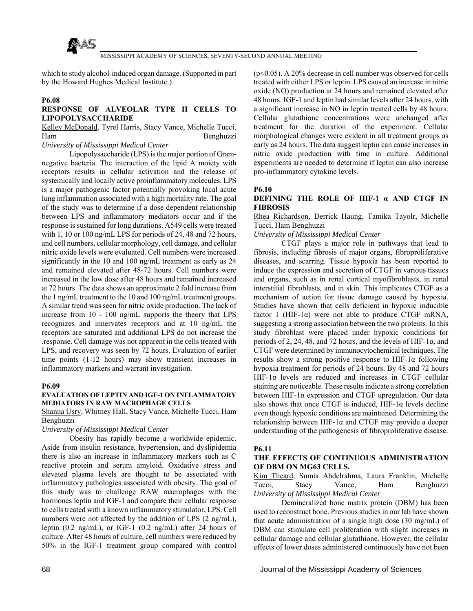

which to study alcohol-induced organ damage. (Supported in part by the Howard Hughes Medical Institute.)

#### **P6.08**

## **RESPONSE OF ALVEOLAR TYPE II CELLS TO LIPOPOLYSACCHARIDE**

## Kelley McDonald, Tyrel Harris, Stacy Vance, Michelle Tucci, Ham Benghuzzi

## *University of Mississippi Medical Center*

 Lipopolysaccharide (LPS) is the major portion of Gramnegative bacteria. The interaction of the lipid A moiety with receptors results in cellular activation and the release of systemically and locally active proinflammatory molecules. LPS is a major pathogenic factor potentially provoking local acute lung inflammation associated with a high mortality rate. The goal of the study was to determine if a dose dependent relationship between LPS and inflammatory mediators occur and if the response is sustained for long durations. A549 cells were treated with 1, 10 or 100 ng/mL LPS for periods of 24, 48 and 72 hours, and cell numbers, cellular morphology, cell damage, and cellular nitric oxide levels were evaluated. Cell numbers were increased significantly in the 10 and 100 ng/mL treatment as early as 24 and remained elevated after 48-72 hours. Cell numbers were increased in the low dose after 48 hours and remained increased at 72 hours. The data shows an approximate 2 fold increase from the 1 ng/mL treatment to the 10 and 100 ng/mL treatment groups. A similar trend was seen for nitric oxide production. The lack of increase from 10 - 100 ng/mL supports the theory that LPS recognizes and innervates receptors and at 10 ng/mL the receptors are saturated and additional LPS do not increase the .response. Cell damage was not apparent in the cells treated with LPS, and recovery was seen by 72 hours. Evaluation of earlier time points (1-12 hours) may show transient increases in inflammatory markers and warrant investigation.

#### **P6.09**

#### **EVALUATION OF LEPTIN AND IGF-1 ON INFLAMMATORY MEDIATORS IN RAW MACROPHAGE CELLS**

Shanna Usry, Whitney Hall, Stacy Vance, Michelle Tucci, Ham Benghuzzi

*University of Mississippi Medical Center* 

 Obesity has rapidly become a worldwide epidemic. Aside from insulin resistance, hypertension, and dyslipidemia there is also an increase in inflammatory markers such as C reactive protein and serum amyloid. Oxidative stress and elevated plasma levels are thought to be associated with inflammatory pathologies associated with obesity. The goal of this study was to challenge RAW macrophages with the hormones leptin and IGF-1 and compare their cellular response to cells treated with a known inflammatory stimulator, LPS. Cell numbers were not affected by the addition of LPS (2 ng/mL), leptin (0.2 ng/mL), or IGF-1 (0.2 ng/mL) after 24 hours of culture. After 48 hours of culture, cell numbers were reduced by 50% in the IGF-1 treatment group compared with control

(p<0.05). A 20% decrease in cell number was observed for cells treated with either LPS or leptin. LPS caused an increase in nitric oxide (NO) production at 24 hours and remained elevated after 48 hours. IGF-1 and leptin had similar levels after 24 hours, with a significant increase in NO in leptin treated cells by 48 hours. Cellular glutathione concentrations were unchanged after treatment for the duration of the experiment. Cellular morphological changes were evident in all treatment groups as early as 24 hours. The data suggest leptin can cause increases in nitric oxide production with time in culture. Additional experiments are needed to determine if leptin can also increase pro-inflammatory cytokine levels.

#### **P6.10**

### **DEFINING THE ROLE OF HIF-1 α AND CTGF IN FIBROSIS**

Rhea Richardson, Derrick Haung, Tamika Tayolr, Michelle Tucci, Ham Benghuzzi

*University of Mississippi Medical Center* 

 CTGF plays a major role in pathways that lead to fibrosis, including fibrosis of major organs, fibroproliferative diseases, and scarring. Tissue hypoxia has been reported to induce the expression and secretion of CTGF in various tissues and organs, such as in renal cortical myofibroblasts, in renal interstitial fibroblasts, and in skin. This implicates CTGF as a mechanism of action for tissue damage caused by hypoxia. Studies have shown that cells deficient in hypoxic inducible factor 1 (HIF-1 $\alpha$ ) were not able to produce CTGF mRNA, suggesting a strong association between the two proteins. In this study fibroblast were placed under hypoxic conditions for periods of 2, 24, 48, and 72 hours, and the levels of HIF-1 $\alpha$ , and CTGF were determined by immunocytochemical techniques. The results show a strong positive response to HIF-1α following hypoxia treatment for periods of 24 hours. By 48 and 72 hours HIF-1 $\alpha$  levels are reduced and increases in CTGF cellular staining are noticeable. These results indicate a strong correlation between HIF-1α expression and CTGF upregulation. Our data also shows that once CTGF is induced,  $HIF-1\alpha$  levels decline even though hypoxic conditions are maintained. Determining the relationship between HIF-1α and CTGF may provide a deeper understanding of the pathogenesis of fibroproliferative disease.

#### **P6.11**

## **THE EFFECTS OF CONTINUOUS ADMINISTRATION OF DBM ON MG63 CELLS.**

Kim Theard, Sumia Abdelrahma, Laura Franklin, Michelle Tucci, Stacy Vance, Ham Benghuzzi *University of Mississippi Medical Center* 

 Demineralized bone matrix protein (DBM) has been used to reconstruct bone. Previous studies in our lab have shown that acute administration of a single high dose (30 mg/mL) of DBM can stimulate cell proliferation with slight increases in cellular damage and cellular glutathione. However, the cellular effects of lower doses administered continuously have not been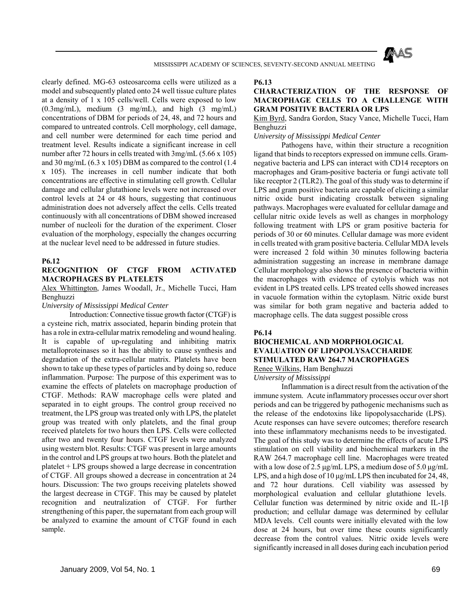

clearly defined. MG-63 osteosarcoma cells were utilized as a model and subsequently plated onto 24 well tissue culture plates at a density of 1 x 105 cells/well. Cells were exposed to low (0.3mg/mL), medium (3 mg/mL), and high (3 mg/mL) concentrations of DBM for periods of 24, 48, and 72 hours and compared to untreated controls. Cell morphology, cell damage, and cell number were determined for each time period and treatment level. Results indicate a significant increase in cell number after 72 hours in cells treated with 3mg/mL (5.66 x 105) and 30 mg/mL (6.3 x 105) DBM as compared to the control (1.4 x 105). The increases in cell number indicate that both concentrations are effective in stimulating cell growth. Cellular damage and cellular glutathione levels were not increased over control levels at 24 or 48 hours, suggesting that continuous administration does not adversely affect the cells. Cells treated continuously with all concentrations of DBM showed increased number of nucleoli for the duration of the experiment. Closer evaluation of the morphology, especially the changes occurring at the nuclear level need to be addressed in future studies.

#### **P6.12**

## **RECOGNITION OF CTGF FROM ACTIVATED MACROPHAGES BY PLATELETS**

Alex Whittington, James Woodall, Jr., Michelle Tucci, Ham Benghuzzi

*University of Mississippi Medical Center* 

 Introduction: Connective tissue growth factor (CTGF) is a cysteine rich, matrix associated, heparin binding protein that has a role in extra-cellular matrix remodeling and wound healing. It is capable of up-regulating and inhibiting matrix metalloproteinases so it has the ability to cause synthesis and degradation of the extra-cellular matrix. Platelets have been shown to take up these types of particles and by doing so, reduce inflammation. Purpose: The purpose of this experiment was to examine the effects of platelets on macrophage production of CTGF. Methods: RAW macrophage cells were plated and separated in to eight groups. The control group received no treatment, the LPS group was treated only with LPS, the platelet group was treated with only platelets, and the final group received platelets for two hours then LPS. Cells were collected after two and twenty four hours. CTGF levels were analyzed using western blot. Results: CTGF was present in large amounts in the control and LPS groups at two hours. Both the platelet and platelet + LPS groups showed a large decrease in concentration of CTGF. All groups showed a decrease in concentration at 24 hours. Discussion: The two groups receiving platelets showed the largest decrease in CTGF. This may be caused by platelet recognition and neutralization of CTGF. For further strengthening of this paper, the supernatant from each group will be analyzed to examine the amount of CTGF found in each sample.

#### **P6.13**

## **CHARACTERIZATION OF THE RESPONSE OF MACROPHAGE CELLS TO A CHALLENGE WITH GRAM POSITIVE BACTERIA OR LPS**

## Kim Byrd, Sandra Gordon, Stacy Vance, Michelle Tucci, Ham Benghuzzi

#### *University of Mississippi Medical Center*

 Pathogens have, within their structure a recognition ligand that binds to receptors expressed on immune cells. Gramnegative bacteria and LPS can interact with CD14 receptors on macrophages and Gram-positive bacteria or fungi activate toll like receptor 2 (TLR2). The goal of this study was to determine if LPS and gram positive bacteria are capable of eliciting a similar nitric oxide burst indicating crosstalk between signaling pathways. Macrophages were evaluated for cellular damage and cellular nitric oxide levels as well as changes in morphology following treatment with LPS or gram positive bacteria for periods of 30 or 60 minutes. Cellular damage was more evident in cells treated with gram positive bacteria. Cellular MDA levels were increased 2 fold within 30 minutes following bacteria administration suggesting an increase in membrane damage Cellular morphology also shows the presence of bacteria within the macrophages with evidence of cytolyis which was not evident in LPS treated cells. LPS treated cells showed increases in vacuole formation within the cytoplasm. Nitric oxide burst was similar for both gram negative and bacteria added to macrophage cells. The data suggest possible cross

## **P6.14**

## **BIOCHEMICAL AND MORPHOLOGICAL EVALUATION OF LIPOPOLYSACCHARIDE STIMULATED RAW 264.7 MACROPHAGES**  Renee Wilkins, Ham Benghuzzi

*University of Mississippi* 

 Inflammation is a direct result from the activation of the immune system. Acute inflammatory processes occur over short periods and can be triggered by pathogenic mechanisms such as the release of the endotoxins like lipopolysaccharide (LPS). Acute responses can have severe outcomes; therefore research into these inflammatory mechanisms needs to be investigated. The goal of this study was to determine the effects of acute LPS stimulation on cell viability and biochemical markers in the RAW 264.7 macrophage cell line. Macrophages were treated with a low dose of 2.5 μg/mL LPS, a medium dose of 5.0 μg/mL LPS, and a high dose of 10 μg/mL LPS then incubated for 24, 48, and 72 hour durations. Cell viability was assessed by morphological evaluation and cellular glutathione levels. Cellular function was determined by nitric oxide and IL-1β production; and cellular damage was determined by cellular MDA levels. Cell counts were initially elevated with the low dose at 24 hours, but over time these counts significantly decrease from the control values. Nitric oxide levels were significantly increased in all doses during each incubation period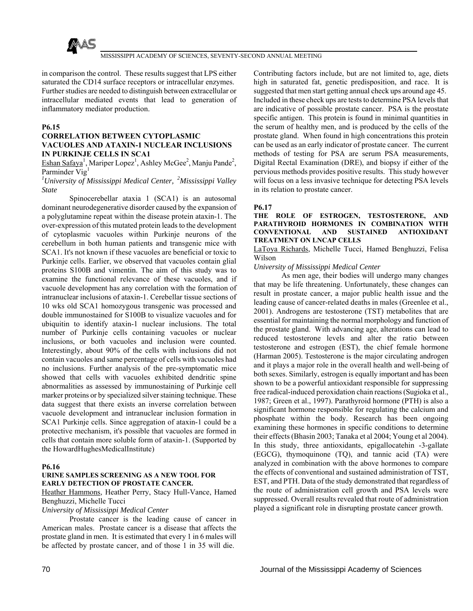

in comparison the control. These results suggest that LPS either saturated the CD14 surface receptors or intracellular enzymes. Further studies are needed to distinguish between extracellular or intracellular mediated events that lead to generation of inflammatory mediator production.

## **P6.15**

## **CORRELATION BETWEEN CYTOPLASMIC VACUOLES AND ATAXIN-1 NUCLEAR INCLUSIONS IN PURKINJE CELLS IN SCA1**

Eshan Safaya<sup>1</sup>, Mariper Lopez<sup>1</sup>, Ashley McGee<sup>2</sup>, Manju Pande<sup>2</sup>, Parminder Vig<sup>1</sup>

## *1 University of Mississippi Medical Center, 2Mississippi Valley State*

 Spinocerebellar ataxia 1 (SCA1) is an autosomal dominant neurodegenerative disorder caused by the expansion of a polyglutamine repeat within the disease protein ataxin-1. The over-expression of this mutated protein leads to the development of cytoplasmic vacuoles within Purkinje neurons of the cerebellum in both human patients and transgenic mice with SCA1. It's not known if these vacuoles are beneficial or toxic to Purkinje cells. Earlier, we observed that vacuoles contain glial proteins S100B and vimentin. The aim of this study was to examine the functional relevance of these vacuoles, and if vacuole development has any correlation with the formation of intranuclear inclusions of ataxin-1. Cerebellar tissue sections of 10 wks old SCA1 homozygous transgenic was processed and double immunostained for S100B to visualize vacuoles and for ubiquitin to identify ataxin-1 nuclear inclusions. The total number of Purkinje cells containing vacuoles or nuclear inclusions, or both vacuoles and inclusion were counted. Interestingly, about 90% of the cells with inclusions did not contain vacuoles and same percentage of cells with vacuoles had no inclusions. Further analysis of the pre-symptomatic mice showed that cells with vacuoles exhibited dendritic spine abnormalities as assessed by immunostaining of Purkinje cell marker proteins or by specialized silver staining technique. These data suggest that there exists an inverse correlation between vacuole development and intranuclear inclusion formation in SCA1 Purkinje cells. Since aggregation of ataxin-1 could be a protective mechanism, it's possible that vacuoles are formed in cells that contain more soluble form of ataxin-1. (Supported by the HowardHughesMedicalInstitute)

#### **P6.16**

#### **URINE SAMPLES SCREENING AS A NEW TOOL FOR EARLY DETECTION OF PROSTATE CANCER.**

Heather Hammons, Heather Perry, Stacy Hull-Vance, Hamed Benghuzzi, Michelle Tucci

#### *University of Mississippi Medical Center*

 Prostate cancer is the leading cause of cancer in American males. Prostate cancer is a disease that affects the prostate gland in men. It is estimated that every 1 in 6 males will be affected by prostate cancer, and of those 1 in 35 will die.

Contributing factors include, but are not limited to, age, diets high in saturated fat, genetic predisposition, and race. It is suggested that men start getting annual check ups around age 45. Included in these check ups are tests to determine PSA levels that are indicative of possible prostate cancer. PSA is the prostate specific antigen. This protein is found in minimal quantities in the serum of healthy men, and is produced by the cells of the prostate gland. When found in high concentrations this protein can be used as an early indicator of prostate cancer. The current methods of testing for PSA are serum PSA measurements, Digital Rectal Examination (DRE), and biopsy if either of the pervious methods provides positive results. This study however will focus on a less invasive technique for detecting PSA levels in its relation to prostate cancer.

## **P6.17**

#### **THE ROLE OF ESTROGEN, TESTOSTERONE, AND PARATHYROID HORMONES IN COMBINATION WITH CONVENTIONAL AND SUSTAINED ANTIOXIDANT TREATMENT ON LNCAP CELLS**

### LaToya Richards, Michelle Tucci, Hamed Benghuzzi, Felisa Wilson

## *University of Mississippi Medical Center*

 As men age, their bodies will undergo many changes that may be life threatening. Unfortunately, these changes can result in prostate cancer, a major public health issue and the leading cause of cancer-related deaths in males (Greenlee et al., 2001). Androgens are testosterone (TST) metabolites that are essential for maintaining the normal morphology and function of the prostate gland. With advancing age, alterations can lead to reduced testosterone levels and alter the ratio between testosterone and estrogen (EST), the chief female hormone (Harman 2005). Testosterone is the major circulating androgen and it plays a major role in the overall health and well-being of both sexes. Similarly, estrogen is equally important and has been shown to be a powerful antioxidant responsible for suppressing free radical-induced peroxidation chain reactions (Sugioka et al., 1987; Green et al., 1997). Parathyroid hormone (PTH) is also a significant hormone responsible for regulating the calcium and phosphate within the body. Research has been ongoing examining these hormones in specific conditions to determine their effects (Bhasin 2003; Tanaka et al 2004; Young et al 2004). In this study, three antioxidants, epigallocatehin -3-gallate (EGCG), thymoquinone (TQ), and tannic acid (TA) were analyzed in combination with the above hormones to compare the effects of conventional and sustained administration of TST, EST, and PTH. Data of the study demonstrated that regardless of the route of administration cell growth and PSA levels were suppressed. Overall results revealed that route of administration played a significant role in disrupting prostate cancer growth.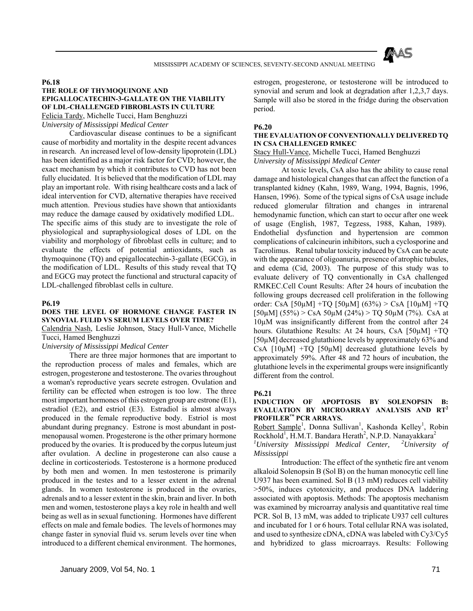

#### **P6.18**

## **THE ROLE OF THYMOQUINONE AND EPIGALLOCATECHIN-3-GALLATE ON THE VIABILITY OF LDL-CHALLENGED FIBROBLASTS IN CULTURE**  Felicia Tardy, Michelle Tucci, Ham Benghuzzi

*University of Mississippi Medical Center* 

 Cardiovascular disease continues to be a significant cause of morbidity and mortality in the despite recent advances in research. An increased level of low-density lipoprotein (LDL) has been identified as a major risk factor for CVD; however, the exact mechanism by which it contributes to CVD has not been fully elucidated. It is believed that the modification of LDL may play an important role. With rising healthcare costs and a lack of ideal intervention for CVD, alternative therapies have received much attention. Previous studies have shown that antioxidants may reduce the damage caused by oxidatively modified LDL. The specific aims of this study are to investigate the role of physiological and supraphysiological doses of LDL on the viability and morphology of fibroblast cells in culture; and to evaluate the effects of potential antioxidants, such as thymoquinone (TQ) and epigallocatechin-3-gallate (EGCG), in the modification of LDL. Results of this study reveal that TQ and EGCG may protect the functional and structural capacity of LDL-challenged fibroblast cells in culture.

#### **P6.19**

#### **DOES THE LEVEL OF HORMONE CHANGE FASTER IN SYNOVIAL FULID VS SERUM LEVELS OVER TIME?**

Calendria Nash, Leslie Johnson, Stacy Hull-Vance, Michelle Tucci, Hamed Benghuzzi

*University of Mississippi Medical Center* 

 There are three major hormones that are important to the reproduction process of males and females, which are estrogen, progesterone and testosterone. The ovaries throughout a woman's reproductive years secrete estrogen. Ovulation and fertility can be effected when estrogen is too low. The three most important hormones of this estrogen group are estrone (E1), estradiol (E2), and estriol (E3). Estradiol is almost always produced in the female reproductive body. Estriol is most abundant during pregnancy. Estrone is most abundant in postmenopausal women. Progesterone is the other primary hormone produced by the ovaries. It is produced by the corpus luteum just after ovulation. A decline in progesterone can also cause a decline in corticosteriods. Testosterone is a hormone produced by both men and women. In men testosterone is primarily produced in the testes and to a lesser extent in the adrenal glands. In women testosterone is produced in the ovaries, adrenals and to a lesser extent in the skin, brain and liver. In both men and women, testosterone plays a key role in health and well being as well as in sexual functioning. Hormones have different effects on male and female bodies. The levels of hormones may change faster in synovial fluid vs. serum levels over tine when introduced to a different chemical environment. The hormones,

estrogen, progesterone, or testosterone will be introduced to synovial and serum and look at degradation after 1,2,3,7 days. Sample will also be stored in the fridge during the observation period.

## **P6.20**

#### **THE EVALUATION OF CONVENTIONALLY DELIVERED TQ IN CSA CHALLENGED RMKEC**

### Stacy Hull-Vance, Michelle Tucci, Hamed Benghuzzi *University of Mississippi Medical Center*

 At toxic levels, CsA also has the ability to cause renal damage and histological changes that can affect the function of a transplanted kidney (Kahn, 1989, Wang, 1994, Bagnis, 1996, Hansen, 1996). Some of the typical signs of CsA usage include reduced glomerular filtration and changes in intrarenal hemodynamic function, which can start to occur after one week of usage (English, 1987, Tegzess, 1988, Kahan, 1989). Endothelial dysfunction and hypertension are common complications of calcineurin inhibitors, such a cyclosporine and Tacrolimus. Renal tubular toxicity induced by CsA can be acute with the appearance of oligoanuria, presence of atrophic tubules, and edema (Cid, 2003). The purpose of this study was to evaluate delivery of TQ conventionally in CsA challenged RMKEC.Cell Count Results: After 24 hours of incubation the following groups decreased cell proliferation in the following order: CsA [50 $\mu$ M] +TQ [50 $\mu$ M] (63%) > CsA [10 $\mu$ M] +TQ  $[50\mu\text{M}](55\%)$  > CsA 50 $\mu\text{M}$  (24%) > TQ 50 $\mu\text{M}$  (7%). CsA at 10µM was insignificantly different from the control after 24 hours. Glutathione Results: At 24 hours, CsA [50µM] +TQ [50µM] decreased glutathione levels by approximately 63% and CsA  $[10\mu M]$  +TQ  $[50\mu M]$  decreased glutathione levels by approximately 59%. After 48 and 72 hours of incubation, the glutathione levels in the experimental groups were insignificantly different from the control.

#### **P6.21**

#### **INDUCTION OF APOPTOSIS BY SOLENOPSIN B: EVALUATION BY MICROARRAY ANALYSIS AND RT<sup>2</sup> PROFILER™ PCR ARRAYS.**

Robert Sample<sup>1</sup>, Donna Sullivan<sup>1</sup>, Kashonda Kelley<sup>1</sup>, Robin Rockhold<sup>1</sup>, H.M.T. Bandara Herath<sup>2</sup>, N.P.D. Nanayakkara<sup>2</sup>

*1 University Mississippi Medical Center, 2University of Mississippi* 

 Introduction: The effect of the synthetic fire ant venom alkaloid Solenopsin B (Sol B) on the human monocytic cell line U937 has been examined. Sol B (13 mM) reduces cell viability >50%, induces cytotoxicity, and produces DNA laddering associated with apoptosis. Methods: The apoptosis mechanism was examined by microarray analysis and quantitative real time PCR. Sol B, 13 mM, was added to triplicate U937 cell cultures and incubated for 1 or 6 hours. Total cellular RNA was isolated, and used to synthesize cDNA, cDNA was labeled with Cy3/Cy5 and hybridized to glass microarrays. Results: Following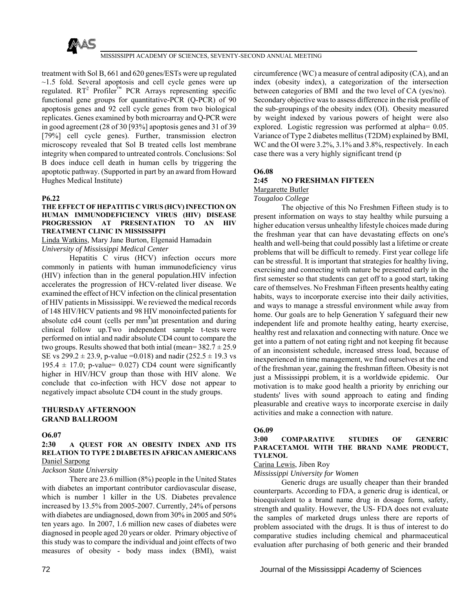

treatment with Sol B, 661 and 620 genes/ESTs were up regulated  $\sim$ 1.5 fold. Several apoptosis and cell cycle genes were up regulated.  $RT^2$  Profiler<sup>™</sup> PCR Arrays representing specific functional gene groups for quantitative-PCR (Q-PCR) of 90 apoptosis genes and 92 cell cycle genes from two biological replicates. Genes examined by both microarray and Q-PCR were in good agreement (28 of 30 [93%] apoptosis genes and 31 of 39 [79%] cell cycle genes). Further, transmission electron microscopy revealed that Sol B treated cells lost membrane integrity when compared to untreated controls. Conclusions: Sol B does induce cell death in human cells by triggering the apoptotic pathway. (Supported in part by an award from Howard Hughes Medical Institute)

#### **P6.22**

#### **THE EFFECT OF HEPATITIS C VIRUS (HCV) INFECTION ON HUMAN IMMUNODEFICIENCY VIRUS (HIV) DISEASE PROGRESSION AT PRESENTATION TO AN HIV TREATMENT CLINIC IN MISSISSIPPI**

### Linda Watkins, Mary Jane Burton, Elgenaid Hamadain *University of Mississippi Medical Center*

 Hepatitis C virus (HCV) infection occurs more commonly in patients with human immunodeficiency virus (HIV) infection than in the general population.HIV infection accelerates the progression of HCV-related liver disease. We examined the effect of HCV infection on the clinical presentation of HIV patients in Mississippi. We reviewed the medical records of 148 HIV/HCV patients and 98 HIV monoinfected patients for absolute cd4 count (cells per mm**<sup>3</sup>** )at presentation and during clinical follow up.Two independent sample t-tests were performed on intial and nadir absolute CD4 count to compare the two groups. Results showed that both intial (mean= $382.7 \pm 25.9$ ) SE vs 299.2  $\pm$  23.9, p-value = 0.018) and nadir (252.5  $\pm$  19.3 vs 195.4  $\pm$  17.0; p-value= 0.027) CD4 count were significantly higher in HIV/HCV group than those with HIV alone. We conclude that co-infection with HCV dose not appear to negatively impact absolute CD4 count in the study groups.

## **THURSDAY AFTERNOON GRAND BALLROOM**

#### **O6.07**

#### **2:30 A QUEST FOR AN OBESITY INDEX AND ITS RELATION TO TYPE 2 DIABETES IN AFRICAN AMERICANS** Daniel Sarpong

#### *Jackson State University*

 There are 23.6 million (8%) people in the United States with diabetes an important contributor cardiovascular disease, which is number 1 killer in the US. Diabetes prevalence increased by 13.5% from 2005-2007. Currently, 24% of persons with diabetes are undiagnosed, down from 30% in 2005 and 50% ten years ago. In 2007, 1.6 million new cases of diabetes were diagnosed in people aged 20 years or older. Primary objective of this study was to compare the individual and joint effects of two measures of obesity - body mass index (BMI), waist

circumference (WC) a measure of central adiposity (CA), and an index (obesity index), a categorization of the intersection between categories of BMI and the two level of CA (yes/no). Secondary objective was to assess difference in the risk profile of the sub-groupings of the obesity index (OI). Obesity measured by weight indexed by various powers of height were also explored. Logistic regression was performed at alpha= 0.05. Variance of Type 2 diabetes mellitus (T2DM) explained by BMI, WC and the OI were 3.2%, 3.1% and 3.8%, respectively. In each case there was a very highly significant trend (p

## **O6.08**

#### **2:45 NO FRESHMAN FIFTEEN**  Margarette Butler

# *Tougaloo College*

 The objective of this No Freshmen Fifteen study is to present information on ways to stay healthy while pursuing a higher education versus unhealthy lifestyle choices made during the freshman year that can have devastating effects on one's health and well-being that could possibly last a lifetime or create problems that will be difficult to remedy. First year college life can be stressful. It is important that strategies for healthy living, exercising and connecting with nature be presented early in the first semester so that students can get off to a good start, taking care of themselves. No Freshman Fifteen presents healthy eating habits, ways to incorporate exercise into their daily activities, and ways to manage a stressful environment while away from home. Our goals are to help Generation Y safeguard their new independent life and promote healthy eating, hearty exercise, healthy rest and relaxation and connecting with nature. Once we get into a pattern of not eating right and not keeping fit because of an inconsistent schedule, increased stress load, because of inexperienced in time management, we find ourselves at the end of the freshman year, gaining the freshman fifteen. Obesity is not just a Mississippi problem, it is a worldwide epidemic. Our motivation is to make good health a priority by enriching our students' lives with sound approach to eating and finding pleasurable and creative ways to incorporate exercise in daily activities and make a connection with nature.

#### **O6.09**

## **3:00 COMPARATIVE STUDIES OF GENERIC PARACETAMOL WITH THE BRAND NAME PRODUCT, TYLENOL**

#### Carina Lewis, Jiben Roy

### *Mississippi University for Women*

 Generic drugs are usually cheaper than their branded counterparts. According to FDA, a generic drug is identical, or bioequivalent to a brand name drug in dosage form, safety, strength and quality. However, the US- FDA does not evaluate the samples of marketed drugs unless there are reports of problem associated with the drugs. It is thus of interest to do comparative studies including chemical and pharmaceutical evaluation after purchasing of both generic and their branded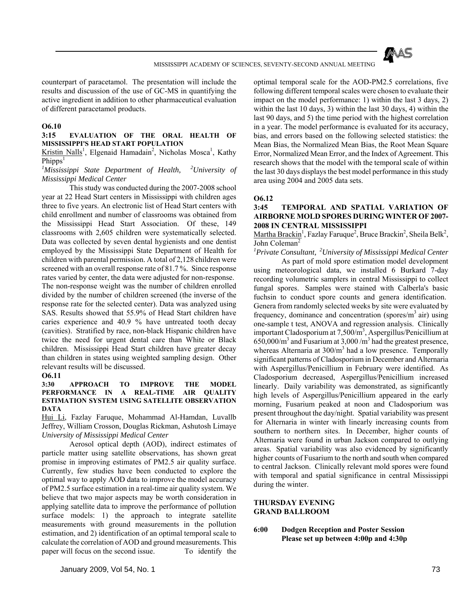

counterpart of paracetamol. The presentation will include the results and discussion of the use of GC-MS in quantifying the active ingredient in addition to other pharmaceutical evaluation of different paracetamol products.

## **O6.10**

## **3:15 EVALUATION OF THE ORAL HEALTH OF MISSISSIPPI'S HEAD START POPULATION**

Kristin Nalls<sup>1</sup>, Elgenaid Hamadain<sup>2</sup>, Nicholas Mosca<sup>1</sup>, Kathy Phipps<sup>1</sup>

## *1 Mississippi State Department of Health, 2University of Mississippi Medical Center*

 This study was conducted during the 2007-2008 school year at 22 Head Start centers in Mississippi with children ages three to five years. An electronic list of Head Start centers with child enrollment and number of classrooms was obtained from the Mississippi Head Start Association. Of these, 149 classrooms with 2,605 children were systematically selected. Data was collected by seven dental hygienists and one dentist employed by the Mississippi State Department of Health for children with parental permission. A total of 2,128 children were screened with an overall response rate of 81.7 %. Since response rates varied by center, the data were adjusted for non-response. The non-response weight was the number of children enrolled divided by the number of children screened (the inverse of the response rate for the selected center). Data was analyzed using SAS. Results showed that 55.9% of Head Start children have caries experience and 40.9 % have untreated tooth decay (cavities). Stratified by race, non-black Hispanic children have twice the need for urgent dental care than White or Black children. Mississippi Head Start children have greater decay than children in states using weighted sampling design. Other relevant results will be discussed.

### **O6.11**

### **3:30 APPROACH TO IMPROVE THE MODEL PERFORMANCE IN A REAL-TIME AIR QUALITY ESTIMATION SYSTEM USING SATELLITE OBSERVATION DATA**

Hui Li, Fazlay Faruque, Mohammad Al-Hamdan, Luvallb Jeffrey, William Crosson, Douglas Rickman, Ashutosh Limaye *University of Mississippi Medical Center*

 Aerosol optical depth (AOD), indirect estimates of particle matter using satellite observations, has shown great promise in improving estimates of PM2.5 air quality surface. Currently, few studies have been conducted to explore the optimal way to apply AOD data to improve the model accuracy of PM2.5 surface estimation in a real-time air quality system. We believe that two major aspects may be worth consideration in applying satellite data to improve the performance of pollution surface models: 1) the approach to integrate satellite measurements with ground measurements in the pollution estimation, and 2) identification of an optimal temporal scale to calculate the correlation of AOD and ground measurements. This paper will focus on the second issue. To identify the

optimal temporal scale for the AOD-PM2.5 correlations, five following different temporal scales were chosen to evaluate their impact on the model performance: 1) within the last 3 days, 2) within the last 10 days, 3) within the last 30 days, 4) within the last 90 days, and 5) the time period with the highest correlation in a year. The model performance is evaluated for its accuracy, bias, and errors based on the following selected statistics: the Mean Bias, the Normalized Mean Bias, the Root Mean Square Error, Normalized Mean Error, and the Index of Agreement. This research shows that the model with the temporal scale of within the last 30 days displays the best model performance in this study area using 2004 and 2005 data sets.

### **O6.12**

## **3:45 TEMPORAL AND SPATIAL VARIATION OF AIRBORNE MOLD SPORES DURING WINTER OF 2007- 2008 IN CENTRAL MISSISSIPPI**

Martha Brackin<sup>1</sup>, Fazlay Faruque<sup>2</sup>, Bruce Brackin<sup>2</sup>, Sheila Belk<sup>2</sup>, John Coleman<sup>2</sup>

*1 Private Consultant, 2University of Mississippi Medical Center* 

 As part of mold spore estimation model development using meteorological data, we installed 6 Burkard 7-day recording volumetric samplers in central Mississippi to collect fungal spores. Samples were stained with Calberla's basic fuchsin to conduct spore counts and genera identification. Genera from randomly selected weeks by site were evaluated by frequency, dominance and concentration (spores/ $m<sup>3</sup>$  air) using one-sample t test, ANOVA and regression analysis. Clinically important Cladosporium at 7,500/m3 , Aspergillus/Penicillium at  $650,000/m<sup>3</sup>$  and Fusarium at 3,000 /m<sup>3</sup> had the greatest presence, whereas Alternaria at 300/m<sup>3</sup> had a low presence. Temporally significant patterns of Cladosporium in December and Alternaria with Aspergillus/Penicillium in February were identified. As Cladosporium decreased, Aspergillus/Penicillium increased linearly. Daily variability was demonstrated, as significantly high levels of Aspergillus/Penicillium appeared in the early morning, Fusarium peaked at noon and Cladosporium was present throughout the day/night. Spatial variability was present for Alternaria in winter with linearly increasing counts from southern to northern sites. In December, higher counts of Alternaria were found in urban Jackson compared to outlying areas. Spatial variability was also evidenced by significantly higher counts of Fusarium to the north and south when compared to central Jackson. Clinically relevant mold spores were found with temporal and spatial significance in central Mississippi during the winter.

# **THURSDAY EVENING GRAND BALLROOM**

## **6:00 Dodgen Reception and Poster Session Please set up between 4:00p and 4:30p**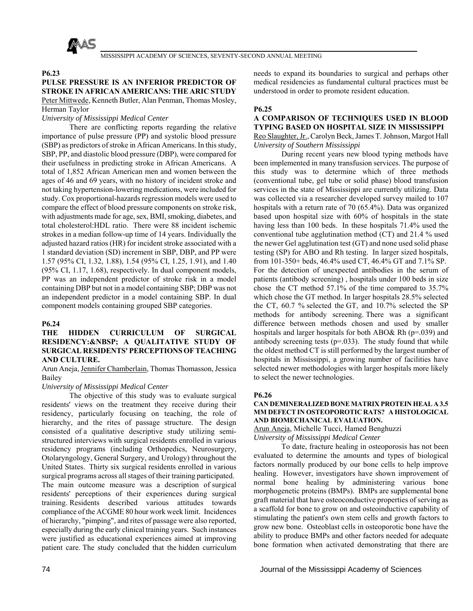

## **P6.23**

# **PULSE PRESSURE IS AN INFERIOR PREDICTOR OF STROKE IN AFRICAN AMERICANS: THE ARIC STUDY**  Peter Mittwede, Kenneth Butler, Alan Penman, Thomas Mosley,

## Herman Taylor *University of Mississippi Medical Center*

 There are conflicting reports regarding the relative importance of pulse pressure (PP) and systolic blood pressure (SBP) as predictors of stroke in African Americans. In this study, SBP, PP, and diastolic blood pressure (DBP), were compared for their usefulness in predicting stroke in African Americans. A total of 1,852 African American men and women between the ages of 46 and 69 years, with no history of incident stroke and not taking hypertension-lowering medications, were included for study. Cox proportional-hazards regression models were used to compare the effect of blood pressure components on stroke risk, with adjustments made for age, sex, BMI, smoking, diabetes, and total cholesterol:HDL ratio. There were 88 incident ischemic strokes in a median follow-up time of 14 years. Individually the adjusted hazard ratios (HR) for incident stroke associated with a 1 standard deviation (SD) increment in SBP, DBP, and PP were 1.57 (95% CI, 1.32, 1.88), 1.54 (95% CI, 1.25, 1.91), and 1.40 (95% CI, 1.17, 1.68), respectively. In dual component models, PP was an independent predictor of stroke risk in a model containing DBP but not in a model containing SBP; DBP was not an independent predictor in a model containing SBP. In dual component models containing grouped SBP categories.

# **P6.24**

## **THE HIDDEN CURRICULUM OF SURGICAL RESIDENCY: & NBSP; A QUALITATIVE STUDY OF SURGICAL RESIDENTS' PERCEPTIONS OF TEACHING AND CULTURE.**

Arun Aneja, Jennifer Chamberlain, Thomas Thomasson, Jessica Bailey

# *University of Mississippi Medical Center*

 The objective of this study was to evaluate surgical residents' views on the treatment they receive during their residency, particularly focusing on teaching, the role of hierarchy, and the rites of passage structure. The design consisted of a qualitative descriptive study utilizing semistructured interviews with surgical residents enrolled in various residency programs (including Orthopedics, Neurosurgery, Otolaryngology, General Surgery, and Urology) throughout the United States. Thirty six surgical residents enrolled in various surgical programs across all stages of their training participated. The main outcome measure was a description of surgical residents' perceptions of their experiences during surgical training. Residents described various attitudes towards compliance of the ACGME 80 hour work week limit. Incidences of hierarchy, "pimping", and rites of passage were also reported, especially during the early clinical training years. Such instances were justified as educational experiences aimed at improving patient care. The study concluded that the hidden curriculum

needs to expand its boundaries to surgical and perhaps other medical residencies as fundamental cultural practices must be understood in order to promote resident education.

# **P6.25**

# **A COMPARISON OF TECHNIQUES USED IN BLOOD TYPING BASED ON HOSPITAL SIZE IN MISSISSIPPI**

Reo Slaughter, Jr., Carolyn Beck, James T. Johnson, Margot Hall *University of Southern Mississippi* 

 During recent years new blood typing methods have been implemented in many transfusion services. The purpose of this study was to determine which of three methods (conventional tube, gel tube or solid phase) blood transfusion services in the state of Mississippi are currently utilizing. Data was collected via a researcher developed survey mailed to 107 hospitals with a return rate of 70 (65.4%). Data was organized based upon hospital size with 60% of hospitals in the state having less than 100 beds. In these hospitals 71.4% used the conventional tube agglutination method (CT) and 21.4 % used the newer Gel agglutination test (GT) and none used solid phase testing (SP) for ABO and Rh testing. In larger sized hospitals, from 101-350+ beds, 46.4% used CT, 46.4% GT and 7.1% SP. For the detection of unexpected antibodies in the serum of patients (antibody screening) , hospitals under 100 beds in size chose the CT method 57.1% of the time compared to 35.7% which chose the GT method. In larger hospitals 28.5% selected the CT, 60.7 % selected the GT, and 10.7% selected the SP methods for antibody screening. There was a significant difference between methods chosen and used by smaller hospitals and larger hospitals for both ABO& Rh (p=.039) and antibody screening tests  $(p=0.033)$ . The study found that while the oldest method CT is still performed by the largest number of hospitals in Mississippi, a growing number of facilities have selected newer methodologies with larger hospitals more likely to select the newer technologies.

### **P6.26**

### **CAN DEMINERALIZED BONE MATRIX PROTEIN HEAL A 3.5 MM DEFECT IN OSTEOPOROTIC RATS? A HISTOLOGICAL AND BIOMECHANICAL EVALUATION.**

Arun Aneja, Michelle Tucci, Hamed Benghuzzi *University of Mississippi Medical Center* 

 To date, fracture healing in osteoporosis has not been evaluated to determine the amounts and types of biological factors normally produced by our bone cells to help improve healing. However, investigators have shown improvement of normal bone healing by administering various bone morphogenetic proteins (BMPs). BMPs are supplemental bone graft material that have osteoconductive properties of serving as a scaffold for bone to grow on and osteoinductive capability of stimulating the patient's own stem cells and growth factors to grow new bone. Osteoblast cells in osteoporotic bone have the ability to produce BMPs and other factors needed for adequate bone formation when activated demonstrating that there are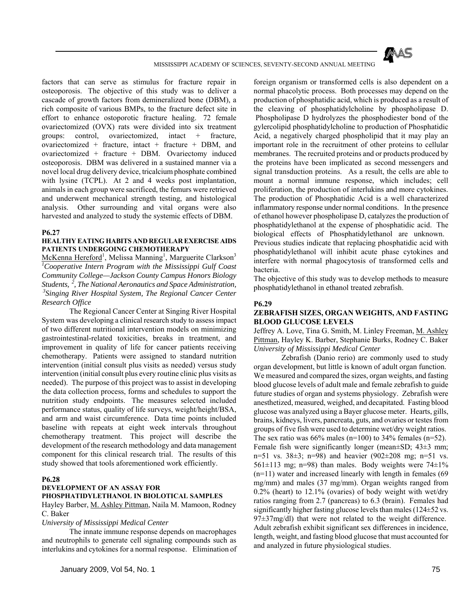

factors that can serve as stimulus for fracture repair in osteoporosis. The objective of this study was to deliver a cascade of growth factors from demineralized bone (DBM), a rich composite of various BMPs, to the fracture defect site in effort to enhance ostoporotic fracture healing. 72 female ovariectomized (OVX) rats were divided into six treatment groups: control, ovariectomized, intact + fracture, ovariectomized + fracture, intact + fracture + DBM, and ovariectomized + fracture + DBM. Ovariectomy induced osteoporosis. DBM was delivered in a sustained manner via a novel local drug delivery device, tricalcium phosphate combined with lysine (TCPL). At 2 and 4 weeks post implantation, animals in each group were sacrificed, the femurs were retrieved and underwent mechanical strength testing, and histological analysis. Other surrounding and vital organs were also harvested and analyzed to study the systemic effects of DBM.

### **P6.27**

### **HEALTHY EATING HABITS AND REGULAR EXERCISE AIDS PATIENTS UNDERGOING CHEMOTHERAPY**

McKenna Hereford<sup>1</sup>, Melissa Manning<sup>1</sup>, Marguerite Clarkson<sup>3</sup> *1 Cooperative Intern Program with the Mississippi Gulf Coast Community College—Jackson County Campus Honors Biology Students, 2, The National Aeronautics and Space Administration, 3Singing River Hospital System, The Regional Cancer Center Research Office* 

 The Regional Cancer Center at Singing River Hospital System was developing a clinical research study to assess impact of two different nutritional intervention models on minimizing gastrointestinal-related toxicities, breaks in treatment, and improvement in quality of life for cancer patients receiving chemotherapy. Patients were assigned to standard nutrition intervention (initial consult plus visits as needed) versus study intervention (initial consult plus every routine clinic plus visits as needed). The purpose of this project was to assist in developing the data collection process, forms and schedules to support the nutrition study endpoints. The measures selected included performance status, quality of life surveys, weight/height/BSA, and arm and waist circumference. Data time points included baseline with repeats at eight week intervals throughout chemotherapy treatment. This project will describe the development of the research methodology and data management component for this clinical research trial. The results of this study showed that tools aforementioned work efficiently.

## **P6.28**

### **DEVELOPMENT OF AN ASSAY FOR PHOSPHATIDYLETHANOL IN BIOLOTICAL SAMPLES**

Hayley Barber, M. Ashley Pittman, Naila M. Mamoon, Rodney C. Baker

*University of Mississippi Medical Center* 

 The innate immune response depends on macrophages and neutrophils to generate cell signaling compounds such as interlukins and cytokines for a normal response. Elimination of foreign organism or transformed cells is also dependent on a normal phacolytic process. Both processes may depend on the production of phosphatidic acid, which is produced as a result of the cleaving of phosphatidylcholine by phospholipase D. Phospholipase D hydrolyzes the phosphodiester bond of the gylercolipid phosphatidylcholine to production of Phosphatidic Acid, a negatively charged phospholipid that it may play an important role in the recruitment of other proteins to cellular membranes. The recruited proteins and or products produced by the proteins have been implicated as second messengers and signal transduction proteins. As a result, the cells are able to mount a normal immune response, which includes; cell proliferation, the production of interlukins and more cytokines. The production of Phosphatidic Acid is a well characterized inflammatory response under normal conditions. In the presence of ethanol however phospholipase D, catalyzes the production of phosphatidylethanol at the expense of phosphatidic acid. The biological effects of Phosphatidylethanol are unknown. Previous studies indicate that replacing phosphatidic acid with phosphatidylethanol will inhibit acute phase cytokines and interfere with normal phagocytosis of transformed cells and bacteria.

The objective of this study was to develop methods to measure phosphatidylethanol in ethanol treated zebrafish.

### **P6.29**

### **ZEBRAFISH SIZES, ORGAN WEIGHTS, AND FASTING BLOOD GLUCOSE LEVELS**

Jeffrey A. Love, Tina G. Smith, M. Linley Freeman, M. Ashley Pittman, Hayley K. Barber, Stephanie Burks, Rodney C. Baker *University of Mississippi Medical Center* 

 Zebrafish (Danio rerio) are commonly used to study organ development, but little is known of adult organ function. We measured and compared the sizes, organ weights, and fasting blood glucose levels of adult male and female zebrafish to guide future studies of organ and systems physiology. Zebrafish were anesthetized, measured, weighed, and decapitated. Fasting blood glucose was analyzed using a Bayer glucose meter. Hearts, gills, brains, kidneys, livers, pancreata, guts, and ovaries or testes from groups of five fish were used to determine wet/dry weight ratios. The sex ratio was  $66\%$  males (n=100) to 34% females (n=52). Female fish were significantly longer (mean±SD; 43±3 mm; n=51 vs.  $38\pm3$ ; n=98) and heavier  $(902\pm208 \text{ mg}; \text{ n}=51 \text{ vs.})$  $561\pm113$  mg; n=98) than males. Body weights were  $74\pm1\%$ (n=11) water and increased linearly with length in females (69 mg/mm) and males (37 mg/mm). Organ weights ranged from 0.2% (heart) to 12.1% (ovaries) of body weight with wet/dry ratios ranging from 2.7 (pancreas) to 6.3 (brain). Females had significantly higher fasting glucose levels than males (124±52 vs. 97 $\pm$ 37mg/dl) that were not related to the weight difference. Adult zebrafish exhibit significant sex differences in incidence, length, weight, and fasting blood glucose that must accounted for and analyzed in future physiological studies.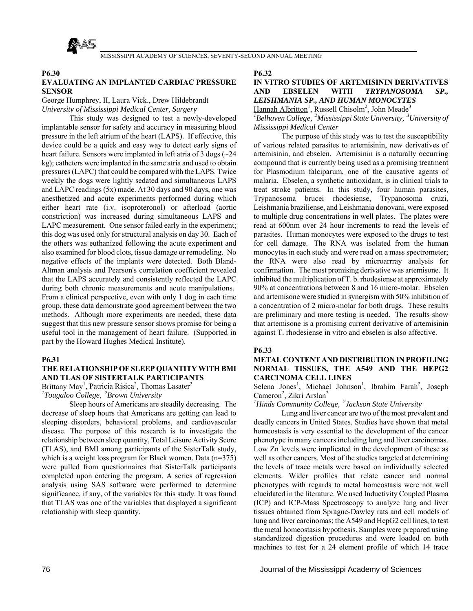

### **P6.30**

# **EVALUATING AN IMPLANTED CARDIAC PRESSURE SENSOR**

George Humphrey, II, Laura Vick., Drew Hildebrandt *University of Mississippi Medical Center, Surgery* 

# This study was designed to test a newly-developed implantable sensor for safety and accuracy in measuring blood pressure in the left atrium of the heart (LAPS). If effective, this device could be a quick and easy way to detect early signs of heart failure. Sensors were implanted in left atria of 3 dogs ( $\sim$ 24 kg); catheters were implanted in the same atria and used to obtain pressures (LAPC) that could be compared with the LAPS. Twice weekly the dogs were lightly sedated and simultaneous LAPS and LAPC readings (5x) made. At 30 days and 90 days, one was anesthetized and acute experiments performed during which either heart rate (i.v. isoproteronol) or afterload (aortic constriction) was increased during simultaneous LAPS and LAPC measurement. One sensor failed early in the experiment; this dog was used only for structural analysis on day 30. Each of the others was euthanized following the acute experiment and also examined for blood clots, tissue damage or remodeling. No negative effects of the implants were detected. Both Bland-Altman analysis and Pearson's correlation coefficient revealed that the LAPS accurately and consistently reflected the LAPC during both chronic measurements and acute manipulations. From a clinical perspective, even with only 1 dog in each time group, these data demonstrate good agreement between the two methods. Although more experiments are needed, these data suggest that this new pressure sensor shows promise for being a useful tool in the management of heart failure. (Supported in part by the Howard Hughes Medical Institute).

### **P6.31**

# **THE RELATIONSHIP OF SLEEP QUANTITY WITH BMI AND TLAS OF SISTERTALK PARTICIPANTS**

 $Brittany May<sup>1</sup>$ , Patricia Risica<sup>2</sup>, Thomas Lasater<sup>2</sup>

*1 Tougaloo College, 2Brown University* 

 Sleep hours of Americans are steadily decreasing. The decrease of sleep hours that Americans are getting can lead to sleeping disorders, behavioral problems, and cardiovascular disease. The purpose of this research is to investigate the relationship between sleep quantity, Total Leisure Activity Score (TLAS), and BMI among participants of the SisterTalk study, which is a weight loss program for Black women. Data (n=375) were pulled from questionnaires that SisterTalk participants completed upon entering the program. A series of regression analysis using SAS software were performed to determine significance, if any, of the variables for this study. It was found that TLAS was one of the variables that displayed a significant relationship with sleep quantity.

**P6.32** 

# **IN VITRO STUDIES OF ARTEMISININ DERIVATIVES AND EBSELEN WITH** *TRYPANOSOMA SP., LEISHMANIA SP., AND HUMAN MONOCYTES*  Hannah Albritton<sup>1</sup>, Russell Chisolm<sup>2</sup>, John Meade<sup>3</sup>

*1 Belhaven College, 2Mississippi State University, 3University of Mississippi Medical Center* 

 The purpose of this study was to test the susceptibility of various related parasites to artemisinin, new derivatives of artemisinin, and ebselen. Artemisinin is a naturally occurring compound that is currently being used as a promising treatment for Plasmodium falciparum, one of the causative agents of malaria. Ebselen, a synthetic antioxidant, is in clinical trials to treat stroke patients. In this study, four human parasites, Trypanosoma brucei rhodesiense, Trypanosoma cruzi, Leishmania braziliense, and Leishmania donovani, were exposed to multiple drug concentrations in well plates. The plates were read at 600nm over 24 hour increments to read the levels of parasites. Human monocytes were exposed to the drugs to test for cell damage. The RNA was isolated from the human monocytes in each study and were read on a mass spectrometer; the RNA were also read by microarrray analysis for confirmation. The most promising derivative was artemisone. It inhibited the multiplication of T. b. rhodesiense at approximately 90% at concentrations between 8 and 16 micro-molar. Ebselen and artemisone were studied in synergism with 50% inhibition of a concentration of 2 micro-molar for both drugs. These results are preliminary and more testing is needed. The results show that artemisone is a promising current derivative of artemisinin against T. rhodesiense in vitro and ebselen is also affective.

### **P6.33**

## **METAL CONTENT AND DISTRIBUTION IN PROFILING NORMAL TISSUES, THE A549 AND THE HEPG2 CARCINOMA CELL LINES**

Selena Jones<sup>1</sup>, Michael Johnson<sup>1</sup>, Ibrahim Farah<sup>2</sup>, Joseph Cameron<sup>2</sup>, Zikri Arslan<sup>2</sup>

*1 Hinds Community College, 2Jackson State University* 

 Lung and liver cancer are two of the most prevalent and deadly cancers in United States. Studies have shown that metal homeostasis is very essential to the development of the cancer phenotype in many cancers including lung and liver carcinomas. Low Zn levels were implicated in the development of these as well as other cancers. Most of the studies targeted at determining the levels of trace metals were based on individually selected elements. Wider profiles that relate cancer and normal phenotypes with regards to metal homeostasis were not well elucidated in the literature. We used Inductivity Coupled Plasma (ICP) and ICP-Mass Spectroscopy to analyze lung and liver tissues obtained from Sprague-Dawley rats and cell models of lung and liver carcinomas; the A549 and HepG2 cell lines, to test the metal homeostasis hypothesis. Samples were prepared using standardized digestion procedures and were loaded on both machines to test for a 24 element profile of which 14 trace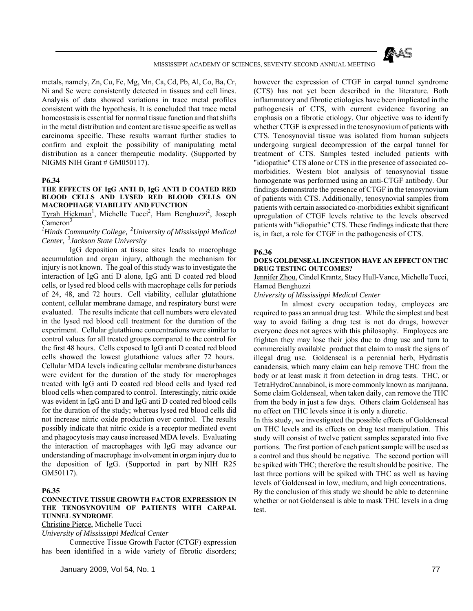

metals, namely, Zn, Cu, Fe, Mg, Mn, Ca, Cd, Pb, Al, Co, Ba, Cr, Ni and Se were consistently detected in tissues and cell lines. Analysis of data showed variations in trace metal profiles consistent with the hypothesis. It is concluded that trace metal homeostasis is essential for normal tissue function and that shifts in the metal distribution and content are tissue specific as well as carcinoma specific. These results warrant further studies to confirm and exploit the possibility of manipulating metal distribution as a cancer therapeutic modality. (Supported by NIGMS NIH Grant # GM050117).

#### **P6.34**

### **THE EFFECTS OF IgG ANTI D, IgG ANTI D COATED RED BLOOD CELLS AND LYSED RED BLOOD CELLS ON MACROPHAGE VIABILITY AND FUNCTION**

Tyrah Hickman<sup>1</sup>, Michelle Tucci<sup>2</sup>, Ham Benghuzzi<sup>2</sup>, Joseph  $C$ ameron<sup>3</sup>

# *1 Hinds Community College, 2University of Mississippi Medical Center, 3Jackson State University*

 IgG deposition at tissue sites leads to macrophage accumulation and organ injury, although the mechanism for injury is not known. The goal of this study was to investigate the interaction of IgG anti D alone, IgG anti D coated red blood cells, or lysed red blood cells with macrophage cells for periods of 24, 48, and 72 hours. Cell viability, cellular glutathione content, cellular membrane damage, and respiratory burst were evaluated. The results indicate that cell numbers were elevated in the lysed red blood cell treatment for the duration of the experiment. Cellular glutathione concentrations were similar to control values for all treated groups compared to the control for the first 48 hours. Cells exposed to IgG anti D coated red blood cells showed the lowest glutathione values after 72 hours. Cellular MDA levels indicating cellular membrane disturbances were evident for the duration of the study for macrophages treated with IgG anti D coated red blood cells and lysed red blood cells when compared to control. Interestingly, nitric oxide was evident in IgG anti D and IgG anti D coated red blood cells for the duration of the study; whereas lysed red blood cells did not increase nitric oxide production over control. The results possibly indicate that nitric oxide is a receptor mediated event and phagocytosis may cause increased MDA levels. Evaluating the interaction of macrophages with IgG may advance our understanding of macrophage involvement in organ injury due to the deposition of IgG. (Supported in part by NIH R25 GM50117).

### **P6.35**

### **CONNECTIVE TISSUE GROWTH FACTOR EXPRESSION IN THE TENOSYNOVIUM OF PATIENTS WITH CARPAL TUNNEL SYNDROME**

Christine Pierce, Michelle Tucci

*University of Mississippi Medical Center* 

 Connective Tissue Growth Factor (CTGF) expression has been identified in a wide variety of fibrotic disorders; however the expression of CTGF in carpal tunnel syndrome (CTS) has not yet been described in the literature. Both inflammatory and fibrotic etiologies have been implicated in the pathogenesis of CTS, with current evidence favoring an emphasis on a fibrotic etiology. Our objective was to identify whether CTGF is expressed in the tenosynovium of patients with CTS. Tenosynovial tissue was isolated from human subjects undergoing surgical decompression of the carpal tunnel for treatment of CTS. Samples tested included patients with "idiopathic" CTS alone or CTS in the presence of associated comorbidities. Western blot analysis of tenosynovial tissue homogenate was performed using an anti-CTGF antibody. Our findings demonstrate the presence of CTGF in the tenosynovium of patients with CTS. Additionally, tenosynovial samples from patients with certain associated co-morbidities exhibit significant upregulation of CTGF levels relative to the levels observed patients with "idiopathic" CTS. These findings indicate that there is, in fact, a role for CTGF in the pathogenesis of CTS.

#### **P6.36**

### **DOES GOLDENSEAL INGESTION HAVE AN EFFECT ON THC DRUG TESTING OUTCOMES?**

Jennifer Zhou, Cindel Krantz, Stacy Hull-Vance, Michelle Tucci, Hamed Benghuzzi

*University of Mississippi Medical Center* 

 In almost every occupation today, employees are required to pass an annual drug test. While the simplest and best way to avoid failing a drug test is not do drugs, however everyone does not agrees with this philosophy. Employees are frighten they may lose their jobs due to drug use and turn to commercially available product that claim to mask the signs of illegal drug use. Goldenseal is a perennial herb, Hydrastis canadensis, which many claim can help remove THC from the body or at least mask it from detection in drug tests. THC, or TetraHydroCannabinol, is more commonly known as marijuana. Some claim Goldenseal, when taken daily, can remove the THC from the body in just a few days. Others claim Goldenseal has no effect on THC levels since it is only a diuretic.

In this study, we investigated the possible effects of Goldenseal on THC levels and its effects on drug test manipulation. This study will consist of twelve patient samples separated into five portions. The first portion of each patient sample will be used as a control and thus should be negative. The second portion will be spiked with THC; therefore the result should be positive. The last three portions will be spiked with THC as well as having levels of Goldenseal in low, medium, and high concentrations. By the conclusion of this study we should be able to determine whether or not Goldenseal is able to mask THC levels in a drug test.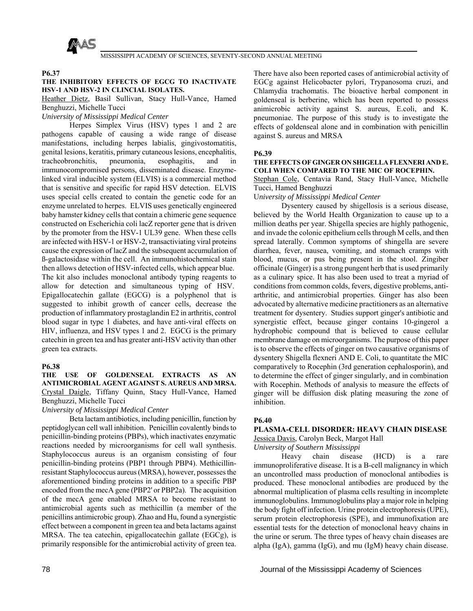

### **P6.37**

## **THE INHIBITORY EFFECTS OF EGCG TO INACTIVATE HSV-1 AND HSV-2 IN CLINCIAL ISOLATES.**

Heather Dietz, Basil Sullivan, Stacy Hull-Vance, Hamed Benghuzzi, Michelle Tucci

## *University of Mississippi Medical Center*

 Herpes Simplex Virus (HSV) types 1 and 2 are pathogens capable of causing a wide range of disease manifestations, including herpes labialis, gingivostomatitis, genital lesions, keratitis, primary cutaneous lesions, encephalitis, tracheobronchitis, pneumonia, esophagitis, and in immunocompromised persons, disseminated disease. Enzymelinked viral inducible system (ELVIS) is a commercial method that is sensitive and specific for rapid HSV detection. ELVIS uses special cells created to contain the genetic code for an enzyme unrelated to herpes. ELVIS uses genetically engineered baby hamster kidney cells that contain a chimeric gene sequence constructed on Escherichia coli lacZ reporter gene that is driven by the promoter from the HSV-1 UL39 gene. When these cells are infected with HSV-1 or HSV-2, transactiviating viral proteins cause the expression of lacZ and the subsequent accumulation of ß-galactosidase within the cell. An immunohistochemical stain then allows detection of HSV-infected cells, which appear blue. The kit also includes monoclonal antibody typing reagents to allow for detection and simultaneous typing of HSV. Epigallocatechin gallate (EGCG) is a polyphenol that is suggested to inhibit growth of cancer cells, decrease the production of inflammatory prostaglandin E2 in arthritis, control blood sugar in type 1 diabetes, and have anti-viral effects on HIV, influenza, and HSV types 1 and 2. EGCG is the primary catechin in green tea and has greater anti-HSV activity than other green tea extracts.

### **P6.38**

## **THE USE OF GOLDENSEAL EXTRACTS AS AN ANTIMICROBIAL AGENT AGAINST S. AUREUS AND MRSA.**  Crystal Daigle, Tiffany Quinn, Stacy Hull-Vance, Hamed Benghuzzi, Michelle Tucci

*University of Mississippi Medical Center* 

 Beta lactam antibiotics, including penicillin, function by peptidoglycan cell wall inhibition. Penicillin covalently binds to penicillin-binding proteins (PBPs), which inactivates enzymatic reactions needed by microorganisms for cell wall synthesis. Staphylococcus aureus is an organism consisting of four penicillin-binding proteins (PBP1 through PBP4). Methicillinresistant Staphylococcus aureus (MRSA), however, possesses the aforementioned binding proteins in addition to a specific PBP encoded from the mecA gene (PBP2' or PBP2a). The acquisition of the mecA gene enabled MRSA to become resistant to antimicrobial agents such as methicillin (a member of the penicillins antimicrobic group). Zhao and Hu, found a synergistic effect between a component in green tea and beta lactams against MRSA. The tea catechin, epigallocatechin gallate (EGCg), is primarily responsible for the antimicrobial activity of green tea.

There have also been reported cases of antimicrobial activity of EGCg against Helicobacter pylori, Trypanosoma cruzi, and Chlamydia trachomatis. The bioactive herbal component in goldenseal is berberine, which has been reported to possess animicrobic activity against S. aureus, E.coli, and K. pneumoniae. The purpose of this study is to investigate the effects of goldenseal alone and in combination with penicillin against S. aureus and MRSA

### **P6.39**

### **THE EFFECTS OF GINGER ON SHIGELLA FLEXNERI AND E. COLI WHEN COMPARED TO THE MIC OF ROCEPHIN.**

Stephan Cole, Centavia Rand, Stacy Hull-Vance, Michelle Tucci, Hamed Benghuzzi

U*niversity of Mississippi Medical Center* 

 Dysentery caused by shigellosis is a serious disease, believed by the World Health Organization to cause up to a million deaths per year. Shigella species are highly pathogenic, and invade the colonic epithelium cells through M cells, and then spread laterally. Common symptoms of shingella are severe diarrhea, fever, nausea, vomiting, and stomach cramps with blood, mucus, or pus being present in the stool. Zingiber officinale (Ginger) is a strong pungent herb that is used primarily as a culinary spice. It has also been used to treat a myriad of conditions from common colds, fevers, digestive problems, antiarthritic, and antimicrobial properties. Ginger has also been advocated by alternative medicine practitioners as an alternative treatment for dysentery. Studies support ginger's antibiotic and synergistic effect, because ginger contains 10-gingerol a hydrophobic compound that is believed to cause cellular membrane damage on microorganisms. The purpose of this paper is to observe the effects of ginger on two causative organisms of dysentery Shigella flexneri AND E. Coli, to quantitate the MIC comparatively to Rocephin (3rd generation cephalosporin), and to determine the effect of ginger singularly, and in combination with Rocephin. Methods of analysis to measure the effects of ginger will be diffusion disk plating measuring the zone of inhibition.

# **P6.40**

# **PLASMA-CELL DISORDER: HEAVY CHAIN DISEASE**

Jessica Davis, Carolyn Beck, Margot Hall

# *University of Southern Mississippi*

 Heavy chain disease (HCD) is a rare immunoproliferative disease. It is a B-cell malignancy in which an uncontrolled mass production of monoclonal antibodies is produced. These monoclonal antibodies are produced by the abnormal multiplication of plasma cells resulting in incomplete immunoglobulins. Immunoglobulins play a major role in helping the body fight off infection. Urine protein electrophoresis (UPE), serum protein electrophoresis (SPE), and immunofixation are essential tests for the detection of monoclonal heavy chains in the urine or serum. The three types of heavy chain diseases are alpha (IgA), gamma (IgG), and mu (IgM) heavy chain disease.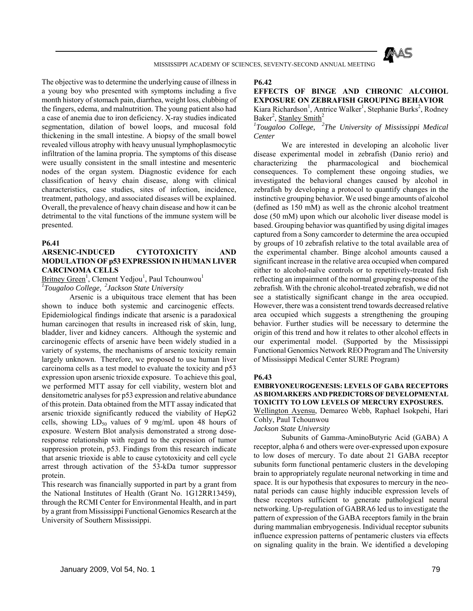

The objective was to determine the underlying cause of illness in a young boy who presented with symptoms including a five month history of stomach pain, diarrhea, weight loss, clubbing of the fingers, edema, and malnutrition. The young patient also had a case of anemia due to iron deficiency. X-ray studies indicated segmentation, dilation of bowel loops, and mucosal fold thickening in the small intestine. A biopsy of the small bowel revealed villous atrophy with heavy unusual lymphoplasmocytic infiltration of the lamina propria. The symptoms of this disease were usually consistent in the small intestine and mesenteric nodes of the organ system. Diagnostic evidence for each classification of heavy chain disease, along with clinical characteristics, case studies, sites of infection, incidence, treatment, pathology, and associated diseases will be explained. Overall, the prevalence of heavy chain disease and how it can be detrimental to the vital functions of the immune system will be presented.

### **P6.41**

# **ARSENIC-INDUCED CYTOTOXICITY AND MODULATION OF p53 EXPRESSION IN HUMAN LIVER CARCINOMA CELLS**

Britney Green<sup>1</sup>, Clement Yedjou<sup>1</sup>, Paul Tchounwou<sup>1</sup> *1 Tougaloo College, 2Jackson State University* 

 Arsenic is a ubiquitous trace element that has been shown to induce both systemic and carcinogenic effects. Epidemiological findings indicate that arsenic is a paradoxical human carcinogen that results in increased risk of skin, lung. bladder, liver and kidney cancers. Although the systemic and carcinogenic effects of arsenic have been widely studied in a variety of systems, the mechanisms of arsenic toxicity remain largely unknown. Therefore, we proposed to use human liver carcinoma cells as a test model to evaluate the toxicity and p53 expression upon arsenic trioxide exposure. To achieve this goal, we performed MTT assay for cell viability, western blot and densitometric analyses for p53 expression and relative abundance of this protein. Data obtained from the MTT assay indicated that arsenic trioxide significantly reduced the viability of HepG2 cells, showing  $LD_{50}$  values of 9 mg/mL upon 48 hours of exposure. Western Blot analysis demonstrated a strong doseresponse relationship with regard to the expression of tumor suppression protein, p53. Findings from this research indicate that arsenic trioxide is able to cause cytotoxicity and cell cycle arrest through activation of the 53-kDa tumor suppressor protein.

This research was financially supported in part by a grant from the National Institutes of Health (Grant No. 1G12RR13459), through the RCMI Center for Environmental Health, and in part by a grant from Mississippi Functional Genomics Research at the University of Southern Mississippi.

### **P6.42**

# **EFFECTS OF BINGE AND CHRONIC ALCOHOL EXPOSURE ON ZEBRAFISH GROUPING BEHAVIOR**  Kiara Richardson<sup>1</sup>, Antrice Walker<sup>1</sup>, Stephanie Burks<sup>2</sup>, Rodney Baker<sup>2</sup>, Stanley Smith<sup>2</sup>

## *1 Tougaloo College, 2The University of Mississippi Medical Center*

 We are interested in developing an alcoholic liver disease experimental model in zebrafish (Danio rerio) and characterizing the pharmacological and biochemical consequences. To complement these ongoing studies, we investigated the behavioral changes caused by alcohol in zebrafish by developing a protocol to quantify changes in the instinctive grouping behavior. We used binge amounts of alcohol (defined as 150 mM) as well as the chronic alcohol treatment dose (50 mM) upon which our alcoholic liver disease model is based. Grouping behavior was quantified by using digital images captured from a Sony camcorder to determine the area occupied by groups of 10 zebrafish relative to the total available area of the experimental chamber. Binge alcohol amounts caused a significant increase in the relative area occupied when compared either to alcohol-naïve controls or to repetitively-treated fish reflecting an impairment of the normal grouping response of the zebrafish. With the chronic alcohol-treated zebrafish, we did not see a statistically significant change in the area occupied. However, there was a consistent trend towards decreased relative area occupied which suggests a strengthening the grouping behavior. Further studies will be necessary to determine the origin of this trend and how it relates to other alcohol effects in our experimental model. (Supported by the Mississippi Functional Genomics Network REO Program and The University of Mississippi Medical Center SURE Program)

### **P6.43**

## **EMBRYONEUROGENESIS: LEVELS OF GABA RECEPTORS AS BIOMARKERS AND PREDICTORS OF DEVELOPMENTAL TOXICITY TO LOW LEVELS OF MERCURY EXPOSURES.**  Wellington Ayensu, Demareo Webb, Raphael Isokpehi, Hari

Cohly, Paul Tchounwou

*Jackson State University* 

 Subunits of Gamma-AminoButyric Acid (GABA) A receptor, alpha 6 and others were over-expressed upon exposure to low doses of mercury. To date about 21 GABA receptor subunits form functional pentameric clusters in the developing brain to appropriately regulate neuronal networking in time and space. It is our hypothesis that exposures to mercury in the neonatal periods can cause highly inducible expression levels of these receptors sufficient to generate pathological neural networking. Up-regulation of GABRA6 led us to investigate the pattern of expression of the GABA receptors family in the brain during mammalian embryogenesis. Individual receptor subunits influence expression patterns of pentameric clusters via effects on signaling quality in the brain. We identified a developing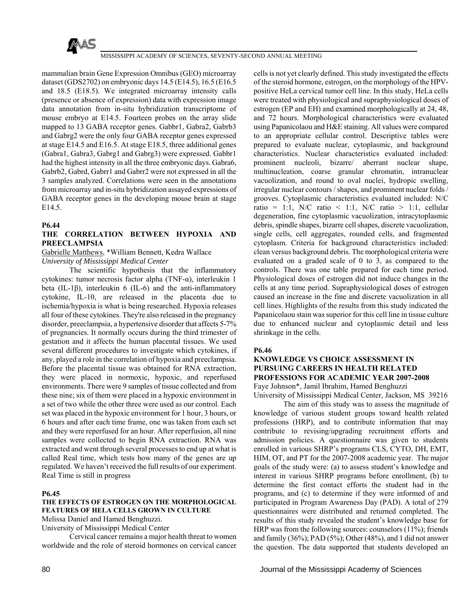

mammalian brain Gene Expression Omnibus (GEO) microarray dataset (GDS2702) on embryonic days 14.5 (E14.5), 16.5 (E16.5 and 18.5 (E18.5). We integrated microarray intensity calls (presence or absence of expression) data with expression image data annotation from in-situ hybridization transcriptome of mouse embryo at E14.5. Fourteen probes on the array slide mapped to 13 GABA receptor genes. Gabbr1, Gabra2, Gabrb3 and Gabrg2 were the only four GABA receptor genes expressed at stage E14.5 and E16.5. At stage E18.5, three additional genes (Gabra1, Gabra3, Gabrg1 and Gabrg3) were expressed. Gabbr1 had the highest intensity in all the three embryonic days. Gabra6, Gabrb2, Gabrd, Gabrr1 and Gabrr2 were not expressed in all the 3 samples analyzed. Correlations were seen in the annotations from microarray and in-situ hybridization assayed expressions of GABA receptor genes in the developing mouse brain at stage E14.5.

## **P6.44**

## **THE CORRELATION BETWEEN HYPOXIA AND PREECLAMPSIA**

## Gabrielle Matthews, \*William Bennett, Kedra Wallace *University of Mississippi Medical Center*

The scientific hypothesis that the inflammatory cytokines: tumor necrosis factor alpha (TNF-α), interleukin 1 beta (IL-1β), interleukin 6 (IL-6) and the anti-inflammatory cytokine, IL-10, are released in the placenta due to ischemia/hypoxia is what is being researched. Hypoxia releases all four of these cytokines. They're also released in the pregnancy disorder, preeclampsia, a hypertensive disorder that affects 5-7% of pregnancies. It normally occurs during the third trimester of gestation and it affects the human placental tissues. We used several different procedures to investigate which cytokines, if any, played a role in the correlation of hypoxia and preeclampsia. Before the placental tissue was obtained for RNA extraction, they were placed in normoxic, hypoxic, and reperfused environments. There were 9 samples of tissue collected and from these nine; six of them were placed in a hypoxic environment in a set of two while the other three were used as our control. Each set was placed in the hypoxic environment for 1 hour, 3 hours, or 6 hours and after each time frame, one was taken from each set and they were reperfused for an hour. After reperfusion, all nine samples were collected to begin RNA extraction. RNA was extracted and went through several processes to end up at what is called Real time, which tests how many of the genes are up regulated. We haven't received the full results of our experiment. Real Time is still in progress

# **P6.45**

# **THE EFFECTS OF ESTROGEN ON THE MORPHOLOGICAL FEATURES OF HELA CELLS GROWN IN CULTURE**

Melissa Daniel and Hamed Benghuzzi.

University of Mississippi Medical Center

 Cervical cancer remains a major health threat to women worldwide and the role of steroid hormones on cervical cancer

cells is not yet clearly defined. This study investigated the effects of the steroid hormone, estrogen, on the morphology of the HPVpositive HeLa cervical tumor cell line. In this study, HeLa cells were treated with physiological and supraphysiological doses of estrogen (EP and EH) and examined morphologically at 24, 48, and 72 hours. Morphological characteristics were evaluated using Papanicolaou and H&E staining. All values were compared to an appropriate cellular control. Descriptive tables were prepared to evaluate nuclear, cytoplasmic, and background characteristics. Nuclear characteristics evaluated included: prominent nucleoli, bizarre/ aberrant nuclear shape, multinucleation, coarse granular chromatin, intranuclear vacuolization, and round to oval nuclei, hydropic swelling, irregular nuclear contours / shapes, and prominent nuclear folds / grooves. Cytoplasmic characteristics evaluated included: N/C ratio = 1:1, N/C ratio < 1:1, N/C ratio > 1:1, cellular degeneration, fine cytoplasmic vacuolization, intracytoplasmic debris, spindle shapes, bizarre cell shapes, discrete vacuolization, single cells, cell aggregates, rounded cells, and fragmented cytoplasm. Criteria for background characteristics included: clean versus background debris. The morphological criteria were evaluated on a graded scale of  $0$  to  $\overline{3}$ , as compared to the controls. There was one table prepared for each time period. Physiological doses of estrogen did not induce changes in the cells at any time period. Supraphysiological doses of estrogen caused an increase in the fine and discrete vacuolization in all cell lines. Highlights of the results from this study indicated the Papanicolaou stain was superior for this cell line in tissue culture due to enhanced nuclear and cytoplasmic detail and less shrinkage in the cells.

### **P6.46**

# **KNOWLEDGE VS CHOICE ASSESSMENT IN PURSUING CAREERS IN HEALTH RELATED PROFESSIONS FOR ACADEMIC YEAR 2007-2008**  Faye Johnson\*, Jamil Ibrahim, Hamed Benghuzzi

University of Mississippi Medical Center, Jackson, MS 39216 The aim of this study was to assess the magnitude of knowledge of various student groups toward health related professions (HRP), and to contribute information that may contribute to revising/upgrading recruitment efforts and admission policies. A questionnaire was given to students enrolled in various SHRP's programs CLS, CYTO, DH, EMT, HIM, OT, and PT for the 2007-2008 academic year. The major goals of the study were: (a) to assess student's knowledge and interest in various SHRP programs before enrollment, (b) to determine the first contact efforts the student had in the programs, and (c) to determine if they were informed of and participated in Program Awareness Day (PAD). A total of 279 questionnaires were distributed and returned completed. The results of this study revealed the student's knowledge base for HRP was from the following sources: counselors (11%); friends and family (36%); PAD (5%); Other (48%), and 1 did not answer the question. The data supported that students developed an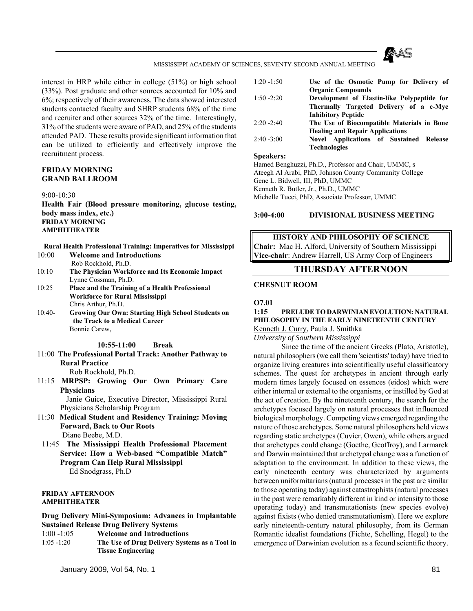

interest in HRP while either in college (51%) or high school (33%). Post graduate and other sources accounted for 10% and 6%; respectively of their awareness. The data showed interested students contacted faculty and SHRP students 68% of the time and recruiter and other sources 32% of the time. Interestingly, 31% of the students were aware of PAD, and 25% of the students attended PAD. These results provide significant information that can be utilized to efficiently and effectively improve the recruitment process.

## **FRIDAY MORNING GRAND BALLROOM**

9:00-10:30

**Health Fair (Blood pressure monitoring, glucose testing, body mass index, etc.) FRIDAY MORNING AMPHITHEATER** 

**Rural Health Professional Training: Imperatives for Mississippi**  10:00 **Welcome and Introductions**

- Rob Rockhold, Ph.D.
- 10:10 **The Physician Workforce and Its Economic Impact** Lynne Cossman, Ph.D.
- 10:25 **Place and the Training of a Health Professional Workforce for Rural Mississippi** Chris Arthur, Ph.D.
- 10:40- **Growing Our Own: Starting High School Students on the Track to a Medical Career** Bonnie Carew,

**10:55-11:00 Break** 

- 11:00 **The Professional Portal Track: Another Pathway to Rural Practice** Rob Rockhold, Ph.D.
- 11:15 **MRPSP: Growing Our Own Primary Care Physicians**

 Janie Guice, Executive Director, Mississippi Rural Physicians Scholarship Program

- 11:30 **Medical Student and Residency Training: Moving Forward, Back to Our Roots** Diane Beebe, M.D.
- 11:45 **The Mississippi Health Professional Placement Service: How a Web-based "Compatible Match" Program Can Help Rural Mississippi** Ed Snodgrass, Ph.D

### **FRIDAY AFTERNOON AMPHITHEATER**

**Drug Delivery Mini-Symposium: Advances in Implantable Sustained Release Drug Delivery Systems** 

- 1:00 -1:05 **Welcome and Introductions**
- 1:05 -1:20 **The Use of Drug Delivery Systems as a Tool in Tissue Engineering**

1:20 -1:50 **Use of the Osmotic Pump for Delivery of Organic Compounds** 1:50 -2:20 **Development of Elastin-like Polypeptide for Thermally Targeted Delivery of a c-Myc Inhibitory Peptide** 2:20 -2:40 **The Use of Biocompatible Materials in Bone** 

**Healing and Repair Applications** 2:40 -3:00 **Novel Applications of Sustained Release Technologies**

### **Speakers:**

Hamed Benghuzzi, Ph.D., Professor and Chair, UMMC, s Ateegh Al Arabi, PhD, Johnson County Community College Gene L. Bidwell, III, PhD, UMMC Kenneth R. Butler, Jr., Ph.D., UMMC Michelle Tucci, PhD, Associate Professor, UMMC

### **3:00-4:00 DIVISIONAL BUSINESS MEETING**

## **HISTORY AND PHILOSOPHY OF SCIENCE**

**Chair:** Mac H. Alford, University of Southern Mississippi **Vice-chair**: Andrew Harrell, US Army Corp of Engineers

# **THURSDAY AFTERNOON**

# **CHESNUT ROOM**

**O7.01**

# **1:15 PRELUDE TO DARWINIAN EVOLUTION: NATURAL PHILOSOPHY IN THE EARLY NINETEENTH CENTURY**

Kenneth J. Curry, Paula J. Smithka

*University of Southern Mississippi*

 Since the time of the ancient Greeks (Plato, Aristotle), natural philosophers (we call them 'scientists' today) have tried to organize living creatures into scientifically useful classificatory schemes. The quest for archetypes in ancient through early modern times largely focused on essences (eidos) which were either internal or external to the organisms, or instilled by God at the act of creation. By the nineteenth century, the search for the archetypes focused largely on natural processes that influenced biological morphology. Competing views emerged regarding the nature of those archetypes. Some natural philosophers held views regarding static archetypes (Cuvier, Owen), while others argued that archetypes could change (Goethe, Geoffroy), and Larmarck and Darwin maintained that archetypal change was a function of adaptation to the environment. In addition to these views, the early nineteenth century was characterized by arguments between uniformitarians (natural processes in the past are similar to those operating today) against catastrophists (natural processes in the past were remarkably different in kind or intensity to those operating today) and transmutationists (new species evolve) against fixists (who denied transmutationism). Here we explore early nineteenth-century natural philosophy, from its German Romantic idealist foundations (Fichte, Schelling, Hegel) to the emergence of Darwinian evolution as a fecund scientific theory.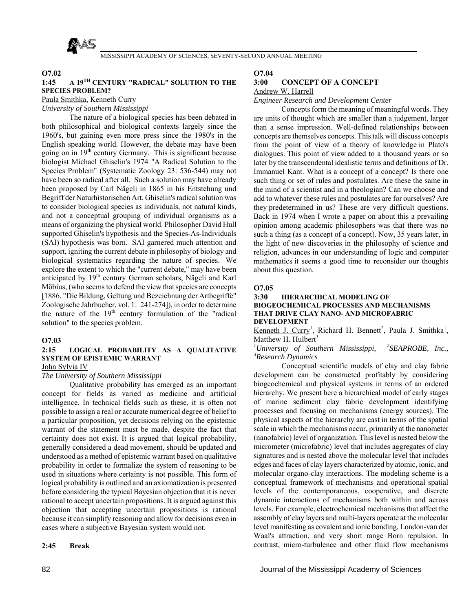

### **O7.02**

# **1:45 A 19TH CENTURY "RADICAL" SOLUTION TO THE SPECIES PROBLEM?**

Paula Smithka, Kenneth Curry

*University of Southern Mississippi*

 The nature of a biological species has been debated in both philosophical and biological contexts largely since the 1960's, but gaining even more press since the 1980's in the English speaking world. However, the debate may have been going on in 19th century Germany. This is significant because biologist Michael Ghiselin's 1974 "A Radical Solution to the Species Problem" (Systematic Zoology 23: 536-544) may not have been so radical after all. Such a solution may have already been proposed by Carl Nägeli in 1865 in his Entstehung und Begriff der Naturhistorischen Art. Ghiselin's radical solution was to consider biological species as individuals, not natural kinds, and not a conceptual grouping of individual organisms as a means of organizing the physical world. Philosopher David Hull supported Ghiselin's hypothesis and the Species-As-Individuals (SAI) hypothesis was born. SAI garnered much attention and support, igniting the current debate in philosophy of biology and biological systematics regarding the nature of species. We explore the extent to which the "current debate," may have been anticipated by 19<sup>th</sup> century German scholars, Nägeli and Karl Möbius, (who seems to defend the view that species are concepts [1886. "Die Bildung, Geltung und Bezeichnung der Artbegriffe" Zoologische Jahrbucher, vol. 1: 241-274]), in order to determine the nature of the  $19<sup>th</sup>$  century formulation of the "radical solution" to the species problem.

### **O7.03**

# **2:15 LOGICAL PROBABILITY AS A QUALITATIVE SYSTEM OF EPISTEMIC WARRANT**

# John Sylvia IV

# *The University of Southern Mississippi*

 Qualitative probability has emerged as an important concept for fields as varied as medicine and artificial intelligence. In technical fields such as these, it is often not possible to assign a real or accurate numerical degree of belief to a particular proposition, yet decisions relying on the epistemic warrant of the statement must be made, despite the fact that certainty does not exist. It is argued that logical probability, generally considered a dead movement, should be updated and understood as a method of epistemic warrant based on qualitative probability in order to formalize the system of reasoning to be used in situations where certainty is not possible. This form of logical probability is outlined and an axiomatization is presented before considering the typical Bayesian objection that it is never rational to accept uncertain propositions. It is argued against this objection that accepting uncertain propositions is rational because it can simplify reasoning and allow for decisions even in cases where a subjective Bayesian system would not.

### **2:45 Break**

## **O7.04**

## **3:00 CONCEPT OF A CONCEPT**

Andrew W. Harrell

*Engineer Research and Development Center*

 Concepts form the meaning of meaningful words. They are units of thought which are smaller than a judgement, larger than a sense impression. Well-defined relationships between concepts are themselves concepts. This talk will discuss concepts from the point of view of a theory of knowledge in Plato's dialogues. This point of view added to a thousand years or so later by the transcendental idealistic terms and definitions of Dr. Immanuel Kant. What is a concept of a concept? Is there one such thing or set of rules and postulates. Are these the same in the mind of a scientist and in a theologian? Can we choose and add to whatever these rules and postulates are for ourselves? Are they predetermined in us? These are very difficult questions. Back in 1974 when I wrote a paper on about this a prevailing opinion among academic philosophers was that there was no such a thing (as a concept of a concept). Now, 35 years later, in the light of new discoveries in the philosophy of science and religion, advances in our understanding of logic and computer mathematics it seems a good time to reconsider our thoughts about this question.

## **O7.05**

### **3:30 HIERARCHICAL MODELING OF BIOGEOCHEMICAL PROCESSES AND MECHANISMS THAT DRIVE CLAY NANO- AND MICROFABRIC DEVELOPMENT**

Kenneth J. Curry<sup>1</sup>, Richard H. Bennett<sup>2</sup>, Paula J. Smithka<sup>1</sup>, Matthew H. Hulbert $3$ 

<sup>1</sup>University of Southern Mississippi, <sup>2</sup>SEAPROBE, Inc., <sup>3</sup> **Pessengle Dynamics** *Research Dynamics*

 Conceptual scientific models of clay and clay fabric development can be constructed profitably by considering biogeochemical and physical systems in terms of an ordered hierarchy. We present here a hierarchical model of early stages of marine sediment clay fabric development identifying processes and focusing on mechanisms (energy sources). The physical aspects of the hierarchy are cast in terms of the spatial scale in which the mechanisms occur, primarily at the nanometer (nanofabric) level of organization. This level is nested below the micrometer (microfabric) level that includes aggregates of clay signatures and is nested above the molecular level that includes edges and faces of clay layers characterized by atomic, ionic, and molecular organo-clay interactions. The modeling scheme is a conceptual framework of mechanisms and operational spatial levels of the contemporaneous, cooperative, and discrete dynamic interactions of mechanisms both within and across levels. For example, electrochemical mechanisms that affect the assembly of clay layers and multi-layers operate at the molecular level manifesting as covalent and ionic bonding, London-van der Waal's attraction, and very short range Born repulsion. In contrast, micro-turbulence and other fluid flow mechanisms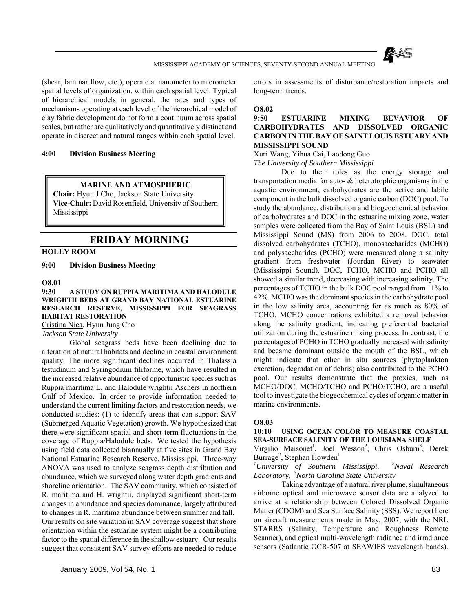

(shear, laminar flow, etc.), operate at nanometer to micrometer spatial levels of organization. within each spatial level. Typical of hierarchical models in general, the rates and types of mechanisms operating at each level of the hierarchical model of clay fabric development do not form a continuum across spatial scales, but rather are qualitatively and quantitatively distinct and operate in discreet and natural ranges within each spatial level.

## **4:00 Division Business Meeting**

### **MARINE AND ATMOSPHERIC**

**Chair:** Hyun J Cho, Jackson State University **Vice-Chair:** David Rosenfield, University of Southern Mississippi

# **FRIDAY MORNING**

# **HOLLY ROOM**

**9:00 Division Business Meeting** 

## **O8.01**

### **9:30 A STUDY ON RUPPIA MARITIMA AND HALODULE WRIGHTII BEDS AT GRAND BAY NATIONAL ESTUARINE RESEARCH RESERVE, MISSISSIPPI FOR SEAGRASS HABITAT RESTORATION** Cristina Nica, Hyun Jung Cho

*Jackson State University*

 Global seagrass beds have been declining due to alteration of natural habitats and decline in coastal environment quality. The more significant declines occurred in Thalassia testudinum and Syringodium filiforme, which have resulted in the increased relative abundance of opportunistic species such as Ruppia maritima L. and Halodule wrightii Aschers in northern Gulf of Mexico. In order to provide information needed to understand the current limiting factors and restoration needs, we conducted studies: (1) to identify areas that can support SAV (Submerged Aquatic Vegetation) growth. We hypothesized that there were significant spatial and short-term fluctuations in the coverage of Ruppia/Halodule beds. We tested the hypothesis using field data collected biannually at five sites in Grand Bay National Estuarine Research Reserve, Mississippi. Three-way ANOVA was used to analyze seagrass depth distribution and abundance, which we surveyed along water depth gradients and shoreline orientation. The SAV community, which consisted of R. maritima and H. wrightii, displayed significant short-term changes in abundance and species dominance, largely attributed to changes in R. maritima abundance between summer and fall. Our results on site variation in SAV coverage suggest that shore orientation within the estuarine system might be a contributing factor to the spatial difference in the shallow estuary. Our results suggest that consistent SAV survey efforts are needed to reduce

January 2009, Vol 54, No. 1 83

errors in assessments of disturbance/restoration impacts and long-term trends.

### **O8.02**

# **9:50 ESTUARINE MIXING BEVAVIOR OF CARBOHYDRATES AND DISSOLVED ORGANIC CARBON IN THE BAY OF SAINT LOUIS ESTUARY AND MISSISSIPPI SOUND**

Xuri Wang, Yihua Cai, Laodong Guo

*The University of Southern Mississippi*

 Due to their roles as the energy storage and transportation media for auto- & heterotrophic organisms in the aquatic environment, carbohydrates are the active and labile component in the bulk dissolved organic carbon (DOC) pool. To study the abundance, distribution and biogeochemical behavior of carbohydrates and DOC in the estuarine mixing zone, water samples were collected from the Bay of Saint Louis (BSL) and Mississippi Sound (MS) from 2006 to 2008. DOC, total dissolved carbohydrates (TCHO), monosaccharides (MCHO) and polysaccharides (PCHO) were measured along a salinity gradient from freshwater (Jourdan River) to seawater (Mississippi Sound). DOC, TCHO, MCHO and PCHO all showed a similar trend, decreasing with increasing salinity. The percentages of TCHO in the bulk DOC pool ranged from 11% to 42%. MCHO was the dominant species in the carbohydrate pool in the low salinity area, accounting for as much as 80% of TCHO. MCHO concentrations exhibited a removal behavior along the salinity gradient, indicating preferential bacterial utilization during the estuarine mixing process. In contrast, the percentages of PCHO in TCHO gradually increased with salinity and became dominant outside the mouth of the BSL, which might indicate that other in situ sources (phytoplankton excretion, degradation of debris) also contributed to the PCHO pool. Our results demonstrate that the proxies, such as MCHO/DOC, MCHO/TCHO and PCHO/TCHO, are a useful tool to investigate the biogeochemical cycles of organic matter in marine environments.

### **O8.03**

**10:10 USING OCEAN COLOR TO MEASURE COASTAL SEA-SURFACE SALINITY OF THE LOUISIANA SHELF**

Virgilio Maisonet<sup>1</sup>, Joel Wesson<sup>2</sup>, Chris Osburn<sup>3</sup>, Derek Burrage<sup>2</sup>, Stephan Howden<sup>1</sup>

*1 University of Southern Mississippi, 2Naval Research Laboratory, 3North Carolina State University*

 Taking advantage of a natural river plume, simultaneous airborne optical and microwave sensor data are analyzed to arrive at a relationship between Colored Dissolved Organic Matter (CDOM) and Sea Surface Salinity (SSS). We report here on aircraft measurements made in May, 2007, with the NRL STARRS (Salinity, Temperature and Roughness Remote Scanner), and optical multi-wavelength radiance and irradiance sensors (Satlantic OCR-507 at SEAWIFS wavelength bands).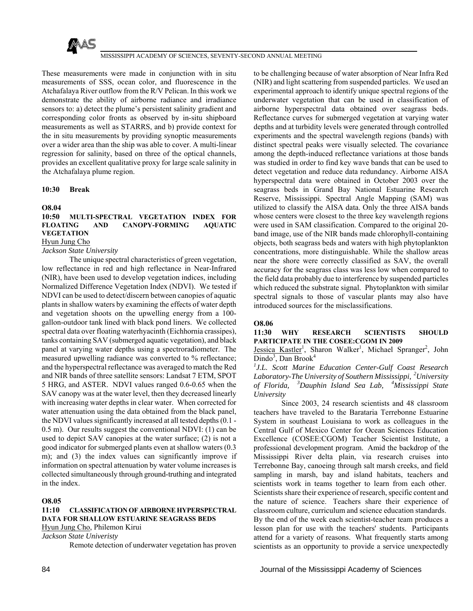

These measurements were made in conjunction with in situ measurements of SSS, ocean color, and fluorescence in the Atchafalaya River outflow from the R/V Pelican. In this work we demonstrate the ability of airborne radiance and irradiance sensors to: a) detect the plume's persistent salinity gradient and corresponding color fronts as observed by in-situ shipboard measurements as well as STARRS, and b) provide context for the in situ measurements by providing synoptic measurements over a wider area than the ship was able to cover. A multi-linear regression for salinity, based on three of the optical channels, provides an excellent qualitative proxy for large scale salinity in the Atchafalaya plume region.

### **10:30 Break**

### **O8.04**

# **10:50 MULTI-SPECTRAL VEGETATION INDEX FOR FLOATING AND CANOPY-FORMING AQUATIC VEGETATION**

# Hyun Jung Cho

*Jackson State University*

 The unique spectral characteristics of green vegetation, low reflectance in red and high reflectance in Near-Infrared (NIR), have been used to develop vegetation indices, including Normalized Difference Vegetation Index (NDVI). We tested if NDVI can be used to detect/discern between canopies of aquatic plants in shallow waters by examining the effects of water depth and vegetation shoots on the upwelling energy from a 100 gallon-outdoor tank lined with black pond liners. We collected spectral data over floating waterhyacinth (Eichhornia crassipes), tanks containing SAV (submerged aquatic vegetation), and black panel at varying water depths using a spectroradiometer. The measured upwelling radiance was converted to % reflectance; and the hyperspectral reflectance was averaged to match the Red and NIR bands of three satellite sensors: Landsat 7 ETM, SPOT 5 HRG, and ASTER. NDVI values ranged 0.6-0.65 when the SAV canopy was at the water level, then they decreased linearly with increasing water depths in clear water. When corrected for water attenuation using the data obtained from the black panel, the NDVI values significantly increased at all tested depths (0.1 - 0.5 m). Our results suggest the conventional NDVI: (1) can be used to depict SAV canopies at the water surface; (2) is not a good indicator for submerged plants even at shallow waters (0.3 m); and (3) the index values can significantly improve if information on spectral attenuation by water volume increases is collected simultaneously through ground-truthing and integrated in the index.

# **O8.05**

**11:10 CLASSIFICATION OF AIRBORNE HYPERSPECTRAL DATA FOR SHALLOW ESTUARINE SEAGRASS BEDS** Hyun Jung Cho, Philemon Kirui *Jackson State Univeristy*

Remote detection of underwater vegetation has proven

to be challenging because of water absorption of Near Infra Red (NIR) and light scattering from suspended particles. We used an experimental approach to identify unique spectral regions of the underwater vegetation that can be used in classification of airborne hyperspectral data obtained over seagrass beds. Reflectance curves for submerged vegetation at varying water depths and at turbidity levels were generated through controlled experiments and the spectral wavelength regions (bands) with distinct spectral peaks were visually selected. The covariance among the depth-induced reflectance variations at those bands was studied in order to find key wave bands that can be used to detect vegetation and reduce data redundancy. Airborne AISA hyperspectral data were obtained in October 2003 over the seagrass beds in Grand Bay National Estuarine Research Reserve, Mississippi. Spectral Angle Mapping (SAM) was utilized to classify the AISA data. Only the three AISA bands whose centers were closest to the three key wavelength regions were used in SAM classification. Compared to the original 20 band image, use of the NIR bands made chlorophyll-containing objects, both seagrass beds and waters with high phytoplankton concentrations, more distinguishable. While the shallow areas near the shore were correctly classified as SAV, the overall accuracy for the seagrass class was less low when compared to the field data probably due to interference by suspended particles which reduced the substrate signal. Phytoplankton with similar spectral signals to those of vascular plants may also have introduced sources for the misclassifications.

### **O8.06**

**11:30 WHY RESEARCH SCIENTISTS SHOULD PARTICIPATE IN THE COSEE:CGOM IN 2009**

Jessica Kastler<sup>1</sup>, Sharon Walker<sup>1</sup>, Michael Spranger<sup>2</sup>, John Dindo<sup>3</sup>, Dan Brook<sup>4</sup>

*1 J.L. Scott Marine Education Center-Gulf Coast Research Laboratory-The University of Southern Mississippi, 2University of Florida, 3Dauphin Island Sea Lab, 4Mississippi State University*

 Since 2003, 24 research scientists and 48 classroom teachers have traveled to the Barataria Terrebonne Estuarine System in southeast Louisiana to work as colleagues in the Central Gulf of Mexico Center for Ocean Sciences Education Excellence (COSEE:CGOM) Teacher Scientist Institute, a professional development program. Amid the backdrop of the Mississippi River delta plain, via research cruises into Terrebonne Bay, canoeing through salt marsh creeks, and field sampling in marsh, bay and island habitats, teachers and scientists work in teams together to learn from each other. Scientists share their experience of research, specific content and the nature of science. Teachers share their experience of classroom culture, curriculum and science education standards. By the end of the week each scientist-teacher team produces a lesson plan for use with the teachers' students. Participants attend for a variety of reasons. What frequently starts among scientists as an opportunity to provide a service unexpectedly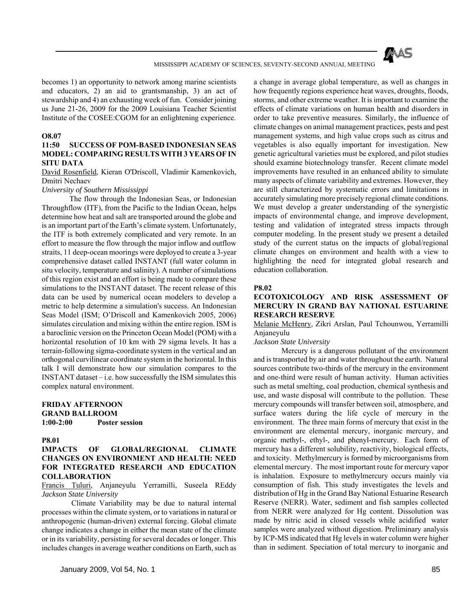

becomes 1) an opportunity to network among marine scientists and educators, 2) an aid to grantsmanship, 3) an act of stewardship and 4) an exhausting week of fun. Consider joining us June 21-26, 2009 for the 2009 Louisiana Teacher Scientist Institute of the COSEE:CGOM for an enlightening experience.

### **O8.07**

## **11:50 SUCCESS OF POM-BASED INDONESIAN SEAS MODEL: COMPARING RESULTS WITH 3 YEARS OF IN SITU DATA**

David Rosenfield, Kieran O'Driscoll, Vladimir Kamenkovich, Dmitri Nechaev

### *University of Southern Mississippi*

 The flow through the Indonesian Seas, or Indonesian Throughflow (ITF), from the Pacific to the Indian Ocean, helps determine how heat and salt are transported around the globe and is an important part of the Earth's climate system. Unfortunately, the ITF is both extremely complicated and very remote. In an effort to measure the flow through the major inflow and outflow straits, 11 deep-ocean moorings were deployed to create a 3-year comprehensive dataset called INSTANT (full water column in situ velocity, temperature and salinity). A number of simulations of this region exist and an effort is being made to compare these simulations to the INSTANT dataset. The recent release of this data can be used by numerical ocean modelers to develop a metric to help determine a simulation's success. An Indonesian Seas Model (ISM; O'Driscoll and Kamenkovich 2005, 2006) simulates circulation and mixing within the entire region. ISM is a baroclinic version on the Princeton Ocean Model (POM) with a horizontal resolution of 10 km with 29 sigma levels. It has a terrain-following sigma-coordinate system in the vertical and an orthogonal curvilinear coordinate system in the horizontal. In this talk I will demonstrate how our simulation compares to the INSTANT dataset – i.e. how successfully the ISM simulates this complex natural environment.

## **FRIDAY AFTERNOON GRAND BALLROOM 1:00-2:00 Poster session**

### **P8.01**

## **IMPACTS OF GLOBAL/REGIONAL CLIMATE CHANGES ON ENVIRONMENT AND HEALTH: NEED FOR INTEGRATED RESEARCH AND EDUCATION COLLABORATION**

Francis Tuluri, Anjaneyulu Yerramilli, Suseela REddy *Jackson State University*

 Climate Variability may be due to natural internal processes within the climate system, or to variations in natural or anthropogenic (human-driven) external forcing. Global climate change indicates a change in either the mean state of the climate or in its variability, persisting for several decades or longer. This includes changes in average weather conditions on Earth, such as

a change in average global temperature, as well as changes in how frequently regions experience heat waves, droughts, floods, storms, and other extreme weather. It is important to examine the effects of climate variations on human health and disorders in order to take preventive measures. Similarly, the influence of climate changes on animal management practices, pests and pest management systems, and high value crops such as citrus and vegetables is also equally important for investigation. New genetic agricultural varieties must be explored, and pilot studies should examine biotechnology transfer. Recent climate model improvements have resulted in an enhanced ability to simulate many aspects of climate variability and extremes. However, they are still characterized by systematic errors and limitations in accurately simulating more precisely regional climate conditions. We must develop a greater understanding of the synergistic impacts of environmental change, and improve development, testing and validation of integrated stress impacts through computer modeling. In the present study we present a detailed study of the current status on the impacts of global/regional climate changes on environment and health with a view to highlighting the need for integrated global research and education collaboration.

## **P8.02**

## **ECOTOXICOLOGY AND RISK ASSESSMENT OF MERCURY IN GRAND BAY NATIONAL ESTUARINE RESEARCH RESERVE**

Melanie McHenry, Zikri Arslan, Paul Tchounwou, Yerramilli Anjaneyulu

### *Jackson State University*

 Mercury is a dangerous pollutant of the environment and is transported by air and water throughout the earth. Natural sources contribute two-thirds of the mercury in the environment and one-third were result of human activity. Human activities such as metal smelting, coal production, chemical synthesis and use, and waste disposal will contribute to the pollution. These mercury compounds will transfer between soil, atmosphere, and surface waters during the life cycle of mercury in the environment. The three main forms of mercury that exist in the environment are elemental mercury, inorganic mercury, and organic methyl-, ethyl-, and phenyl-mercury. Each form of mercury has a different solubility, reactivity, biological effects, and toxicity. Methylmercury is formed by microorganisms from elemental mercury. The most important route for mercury vapor is inhalation. Exposure to methylmercury occurs mainly via consumption of fish. This study investigates the levels and distribution of Hg in the Grand Bay National Estuarine Research Reserve (NERR). Water, sediment and fish samples collected from NERR were analyzed for Hg content. Dissolution was made by nitric acid in closed vessels while acidified water samples were analyzed without digestion. Preliminary analysis by ICP-MS indicated that Hg levels in water column were higher than in sediment. Speciation of total mercury to inorganic and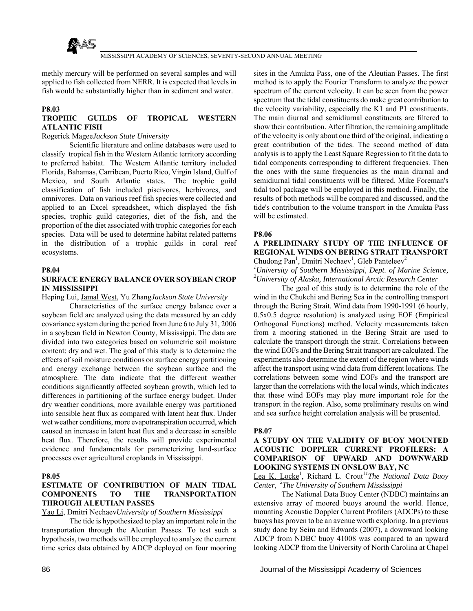

methly mercury will be performed on several samples and will applied to fish collected from NERR. It is expected that levels in fish would be substantially higher than in sediment and water.

## **P8.03**

# **TROPHIC GUILDS OF TROPICAL WESTERN ATLANTIC FISH**

# Rogerick Magee*Jackson State University*

 Scientific literature and online databases were used to classify tropical fish in the Western Atlantic territory according to preferred habitat. The Western Atlantic territory included Florida, Bahamas, Carribean, Puerto Rico, Virgin Island, Gulf of Mexico, and South Atlantic states. The trophic guild classification of fish included piscivores, herbivores, and omnivores. Data on various reef fish species were collected and applied to an Excel spreadsheet, which displayed the fish species, trophic guild categories, diet of the fish, and the proportion of the diet associated with trophic categories for each species. Data will be used to determine habitat related patterns in the distribution of a trophic guilds in coral reef ecosystems.

### **P8.04**

# **SURFACE ENERGY BALANCE OVER SOYBEAN CROP IN MISSISSIPPI**

Heping Lui, Jamal West, Yu Zhang*Jackson State University*

 Characteristics of the surface energy balance over a soybean field are analyzed using the data measured by an eddy covariance system during the period from June 6 to July 31, 2006 in a soybean field in Newton County, Mississippi. The data are divided into two categories based on volumetric soil moisture content: dry and wet. The goal of this study is to determine the effects of soil moisture conditions on surface energy partitioning and energy exchange between the soybean surface and the atmosphere. The data indicate that the different weather conditions significantly affected soybean growth, which led to differences in partitioning of the surface energy budget. Under dry weather conditions, more available energy was partitioned into sensible heat flux as compared with latent heat flux. Under wet weather conditions, more evapotranspiration occurred, which caused an increase in latent heat flux and a decrease in sensible heat flux. Therefore, the results will provide experimental evidence and fundamentals for parameterizing land-surface processes over agricultural croplands in Mississippi.

## **P8.05**

# **ESTIMATE OF CONTRIBUTION OF MAIN TIDAL COMPONENTS TO THE TRANSPORTATION THROUGH ALEUTIAN PASSES**

Yao Li, Dmitri Nechaev*University of Southern Mississippi*

 The tide is hypothesized to play an important role in the transportation through the Aleutian Passes. To test such a hypothesis, two methods will be employed to analyze the current time series data obtained by ADCP deployed on four mooring

sites in the Amukta Pass, one of the Aleutian Passes. The first method is to apply the Fourier Transform to analyze the power spectrum of the current velocity. It can be seen from the power spectrum that the tidal constituents do make great contribution to the velocity variability, especially the K1 and P1 constituents. The main diurnal and semidiurnal constituents are filtered to show their contribution. After filtration, the remaining amplitude of the velocity is only about one third of the original, indicating a great contribution of the tides. The second method of data analysis is to apply the Least Square Regression to fit the data to tidal components corresponding to different frequencies. Then the ones with the same frequencies as the main diurnal and semidiurnal tidal constituents will be filtered. Mike Foreman's tidal tool package will be employed in this method. Finally, the results of both methods will be compared and discussed, and the tide's contribution to the volume transport in the Amukta Pass will be estimated.

## **P8.06**

# **A PRELIMINARY STUDY OF THE INFLUENCE OF REGIONAL WINDS ON BERING STRAIT TRANSPORT**  $Chudong Pan<sup>1</sup>$ , Dmitri Nechaev<sup>1</sup>, Gleb Panteleev<sup>2</sup>

*1 University of Southern Mississippi, Dept. of Marine Science, 2 University of Alaska, International Arctic Research Center*

 The goal of this study is to determine the role of the wind in the Chukchi and Bering Sea in the controlling transport through the Bering Strait. Wind data from 1990-1991 (6 hourly, 0.5x0.5 degree resolution) is analyzed using EOF (Empirical Orthogonal Functions) method. Velocity measurements taken from a mooring stationed in the Bering Strait are used to calculate the transport through the strait. Correlations between the wind EOFs and the Bering Strait transport are calculated. The experiments also determine the extent of the region where winds affect the transport using wind data from different locations. The correlations between some wind EOFs and the transport are larger than the correlations with the local winds, which indicates that these wind EOFs may play more important role for the transport in the region. Also, some preliminary results on wind and sea surface height correlation analysis will be presented.

### **P8.07**

# **A STUDY ON THE VALIDITY OF BUOY MOUNTED ACOUSTIC DOPPLER CURRENT PROFILERS: A COMPARISON OF UPWARD AND DOWNWARD LOOKING SYSTEMS IN ONSLOW BAY, NC**

Lea K. Locke<sup>1</sup>, Richard L. Crout<sup>11</sup>The National Data Buoy *Center, 2The University of Southern Mississippi*

 The National Data Buoy Center (NDBC) maintains an extensive array of moored buoys around the world. Hence, mounting Acoustic Doppler Current Profilers (ADCPs) to these buoys has proven to be an avenue worth exploring. In a previous study done by Seim and Edwards (2007), a downward looking ADCP from NDBC buoy 41008 was compared to an upward looking ADCP from the University of North Carolina at Chapel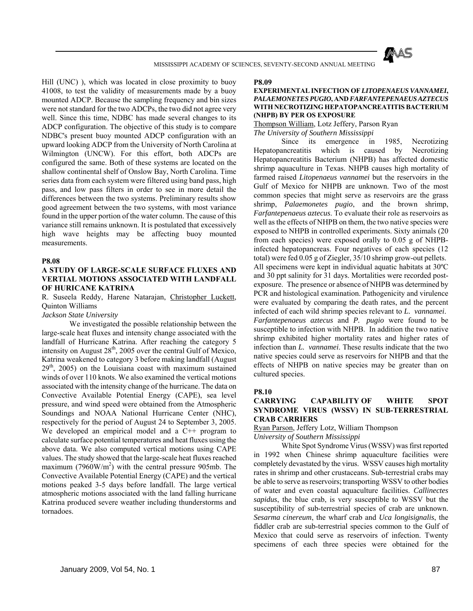

Hill (UNC) ), which was located in close proximity to buoy 41008, to test the validity of measurements made by a buoy mounted ADCP. Because the sampling frequency and bin sizes were not standard for the two ADCPs, the two did not agree very well. Since this time, NDBC has made several changes to its ADCP configuration. The objective of this study is to compare NDBC's present buoy mounted ADCP configuration with an upward looking ADCP from the University of North Carolina at Wilmington (UNCW). For this effort, both ADCPs are configured the same. Both of these systems are located on the shallow continental shelf of Onslow Bay, North Carolina. Time series data from each system were filtered using band pass, high pass, and low pass filters in order to see in more detail the differences between the two systems. Preliminary results show good agreement between the two systems, with most variance found in the upper portion of the water column. The cause of this variance still remains unknown. It is postulated that excessively high wave heights may be affecting buoy mounted measurements.

### **P8.08**

## **A STUDY OF LARGE-SCALE SURFACE FLUXES AND VERTIAL MOTIONS ASSOCIATED WITH LANDFALL OF HURICANE KATRINA**

R. Suseela Reddy, Harene Natarajan, Christopher Luckett, Quinton Williams

### *Jackson State University*

 We investigated the possible relationship between the large-scale heat fluxes and intensity change associated with the landfall of Hurricane Katrina. After reaching the category 5 intensity on August  $28<sup>th</sup>$ , 2005 over the central Gulf of Mexico, Katrina weakened to category 3 before making landfall (August  $29<sup>th</sup>$ ,  $2005$ ) on the Louisiana coast with maximum sustained winds of over 110 knots. We also examined the vertical motions associated with the intensity change of the hurricane. The data on Convective Available Potential Energy (CAPE), sea level pressure, and wind speed were obtained from the Atmospheric Soundings and NOAA National Hurricane Center (NHC), respectively for the period of August 24 to September 3, 2005. We developed an empirical model and a C<sup>++</sup> program to calculate surface potential temperatures and heat fluxes using the above data. We also computed vertical motions using CAPE values. The study showed that the large-scale heat fluxes reached maximum (7960 $W/m<sup>2</sup>$ ) with the central pressure 905mb. The Convective Available Potential Energy (CAPE) and the vertical motions peaked 3-5 days before landfall. The large vertical atmospheric motions associated with the land falling hurricane Katrina produced severe weather including thunderstorms and tornadoes.

#### **P8.09**

### **EXPERIMENTAL INFECTION OF** *LITOPENAEUS VANNAMEI***,**  *PALAEMONETES PUGIO***, AND** *FARFANTEPENAEUS AZTECUS* **WITH NECROTIZING HEPATOPANCREATITIS BACTERIUM (NHPB) BY PER OS EXPOSURE**

# Thompson William, Lotz Jeffery, Parson Ryan

*The University of Southern Mississippi*

 Since its emergence in 1985, Necrotizing Hepatopancreatitis which is caused by Necrotizing Hepatopancreatitis Bacterium (NHPB) has affected domestic shrimp aquaculture in Texas. NHPB causes high mortality of farmed raised *Litopenaeus vannamei* but the reservoirs in the Gulf of Mexico for NHPB are unknown. Two of the most common species that might serve as reservoirs are the grass shrimp, *Palaemonetes pugio*, and the brown shrimp, *Farfantepenaeus aztecus*. To evaluate their role as reservoirs as well as the effects of NHPB on them, the two native species were exposed to NHPB in controlled experiments. Sixty animals (20 from each species) were exposed orally to 0.05 g of NHPBinfected hepatopancreas. Four negatives of each species (12 total) were fed 0.05 g of Ziegler, 35/10 shrimp grow-out pellets. All specimens were kept in individual aquatic habitats at 30ºC and 30 ppt salinity for 31 days. Mortalities were recorded postexposure. The presence or absence of NHPB was determined by PCR and histological examination. Pathogenicity and virulence were evaluated by comparing the death rates, and the percent infected of each wild shrimp species relevant to *L. vannamei*. *Farfantepenaeus aztecus* and *P. pugio* were found to be susceptible to infection with NHPB. In addition the two native shrimp exhibited higher mortality rates and higher rates of infection than *L. vannamei*. These results indicate that the two native species could serve as reservoirs for NHPB and that the effects of NHPB on native species may be greater than on cultured species.

### **P8.10**

### **CARRYING CAPABILITY OF WHITE SPOT SYNDROME VIRUS (WSSV) IN SUB-TERRESTRIAL CRAB CARRIERS**

Ryan Parson, Jeffery Lotz, William Thompson *University of Southern Mississippi*

 White Spot Syndrome Virus (WSSV) was first reported in 1992 when Chinese shrimp aquaculture facilities were completely devastated by the virus. WSSV causes high mortality rates in shrimp and other crustaceans. Sub-terrestrial crabs may be able to serve as reservoirs; transporting WSSV to other bodies of water and even coastal aquaculture facilities. *Callinectes sapidus*, the blue crab, is very susceptible to WSSV but the susceptibility of sub-terrestrial species of crab are unknown. *Sesarma cinereum*, the wharf crab and *Uca longisignalis*, the fiddler crab are sub-terrestrial species common to the Gulf of Mexico that could serve as reservoirs of infection. Twenty specimens of each three species were obtained for the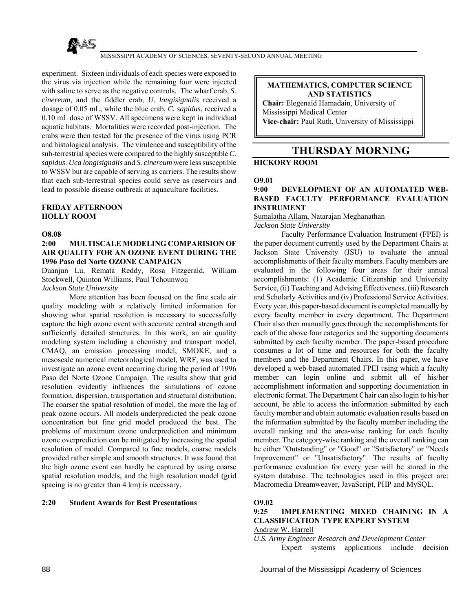

experiment. Sixteen individuals of each species were exposed to the virus via injection while the remaining four were injected with saline to serve as the negative controls. The wharf crab, *S. cinereum*, and the fiddler crab, *U. longisignalis* received a dosage of 0.05 mL, while the blue crab, *C. sapidus*, received a 0.10 mL dose of WSSV. All specimens were kept in individual aquatic habitats. Mortalities were recorded post-injection. The crabs were then tested for the presence of the virus using PCR and histological analysis. The virulence and susceptibility of the sub-terrestrial species were compared to the highly susceptible *C. sapidus*. *Uca longisignalis* and *S. cinereum* were less susceptible to WSSV but are capable of serving as carriers. The results show that each sub-terrestrial species could serve as reservoirs and lead to possible disease outbreak at aquaculture facilities.

# **FRIDAY AFTERNOON HOLLY ROOM**

### **O8.08**

## **2:00 MULTISCALE MODELING COMPARISION OF AIR QUALITY FOR AN OZONE EVENT DURING THE 1996 Paso del Norte OZONE CAMPAIGN**

Duanjun Lu, Remata Reddy, Rosa Fitzgerald, William Stockwell, Quinton Williams, Paul Tchounwou

# *Jackson State University*

 More attention has been focused on the fine scale air quality modeling with a relatively limited information for showing what spatial resolution is necessary to successfully capture the high ozone event with accurate central strength and sufficiently detailed structures. In this work, an air quality modeling system including a chemistry and transport model, CMAQ, an emission processing model, SMOKE, and a mesoscale numerical meteorological model, WRF, was used to investigate an ozone event occurring during the period of 1996 Paso del Norte Ozone Campaign. The results show that grid resolution evidently influences the simulations of ozone formation, dispersion, transportation and structural distribution. The coarser the spatial resolution of model, the more the lag of peak ozone occurs. All models underpredicted the peak ozone concentration but fine grid model produced the best. The problems of maximum ozone underprediction and minimum ozone overprediction can be mitigated by increasing the spatial resolution of model. Compared to fine models, coarse models provided rather simple and smooth structures. It was found that the high ozone event can hardly be captured by using coarse spatial resolution models, and the high resolution model (grid spacing is no greater than 4 km) is necessary.

# **2:20 Student Awards for Best Presentations**

**MATHEMATICS, COMPUTER SCIENCE AND STATISTICS** 

**Chair:** Elegenaid Hamadain, University of Mississippi Medical Center **Vice-chair:** Paul Ruth, University of Mississippi

# **THURSDAY MORNING**

# **HICKORY ROOM**

## **O9.01**

## **9:00 DEVELOPMENT OF AN AUTOMATED WEB-BASED FACULTY PERFORMANCE EVALUATION INSTRUMENT**

Sumalatha Allam, Natarajan Meghanathan

*Jackson State University*

 Faculty Performance Evaluation Instrument (FPEI) is the paper document currently used by the Department Chairs at Jackson State University (JSU) to evaluate the annual accomplishments of their faculty members. Faculty members are evaluated in the following four areas for their annual accomplishments: (1) Academic Citizenship and University Service, (ii) Teaching and Advising Effectiveness, (iii) Research and Scholarly Activities and (iv) Professional Service Activities. Every year, this paper-based document is completed manually by every faculty member in every department. The Department Chair also then manually goes through the accomplishments for each of the above four categories and the supporting documents submitted by each faculty member. The paper-based procedure consumes a lot of time and resources for both the faculty members and the Department Chairs. In this paper, we have developed a web-based automated FPEI using which a faculty member can login online and submit all of his/her accomplishment information and supporting documentation in electronic format. The Department Chair can also login to his/her account, be able to access the information submitted by each faculty member and obtain automatic evaluation results based on the information submitted by the faculty member including the overall ranking and the area-wise ranking for each faculty member. The category-wise ranking and the overall ranking can be either "Outstanding" or "Good" or "Satisfactory" or "Needs Improvement" or "Unsatisfactory". The results of faculty performance evaluation for every year will be stored in the system database. The technologies used in this project are: Macromedia Dreamweaver, JavaScript, PHP and MySQL.

# **O9.02**

## **9:25 IMPLEMENTING MIXED CHAINING IN A CLASSIFICATION TYPE EXPERT SYSTEM** Andrew W. Harrell

*U.S. Army Engineer Research and Development Center* Expert systems applications include decision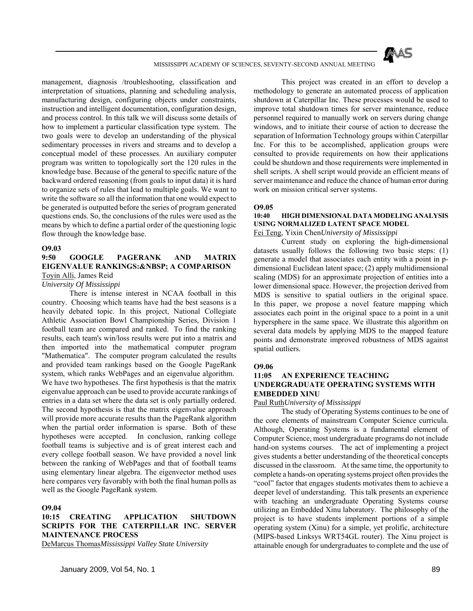

management, diagnosis /troubleshooting, classification and interpretation of situations, planning and scheduling analysis, manufacturing design, configuring objects under constraints, instruction and intelligent documentation, configuration design, and process control. In this talk we will discuss some details of how to implement a particular classification type system. The two goals were to develop an understanding of the physical sedimentary processes in rivers and streams and to develop a conceptual model of these processes. An auxiliary computer program was written to topologically sort the 120 rules in the knowledge base. Because of the general to specific nature of the backward ordered reasoning (from goals to input data) it is hard to organize sets of rules that lead to multiple goals. We want to write the software so all the information that one would expect to be generated is outputted before the series of program generated questions ends. So, the conclusions of the rules were used as the means by which to define a partial order of the questioning logic flow through the knowledge base.

### **O9.03**

## **9:50 GOOGLE PAGERANK AND MATRIX EIGENVALUE RANKINGS: & NBSP; A COMPARISON** Toyin Alli, James Reid

### *University Of Mississippi*

 There is intense interest in NCAA football in this country. Choosing which teams have had the best seasons is a heavily debated topic. In this project, National Collegiate Athletic Association Bowl Championship Series, Division 1 football team are compared and ranked. To find the ranking results, each team's win/loss results were put into a matrix and then imported into the mathematical computer program "Mathematica". The computer program calculated the results and provided team rankings based on the Google PageRank system, which ranks WebPages and an eigenvalue algorithm. We have two hypotheses. The first hypothesis is that the matrix eigenvalue approach can be used to provide accurate rankings of entries in a data set where the data set is only partially ordered. The second hypothesis is that the matrix eigenvalue approach will provide more accurate results than the PageRank algorithm when the partial order information is sparse. Both of these hypotheses were accepted. In conclusion, ranking college football teams is subjective and is of great interest each and every college football season. We have provided a novel link between the ranking of WebPages and that of football teams using elementary linear algebra. The eigenvector method uses here compares very favorably with both the final human polls as well as the Google PageRank system.

### **O9.04**

# **10:15 CREATING APPLICATION SHUTDOWN SCRIPTS FOR THE CATERPILLAR INC. SERVER MAINTENANCE PROCESS**

DeMarcus Thomas*Mississippi Valley State University*

 This project was created in an effort to develop a methodology to generate an automated process of application shutdown at Caterpillar Inc. These processes would be used to improve total shutdown times for server maintenance, reduce personnel required to manually work on servers during change windows, and to initiate their course of action to decrease the separation of Information Technology groups within Caterpillar Inc. For this to be accomplished, application groups were consulted to provide requirements on how their applications could be shutdown and those requirements were implemented in shell scripts. A shell script would provide an efficient means of server maintenance and reduce the chance of human error during work on mission critical server systems.

#### **O9.05**

# **10:40 HIGH DIMENSIONAL DATA MODELING ANALYSIS USING NORMALIZED LATENT SPACE MODEL**

Fei Teng, Yixin Chen*University of Mississippi*

 Current study on exploring the high-dimensional datasets usually follows the following two basic steps: (1) generate a model that associates each entity with a point in pdimensional Euclidean latent space; (2) apply multidimensional scaling (MDS) for an approximate projection of entities into a lower dimensional space. However, the projection derived from MDS is sensitive to spatial outliers in the original space. In this paper, we propose a novel feature mapping which associates each point in the original space to a point in a unit hypersphere in the same space. We illustrate this algorithm on several data models by applying MDS to the mapped feature points and demonstrate improved robustness of MDS against spatial outliers.

### **O9.06**

## **11:05 AN EXPERIENCE TEACHING UNDERGRADUATE OPERATING SYSTEMS WITH EMBEDDED XINU**

Paul Ruth*University of Mississippi*

 The study of Operating Systems continues to be one of the core elements of mainstream Computer Science curricula. Although, Operating Systems is a fundamental element of Computer Science, most undergraduate programs do not include hand-on systems courses. The act of implementing a project gives students a better understanding of the theoretical concepts discussed in the classroom. At the same time, the opportunity to complete a hands-on operating systems project often provides the "cool" factor that engages students motivates them to achieve a deeper level of understanding. This talk presents an experience with teaching an undergraduate Operating Systems course utilizing an Embedded Xinu laboratory. The philosophy of the project is to have students implement portions of a simple operating system (Xinu) for a simple, yet prolific, architecture (MIPS-based Linksys WRT54GL router). The Xinu project is attainable enough for undergraduates to complete and the use of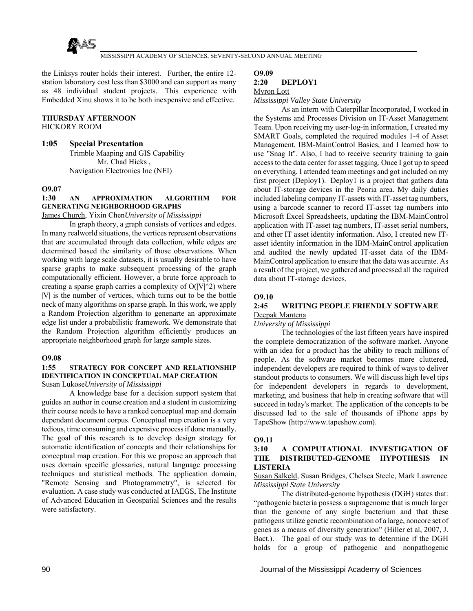

the Linksys router holds their interest. Further, the entire 12 station laboratory cost less than \$3000 and can support as many as 48 individual student projects. This experience with Embedded Xinu shows it to be both inexpensive and effective.

## **THURSDAY AFTERNOON**

HICKORY ROOM

# **1:05 Special Presentation**

Trimble Maaping and GIS Capability Mr. Chad Hicks , Navigation Electronics Inc (NEI)

## **O9.07**

# **1:30 AN APPROXIMATION ALGORITHM FOR GENERATING NEIGHBORHOOD GRAPHS**

James Church, Yixin Chen*University of Mississippi*

 In graph theory, a graph consists of vertices and edges. In many realworld situations, the vertices represent observations that are accumulated through data collection, while edges are determined based the similarity of those observations. When working with large scale datasets, it is usually desirable to have sparse graphs to make subsequent processing of the graph computationally efficient. However, a brute force approach to creating a sparse graph carries a complexity of  $O(|V|<sub>2</sub>)$  where |V| is the number of vertices, which turns out to be the bottle neck of many algorithms on sparse graph. In this work, we apply a Random Projection algorithm to genenarte an approximate edge list under a probabilistic framework. We demonstrate that the Random Projection algorithm efficiently produces an appropriate neighborhood graph for large sample sizes.

### **O9.08**

### **1:55 STRATEGY FOR CONCEPT AND RELATIONSHIP IDENTIFICATION IN CONCEPTUAL MAP CREATION** Susan Lukose*University of Mississippi*

 A knowledge base for a decision support system that guides an author in course creation and a student in customizing their course needs to have a ranked conceptual map and domain dependant document corpus. Conceptual map creation is a very tedious, time consuming and expensive process if done manually. The goal of this research is to develop design strategy for automatic identification of concepts and their relationships for conceptual map creation. For this we propose an approach that uses domain specific glossaries, natural language processing techniques and statistical methods. The application domain, "Remote Sensing and Photogrammetry", is selected for evaluation. A case study was conducted at IAEGS, The Institute of Advanced Education in Geospatial Sciences and the results were satisfactory.

### **O9.09**

## **2:20 DEPLOY1**

#### Myron Lott

*Mississippi Valley State University*

 As an intern with Caterpillar Incorporated, I worked in the Systems and Processes Division on IT-Asset Management Team. Upon receiving my user-log-in information, I created my SMART Goals, completed the required modules 1-4 of Asset Management, IBM-MainControl Basics, and I learned how to use "Snag It". Also, I had to receive security training to gain access to the data center for asset tagging. Once I got up to speed on everything, I attended team meetings and got included on my first project (Deploy1). Deploy1 is a project that gathers data about IT-storage devices in the Peoria area. My daily duties included labeling company IT-assets with IT-asset tag numbers, using a barcode scanner to record IT-asset tag numbers into Microsoft Excel Spreadsheets, updating the IBM-MainControl application with IT-asset tag numbers, IT-asset serial numbers, and other IT asset identity information. Also, I created new ITasset identity information in the IBM-MainControl application and audited the newly updated IT-asset data of the IBM-MainControl application to ensure that the data was accurate. As a result of the project, we gathered and processed all the required data about IT-storage devices.

### **O9.10**

### **2:45 WRITING PEOPLE FRIENDLY SOFTWARE** Deepak Mantena

*University of Mississippi*

 The technologies of the last fifteen years have inspired the complete democratization of the software market. Anyone with an idea for a product has the ability to reach millions of people. As the software market becomes more cluttered, independent developers are required to think of ways to deliver standout products to consumers. We will discuss high level tips for independent developers in regards to development, marketing, and business that help in creating software that will succeed in today's market. The application of the concepts to be discussed led to the sale of thousands of iPhone apps by TapeShow (http://www.tapeshow.com).

### **O9.11**

## **3:10 A COMPUTATIONAL INVESTIGATION OF THE DISTRIBUTED-GENOME HYPOTHESIS IN LISTERIA**

Susan Salkeld, Susan Bridges, Chelsea Steele, Mark Lawrence *Mississippi State University*

 The distributed-genome hypothesis (DGH) states that: "pathogenic bacteria possess a supragenome that is much larger than the genome of any single bacterium and that these pathogens utilize genetic recombination of a large, noncore set of genes as a means of diversity generation" (Hiller et al, 2007, J. Bact.). The goal of our study was to determine if the DGH holds for a group of pathogenic and nonpathogenic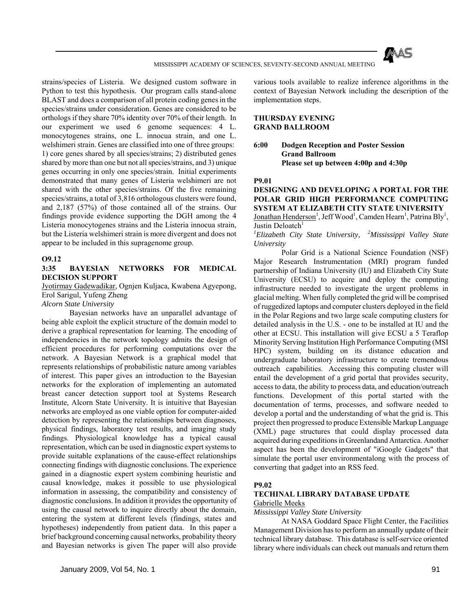

strains/species of Listeria. We designed custom software in Python to test this hypothesis. Our program calls stand-alone BLAST and does a comparison of all protein coding genes in the species/strains under consideration. Genes are considered to be orthologs if they share 70% identity over 70% of their length. In our experiment we used 6 genome sequences: 4 L. monocytogenes strains, one L. innocua strain, and one L. welshimeri strain. Genes are classified into one of three groups: 1) core genes shared by all species/strains; 2) distributed genes shared by more than one but not all species/strains, and 3) unique genes occurring in only one species/strain. Initial experiments demonstrated that many genes of Listeria welshimeri are not shared with the other species/strains. Of the five remaining species/strains, a total of 3,816 orthologous clusters were found, and 2,187 (57%) of those contained all of the strains. Our findings provide evidence supporting the DGH among the 4 Listeria monocytogenes strains and the Listeria innocua strain, but the Listeria welshimeri strain is more divergent and does not appear to be included in this supragenome group.

### **O9.12**

## **3:35 BAYESIAN NETWORKS FOR MEDICAL DECISION SUPPORT**

Jyotirmay Gadewadikar, Ognjen Kuljaca, Kwabena Agyepong, Erol Sarigul, Yufeng Zheng

*Alcorn State University*

 Bayesian networks have an unparallel advantage of being able exploit the explicit structure of the domain model to derive a graphical representation for learning. The encoding of independencies in the network topology admits the design of efficient procedures for performing computations over the network. A Bayesian Network is a graphical model that represents relationships of probabilistic nature among variables of interest. This paper gives an introduction to the Bayesian networks for the exploration of implementing an automated breast cancer detection support tool at Systems Research Institute, Alcorn State University. It is intuitive that Bayesian networks are employed as one viable option for computer-aided detection by representing the relationships between diagnoses, physical findings, laboratory test results, and imaging study findings. Physiological knowledge has a typical causal representation, which can be used in diagnostic expert systems to provide suitable explanations of the cause-effect relationships connecting findings with diagnostic conclusions. The experience gained in a diagnostic expert system combining heuristic and causal knowledge, makes it possible to use physiological information in assessing, the compatibility and consistency of diagnostic conclusions. In addition it provides the opportunity of using the causal network to inquire directly about the domain, entering the system at different levels (findings, states and hypotheses) independently from patient data. In this paper a brief background concerning causal networks, probability theory and Bayesian networks is given The paper will also provide various tools available to realize inference algorithms in the context of Bayesian Network including the description of the implementation steps.

## **THURSDAY EVENING GRAND BALLROOM**

**6:00 Dodgen Reception and Poster Session Grand Ballroom Please set up between 4:00p and 4:30p** 

### **P9.01**

# **DESIGNING AND DEVELOPING A PORTAL FOR THE POLAR GRID HIGH PERFORMANCE COMPUTING SYSTEM AT ELIZABETH CITY STATE UNIVERSITY**

Jonathan Henderson<sup>1</sup>, Jeff Wood<sup>1</sup>, Camden Hearn<sup>1</sup>, Patrina Bly<sup>1</sup>, Justin Deloatch $1$ 

*1 Elizabeth City State University, 2Mississippi Valley State University*

 Polar Grid is a National Science Foundation (NSF) Major Research Instrumentation (MRI) program funded partnership of Indiana University (IU) and Elizabeth City State University (ECSU) to acquire and deploy the computing infrastructure needed to investigate the urgent problems in glacial melting. When fully completed the grid will be comprised of ruggedized laptops and computer clusters deployed in the field in the Polar Regions and two large scale computing clusters for detailed analysis in the U.S. - one to be installed at IU and the other at ECSU. This installation will give ECSU a 5 Teraflop Minority Serving Institution High Performance Computing (MSI HPC) system, building on its distance education and undergraduate laboratory infrastructure to create tremendous outreach capabilities. Accessing this computing cluster will entail the development of a grid portal that provides security, access to data, the ability to process data, and education/outreach functions. Development of this portal started with the documentation of terms, processes, and software needed to develop a portal and the understanding of what the grid is. This project then progressed to produce Extensible Markup Language (XML) page structures that could display processed data acquired during expeditions in Greenlandand Antarctica. Another aspect has been the development of "iGoogle Gadgets" that simulate the portal user environmentalong with the process of converting that gadget into an RSS feed.

# **P9.02**

### **TECHINAL LIBRARY DATABASE UPDATE** Gabrielle Meeks

### *Mississippi Valley State University*

 At NASA Goddard Space Flight Center, the Facilities Management Division has to perform an annually update of their technical library database. This database is self-service oriented library where individuals can check out manuals and return them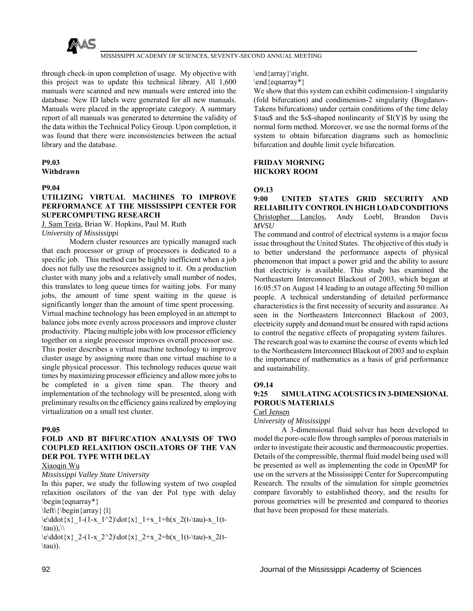

through check-in upon completion of usage. My objective with this project was to update this technical library. All 1,600 manuals were scanned and new manuals were entered into the database. New ID labels were generated for all new manuals. Manuals were placed in the appropriate category. A summary report of all manuals was generated to determine the validity of the data within the Technical Policy Group. Upon completion, it was found that there were inconsistencies between the actual library and the database.

# **P9.03 Withdrawn**

## **P9.04**

# **UTILIZING VIRTUAL MACHINES TO IMPROVE PERFORMANCE AT THE MISSISSIPPI CENTER FOR SUPERCOMPUTING RESEARCH**

J. Sam Testa, Brian W. Hopkins, Paul M. Ruth *University of Mississippi*

 Modern cluster resources are typically managed such that each processor or group of processors is dedicated to a specific job. This method can be highly inefficient when a job does not fully use the resources assigned to it. On a production cluster with many jobs and a relatively small number of nodes, this translates to long queue times for waiting jobs. For many jobs, the amount of time spent waiting in the queue is significantly longer than the amount of time spent processing. Virtual machine technology has been employed in an attempt to balance jobs more evenly across processors and improve cluster productivity. Placing multiple jobs with low processor efficiency together on a single processor improves overall processor use. This poster describes a virtual machine technology to improve cluster usage by assigning more than one virtual machine to a single physical processor. This technology reduces queue wait times by maximizing processor efficiency and allow more jobs to be completed in a given time span. The theory and implementation of the technology will be presented, along with preliminary results on the efficiency gains realized by employing virtualization on a small test cluster.

# **P9.05**

## **FOLD AND BT BIFURCATION ANALYSIS OF TWO COUPLED RELAXITION OSCILATORS OF THE VAN DER POL TYPE WITH DELAY** Xiaoqin Wu

## *Mississippi Valley State University*

In this paper, we study the following system of two coupled relaxition oscilators of the van der Pol type with delay \begin{eqnarray\*}

 $\left\{\begin{array}{c}$  {l}

 $\cdot\cdot\cdot\cdot{x}$  1-(1-x 1^2)\dot{x} 1+x 1=h(x 2(t-\tau)-x 1(t-\tau)), $\setminus$ 

 $\cdot\cdot\cdot\cdot{x}$  2-(1-x\_2^2)\dot{x}\_2+x\_2=h(x\_1(t-\tau)-x\_2(t- $\tau)$ ).

\end{array}\right.

\end{eqnarray\*}

We show that this system can exhibit codimension-1 singularity (fold bifurcation) and condimenion-2 singularity (Bogdanov-Takens bifurcations) under certain conditions of the time delay  $\tau$  and the  $\$ s\$-shaped nonlinearity of  $I(Y)$ \$ by using the normal form method. Moreover, we use the normal forms of the system to obtain bifurcation diagrams such as homoclinic bifurcation and double limit cycle bifurcation.

## **FRIDAY MORNING HICKORY ROOM**

## **O9.13**

**9:00 UNITED STATES GRID SECURITY AND RELIABILITY CONTROL IN HIGH LOAD CONDITIONS** Christopher Lanclos, Andy Loebl, Brandon Davis *MVSU*

The command and control of electrical systems is a major focus issue throughout the United States. The objective of this study is to better understand the performance aspects of physical phenomenon that impact a power grid and the ability to assure that electricity is available. This study has examined the Northeastern Interconnect Blackout of 2003, which began at 16:05:57 on August 14 leading to an outage affecting 50 million people. A technical understanding of detailed performance characteristics is the first necessity of security and assurance. As seen in the Northeastern Interconnect Blackout of 2003, electricity supply and demand must be ensured with rapid actions to control the negative effects of propagating system failures. The research goal was to examine the course of events which led to the Northeastern Interconnect Blackout of 2003 and to explain the importance of mathematics as a basis of grid performance and sustainability.

# **O9.14**

# **9:25 SIMULATING ACOUSTICS IN 3-DIMENSIONAL POROUS MATERIALS**

# Carl Jensen

*University of Mississippi*

 A 3-dimensional fluid solver has been developed to model the pore-scale flow through samples of porous materials in order to investigate their acoustic and thermoacoustic properties. Details of the compressible, thermal fluid model being used will be presented as well as implementing the code in OpenMP for use on the servers at the Mississippi Center for Supercomputing Research. The results of the simulation for simple geometries compare favorably to established theory, and the results for porous geometries will be presented and compared to theories that have been proposed for these materials.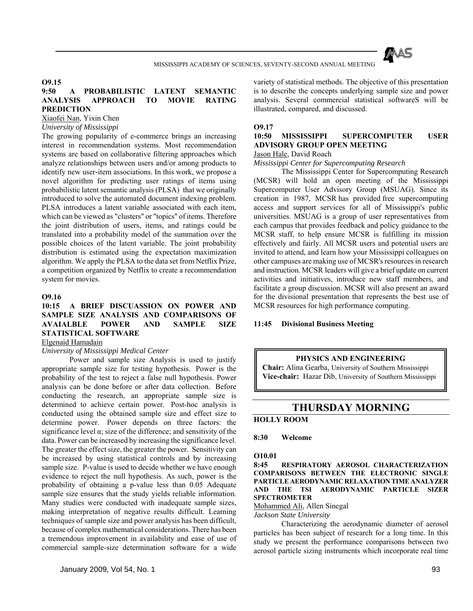

# **O9.15**

# **9:50 A PROBABILISTIC LATENT SEMANTIC ANALYSIS APPROACH TO MOVIE RATING PREDICTION**

Xiaofei Nan, Yixin Chen

# *University of Mississippi*

The growing popularity of e-commerce brings an increasing interest in recommendation systems. Most recommendation systems are based on collaborative filtering approaches which analyze relationships between users and/or among products to identify new user-item associations. In this work, we propose a novel algorithm for predicting user ratings of items using probabilistic latent semantic analysis (PLSA) that we originally introduced to solve the automated document indexing problem. PLSA introduces a latent variable associated with each item, which can be viewed as "clusters" or "topics" of items. Therefore the joint distribution of users, items, and ratings could be translated into a probability model of the summation over the possible choices of the latent variable. The joint probability distribution is estimated using the expectation maximization algorithm. We apply the PLSA to the data set from Netflix Prize, a competition organized by Netflix to create a recommendation system for movies.

# **O9.16**

# **10:15 A BRIEF DISCUASSION ON POWER AND SAMPLE SIZE ANALYSIS AND COMPARISONS OF AVAIALBLE POWER AND SAMPLE SIZE STATISTICAL SOFTWARE**

# Elgenaid Hamadain

*University of Mississippi Medical Center*

 Power and sample size Analysis is used to justify appropriate sample size for testing hypothesis. Power is the probability of the test to reject a false null hypothesis. Power analysis can be done before or after data collection. Before conducting the research, an appropriate sample size is determined to achieve certain power. Post-hoc analysis is conducted using the obtained sample size and effect size to determine power. Power depends on three factors: the significance level  $\alpha$ ; size of the difference; and sensitivity of the data. Power can be increased by increasing the significance level. The greater the effect size, the greater the power. Sensitivity can be increased by using statistical controls and by increasing sample size. P-value is used to decide whether we have enough evidence to reject the null hypothesis. As such, power is the probability of obtaining a p-value less than 0.05 Adequate sample size ensures that the study yields reliable information. Many studies were conducted with inadequate sample sizes, making interpretation of negative results difficult. Learning techniques of sample size and power analysis has been difficult, because of complex mathematical considerations. There has been a tremendous improvement in availability and ease of use of commercial sample-size determination software for a wide

variety of statistical methods. The objective of this presentation is to describe the concepts underlying sample size and power analysis. Several commercial statistical softwareS will be illustrated, compared, and discussed.

### **O9.17**

# **10:50 MISSISSIPPI SUPERCOMPUTER USER ADVISORY GROUP OPEN MEETING**

# Jason Hale, David Roach

### *Mississippi Center for Supercomputing Research*

 The Mississippi Center for Supercomputing Research (MCSR) will hold an open meeting of the Mississippi Supercomputer User Advisory Group (MSUAG). Since its creation in 1987, MCSR has provided free supercomputing access and support services for all of Mississippi's public universities. MSUAG is a group of user representatives from each campus that provides feedback and policy guidance to the MCSR staff, to help ensure MCSR is fulfilling its mission effectively and fairly. All MCSR users and potential users are invited to attend, and learn how your Mississippi colleagues on other campuses are making use of MCSR's resources in research and instruction. MCSR leaders will give a brief update on current activities and initiatives, introduce new staff members, and facilitate a group discussion. MCSR will also present an award for the divisional presentation that represents the best use of MCSR resources for high performance computing.

## **11:45 Divisional Business Meeting**

#### **PHYSICS AND ENGINEERING**

**Chair:** Alina Gearba, University of Southern Mississippi **Vice-chair:** Hazar Dib, University of Southern Mississippi

# **THURSDAY MORNING**

# **HOLLY ROOM**

### **8:30 Welcome**

## **O10.01**

**8:45 RESPIRATORY AEROSOL CHARACTERIZATION COMPARISONS BETWEEN THE ELECTRONIC SINGLE PARTICLE AERODYNAMIC RELAXATION TIME ANALYZER AND THE TSI AERODYNAMIC PARTICLE SIZER SPECTROMETER**

## Mohammed Ali, Allen Sinegal

#### *Jackson State University*

 Characterizing the aerodynamic diameter of aerosol particles has been subject of research for a long time. In this study we present the performance comparisons between two aerosol particle sizing instruments which incorporate real time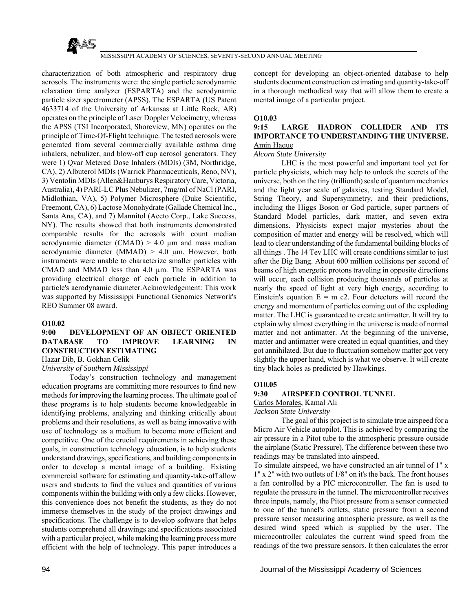

characterization of both atmospheric and respiratory drug aerosols. The instruments were: the single particle aerodynamic relaxation time analyzer (ESPARTA) and the aerodynamic particle sizer spectrometer (APSS). The ESPARTA (US Patent 4633714 of the University of Arkansas at Little Rock, AR) operates on the principle of Laser Doppler Velocimetry, whereas the APSS (TSI Incorporated, Shoreview, MN) operates on the principle of Time-Of-Flight technique. The tested aerosols were generated from several commercially available asthma drug inhalers, nebulizer, and blow-off cup aerosol generators. They were 1) Qvar Metered Dose Inhalers (MDIs) (3M, Northridge, CA), 2) Albuterol MDIs (Warrick Pharmaceuticals, Reno, NV), 3) Ventolin MDIs (Allen&Hanburys Respiratory Care, Victoria, Australia), 4) PARI-LC Plus Nebulizer, 7mg/ml of NaCl (PARI, Midlothian, VA), 5) Polymer Microsphere (Duke Scientific, Freemont, CA), 6) Lactose Monohydrate (Gallade Chemical Inc., Santa Ana, CA), and 7) Mannitol (Aceto Corp., Lake Success, NY). The results showed that both instruments demonstrated comparable results for the aerosols with count median aerodynamic diameter (CMAD)  $> 4.0 \mu$ m and mass median aerodynamic diameter (MMAD)  $> 4.0 \mu$ m. However, both instruments were unable to characterize smaller particles with CMAD and MMAD less than 4.0 µm. The ESPARTA was providing electrical charge of each particle in addition to particle's aerodynamic diameter.Acknowledgement: This work was supported by Mississippi Functional Genomics Network's REO Summer 08 award.

### **O10.02**

# **9:00 DEVELOPMENT OF AN OBJECT ORIENTED DATABASE TO IMPROVE LEARNING IN CONSTRUCTION ESTIMATING**

Hazar Dib, B. Gokhan Celik

## *University of Southern Mississippi*

 Today's construction technology and management education programs are committing more resources to find new methods for improving the learning process. The ultimate goal of these programs is to help students become knowledgeable in identifying problems, analyzing and thinking critically about problems and their resolutions, as well as being innovative with use of technology as a medium to become more efficient and competitive. One of the crucial requirements in achieving these goals, in construction technology education, is to help students understand drawings, specifications, and building components in order to develop a mental image of a building. Existing commercial software for estimating and quantity-take-off allow users and students to find the values and quantities of various components within the building with only a few clicks. However, this convenience does not benefit the students, as they do not immerse themselves in the study of the project drawings and specifications. The challenge is to develop software that helps students comprehend all drawings and specifications associated with a particular project, while making the learning process more efficient with the help of technology. This paper introduces a

concept for developing an object-oriented database to help students document construction estimating and quantity-take-off in a thorough methodical way that will allow them to create a mental image of a particular project.

## **O10.03**

# **9:15 LARGE HADRON COLLIDER AND ITS IMPORTANCE TO UNDERSTANDING THE UNIVERSE.** Amin Haque

### *Alcorn State University*

 LHC is the most powerful and important tool yet for particle physicists, which may help to unlock the secrets of the universe, both on the tiny (trillionth) scale of quantum mechanics and the light year scale of galaxies, testing Standard Model, String Theory, and Supersymmetry, and their predictions, including the Higgs Boson or God particle, super partners of Standard Model particles, dark matter, and seven extra dimensions. Physicists expect major mysteries about the composition of matter and energy will be resolved, which will lead to clear understanding of the fundamental building blocks of all things . The 14 Tev LHC will create conditions similar to just after the Big Bang. About 600 million collisions per second of beams of high energetic protons traveling in opposite directions will occur, each collision producing thousands of particles at nearly the speed of light at very high energy, according to Einstein's equation  $E = m c2$ . Four detectors will record the energy and momentum of particles coming out of the exploding matter. The LHC is guaranteed to create antimatter. It will try to explain why almost everything in the universe is made of normal matter and not antimatter. At the beginning of the universe, matter and antimatter were created in equal quantities, and they got annihilated. But due to fluctuation somehow matter got very slightly the upper hand, which is what we observe. It will create tiny black holes as predicted by Hawkings.

# **O10.05**

# **9:30 AIRSPEED CONTROL TUNNEL**

Carlos Morales, Kamal Ali

### *Jackson State University*

 The goal of this project is to simulate true airspeed for a Micro Air Vehicle autopilot. This is achieved by comparing the air pressure in a Pitot tube to the atmospheric pressure outside the airplane (Static Pressure). The difference between these two readings may be translated into airspeed.

To simulate airspeed, we have constructed an air tunnel of 1" x 1" x 2" with two outlets of 1/8" on it's the back. The front houses a fan controlled by a PIC microcontroller. The fan is used to regulate the pressure in the tunnel. The microcontroller receives three inputs, namely, the Pitot pressure from a sensor connected to one of the tunnel's outlets, static pressure from a second pressure sensor measuring atmospheric pressure, as well as the desired wind speed which is supplied by the user. The microcontroller calculates the current wind speed from the readings of the two pressure sensors. It then calculates the error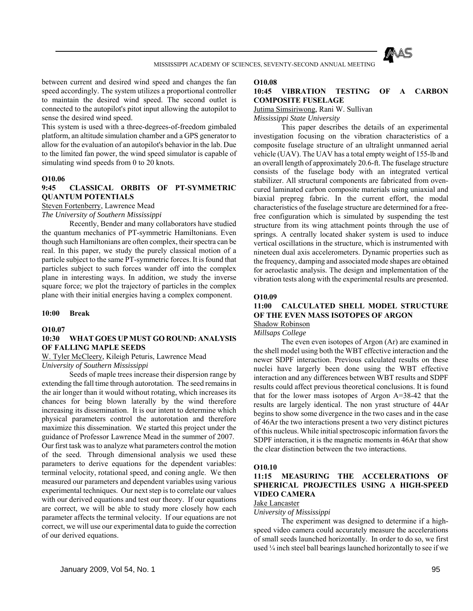

between current and desired wind speed and changes the fan speed accordingly. The system utilizes a proportional controller to maintain the desired wind speed. The second outlet is connected to the autopilot's pitot input allowing the autopilot to sense the desired wind speed.

This system is used with a three-degrees-of-freedom gimbaled platform, an altitude simulation chamber and a GPS generator to allow for the evaluation of an autopilot's behavior in the lab. Due to the limited fan power, the wind speed simulator is capable of simulating wind speeds from 0 to 20 knots.

### **O10.06**

# **9:45 CLASSICAL ORBITS OF PT-SYMMETRIC QUANTUM POTENTIALS**

Steven Fortenberry, Lawrence Mead

*The University of Southern Mississippi*

 Recently, Bender and many collaborators have studied the quantum mechanics of PT-symmetric Hamiltonians. Even though such Hamiltonians are often complex, their spectra can be real. In this paper, we study the purely classical motion of a particle subject to the same PT-symmetric forces. It is found that particles subject to such forces wander off into the complex plane in interesting ways. In addition, we study the inverse square force; we plot the trajectory of particles in the complex plane with their initial energies having a complex component.

### **10:00 Break**

### **O10.07**

## **10:30 WHAT GOES UP MUST GO ROUND: ANALYSIS OF FALLING MAPLE SEEDS**

W. Tyler McCleery, Kileigh Peturis, Lawrence Mead *University of Southern Mississippi*

 Seeds of maple trees increase their dispersion range by extending the fall time through autorotation. The seed remains in the air longer than it would without rotating, which increases its chances for being blown laterally by the wind therefore increasing its dissemination. It is our intent to determine which physical parameters control the autorotation and therefore maximize this dissemination. We started this project under the guidance of Professor Lawrence Mead in the summer of 2007. Our first task was to analyze what parameters control the motion of the seed. Through dimensional analysis we used these parameters to derive equations for the dependent variables: terminal velocity, rotational speed, and coning angle. We then measured our parameters and dependent variables using various experimental techniques. Our next step is to correlate our values with our derived equations and test our theory. If our equations are correct, we will be able to study more closely how each parameter affects the terminal velocity. If our equations are not correct, we will use our experimental data to guide the correction of our derived equations.

### **O10.08**

## **10:45 VIBRATION TESTING OF A CARBON COMPOSITE FUSELAGE**

Jutima Simsiriwong, Rani W. Sullivan

*Mississippi State University*

 This paper describes the details of an experimental investigation focusing on the vibration characteristics of a composite fuselage structure of an ultralight unmanned aerial vehicle (UAV). The UAV has a total empty weight of 155-lb and an overall length of approximately 20.6-ft. The fuselage structure consists of the fuselage body with an integrated vertical stabilizer. All structural components are fabricated from ovencured laminated carbon composite materials using uniaxial and biaxial prepreg fabric. In the current effort, the modal characteristics of the fuselage structure are determined for a freefree configuration which is simulated by suspending the test structure from its wing attachment points through the use of springs. A centrally located shaker system is used to induce vertical oscillations in the structure, which is instrumented with nineteen dual axis accelerometers. Dynamic properties such as the frequency, damping and associated mode shapes are obtained for aeroelastic analysis. The design and implementation of the vibration tests along with the experimental results are presented.

### **O10.09**

### **11:00 CALCULATED SHELL MODEL STRUCTURE OF THE EVEN MASS ISOTOPES OF ARGON** Shadow Robinson

*Millsaps College*

 The even even isotopes of Argon (Ar) are examined in the shell model using both the WBT effective interaction and the newer SDPF interaction. Previous calculated results on these nuclei have largerly been done using the WBT effective interaction and any differences between WBT results and SDPF results could affect previous theoretical conclusions. It is found that for the lower mass isotopes of Argon A=38-42 that the results are largely identical. The non yrast structure of 44Ar begins to show some divergence in the two cases and in the case of 46Ar the two interactions present a two very distinct pictures of this nucleus. While initial spectroscopic information favors the SDPF interaction, it is the magnetic moments in 46Ar that show the clear distinction between the two interactions.

### **O10.10**

# **11:15 MEASURING THE ACCELERATIONS OF SPHERICAL PROJECTILES USING A HIGH-SPEED VIDEO CAMERA**

## Jake Lancaster

*University of Mississippi*

 The experiment was designed to determine if a highspeed video camera could accurately measure the accelerations of small seeds launched horizontally. In order to do so, we first used 1/4 inch steel ball bearings launched horizontally to see if we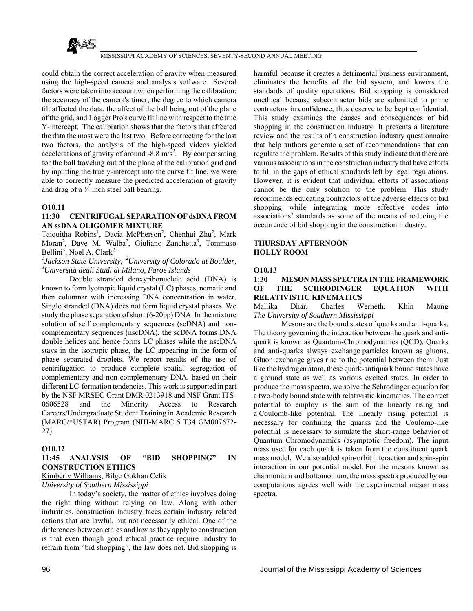

could obtain the correct acceleration of gravity when measured using the high-speed camera and analysis software. Several factors were taken into account when performing the calibration: the accuracy of the camera's timer, the degree to which camera tilt affected the data, the affect of the ball being out of the plane of the grid, and Logger Pro's curve fit line with respect to the true Y-intercept. The calibration shows that the factors that affected the data the most were the last two. Before correcting for the last two factors, the analysis of the high-speed videos yielded accelerations of gravity of around  $-8.8 \text{ m/s}^2$ . By compensating for the ball traveling out of the plane of the calibration grid and by inputting the true y-intercept into the curve fit line, we were able to correctly measure the predicted acceleration of gravity and drag of a  $\frac{1}{4}$  inch steel ball bearing.

# **O10.11**

# **11:30 CENTRIFUGAL SEPARATION OF dsDNA FROM AN ssDNA OLIGOMER MIXTURE**

Taiquitha Robins<sup>1</sup>, Dacia McPherson<sup>2</sup>, Chenhui Zhu<sup>2</sup>, Mark Moran<sup>2</sup>, Dave M. Walba<sup>2</sup>, Giuliano Zanchetta<sup>3</sup>, Tommaso Bellini<sup>3</sup>, Noel A. Clark<sup>2</sup>

*1 Jackson State University, 2University of Colorado at Boulder, 3 Università degli Studi di Milano, Faroe Islands*

 Double stranded deoxyribonucleic acid (DNA) is known to form lyotropic liquid crystal (LC) phases, nematic and then columnar with increasing DNA concentration in water. Single stranded (DNA) does not form liquid crystal phases. We study the phase separation of short (6-20bp) DNA. In the mixture solution of self complementary sequences (scDNA) and noncomplementary sequences (nscDNA), the scDNA forms DNA double helices and hence forms LC phases while the nscDNA stays in the isotropic phase, the LC appearing in the form of phase separated droplets. We report results of the use of centrifugation to produce complete spatial segregation of complementary and non-complementary DNA, based on their different LC-formation tendencies. This work is supported in part by the NSF MRSEC Grant DMR 0213918 and NSF Grant ITS-0606528 and the Minority Access to Research Careers/Undergraduate Student Training in Academic Research (MARC/\*USTAR) Program (NIH-MARC 5 T34 GM007672- 27).

# **O10.12**

# **11:45 ANALYSIS OF "BID SHOPPING" IN CONSTRUCTION ETHICS**

## Kimberly Williams, Bilge Gokhan Celik

### *University of Southern Mississippi*

 In today's society, the matter of ethics involves doing the right thing without relying on law. Along with other industries, construction industry faces certain industry related actions that are lawful, but not necessarily ethical. One of the differences between ethics and law as they apply to construction is that even though good ethical practice require industry to refrain from "bid shopping", the law does not. Bid shopping is

harmful because it creates a detrimental business environment. eliminates the benefits of the bid system, and lowers the standards of quality operations. Bid shopping is considered unethical because subcontractor bids are submitted to prime contractors in confidence, thus deserve to be kept confidential. This study examines the causes and consequences of bid shopping in the construction industry. It presents a literature review and the results of a construction industry questionnaire that help authors generate a set of recommendations that can regulate the problem. Results of this study indicate that there are various associations in the construction industry that have efforts to fill in the gaps of ethical standards left by legal regulations. However, it is evident that individual efforts of associations cannot be the only solution to the problem. This study recommends educating contractors of the adverse effects of bid shopping while integrating more effective codes into associations' standards as some of the means of reducing the occurrence of bid shopping in the construction industry.

### **THURSDAY AFTERNOON HOLLY ROOM**

### **O10.13**

# **1:30 MESON MASS SPECTRA IN THE FRAMEWORK OF THE SCHRODINGER EQUATION WITH RELATIVISTIC KINEMATICS**

Mallika Dhar, Charles Werneth, Khin Maung *The University of Southern Mississippi*

 Mesons are the bound states of quarks and anti-quarks. The theory governing the interaction between the quark and antiquark is known as Quantum-Chromodynamics (QCD). Quarks and anti-quarks always exchange particles known as gluons. Gluon exchange gives rise to the potential between them. Just like the hydrogen atom, these quark-antiquark bound states have a ground state as well as various excited states. In order to produce the mass spectra, we solve the Schrodinger equation for a two-body bound state with relativistic kinematics. The correct potential to employ is the sum of the linearly rising and a Coulomb-like potential. The linearly rising potential is necessary for confining the quarks and the Coulomb-like potential is necessary to simulate the short-range behavior of Quantum Chromodynamics (asymptotic freedom). The input mass used for each quark is taken from the constituent quark mass model. We also added spin-orbit interaction and spin-spin interaction in our potential model. For the mesons known as charmonium and bottomonium, the mass spectra produced by our computations agrees well with the experimental meson mass spectra.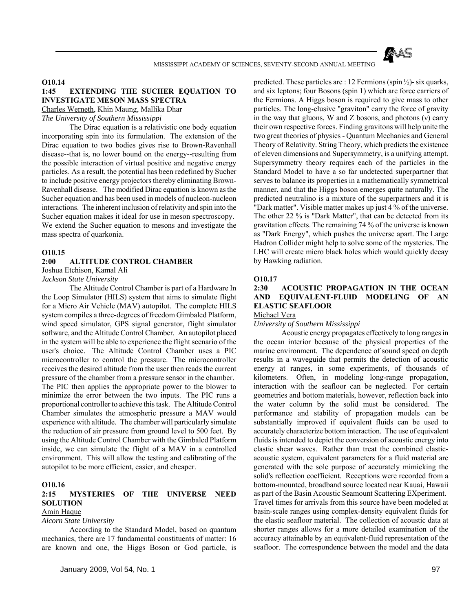

## **O10.14**

### **1:45 EXTENDING THE SUCHER EQUATION TO INVESTIGATE MESON MASS SPECTRA** Charles Werneth, Khin Maung, Mallika Dhar

*The University of Southern Mississippi*

 The Dirac equation is a relativistic one body equation incorporating spin into its formulation. The extension of the Dirac equation to two bodies gives rise to Brown-Ravenhall disease--that is, no lower bound on the energy--resulting from the possible interaction of virtual positive and negative energy particles. As a result, the potential has been redefined by Sucher to include positive energy projectors thereby eliminating Brown-Ravenhall disease. The modified Dirac equation is known as the Sucher equation and has been used in models of nucleon-nucleon interactions. The inherent inclusion of relativity and spin into the Sucher equation makes it ideal for use in meson spectroscopy. We extend the Sucher equation to mesons and investigate the mass spectra of quarkonia.

#### **O10.15**

# **2:00 ALTITUDE CONTROL CHAMBER**

Joshua Etchison, Kamal Ali

# *Jackson State University*

 The Altitude Control Chamber is part of a Hardware In the Loop Simulator (HILS) system that aims to simulate flight for a Micro Air Vehicle (MAV) autopilot. The complete HILS system compiles a three-degrees of freedom Gimbaled Platform, wind speed simulator, GPS signal generator, flight simulator software, and the Altitude Control Chamber. An autopilot placed in the system will be able to experience the flight scenario of the user's choice. The Altitude Control Chamber uses a PIC microcontroller to control the pressure. The microcontroller receives the desired altitude from the user then reads the current pressure of the chamber from a pressure sensor in the chamber. The PIC then applies the appropriate power to the blower to minimize the error between the two inputs. The PIC runs a proportional controller to achieve this task. The Altitude Control Chamber simulates the atmospheric pressure a MAV would experience with altitude. The chamber will particularly simulate the reduction of air pressure from ground level to 500 feet. By using the Altitude Control Chamber with the Gimbaled Platform inside, we can simulate the flight of a MAV in a controlled environment. This will allow the testing and calibrating of the autopilot to be more efficient, easier, and cheaper.

#### **O10.16**

## **2:15 MYSTERIES OF THE UNIVERSE NEED SOLUTION**

## Amin Haque

*Alcorn State University*

 According to the Standard Model, based on quantum mechanics, there are 17 fundamental constituents of matter: 16 are known and one, the Higgs Boson or God particle, is predicted. These particles are : 12 Fermions (spin  $\frac{1}{2}$ )- six quarks, and six leptons; four Bosons (spin 1) which are force carriers of the Fermions. A Higgs boson is required to give mass to other particles. The long-elusive "graviton" carry the force of gravity in the way that gluons, W and Z bosons, and photons (ν) carry their own respective forces. Finding gravitons will help unite the two great theories of physics - Quantum Mechanics and General Theory of Relativity. String Theory, which predicts the existence of eleven dimensions and Supersymmetry, is a unifying attempt. Supersymmetry theory requires each of the particles in the Standard Model to have a so far undetected superpartner that serves to balance its properties in a mathematically symmetrical manner, and that the Higgs boson emerges quite naturally. The predicted neutralino is a mixture of the superpartners and it is "Dark matter". Visible matter makes up just 4 % of the universe. The other 22 % is "Dark Matter", that can be detected from its gravitation effects. The remaining 74 % of the universe is known as "Dark Energy", which pushes the universe apart. The Large Hadron Collider might help to solve some of the mysteries. The LHC will create micro black holes which would quickly decay by Hawking radiation.

## **O10.17**

# **2:30 ACOUSTIC PROPAGATION IN THE OCEAN AND EQUIVALENT-FLUID MODELING OF AN ELASTIC SEAFLOOR**

Michael Vera

*University of Southern Mississippi*

 Acoustic energy propagates effectively to long ranges in the ocean interior because of the physical properties of the marine environment. The dependence of sound speed on depth results in a waveguide that permits the detection of acoustic energy at ranges, in some experiments, of thousands of kilometers. Often, in modeling long-range propagation, interaction with the seafloor can be neglected. For certain geometries and bottom materials, however, reflection back into the water column by the solid must be considered. The performance and stability of propagation models can be substantially improved if equivalent fluids can be used to accurately characterize bottom interaction. The use of equivalent fluids is intended to depict the conversion of acoustic energy into elastic shear waves. Rather than treat the combined elasticacoustic system, equivalent parameters for a fluid material are generated with the sole purpose of accurately mimicking the solid's reflection coefficient. Receptions were recorded from a bottom-mounted, broadband source located near Kauai, Hawaii as part of the Basin Acoustic Seamount Scattering EXperiment. Travel times for arrivals from this source have been modeled at basin-scale ranges using complex-density equivalent fluids for the elastic seafloor material. The collection of acoustic data at shorter ranges allows for a more detailed examination of the accuracy attainable by an equivalent-fluid representation of the seafloor. The correspondence between the model and the data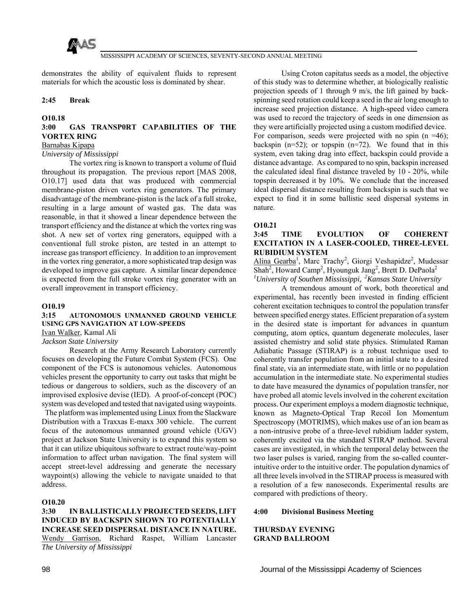

demonstrates the ability of equivalent fluids to represent materials for which the acoustic loss is dominated by shear.

### **2:45 Break**

## **O10.18**

# **3:00 GAS TRANSP0RT CAPABILITIES OF THE VORTEX RING**

## Barnabas Kipapa

### *University of Mississippi*

 The vortex ring is known to transport a volume of fluid throughout its propagation. The previous report [MAS 2008, O10.17] used data that was produced with commercial membrane-piston driven vortex ring generators. The primary disadvantage of the membrane-piston is the lack of a full stroke, resulting in a large amount of wasted gas. The data was reasonable, in that it showed a linear dependence between the transport efficiency and the distance at which the vortex ring was shot. A new set of vortex ring generators, equipped with a conventional full stroke piston, are tested in an attempt to increase gas transport efficiency. In addition to an improvement in the vortex ring generator, a more sophisticated trap design was developed to improve gas capture. A similar linear dependence is expected from the full stroke vortex ring generator with an overall improvement in transport efficiency.

## **O10.19**

## **3:15 AUTONOMOUS UNMANNED GROUND VEHICLE USING GPS NAVIGATION AT LOW-SPEEDS**

Ivan Walker, Kamal Ali

*Jackson State University*

 Research at the Army Research Laboratory currently focuses on developing the Future Combat System (FCS). One component of the FCS is autonomous vehicles. Autonomous vehicles present the opportunity to carry out tasks that might be tedious or dangerous to soldiers, such as the discovery of an improvised explosive devise (IED). A proof-of-concept (POC) system was developed and tested that navigated using waypoints.

 The platform was implemented using Linux from the Slackware Distribution with a Traxxas E-maxx 300 vehicle. The current focus of the autonomous unmanned ground vehicle (UGV) project at Jackson State University is to expand this system so that it can utilize ubiquitous software to extract route/way-point information to affect urban navigation. The final system will accept street-level addressing and generate the necessary waypoint(s) allowing the vehicle to navigate unaided to that address.

### **O10.20**

## **3:30 IN BALLISTICALLY PROJECTED SEEDS, LIFT INDUCED BY BACKSPIN SHOWN TO POTENTIALLY INCREASE SEED DISPERSAL DISTANCE IN NATURE.**  Wendy Garrison, Richard Raspet, William Lancaster *The University of Mississippi*

 Using Croton capitatus seeds as a model, the objective of this study was to determine whether, at biologically realistic projection speeds of 1 through 9 m/s, the lift gained by backspinning seed rotation could keep a seed in the air long enough to increase seed projection distance. A high-speed video camera was used to record the trajectory of seeds in one dimension as they were artificially projected using a custom modified device. For comparison, seeds were projected with no spin  $(n = 46)$ ; backspin  $(n=52)$ ; or topspin  $(n=72)$ . We found that in this system, even taking drag into effect, backspin could provide a distance advantage. As compared to no spin, backspin increased the calculated ideal final distance traveled by 10 - 20%, while topspin decreased it by 10%. We conclude that the increased ideal dispersal distance resulting from backspin is such that we expect to find it in some ballistic seed dispersal systems in nature.

### **O10.21**

## **3:45 TIME EVOLUTION OF COHERENT EXCITATION IN A LASER-COOLED, THREE-LEVEL RUBIDIUM SYSTEM**

Alina Gearba<sup>1</sup>, Marc Trachy<sup>2</sup>, Giorgi Veshapidze<sup>2</sup>, Mudessar Shah<sup>2</sup>, Howard Camp<sup>2</sup>, Hyounguk Jang<sup>2</sup>, Brett D. DePaola<sup>2</sup> *1 University of Southen Mississippi, 2Kansas State University*

 A tremendous amount of work, both theoretical and experimental, has recently been invested in finding efficient coherent excitation techniques to control the population transfer between specified energy states. Efficient preparation of a system in the desired state is important for advances in quantum computing, atom optics, quantum degenerate molecules, laser assisted chemistry and solid state physics. Stimulated Raman Adiabatic Passage (STIRAP) is a robust technique used to coherently transfer population from an initial state to a desired final state, via an intermediate state, with little or no population accumulation in the intermediate state. No experimental studies to date have measured the dynamics of population transfer, nor have probed all atomic levels involved in the coherent excitation process. Our experiment employs a modern diagnostic technique, known as Magneto-Optical Trap Recoil Ion Momentum Spectroscopy (MOTRIMS), which makes use of an ion beam as a non-intrusive probe of a three-level rubidium ladder system, coherently excited via the standard STIRAP method. Several cases are investigated, in which the temporal delay between the two laser pulses is varied, ranging from the so-called counterintuitive order to the intuitive order. The population dynamics of all three levels involved in the STIRAP process is measured with a resolution of a few nanoseconds. Experimental results are compared with predictions of theory.

### **4:00 Divisional Business Meeting**

**THURSDAY EVENING GRAND BALLROOM**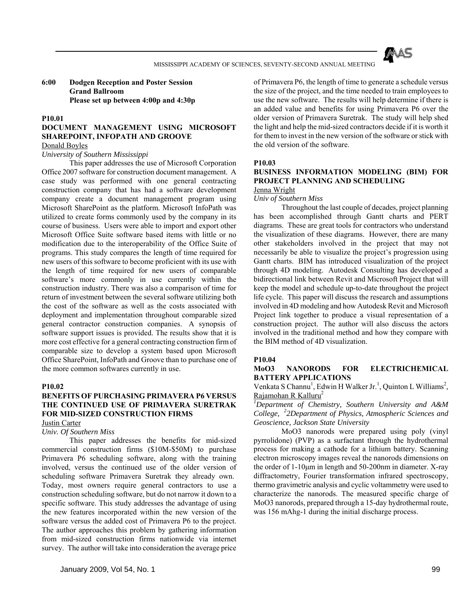

## **6:00 Dodgen Reception and Poster Session Grand Ballroom Please set up between 4:00p and 4:30p**

### **P10.01**

# **DOCUMENT MANAGEMENT USING MICROSOFT SHAREPOINT, INFOPATH AND GROOVE**

## Donald Boyles

### *University of Southern Mississippi*

 This paper addresses the use of Microsoft Corporation Office 2007 software for construction document management. A case study was performed with one general contracting construction company that has had a software development company create a document management program using Microsoft SharePoint as the platform. Microsoft InfoPath was utilized to create forms commonly used by the company in its course of business. Users were able to import and export other Microsoft Office Suite software based items with little or no modification due to the interoperability of the Office Suite of programs. This study compares the length of time required for new users of this software to become proficient with its use with the length of time required for new users of comparable software's more commonly in use currently within the construction industry. There was also a comparison of time for return of investment between the several software utilizing both the cost of the software as well as the costs associated with deployment and implementation throughout comparable sized general contractor construction companies. A synopsis of software support issues is provided. The results show that it is more cost effective for a general contracting construction firm of comparable size to develop a system based upon Microsoft Office SharePoint, InfoPath and Groove than to purchase one of the more common softwares currently in use.

#### **P10.02**

# **BENEFITS OF PURCHASING PRIMAVERA P6 VERSUS THE CONTINUED USE OF PRIMAVERA SURETRAK FOR MID-SIZED CONSTRUCTION FIRMS**

Justin Carter

#### *Univ. Of Southern Miss*

 This paper addresses the benefits for mid-sized commercial construction firms (\$10M-\$50M) to purchase Primavera P6 scheduling software, along with the training involved, versus the continued use of the older version of scheduling software Primavera Suretrak they already own. Today, most owners require general contractors to use a construction scheduling software, but do not narrow it down to a specific software. This study addresses the advantage of using the new features incorporated within the new version of the software versus the added cost of Primavera P6 to the project. The author approaches this problem by gathering information from mid-sized construction firms nationwide via internet survey. The author will take into consideration the average price

of Primavera P6, the length of time to generate a schedule versus the size of the project, and the time needed to train employees to use the new software. The results will help determine if there is an added value and benefits for using Primavera P6 over the older version of Primavera Suretrak. The study will help shed the light and help the mid-sized contractors decide if it is worth it for them to invest in the new version of the software or stick with the old version of the software.

### **P10.03**

# **BUSINESS INFORMATION MODELING (BIM) FOR PROJECT PLANNING AND SCHEDULING**

# Jenna Wright

## *Univ of Southern Miss*

 Throughout the last couple of decades, project planning has been accomplished through Gantt charts and PERT diagrams. These are great tools for contractors who understand the visualization of these diagrams. However, there are many other stakeholders involved in the project that may not necessarily be able to visualize the project's progression using Gantt charts. BIM has introduced visualization of the project through 4D modeling. Autodesk Consulting has developed a bidirectional link between Revit and Microsoft Project that will keep the model and schedule up-to-date throughout the project life cycle. This paper will discuss the research and assumptions involved in 4D modeling and how Autodesk Revit and Microsoft Project link together to produce a visual representation of a construction project. The author will also discuss the actors involved in the traditional method and how they compare with the BIM method of 4D visualization.

### **P10.04**

### **MoO3 NANORODS FOR ELECTRICHEMICAL BATTERY APPLICATIONS**

# Venkata S Channu<sup>1</sup>, Edwin H Walker Jr.<sup>1</sup>, Quinton L Williams<sup>2</sup>, Rajamohan R Kalluru<sup>2</sup>

*1 Department of Chemistry, Southern University and A&M College, 22Department of Physics, Atmospheric Sciences and Geoscience, Jackson State University*

 MoO3 nanorods were prepared using poly (vinyl pyrrolidone) (PVP) as a surfactant through the hydrothermal process for making a cathode for a lithium battery. Scanning electron microscopy images reveal the nanorods dimensions on the order of 1-10μm in length and 50-200nm in diameter. X-ray diffractometry, Fourier transformation infrared spectroscopy, thermo gravimetric analysis and cyclic voltammetry were used to characterize the nanorods. The measured specific charge of MoO3 nanorods, prepared through a 15-day hydrothermal route, was 156 mAhg-1 during the initial discharge process.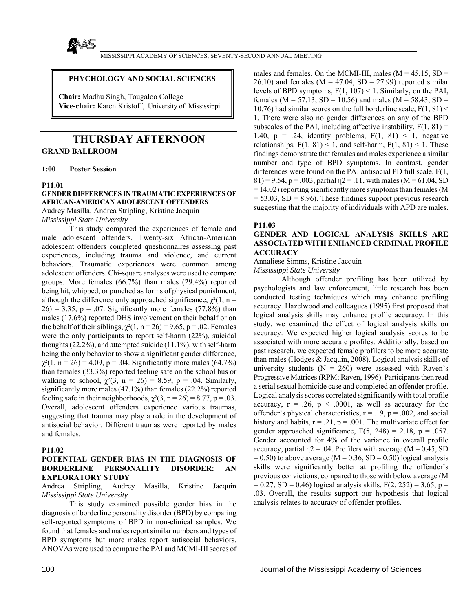

## **PHYCHOLOGY AND SOCIAL SCIENCES**

**Chair:** Madhu Singh, Tougaloo College **Vice-chair:** Karen Kristoff, University of Mississippi

# **THURSDAY AFTERNOON**

**GRAND BALLROOM** 

**1:00 Poster Session** 

### **P11.01**

## **GENDER DIFFERENCES IN TRAUMATIC EXPERIENCES OF AFRICAN-AMERICAN ADOLESCENT OFFENDERS** Audrey Masilla, Andrea Stripling, Kristine Jacquin *Mississippi State University*

 This study compared the experiences of female and male adolescent offenders. Twenty-six African-American adolescent offenders completed questionnaires assessing past experiences, including trauma and violence, and current behaviors. Traumatic experiences were common among adolescent offenders. Chi-square analyses were used to compare groups. More females (66.7%) than males (29.4%) reported being hit, whipped, or punched as forms of physical punishment, although the difference only approached significance,  $\chi^2(1, n =$  $26$ ) = 3.35, p = .07. Significantly more females (77.8%) than males (17.6%) reported DHS involvement on their behalf or on the behalf of their siblings,  $\chi^2(1, n = 26) = 9.65$ , p = .02. Females were the only participants to report self-harm (22%), suicidal thoughts (22.2%), and attempted suicide (11.1%), with self-harm being the only behavior to show a significant gender difference,  $\chi^2(1, n = 26) = 4.09$ , p = .04. Significantly more males (64.7%) than females (33.3%) reported feeling safe on the school bus or walking to school,  $\chi^2(3, n = 26) = 8.59$ ,  $p = .04$ . Similarly, significantly more males (47.1%) than females (22.2%) reported feeling safe in their neighborhoods,  $\chi^2(3, n = 26) = 8.77$ , p = .03. Overall, adolescent offenders experience various traumas, suggesting that trauma may play a role in the development of antisocial behavior. Different traumas were reported by males and females.

### **P11.02**

## **POTENTIAL GENDER BIAS IN THE DIAGNOSIS OF BORDERLINE PERSONALITY DISORDER: AN EXPLORATORY STUDY**

Andrea Stripling, Audrey Masilla, Kristine Jacquin *Mississippi State University*

 This study examined possible gender bias in the diagnosis of borderline personality disorder (BPD) by comparing self-reported symptoms of BPD in non-clinical samples. We found that females and males report similar numbers and types of BPD symptoms but more males report antisocial behaviors. ANOVAs were used to compare the PAI and MCMI-III scores of

males and females. On the MCMI-III, males  $(M = 45.15, SD =$  $26.10$ ) and females (M = 47.04, SD = 27.99) reported similar levels of BPD symptoms,  $F(1, 107) < 1$ . Similarly, on the PAI, females ( $M = 57.13$ ,  $SD = 10.56$ ) and males ( $M = 58.43$ ,  $SD =$ 10.76) had similar scores on the full borderline scale,  $F(1, 81)$  < 1. There were also no gender differences on any of the BPD subscales of the PAI, including affective instability,  $F(1, 81) =$ 1.40,  $p = .24$ , identity problems,  $F(1, 81) < 1$ , negative relationships,  $F(1, 81) < 1$ , and self-harm,  $F(1, 81) < 1$ . These findings demonstrate that females and males experience a similar number and type of BPD symptoms. In contrast, gender differences were found on the PAI antisocial PD full scale, F(1,  $81$ ) = 9.54, p = .003, partial  $\eta$ 2 = .11, with males (M = 61.04, SD = 14.02) reporting significantly more symptoms than females (M  $= 53.03$ , SD  $= 8.96$ ). These findings support previous research suggesting that the majority of individuals with APD are males.

### **P11.03**

## **GENDER AND LOGICAL ANALYSIS SKILLS ARE ASSOCIATED WITH ENHANCED CRIMINAL PROFILE ACCURACY**

Annaliese Simms, Kristine Jacquin

*Mississippi State University*

 Although offender profiling has been utilized by psychologists and law enforcement, little research has been conducted testing techniques which may enhance profiling accuracy. Hazelwood and colleagues (1995) first proposed that logical analysis skills may enhance profile accuracy. In this study, we examined the effect of logical analysis skills on accuracy. We expected higher logical analysis scores to be associated with more accurate profiles. Additionally, based on past research, we expected female profilers to be more accurate than males (Hodges & Jacquin, 2008). Logical analysis skills of university students  $(N = 260)$  were assessed with Raven's Progressive Matrices (RPM; Raven, 1996). Participants then read a serial sexual homicide case and completed an offender profile. Logical analysis scores correlated significantly with total profile accuracy,  $r = .26$ ,  $p < .0001$ , as well as accuracy for the offender's physical characteristics,  $r = .19$ ,  $p = .002$ , and social history and habits,  $r = .21$ ,  $p = .001$ . The multivariate effect for gender approached significance,  $F(5, 248) = 2.18$ ,  $p = .057$ . Gender accounted for 4% of the variance in overall profile accuracy, partial  $\eta$ 2 = .04. Profilers with average (M = 0.45, SD  $= 0.50$ ) to above average (M = 0.36, SD = 0.50) logical analysis skills were significantly better at profiling the offender's previous convictions, compared to those with below average (M  $= 0.27$ , SD = 0.46) logical analysis skills, F(2, 252) = 3.65, p = .03. Overall, the results support our hypothesis that logical analysis relates to accuracy of offender profiles.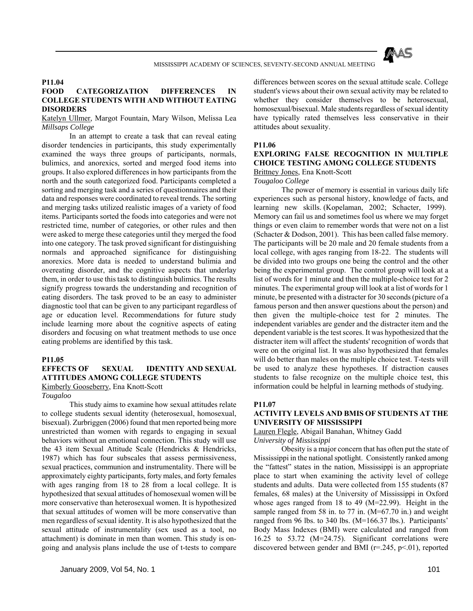

## **P11.04**

# **FOOD CATEGORIZATION DIFFERENCES IN COLLEGE STUDENTS WITH AND WITHOUT EATING DISORDERS**

Katelyn Ullmer, Margot Fountain, Mary Wilson, Melissa Lea *Millsaps College*

 In an attempt to create a task that can reveal eating disorder tendencies in participants, this study experimentally examined the ways three groups of participants, normals, bulimics, and anorexics, sorted and merged food items into groups. It also explored differences in how participants from the north and the south categorized food. Participants completed a sorting and merging task and a series of questionnaires and their data and responses were coordinated to reveal trends. The sorting and merging tasks utilized realistic images of a variety of food items. Participants sorted the foods into categories and were not restricted time, number of categories, or other rules and then were asked to merge these categories until they merged the food into one category. The task proved significant for distinguishing normals and approached significance for distinguishing anorexics. More data is needed to understand bulimia and overeating disorder, and the cognitive aspects that underlay them, in order to use this task to distinguish bulimics. The results signify progress towards the understanding and recognition of eating disorders. The task proved to be an easy to administer diagnostic tool that can be given to any participant regardless of age or education level. Recommendations for future study include learning more about the cognitive aspects of eating disorders and focusing on what treatment methods to use once eating problems are identified by this task.

#### **P11.05**

### **EFFECTS OF SEXUAL IDENTITY AND SEXUAL ATTITUDES AMONG COLLEGE STUDENTS**

Kimberly Gooseberry, Ena Knott-Scott

*Tougaloo*

 This study aims to examine how sexual attitudes relate to college students sexual identity (heterosexual, homosexual, bisexual). Zurbriggen (2006) found that men reported being more unrestricted than women with regards to engaging in sexual behaviors without an emotional connection. This study will use the 43 item Sexual Attitude Scale (Hendricks & Hendricks, 1987) which has four subscales that assess permissiveness, sexual practices, communion and instrumentality. There will be approximately eighty participants, forty males, and forty females with ages ranging from 18 to 28 from a local college. It is hypothesized that sexual attitudes of homosexual women will be more conservative than heterosexual women. It is hypothesized that sexual attitudes of women will be more conservative than men regardless of sexual identity. It is also hypothesized that the sexual attitude of instrumentality (sex used as a tool, no attachment) is dominate in men than women. This study is ongoing and analysis plans include the use of t-tests to compare

differences between scores on the sexual attitude scale. College student's views about their own sexual activity may be related to whether they consider themselves to be heterosexual, homosexual/bisexual. Male students regardless of sexual identity have typically rated themselves less conservative in their attitudes about sexuality.

### **P11.06**

# **EXPLORING FALSE RECOGNITION IN MULTIPLE CHOICE TESTING AMONG COLLEGE STUDENTS** Brittney Jones, Ena Knott-Scott

#### *Tougaloo College*

 The power of memory is essential in various daily life experiences such as personal history, knowledge of facts, and learning new skills. (Kopelaman, 2002; Schacter, 1999). Memory can fail us and sometimes fool us where we may forget things or even claim to remember words that were not on a list (Schacter & Dodson, 2001). This has been called false memory. The participants will be 20 male and 20 female students from a local college, with ages ranging from 18-22. The students will be divided into two groups one being the control and the other being the experimental group. The control group will look at a list of words for 1 minute and then the multiple-choice test for 2 minutes. The experimental group will look at a list of words for 1 minute, be presented with a distracter for 30 seconds (picture of a famous person and then answer questions about the person) and then given the multiple-choice test for 2 minutes. The independent variables are gender and the distracter item and the dependent variable is the test scores. It was hypothesized that the distracter item will affect the students' recognition of words that were on the original list. It was also hypothesized that females will do better than males on the multiple choice test. T-tests will be used to analyze these hypotheses. If distraction causes students to false recognize on the multiple choice test, this information could be helpful in learning methods of studying.

## **P11.07**

## **ACTIVITY LEVELS AND BMIS OF STUDENTS AT THE UNIVERSITY OF MISSISSIPPI**

### Lauren Flegle, Abigail Banahan, Whitney Gadd *University of Mississippi*

 Obesity is a major concern that has often put the state of Mississippi in the national spotlight. Consistently ranked among the "fattest" states in the nation, Mississippi is an appropriate place to start when examining the activity level of college students and adults. Data were collected from 155 students (87 females, 68 males) at the University of Mississippi in Oxford whose ages ranged from 18 to 49 (M=22.99). Height in the sample ranged from 58 in. to 77 in. (M=67.70 in.) and weight ranged from 96 lbs. to 340 lbs. (M=166.37 lbs.). Participants' Body Mass Indexes (BMI) were calculated and ranged from 16.25 to 53.72 (M=24.75). Significant correlations were discovered between gender and BMI (r=.245, p<.01), reported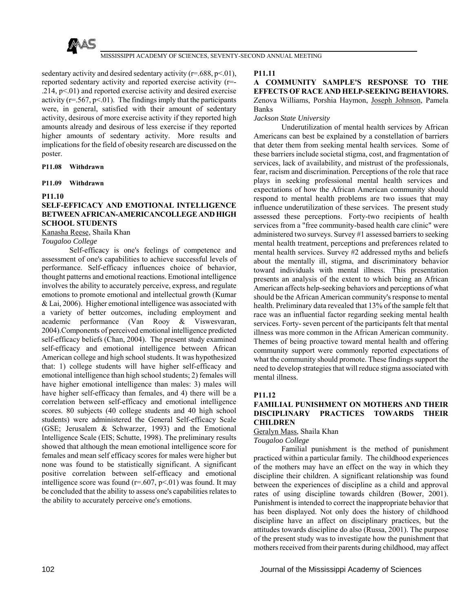

sedentary activity and desired sedentary activity  $(r=.688, p<.01)$ , reported sedentary activity and reported exercise activity (r=-  $.214, p<01$ ) and reported exercise activity and desired exercise activity ( $r = .567$ ,  $p < .01$ ). The findings imply that the participants were, in general, satisfied with their amount of sedentary activity, desirous of more exercise activity if they reported high amounts already and desirous of less exercise if they reported higher amounts of sedentary activity. More results and implications for the field of obesity research are discussed on the poster.

### **P11.08 Withdrawn**

### **P11.09 Withdrawn**

### **P11.10**

# **SELF-EFFICACY AND EMOTIONAL INTELLIGENCE BETWEEN AFRICAN-AMERICANCOLLEGE AND HIGH SCHOOL STUDENTS**

Kanasha Reese, Shaila Khan

*Tougaloo College*

 Self-efficacy is one's feelings of competence and assessment of one's capabilities to achieve successful levels of performance. Self-efficacy influences choice of behavior, thought patterns and emotional reactions. Emotional intelligence involves the ability to accurately perceive, express, and regulate emotions to promote emotional and intellectual growth (Kumar & Lai, 2006). Higher emotional intelligence was associated with a variety of better outcomes, including employment and academic performance (Van Rooy & Viswesvaran, 2004).Components of perceived emotional intelligence predicted self-efficacy beliefs (Chan, 2004). The present study examined self-efficacy and emotional intelligence between African American college and high school students. It was hypothesized that: 1) college students will have higher self-efficacy and emotional intelligence than high school students; 2) females will have higher emotional intelligence than males: 3) males will have higher self-efficacy than females, and 4) there will be a correlation between self-efficacy and emotional intelligence scores. 80 subjects (40 college students and 40 high school students) were administered the General Self-efficacy Scale (GSE; Jerusalem & Schwarzer, 1993) and the Emotional Intelligence Scale (EIS; Schutte, 1998). The preliminary results showed that although the mean emotional intelligence score for females and mean self efficacy scores for males were higher but none was found to be statistically significant. A significant positive correlation between self-efficacy and emotional intelligence score was found  $(r=.607, p<.01)$  was found. It may be concluded that the ability to assess one's capabilities relates to the ability to accurately perceive one's emotions.

### **P11.11**

**A COMMUNITY SAMPLE'S RESPONSE TO THE EFFECTS OF RACE AND HELP-SEEKING BEHAVIORS.** Zenova Williams, Porshia Haymon, Joseph Johnson, Pamela Banks

### *Jackson State University*

 Underutilization of mental health services by African Americans can best be explained by a constellation of barriers that deter them from seeking mental health services. Some of these barriers include societal stigma, cost, and fragmentation of services, lack of availability, and mistrust of the professionals, fear, racism and discrimination. Perceptions of the role that race plays in seeking professional mental health services and expectations of how the African American community should respond to mental health problems are two issues that may influence underutilization of these services. The present study assessed these perceptions. Forty-two recipients of health services from a "free community-based health care clinic" were administered two surveys. Survey #1 assessed barriers to seeking mental health treatment, perceptions and preferences related to mental health services. Survey #2 addressed myths and beliefs about the mentally ill, stigma, and discriminatory behavior toward individuals with mental illness. This presentation presents an analysis of the extent to which being an African American affects help-seeking behaviors and perceptions of what should be the African American community's response to mental health. Preliminary data revealed that 13% of the sample felt that race was an influential factor regarding seeking mental health services. Forty- seven percent of the participants felt that mental illness was more common in the African American community. Themes of being proactive toward mental health and offering community support were commonly reported expectations of what the community should promote. These findings support the need to develop strategies that will reduce stigma associated with mental illness.

### **P11.12**

## **FAMILIAL PUNISHMENT ON MOTHERS AND THEIR DISCIPLINARY PRACTICES TOWARDS THEIR CHILDREN**

# Geralyn Mass, Shaila Khan

*Tougaloo College*

 Familial punishment is the method of punishment practiced within a particular family. The childhood experiences of the mothers may have an effect on the way in which they discipline their children. A significant relationship was found between the experiences of discipline as a child and approval rates of using discipline towards children (Bower, 2001). Punishment is intended to correct the inappropriate behavior that has been displayed. Not only does the history of childhood discipline have an affect on disciplinary practices, but the attitudes towards discipline do also (Russa, 2001). The purpose of the present study was to investigate how the punishment that mothers received from their parents during childhood, may affect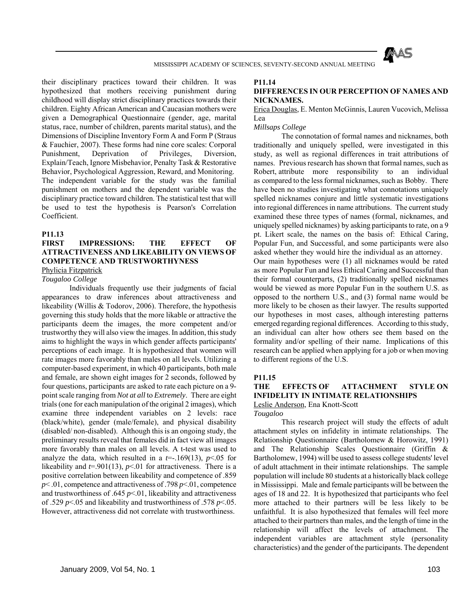

their disciplinary practices toward their children. It was hypothesized that mothers receiving punishment during childhood will display strict disciplinary practices towards their children. Eighty African American and Caucasian mothers were given a Demographical Questionnaire (gender, age, marital status, race, number of children, parents marital status), and the Dimensions of Discipline Inventory Form A and Form P (Straus & Fauchier, 2007). These forms had nine core scales: Corporal Punishment, Deprivation of Privileges, Diversion, Explain/Teach, Ignore Misbehavior, Penalty Task & Restorative Behavior, Psychological Aggression, Reward, and Monitoring. The independent variable for the study was the familial punishment on mothers and the dependent variable was the disciplinary practice toward children. The statistical test that will be used to test the hypothesis is Pearson's Correlation Coefficient.

### **P11.13**

# **FIRST IMPRESSIONS: THE EFFECT OF ATTRACTIVENESS AND LIKEABILITY ON VIEWS OF COMPETENCE AND TRUSTWORTHYNESS**

Phylicia Fitzpatrick

*Tougaloo College*

 Individuals frequently use their judgments of facial appearances to draw inferences about attractiveness and likeability (Willis & Todorov, 2006). Therefore, the hypothesis governing this study holds that the more likable or attractive the participants deem the images, the more competent and/or trustworthy they will also view the images. In addition, this study aims to highlight the ways in which gender affects participants' perceptions of each image. It is hypothesized that women will rate images more favorably than males on all levels. Utilizing a computer-based experiment, in which 40 participants, both male and female, are shown eight images for 2 seconds, followed by four questions, participants are asked to rate each picture on a 9 point scale ranging from *Not at all* to *Extremely*. There are eight trials (one for each manipulation of the original 2 images), which examine three independent variables on 2 levels: race (black/white), gender (male/female), and physical disability (disabled/ non-disabled). Although this is an ongoing study, the preliminary results reveal that females did in fact view all images more favorably than males on all levels. A t-test was used to analyze the data, which resulted in a  $t=-169(13)$ ,  $p<.05$  for likeability and  $t=0.901(13)$ ,  $p<0.01$  for attractiveness. There is a positive correlation between likeability and competence of .859 *p*< .01, competence and attractiveness of .798 *p*<.01, competence and trustworthiness of .645  $p \le 01$ , likeability and attractiveness of .529 *p*<.05 and likeability and trustworthiness of .578 *p*<.05. However, attractiveness did not correlate with trustworthiness.

# **P11.14**

## **DIFFERENCES IN OUR PERCEPTION OF NAMES AND NICKNAMES.**

Erica Douglas, E. Menton McGinnis, Lauren Vucovich, Melissa Lea

*Millsaps College*

 The connotation of formal names and nicknames, both traditionally and uniquely spelled, were investigated in this study, as well as regional differences in trait attributions of names. Previous research has shown that formal names, such as Robert, attribute more responsibility to an individual as compared to the less formal nicknames, such as Bobby. There have been no studies investigating what connotations uniquely spelled nicknames conjure and little systematic investigations into regional differences in name attributions. The current study examined these three types of names (formal, nicknames, and uniquely spelled nicknames) by asking participants to rate, on a 9 pt. Likert scale, the names on the basis of: Ethical Caring, Popular Fun, and Successful, and some participants were also asked whether they would hire the individual as an attorney. Our main hypotheses were (1) all nicknames would be rated as more Popular Fun and less Ethical Caring and Successful than their formal counterparts, (2) traditionally spelled nicknames would be viewed as more Popular Fun in the southern U.S. as opposed to the northern U.S., and (3) formal name would be more likely to be chosen as their lawyer. The results supported our hypotheses in most cases, although interesting patterns emerged regarding regional differences. According to this study, an individual can alter how others see them based on the formality and/or spelling of their name. Implications of this research can be applied when applying for a job or when moving to different regions of the U.S.

### **P11.15**

## **THE EFFECTS OF ATTACHMENT STYLE ON INFIDELITY IN INTIMATE RELATIONSHIPS** Leslie Anderson, Ena Knott-Scott

*Tougaloo*

 This research project will study the effects of adult attachment styles on infidelity in intimate relationships. The Relationship Questionnaire (Bartholomew & Horowitz, 1991) and The Relationship Scales Questionnaire (Griffin & Bartholomew, 1994) will be used to assess college students' level of adult attachment in their intimate relationships. The sample population will include 80 students at a historically black college in Mississippi. Male and female participants will be between the ages of 18 and 22. It is hypothesized that participants who feel more attached to their partners will be less likely to be unfaithful. It is also hypothesized that females will feel more attached to their partners than males, and the length of time in the relationship will affect the levels of attachment. The independent variables are attachment style (personality characteristics) and the gender of the participants. The dependent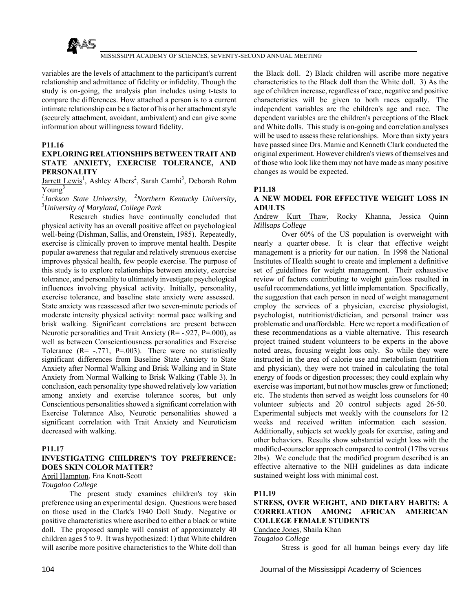

variables are the levels of attachment to the participant's current relationship and admittance of fidelity or infidelity. Though the study is on-going, the analysis plan includes using t-tests to compare the differences. How attached a person is to a current intimate relationship can be a factor of his or her attachment style (securely attachment, avoidant, ambivalent) and can give some information about willingness toward fidelity.

## **P11.16**

## **EXPLORING RELATIONSHIPS BETWEEN TRAIT AND STATE ANXIETY, EXERCISE TOLERANCE, AND PERSONALITY**

Jarrett Lewis<sup>1</sup>, Ashley Albers<sup>2</sup>, Sarah Camhi<sup>3</sup>, Deborah Rohm  $Young<sup>3</sup>$ 

<sup>*1</sup>* Jackson State University, <sup>2</sup>Northern Kentucky University, <sup>3</sup>*University*,</sup> *University of Maryland, College Park*

 Research studies have continually concluded that physical activity has an overall positive affect on psychological well-being (Dishman, Sallis, and Orenstein, 1985). Repeatedly, exercise is clinically proven to improve mental health. Despite popular awareness that regular and relatively strenuous exercise improves physical health, few people exercise. The purpose of this study is to explore relationships between anxiety, exercise tolerance, and personality to ultimately investigate psychological influences involving physical activity. Initially, personality, exercise tolerance, and baseline state anxiety were assessed. State anxiety was reassessed after two seven-minute periods of moderate intensity physical activity: normal pace walking and brisk walking. Significant correlations are present between Neurotic personalities and Trait Anxiety (R= -.927, P=.000), as well as between Conscientiousness personalities and Exercise Tolerance  $(R = -.771, P = .003)$ . There were no statistically significant differences from Baseline State Anxiety to State Anxiety after Normal Walking and Brisk Walking and in State Anxiety from Normal Walking to Brisk Walking (Table 3). In conclusion, each personality type showed relatively low variation among anxiety and exercise tolerance scores, but only Conscientious personalities showed a significant correlation with Exercise Tolerance Also, Neurotic personalities showed a significant correlation with Trait Anxiety and Neuroticism decreased with walking.

### **P11.17**

# **INVESTIGATING CHILDREN'S TOY PREFERENCE: DOES SKIN COLOR MATTER?**

April Hampton, Ena Knott-Scott

## *Tougaloo College*

 The present study examines children's toy skin preference using an experimental design. Questions were based on those used in the Clark's 1940 Doll Study. Negative or positive characteristics where ascribed to either a black or white doll. The proposed sample will consist of approximately 40 children ages 5 to 9. It was hypothesized: 1) that White children will ascribe more positive characteristics to the White doll than

the Black doll. 2) Black children will ascribe more negative characteristics to the Black doll than the White doll. 3) As the age of children increase, regardless of race, negative and positive characteristics will be given to both races equally. The independent variables are the children's age and race. The dependent variables are the children's perceptions of the Black and White dolls. This study is on-going and correlation analyses will be used to assess these relationships. More than sixty years have passed since Drs. Mamie and Kenneth Clark conducted the original experiment. However children's views of themselves and of those who look like them may not have made as many positive changes as would be expected.

### **P11.18**

## **A NEW MODEL FOR EFFECTIVE WEIGHT LOSS IN ADULTS**

Andrew Kurt Thaw, Rocky Khanna, Jessica Quinn *Millsaps College*

 Over 60% of the US population is overweight with nearly a quarter obese. It is clear that effective weight management is a priority for our nation. In 1998 the National Institutes of Health sought to create and implement a definitive set of guidelines for weight management. Their exhaustive review of factors contributing to weight gain/loss resulted in useful recommendations, yet little implementation. Specifically, the suggestion that each person in need of weight management employ the services of a physician, exercise physiologist, psychologist, nutritionist/dietician, and personal trainer was problematic and unaffordable. Here we report a modification of these recommendations as a viable alternative. This research project trained student volunteers to be experts in the above noted areas, focusing weight loss only. So while they were instructed in the area of calorie use and metabolism (nutrition and physician), they were not trained in calculating the total energy of foods or digestion processes; they could explain why exercise was important, but not how muscles grew or functioned; etc. The students then served as weight loss counselors for 40 volunteer subjects and 20 control subjects aged 26-50. Experimental subjects met weekly with the counselors for 12 weeks and received written information each session. Additionally, subjects set weekly goals for exercise, eating and other behaviors. Results show substantial weight loss with the modified-counselor approach compared to control (17lbs versus 2lbs). We conclude that the modified program described is an effective alternative to the NIH guidelines as data indicate sustained weight loss with minimal cost.

### **P11.19**

# **STRESS, OVER WEIGHT, AND DIETARY HABITS: A CORRELATION AMONG AFRICAN AMERICAN COLLEGE FEMALE STUDENTS**

Candace Jones, Shaila Khan

*Tougaloo College*

Stress is good for all human beings every day life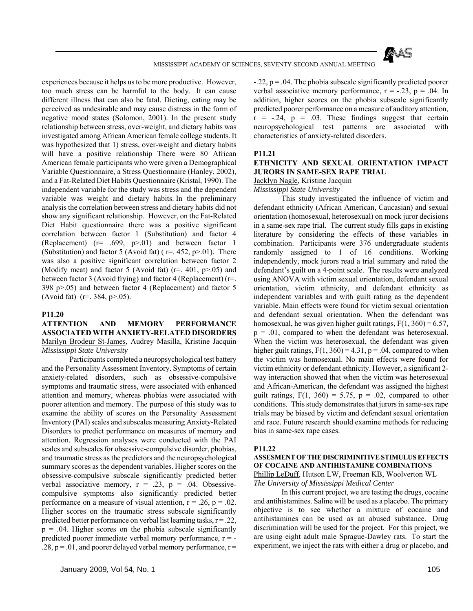

experiences because it helps us to be more productive. However, too much stress can be harmful to the body. It can cause different illness that can also be fatal. Dieting, eating may be perceived as undesirable and may cause distress in the form of negative mood states (Solomon, 2001). In the present study relationship between stress, over-weight, and dietary habits was investigated among African American female college students. It was hypothesized that 1) stress, over-weight and dietary habits will have a positive relationship There were 80 African American female participants who were given a Demographical Variable Questionnaire, a Stress Questionnaire (Hanley, 2002), and a Fat-Related Diet Habits Questionnaire (Kristal, 1990). The independent variable for the study was stress and the dependent variable was weight and dietary habits. In the preliminary analysis the correlation between stress and dietary habits did not show any significant relationship. However, on the Fat-Related Diet Habit questionnaire there was a positive significant correlation between factor 1 (Substitution) and factor 4 (Replacement) (r= .699, p>.01) and between factor 1 (Substitution) and factor 5 (Avoid fat) ( $r=$  452,  $p>01$ ). There was also a positive significant correlation between factor 2 (Modify meat) and factor 5 (Avoid fat)  $(r=.401, p>0.05)$  and between factor 3 (Avoid frying) and factor 4 (Replacement) (r=. 398 p>.05) and between factor 4 (Replacement) and factor 5 (Avoid fat) (r=. 384, p>.05).

#### **P11.20**

# **ATTENTION AND MEMORY PERFORMANCE ASSOCIATED WITH ANXIETY-RELATED DISORDERS** Marilyn Brodeur St-James, Audrey Masilla, Kristine Jacquin *Mississippi State University*

 Participants completed a neuropsychological test battery and the Personality Assessment Inventory. Symptoms of certain anxiety-related disorders, such as obsessive-compulsive symptoms and traumatic stress, were associated with enhanced attention and memory, whereas phobias were associated with poorer attention and memory. The purpose of this study was to examine the ability of scores on the Personality Assessment Inventory (PAI) scales and subscales measuring Anxiety-Related Disorders to predict performance on measures of memory and attention. Regression analyses were conducted with the PAI scales and subscales for obsessive-compulsive disorder, phobias, and traumatic stress as the predictors and the neuropsychological summary scores as the dependent variables. Higher scores on the obsessive-compulsive subscale significantly predicted better verbal associative memory,  $r = .23$ ,  $p = .04$ . Obsessivecompulsive symptoms also significantly predicted better performance on a measure of visual attention,  $r = .26$ ,  $p = .02$ . Higher scores on the traumatic stress subscale significantly predicted better performance on verbal list learning tasks,  $r = .22$ ,  $p = .04$ . Higher scores on the phobia subscale significantly predicted poorer immediate verbal memory performance,  $r = .28$ ,  $p = .01$ , and poorer delayed verbal memory performance,  $r =$ 

 $-.22, p = .04$ . The phobia subscale significantly predicted poorer verbal associative memory performance,  $r = -.23$ ,  $p = .04$ . In addition, higher scores on the phobia subscale significantly predicted poorer performance on a measure of auditory attention,  $r = -.24$ ,  $p = .03$ . These findings suggest that certain neuropsychological test patterns are associated with characteristics of anxiety-related disorders.

### **P11.21**

## **ETHNICITY AND SEXUAL ORIENTATION IMPACT JURORS IN SAME-SEX RAPE TRIAL**

## Jacklyn Nagle, Kristine Jacquin

### *Mississippi State University*

 This study investigated the influence of victim and defendant ethnicity (African American, Caucasian) and sexual orientation (homosexual, heterosexual) on mock juror decisions in a same-sex rape trial. The current study fills gaps in existing literature by considering the effects of these variables in combination. Participants were 376 undergraduate students randomly assigned to 1 of 16 conditions. Working independently, mock jurors read a trial summary and rated the defendant's guilt on a 4-point scale. The results were analyzed using ANOVA with victim sexual orientation, defendant sexual orientation, victim ethnicity, and defendant ethnicity as independent variables and with guilt rating as the dependent variable. Main effects were found for victim sexual orientation and defendant sexual orientation. When the defendant was homosexual, he was given higher guilt ratings,  $F(1, 360) = 6.57$ ,  $p = .01$ , compared to when the defendant was heterosexual. When the victim was heterosexual, the defendant was given higher guilt ratings,  $F(1, 360) = 4.31$ ,  $p = .04$ , compared to when the victim was homosexual. No main effects were found for victim ethnicity or defendant ethnicity. However, a significant 2 way interaction showed that when the victim was heterosexual and African-American, the defendant was assigned the highest guilt ratings,  $F(1, 360) = 5.75$ ,  $p = .02$ , compared to other conditions. This study demonstrates that jurors in same-sex rape trials may be biased by victim and defendant sexual orientation and race. Future research should examine methods for reducing bias in same-sex rape cases.

#### **P11.22**

**ASSESMENT OF THE DISCRIMINITIVE STIMULUS EFFECTS OF COCAINE AND ANTIHISTAMINE COMBINATIONS** Phillip LeDuff, Hutson LW, Freeman KB, Woolverton WL *The University of Mississippi Medical Center*

 In this current project, we are testing the drugs, cocaine and antihistamines. Saline will be used as a placebo. The primary objective is to see whether a mixture of cocaine and antihistamines can be used as an abused substance. Drug discrimination will be used for the project. For this project, we are using eight adult male Sprague-Dawley rats. To start the experiment, we inject the rats with either a drug or placebo, and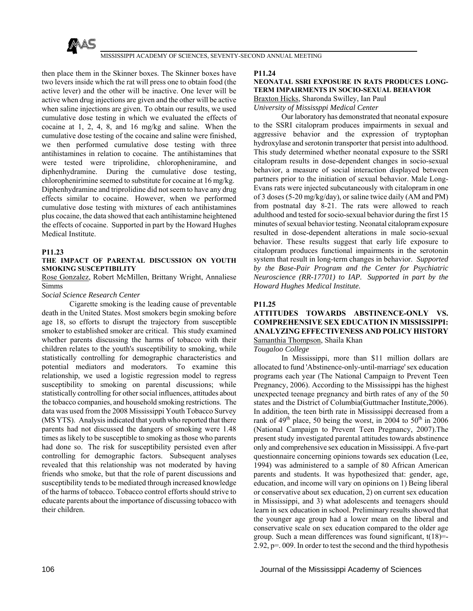

then place them in the Skinner boxes. The Skinner boxes have two levers inside which the rat will press one to obtain food (the active lever) and the other will be inactive. One lever will be active when drug injections are given and the other will be active when saline injections are given. To obtain our results, we used cumulative dose testing in which we evaluated the effects of cocaine at 1, 2, 4, 8, and 16 mg/kg and saline. When the cumulative dose testing of the cocaine and saline were finished, we then performed cumulative dose testing with three antihistamines in relation to cocaine. The antihistamines that were tested were triprolidine, chloropheniramine, and diphenhydramine. During the cumulative dose testing, chlorophenirimine seemed to substitute for cocaine at 16 mg/kg. Diphenhydramine and triprolidine did not seem to have any drug effects similar to cocaine. However, when we performed cumulative dose testing with mixtures of each antihistamines plus cocaine, the data showed that each antihistamine heightened the effects of cocaine. Supported in part by the Howard Hughes Medical Institute.

### **P11.23**

### **THE IMPACT OF PARENTAL DISCUSSION ON YOUTH SMOKING SUSCEPTIBILITY**

Rose Gonzalez, Robert McMillen, Brittany Wright, Annaliese Simms

### *Social Science Research Center*

 Cigarette smoking is the leading cause of preventable death in the United States. Most smokers begin smoking before age 18, so efforts to disrupt the trajectory from susceptible smoker to established smoker are critical. This study examined whether parents discussing the harms of tobacco with their children relates to the youth's susceptibility to smoking, while statistically controlling for demographic characteristics and potential mediators and moderators. To examine this relationship, we used a logistic regression model to regress susceptibility to smoking on parental discussions; while statistically controlling for other social influences, attitudes about the tobacco companies, and household smoking restrictions. The data was used from the 2008 Mississippi Youth Tobacco Survey (MS YTS). Analysis indicated that youth who reported that there parents had not discussed the dangers of smoking were 1.48 times as likely to be susceptible to smoking as those who parents had done so. The risk for susceptibility persisted even after controlling for demographic factors. Subsequent analyses revealed that this relationship was not moderated by having friends who smoke, but that the role of parent discussions and susceptibility tends to be mediated through increased knowledge of the harms of tobacco. Tobacco control efforts should strive to educate parents about the importance of discussing tobacco with their children.

### **P11.24**

### **NEONATAL SSRI EXPOSURE IN RATS PRODUCES LONG-TERM IMPAIRMENTS IN SOCIO-SEXUAL BEHAVIOR** Braxton Hicks, Sharonda Swilley, Ian Paul *University of Mississppi Medical Center*

 Our laboratory has demonstrated that neonatal exposure to the SSRI citalopram produces impairments in sexual and aggressive behavior and the expression of tryptophan hydroxylase and serotonin transporter that persist into adulthood. This study determined whether neonatal exposure to the SSRI citalopram results in dose-dependent changes in socio-sexual behavior, a measure of social interaction displayed between partners prior to the initiation of sexual behavior. Male Long-Evans rats were injected subcutaneously with citalopram in one of 3 doses (5-20 mg/kg/day), or saline twice daily (AM and PM) from postnatal day 8-21. The rats were allowed to reach adulthood and tested for socio-sexual behavior during the first 15 minutes of sexual behavior testing. Neonatal citalopram exposure resulted in dose-dependent alterations in male socio-sexual behavior. These results suggest that early life exposure to citalopram produces functional impairments in the serotonin system that result in long-term changes in behavior. *Supported by the Base-Pair Program and the Center for Psychiatric Neuroscience (RR-17701) to IAP. Supported in part by the Howard Hughes Medical Institute.*

### **P11.25**

## **ATTITUDES TOWARDS ABSTINENCE-ONLY VS. COMPREHENSIVE SEX EDUCATION IN MISSISSIPPI: ANALYZING EFFECTIVENESS AND POLICY HISTORY** Samanthia Thompson, Shaila Khan

*Tougaloo College*

 In Mississippi, more than \$11 million dollars are allocated to fund 'Abstinence-only-until-marriage' sex education programs each year (The National Campaign to Prevent Teen Pregnancy, 2006). According to the Mississippi has the highest unexpected teenage pregnancy and birth rates of any of the 50 states and the District of Columbia(Guttmacher Institute,2006). In addition, the teen birth rate in Mississippi decreased from a rank of  $49<sup>th</sup>$  place, 50 being the worst, in 2004 to 50<sup>th</sup> in 2006 (National Campaign to Prevent Teen Pregnancy, 2007).The present study investigated parental attitudes towards abstinence only and comprehensive sex education in Mississippi. A five-part questionnaire concerning opinions towards sex education (Lee, 1994) was administered to a sample of 80 African American parents and students. It was hypothesized that: gender, age, education, and income will vary on opinions on 1) Being liberal or conservative about sex education, 2) on current sex education in Mississippi, and 3) what adolescents and teenagers should learn in sex education in school. Preliminary results showed that the younger age group had a lower mean on the liberal and conservative scale on sex education compared to the older age group. Such a mean differences was found significant, t(18)=- 2.92, p=. 009. In order to test the second and the third hypothesis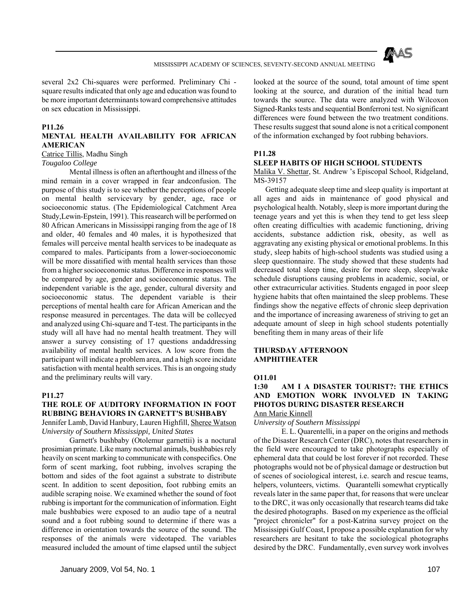

several 2x2 Chi-squares were performed. Preliminary Chi square results indicated that only age and education was found to be more important determinants toward comprehensive attitudes on sex education in Mississippi.

## **P11.26**

# **MENTAL HEALTH AVAILABILITY FOR AFRICAN AMERICAN**

Catrice Tillis, Madhu Singh

*Tougaloo College*

 Mental illness is often an afterthought and illness of the mind remain in a cover wrapped in fear andconfusion. The purpose of this study is to see whether the perceptions of people on mental health servicevary by gender, age, race or socioeconomic status. (The Epidemiological Catchment Area Study,Lewin-Epstein, 1991). This reasearch will be performed on 80 African Americans in Mississippi ranging from the age of 18 and older, 40 females and 40 males, it is hypothesized that females will perceive mental health services to be inadequate as compared to males. Participants from a lower-socioeconomic will be more dissatified with mental health services than those from a higher socioeconomic status. Difference in responses will be compared by age, gender and socioecononmic status. The independent variable is the age, gender, cultural diversity and socioeconomic status. The dependent variable is their perceptions of mental health care for African American and the response measured in percentages. The data will be collecyed and analyzed using Chi-square and T-test. The participants in the study will all have had no mental health treatment. They will answer a survey consisting of 17 questions andaddressing availability of mental health services. A low score from the participant will indicate a problem area, and a high score incidate satisfaction with mental health services. This is an ongoing study and the preliminary reults will vary.

### **P11.27**

# **THE ROLE OF AUDITORY INFORMATION IN FOOT RUBBING BEHAVIORS IN GARNETT'S BUSHBABY**

Jennifer Lamb, David Hanbury, Lauren Highfill, Sheree Watson *University of Southern Mississippi, United States*

 Garnett's bushbaby (Otolemur garnettii) is a noctural prosimian primate. Like many nocturnal animals, bushbabies rely heavily on scent marking to communicate with conspecifics. One form of scent marking, foot rubbing, involves scraping the bottom and sides of the foot against a substrate to distribute scent. In addition to scent deposition, foot rubbing emits an audible scraping noise. We examined whether the sound of foot rubbing is important for the communication of information. Eight male bushbabies were exposed to an audio tape of a neutral sound and a foot rubbing sound to determine if there was a difference in orientation towards the source of the sound. The responses of the animals were videotaped. The variables measured included the amount of time elapsed until the subject

looked at the source of the sound, total amount of time spent looking at the source, and duration of the initial head turn towards the source. The data were analyzed with Wilcoxon Signed-Ranks tests and sequential Bonferroni test. No significant differences were found between the two treatment conditions. These results suggest that sound alone is not a critical component of the information exchanged by foot rubbing behaviors.

## **P11.28**

## **SLEEP HABITS OF HIGH SCHOOL STUDENTS**

Malika V. Shettar, St. Andrew 's Episcopal School, Ridgeland, MS-39157

 Getting adequate sleep time and sleep quality is important at all ages and aids in maintenance of good physical and psychological health. Notably, sleep is more important during the teenage years and yet this is when they tend to get less sleep often creating difficulties with academic functioning, driving accidents, substance addiction risk, obesity, as well as aggravating any existing physical or emotional problems. In this study, sleep habits of high-school students was studied using a sleep questionnaire. The study showed that these students had decreased total sleep time, desire for more sleep, sleep/wake schedule disruptions causing problems in academic, social, or other extracurricular activities. Students engaged in poor sleep hygiene habits that often maintained the sleep problems. These findings show the negative effects of chronic sleep deprivation and the importance of increasing awareness of striving to get an adequate amount of sleep in high school students potentially benefiting them in many areas of their life

### **THURSDAY AFTERNOON AMPHITHEATER**

# **O11.01**

## **1:30 AM I A DISASTER TOURIST?: THE ETHICS AND EMOTION WORK INVOLVED IN TAKING PHOTOS DURING DISASTER RESEARCH** Ann Marie Kinnell

*University of Southern Mississippi*

 E. L. Quarentelli, in a paper on the origins and methods of the Disaster Research Center (DRC), notes that researchers in the field were encouraged to take photographs especially of ephemeral data that could be lost forever if not recorded. These photographs would not be of physical damage or destruction but of scenes of sociological interest, i.e. search and rescue teams, helpers, volunteers, victims. Quarantelli somewhat cryptically reveals later in the same paper that, for reasons that were unclear to the DRC, it was only occasionally that research teams did take the desired photographs. Based on my experience as the official "project chronicler" for a post-Katrina survey project on the Mississippi Gulf Coast, I propose a possible explanation for why researchers are hesitant to take the sociological photographs desired by the DRC. Fundamentally, even survey work involves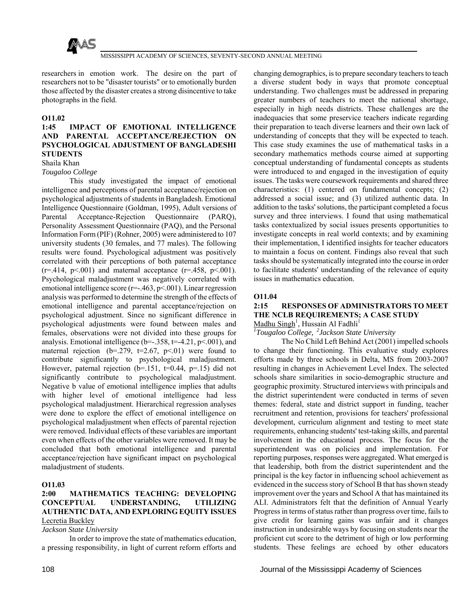

researchers in emotion work. The desire on the part of researchers not to be "disaster tourists" or to emotionally burden those affected by the disaster creates a strong disincentive to take photographs in the field.

## **O11.02**

# **1:45 IMPACT OF EMOTIONAL INTELLIGENCE AND PARENTAL ACCEPTANCE/REJECTION ON PSYCHOLOGICAL ADJUSTMENT OF BANGLADESHI STUDENTS**

### Shaila Khan *Tougaloo College*

 This study investigated the impact of emotional intelligence and perceptions of parental acceptance/rejection on psychological adjustments of students in Bangladesh. Emotional Intelligence Questionnaire (Goldman, 1995), Adult versions of Parental Acceptance-Rejection Questionnaire (PARQ), Personality Assessment Questionnaire (PAQ), and the Personal Information Form (PIF) (Rohner, 2005) were administered to 107 university students (30 females, and 77 males). The following results were found. Psychological adjustment was positively correlated with their perceptions of both paternal acceptance  $(r=414, p<0.01)$  and maternal acceptance  $(r=458, p<0.01)$ . Psychological maladjustment was negatively correlated with emotional intelligence score (r=-.463, p<.001). Linear regression analysis was performed to determine the strength of the effects of emotional intelligence and parental acceptance/rejection on psychological adjustment. Since no significant difference in psychological adjustments were found between males and females, observations were not divided into these groups for analysis. Emotional intelligence ( $b=-.358$ ,  $t=-4.21$ ,  $p<.001$ ), and maternal rejection (b=.279, t=2.67, p<.01) were found to contribute significantly to psychological maladjustment. However, paternal rejection  $(b=151, t=0.44, p=.15)$  did not significantly contribute to psychological maladjustment. Negative b value of emotional intelligence implies that adults with higher level of emotional intelligence had less psychological maladjustment. Hierarchical regression analyses were done to explore the effect of emotional intelligence on psychological maladjustment when effects of parental rejection were removed. Individual effects of these variables are important even when effects of the other variables were removed. It may be concluded that both emotional intelligence and parental acceptance/rejection have significant impact on psychological maladjustment of students.

# **O11.03**

# **2:00 MATHEMATICS TEACHING: DEVELOPING CONCEPTUAL UNDERSTANDING, UTILIZING AUTHENTIC DATA, AND EXPLORING EQUITY ISSUES** Lecretia Buckley

*Jackson State University*

 In order to improve the state of mathematics education, a pressing responsibility, in light of current reform efforts and changing demographics, is to prepare secondary teachers to teach a diverse student body in ways that promote conceptual understanding. Two challenges must be addressed in preparing greater numbers of teachers to meet the national shortage, especially in high needs districts. These challenges are the inadequacies that some preservice teachers indicate regarding their preparation to teach diverse learners and their own lack of understanding of concepts that they will be expected to teach. This case study examines the use of mathematical tasks in a secondary mathematics methods course aimed at supporting conceptual understanding of fundamental concepts as students were introduced to and engaged in the investigation of equity issues. The tasks were coursework requirements and shared three characteristics: (1) centered on fundamental concepts; (2) addressed a social issue; and (3) utilized authentic data. In addition to the tasks' solutions, the participant completed a focus survey and three interviews. I found that using mathematical tasks contextualized by social issues presents opportunities to investigate concepts in real world contexts; and by examining their implementation, I identified insights for teacher educators to maintain a focus on content. Findings also reveal that such tasks should be systematically integrated into the course in order to facilitate students' understanding of the relevance of equity issues in mathematics education.

# **O11.04**

# **2:15 RESPONSES OF ADMINISTRATORS TO MEET THE NCLB REQUIREMENTS; A CASE STUDY**

Madhu Singh<sup>1</sup>, Hussain Al Fadhli<sup>1</sup>

*1 Tougaloo College, 2Jackson State University*

 The No Child Left Behind Act (2001) impelled schools to change their functioning. This evaluative study explores efforts made by three schools in Delta, MS from 2003-2007 resulting in changes in Achievement Level Index. The selected schools share similarities in socio-demographic structure and geographic proximity. Structured interviews with principals and the district superintendent were conducted in terms of seven themes: federal, state and district support in funding, teacher recruitment and retention, provisions for teachers' professional development, curriculum alignment and testing to meet state requirements, enhancing students' test-taking skills, and parental involvement in the educational process. The focus for the superintendent was on policies and implementation. For reporting purposes, responses were aggregated. What emerged is that leadership, both from the district superintendent and the principal is the key factor in influencing school achievement as evidenced in the success story of School B that has shown steady improvement over the years and School A that has maintained its ALI. Administrators felt that the definition of Annual Yearly Progress in terms of status rather than progress over time, fails to give credit for learning gains was unfair and it changes instruction in undesirable ways by focusing on students near the proficient cut score to the detriment of high or low performing students. These feelings are echoed by other educators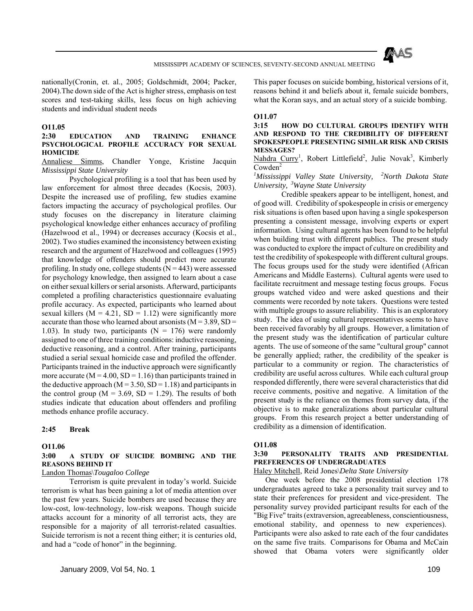

nationally(Cronin, et. al., 2005; Goldschmidt, 2004; Packer, 2004).The down side of the Act is higher stress, emphasis on test scores and test-taking skills, less focus on high achieving students and individual student needs

#### **O11.05**

#### **2:30 EDUCATION AND TRAINING ENHANCE PSYCHOLOGICAL PROFILE ACCURACY FOR SEXUAL HOMICIDE**

Annaliese Simms, Chandler Yonge, Kristine Jacquin *Mississippi State University*

 Psychological profiling is a tool that has been used by law enforcement for almost three decades (Kocsis, 2003). Despite the increased use of profiling, few studies examine factors impacting the accuracy of psychological profiles. Our study focuses on the discrepancy in literature claiming psychological knowledge either enhances accuracy of profiling (Hazelwood et al., 1994) or decreases accuracy (Kocsis et al., 2002). Two studies examined the inconsistency between existing research and the argument of Hazelwood and colleagues (1995) that knowledge of offenders should predict more accurate profiling. In study one, college students  $(N = 443)$  were assessed for psychology knowledge, then assigned to learn about a case on either sexual killers or serial arsonists. Afterward, participants completed a profiling characteristics questionnaire evaluating profile accuracy. As expected, participants who learned about sexual killers ( $M = 4.21$ ,  $SD = 1.12$ ) were significantly more accurate than those who learned about arsonists  $(M = 3.89, SD =$ 1.03). In study two, participants ( $N = 176$ ) were randomly assigned to one of three training conditions: inductive reasoning, deductive reasoning, and a control. After training, participants studied a serial sexual homicide case and profiled the offender. Participants trained in the inductive approach were significantly more accurate ( $M = 4.00$ ,  $SD = 1.16$ ) than participants trained in the deductive approach ( $M = 3.50$ ,  $SD = 1.18$ ) and participants in the control group ( $M = 3.69$ ,  $SD = 1.29$ ). The results of both studies indicate that education about offenders and profiling methods enhance profile accuracy.

#### **2:45 Break**

# **O11.06**

#### **3:00 A STUDY OF SUICIDE BOMBING AND THE REASONS BEHIND IT**

#### Landon Thomas\*Tougaloo College*

 Terrorism is quite prevalent in today's world. Suicide terrorism is what has been gaining a lot of media attention over the past few years. Suicide bombers are used because they are low-cost, low-technology, low-risk weapons. Though suicide attacks account for a minority of all terrorist acts, they are responsible for a majority of all terrorist-related casualties. Suicide terrorism is not a recent thing either; it is centuries old, and had a "code of honor" in the beginning.

This paper focuses on suicide bombing, historical versions of it, reasons behind it and beliefs about it, female suicide bombers, what the Koran says, and an actual story of a suicide bombing.

#### **O11.07**

#### **3:15 HOW DO CULTURAL GROUPS IDENTIFY WITH AND RESPOND TO THE CREDIBILITY OF DIFFERENT SPOKESPEOPLE PRESENTING SIMILAR RISK AND CRISIS MESSAGES?**

Nahdra Curry<sup>1</sup>, Robert Littlefield<sup>2</sup>, Julie Novak<sup>3</sup>, Kimberly  $Cowden<sup>2</sup>$ 

*1 Mississippi Valley State University, 2North Dakota State University, 3Wayne State University*

 Credible speakers appear to be intelligent, honest, and of good will. Credibility of spokespeople in crisis or emergency risk situations is often based upon having a single spokesperson presenting a consistent message, involving experts or expert information. Using cultural agents has been found to be helpful when building trust with different publics. The present study was conducted to explore the impact of culture on credibility and test the credibility of spokespeople with different cultural groups. The focus groups used for the study were identified (African Americans and Middle Easterns). Cultural agents were used to facilitate recruitment and message testing focus groups. Focus groups watched video and were asked questions and their comments were recorded by note takers. Questions were tested with multiple groups to assure reliability. This is an exploratory study. The idea of using cultural representatives seems to have been received favorably by all groups. However, a limitation of the present study was the identification of particular culture agents. The use of someone of the same "cultural group" cannot be generally applied; rather, the credibility of the speaker is particular to a community or region. The characteristics of credibility are useful across cultures. While each cultural group responded differently, there were several characteristics that did receive comments, positive and negative. A limitation of the present study is the reliance on themes from survey data, if the objective is to make generalizations about particular cultural groups. From this research project a better understanding of credibility as a dimension of identification.

#### **O11.08**

#### **3:30 PERSONALITY TRAITS AND PRESIDENTIAL PREFERENCES OF UNDERGRADUATES**

Haley Mitchell, Reid Jones\*Delta State University*

 One week before the 2008 presidential election 178 undergraduates agreed to take a personality trait survey and to state their preferences for president and vice-president. The personality survey provided participant results for each of the "Big Five" traits (extraversion, agreeableness, conscientiousness, emotional stability, and openness to new experiences). Participants were also asked to rate each of the four candidates on the same five traits. Comparisons for Obama and McCain showed that Obama voters were significantly older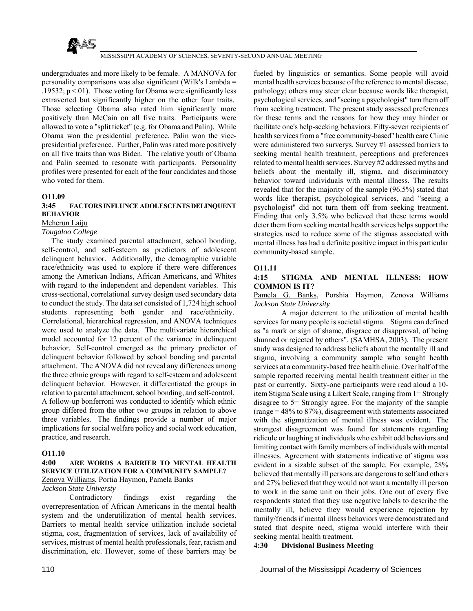

undergraduates and more likely to be female. A MANOVA for personality comparisons was also significant (Wilk's Lambda = .19532;  $p < 01$ ). Those voting for Obama were significantly less extraverted but significantly higher on the other four traits. Those selecting Obama also rated him significantly more positively than McCain on all five traits. Participants were allowed to vote a "split ticket" (e.g. for Obama and Palin). While Obama won the presidential preference, Palin won the vicepresidential preference. Further, Palin was rated more positively on all five traits than was Biden. The relative youth of Obama and Palin seemed to resonate with participants. Personality profiles were presented for each of the four candidates and those who voted for them.

#### **O11.09**

# **3:45 FACTORS INFLUNCE ADOLESCENTS DELINQUENT BEHAVIOR**

Meherun Laiju

#### *Tougaloo College*

 The study examined parental attachment, school bonding, self-control, and self-esteem as predictors of adolescent delinquent behavior. Additionally, the demographic variable race/ethnicity was used to explore if there were differences among the American Indians, African Americans, and Whites with regard to the independent and dependent variables. This cross-sectional, correlational survey design used secondary data to conduct the study. The data set consisted of 1,724 high school students representing both gender and race/ethnicity. Correlational, hierarchical regression, and ANOVA techniques were used to analyze the data. The multivariate hierarchical model accounted for 12 percent of the variance in delinquent behavior. Self-control emerged as the primary predictor of delinquent behavior followed by school bonding and parental attachment. The ANOVA did not reveal any differences among the three ethnic groups with regard to self-esteem and adolescent delinquent behavior. However, it differentiated the groups in relation to parental attachment, school bonding, and self-control. A follow-up bonferroni was conducted to identify which ethnic group differed from the other two groups in relation to above three variables. The findings provide a number of major implications for social welfare policy and social work education, practice, and research.

#### **O11.10**

#### **4:00 ARE WORDS A BARRIER TO MENTAL HEALTH SERVICE UTILIZATION FOR A COMMUNITY SAMPLE?** Zenova Williams, Portia Haymon, Pamela Banks

#### *Jackson State Universty*

 Contradictory findings exist regarding the overrepresentation of African Americans in the mental health system and the underutilization of mental health services. Barriers to mental health service utilization include societal stigma, cost, fragmentation of services, lack of availability of services, mistrust of mental health professionals, fear, racism and discrimination, etc. However, some of these barriers may be

fueled by linguistics or semantics. Some people will avoid mental health services because of the reference to mental disease, pathology; others may steer clear because words like therapist, psychological services, and "seeing a psychologist" turn them off from seeking treatment. The present study assessed preferences for these terms and the reasons for how they may hinder or facilitate one's help-seeking behaviors. Fifty-seven recipients of health services from a "free community-based" health care Clinic were administered two surverys. Survey #1 assessed barriers to seeking mental health treatment, perceptions and preferences related to mental health services. Survey #2 addressed myths and beliefs about the mentally ill, stigma, and discriminatory behavior toward individuals with mental illness. The results revealed that for the majority of the sample (96.5%) stated that words like therapist, psychological services, and "seeing a psychologist" did not turn them off from seeking treatment. Finding that only 3.5% who believed that these terms would deter them from seeking mental health services helps support the strategies used to reduce some of the stigmas associated with mental illness has had a definite positive impact in this particular community-based sample.

#### **O11.11**

#### **4:15 STIGMA AND MENTAL ILLNESS: HOW COMMON IS IT?**

Pamela G. Banks, Porshia Haymon, Zenova Williams *Jackson State University*

 A major deterrent to the utilization of mental health services for many people is societal stigma. Stigma can defined as "a mark or sign of shame, disgrace or disapproval, of being shunned or rejected by others". (SAMHSA, 2003). The present study was designed to address beliefs about the mentally ill and stigma, involving a community sample who sought health services at a community-based free health clinic. Over half of the sample reported receiving mental health treatment either in the past or currently. Sixty-one participants were read aloud a 10 item Stigma Scale using a Likert Scale, ranging from 1= Strongly disagree to 5= Strongly agree. For the majority of the sample  $(range = 48\% to 87\%), disagree = 48\% to 87\%$ with the stigmatization of mental illness was evident. The strongest disagreement was found for statements regarding ridicule or laughing at individuals who exhibit odd behaviors and limiting contact with family members of individuals with mental illnesses. Agreement with statements indicative of stigma was evident in a sizable subset of the sample. For example, 28% believed that mentally ill persons are dangerous to self and others and 27% believed that they would not want a mentally ill person to work in the same unit on their jobs. One out of every five respondents stated that they use negative labels to describe the mentally ill, believe they would experience rejection by family/friends if mental illness behaviors were demonstrated and stated that despite need, stigma would interfere with their seeking mental health treatment.

#### **4:30 Divisional Business Meeting**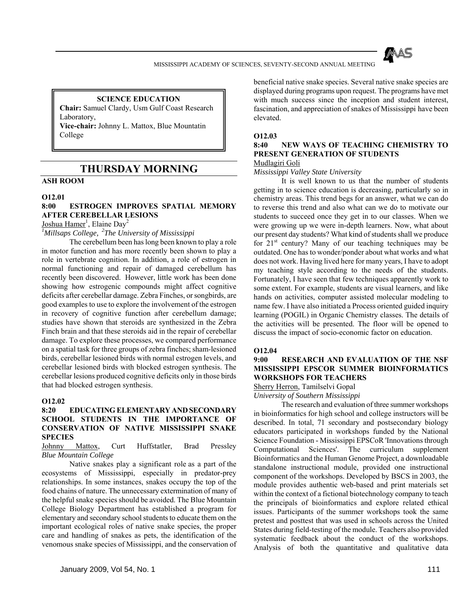

# **SCIENCE EDUCATION**

**Chair:** Samuel Clardy, Usm Gulf Coast Research Laboratory, **Vice-chair:** Johnny L. Mattox, Blue Mountatin

College

# **THURSDAY MORNING**

# **ASH ROOM**

#### **O12.01**

# **8:00 ESTROGEN IMPROVES SPATIAL MEMORY AFTER CEREBELLAR LESIONS**

Joshua Hamer<sup>1</sup>, Elaine Day<sup>2</sup>

*1 Millsaps College, 2The University of Mississippi*

 The cerebellum been has long been known to play a role in motor function and has more recently been shown to play a role in vertebrate cognition. In addition, a role of estrogen in normal functioning and repair of damaged cerebellum has recently been discovered. However, little work has been done showing how estrogenic compounds might affect cognitive deficits after cerebellar damage. Zebra Finches, or songbirds, are good examples to use to explore the involvement of the estrogen in recovery of cognitive function after cerebellum damage; studies have shown that steroids are synthesized in the Zebra Finch brain and that these steroids aid in the repair of cerebellar damage. To explore these processes, we compared performance on a spatial task for three groups of zebra finches; sham-lesioned birds, cerebellar lesioned birds with normal estrogen levels, and cerebellar lesioned birds with blocked estrogen synthesis. The cerebellar lesions produced cognitive deficits only in those birds that had blocked estrogen synthesis.

#### **O12.02**

### **8:20 EDUCATING ELEMENTARY AND SECONDARY SCHOOL STUDENTS IN THE IMPORTANCE OF CONSERVATION OF NATIVE MISSISSIPPI SNAKE SPECIES**

Johnny Mattox, Curt Huffstatler, Brad Pressley *Blue Mountain College*

 Native snakes play a significant role as a part of the ecosystems of Mississippi, especially in predator-prey relationships. In some instances, snakes occupy the top of the food chains of nature. The unnecessary extermination of many of the helpful snake species should be avoided. The Blue Mountain College Biology Department has established a program for elementary and secondary school students to educate them on the important ecological roles of native snake species, the proper care and handling of snakes as pets, the identification of the venomous snake species of Mississippi, and the conservation of

beneficial native snake species. Several native snake species are displayed during programs upon request. The programs have met with much success since the inception and student interest, fascination, and appreciation of snakes of Mississippi have been elevated.

#### **O12.03**

# **8:40 NEW WAYS OF TEACHING CHEMISTRY TO PRESENT GENERATION OF STUDENTS**

# Mudlagiri Goli

*Mississippi Valley State University*

 It is well known to us that the number of students getting in to science education is decreasing, particularly so in chemistry areas. This trend begs for an answer, what we can do to reverse this trend and also what can we do to motivate our students to succeed once they get in to our classes. When we were growing up we were in-depth learners. Now, what about our present day students? What kind of students shall we produce for  $21<sup>st</sup>$  century? Many of our teaching techniques may be outdated. One has to wonder/ponder about what works and what does not work. Having lived here for many years, I have to adopt my teaching style according to the needs of the students. Fortunately, I have seen that few techniques apparently work to some extent. For example, students are visual learners, and like hands on activities, computer assisted molecular modeling to name few. I have also initiated a Process oriented guided inquiry learning (POGIL) in Organic Chemistry classes. The details of the activities will be presented. The floor will be opened to discuss the impact of socio-economic factor on education.

#### **O12.04**

# **9:00 RESEARCH AND EVALUATION OF THE NSF MISSISSIPPI EPSCOR SUMMER BIOINFORMATICS WORKSHOPS FOR TEACHERS**

Sherry Herron, Tamilselvi Gopal

*University of Southern Mississippi*

 The research and evaluation of three summer workshops in bioinformatics for high school and college instructors will be described. In total, 71 secondary and postsecondary biology educators participated in workshops funded by the National Science Foundation - Mississippi EPSCoR 'Innovations through Computational Sciences'. The curriculum supplement Bioinformatics and the Human Genome Project, a downloadable standalone instructional module, provided one instructional component of the workshops. Developed by BSCS in 2003, the module provides authentic web-based and print materials set within the context of a fictional biotechnology company to teach the principals of bioinformatics and explore related ethical issues. Participants of the summer workshops took the same pretest and posttest that was used in schools across the United States during field-testing of the module. Teachers also provided systematic feedback about the conduct of the workshops. Analysis of both the quantitative and qualitative data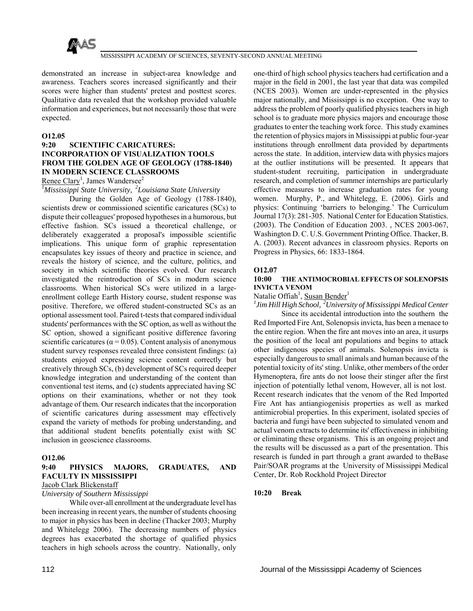

demonstrated an increase in subject-area knowledge and awareness. Teachers scores increased significantly and their scores were higher than students' pretest and posttest scores. Qualitative data revealed that the workshop provided valuable information and experiences, but not necessarily those that were expected.

#### **O12.05**

# **9:20 SCIENTIFIC CARICATURES: INCORPORATION OF VISUALIZATION TOOLS FROM THE GOLDEN AGE OF GEOLOGY (1788-1840) IN MODERN SCIENCE CLASSROOMS**

#### Renee Clary<sup>1</sup>, James Wandersee<sup>2</sup>

*1 Mississippi State University, 2Louisiana State University*

 During the Golden Age of Geology (1788-1840), scientists drew or commissioned scientific caricatures (SCs) to dispute their colleagues' proposed hypotheses in a humorous, but effective fashion. SCs issued a theoretical challenge, or deliberately exaggerated a proposal's impossible scientific implications. This unique form of graphic representation encapsulates key issues of theory and practice in science, and reveals the history of science, and the culture, politics, and society in which scientific theories evolved. Our research investigated the reintroduction of SCs in modern science classrooms. When historical SCs were utilized in a largeenrollment college Earth History course, student response was positive. Therefore, we offered student-constructed SCs as an optional assessment tool. Paired t-tests that compared individual students' performances with the SC option, as well as without the SC option, showed a significant positive difference favoring scientific caricatures ( $\alpha$  = 0.05). Content analysis of anonymous student survey responses revealed three consistent findings: (a) students enjoyed expressing science content correctly but creatively through SCs, (b) development of SCs required deeper knowledge integration and understanding of the content than conventional test items, and (c) students appreciated having SC options on their examinations, whether or not they took advantage of them. Our research indicates that the incorporation of scientific caricatures during assessment may effectively expand the variety of methods for probing understanding, and that additional student benefits potentially exist with SC inclusion in geoscience classrooms.

#### **O12.06**

#### **9:40 PHYSICS MAJORS, GRADUATES, AND FACULTY IN MISSISSIPPI**

#### Jacob Clark Blickenstaff

*University of Southern Mississippi*

 While over-all enrollment at the undergraduate level has been increasing in recent years, the number of students choosing to major in physics has been in decline (Thacker 2003; Murphy and Whitelegg 2006). The decreasing numbers of physics degrees has exacerbated the shortage of qualified physics teachers in high schools across the country. Nationally, only

one-third of high school physics teachers had certification and a major in the field in 2001, the last year that data was compiled (NCES 2003). Women are under-represented in the physics major nationally, and Mississippi is no exception. One way to address the problem of poorly qualified physics teachers in high school is to graduate more physics majors and encourage those graduates to enter the teaching work force. This study examines the retention of physics majors in Mississippi at public four-year institutions through enrollment data provided by departments across the state. In addition, interview data with physics majors at the outlier institutions will be presented. It appears that student-student recruiting, participation in undergraduate research, and completion of summer internships are particularly effective measures to increase graduation rates for young women. Murphy, P., and Whitelegg, E. (2006). Girls and physics: Continuing 'barriers to belonging.' The Curriculum Journal 17(3): 281-305. National Center for Education Statistics. (2003). The Condition of Education 2003. , NCES 2003-067, Washington D. C. U.S. Government Printing Office. Thacker, B. A. (2003). Recent advances in classroom physics. Reports on Progress in Physics, 66: 1833-1864.

#### **O12.07**

#### **10:00 THE ANTIMOCROBIAL EFFECTS OF SOLENOPSIS INVICTA VENOM**

Natalie Offiah<sup>1</sup>, Susan Bender<sup>1</sup>

*1 Jim Hill High School, 2University of Mississippi Medical Center* Since its accidental introduction into the southern the Red Imported Fire Ant, Solenopsis invicta, has been a menace to the entire region. When the fire ant moves into an area, it usurps the position of the local ant populations and begins to attack other indigenous species of animals. Solenopsis invicta is especially dangerous to small animals and human because of the potential toxicity of its' sting. Unlike, other members of the order Hymenoptera, fire ants do not loose their stinger after the first injection of potentially lethal venom, However, all is not lost. Recent research indicates that the venom of the Red Imported Fire Ant has antiangiogenisis properties as well as marked antimicrobial properties. In this experiment, isolated species of bacteria and fungi have been subjected to simulated venom and actual venom extracts to determine its' effectiveness in inhibiting or eliminating these organisms. This is an ongoing project and the results will be discussed as a part of the presentation. This research is funded in part through a grant awarded to theBase Pair/SOAR programs at the University of Mississippi Medical Center, Dr. Rob Rockhold Project Director

#### **10:20 Break**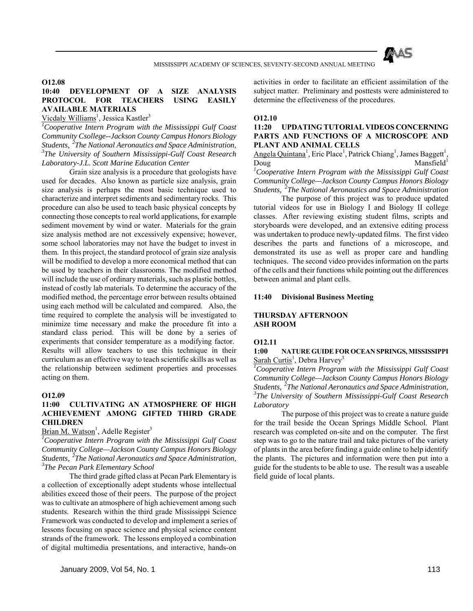

#### **O12.08**

# **10:40 DEVELOPMENT OF A SIZE ANALYSIS PROTOCOL FOR TEACHERS USING EASILY AVAILABLE MATERIALS**

Vicdaly Williams<sup>1</sup>, Jessica Kastler<sup>3</sup>

*1 Cooperative Intern Program with the Mississippi Gulf Coast Community Csollege--Jackson County Campus Honors Biology Students, 2The National Aeronautics and Space Administration, 3 The University of Southern Mississippi-Gulf Coast Research Laboratory-J.L. Scott Marine Education Center*

 Grain size analysis is a procedure that geologists have used for decades. Also known as particle size analysis, grain size analysis is perhaps the most basic technique used to characterize and interpret sediments and sedimentary rocks. This procedure can also be used to teach basic physical concepts by connecting those concepts to real world applications, for example sediment movement by wind or water. Materials for the grain size analysis method are not excessively expensive; however, some school laboratories may not have the budget to invest in them. In this project, the standard protocol of grain size analysis will be modified to develop a more economical method that can be used by teachers in their classrooms. The modified method will include the use of ordinary materials, such as plastic bottles, instead of costly lab materials. To determine the accuracy of the modified method, the percentage error between results obtained using each method will be calculated and compared. Also, the time required to complete the analysis will be investigated to minimize time necessary and make the procedure fit into a standard class period. This will be done by a series of experiments that consider temperature as a modifying factor. Results will allow teachers to use this technique in their curriculum as an effective way to teach scientific skills as well as the relationship between sediment properties and processes acting on them.

#### **O12.09**

### **11:00 CULTIVATING AN ATMOSPHERE OF HIGH ACHIEVEMENT AMONG GIFTED THIRD GRADE CHILDREN**

Brian M. Watson<sup>1</sup>, Adelle Register<sup>3</sup>

*1 Cooperative Intern Program with the Mississippi Gulf Coast Community College—Jackson County Campus Honors Biology Students, 2The National Aeronautics and Space Administration, 3 The Pecan Park Elementary School*

 The third grade gifted class at Pecan Park Elementary is a collection of exceptionally adept students whose intellectual abilities exceed those of their peers. The purpose of the project was to cultivate an atmosphere of high achievement among such students. Research within the third grade Mississippi Science Framework was conducted to develop and implement a series of lessons focusing on space science and physical science content strands of the framework. The lessons employed a combination of digital multimedia presentations, and interactive, hands-on

activities in order to facilitate an efficient assimilation of the subject matter. Preliminary and posttests were administered to determine the effectiveness of the procedures.

#### **O12.10**

#### **11:20 UPDATING TUTORIAL VIDEOS CONCERNING PARTS AND FUNCTIONS OF A MICROSCOPE AND PLANT AND ANIMAL CELLS**

Angela Quintana<sup>1</sup>, Eric Place<sup>1</sup>, Patrick Chiang<sup>1</sup>, James Baggett<sup>1</sup>, Doug Mansfield<sup>1</sup>

*1 Cooperative Intern Program with the Mississippi Gulf Coast Community College—Jackson County Campus Honors Biology Students, 2The National Aeronautics and Space Administration*

 The purpose of this project was to produce updated tutorial videos for use in Biology I and Biology II college classes. After reviewing existing student films, scripts and storyboards were developed, and an extensive editing process was undertaken to produce newly-updated films. The first video describes the parts and functions of a microscope, and demonstrated its use as well as proper care and handling techniques. The second video provides information on the parts of the cells and their functions while pointing out the differences between animal and plant cells.

#### **11:40 Divisional Business Meeting**

#### **THURSDAY AFTERNOON ASH ROOM**

#### **O12.11**

#### **1:00 NATURE GUIDE FOR OCEAN SPRINGS, MISSISSIPPI** Sarah Curtis<sup>1</sup>, Debra Harvey<sup>3</sup>

*1 Cooperative Intern Program with the Mississippi Gulf Coast Community College—Jackson County Campus Honors Biology Students, 2The National Aeronautics and Space Administration, 3 The University of Southern Mississippi-Gulf Coast Research Laboratory*

 The purpose of this project was to create a nature guide for the trail beside the Ocean Springs Middle School. Plant research was completed on-site and on the computer. The first step was to go to the nature trail and take pictures of the variety of plants in the area before finding a guide online to help identify the plants. The pictures and information were then put into a guide for the students to be able to use. The result was a useable field guide of local plants.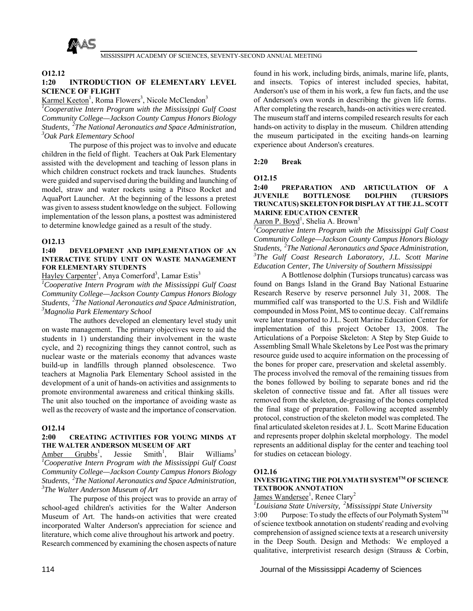

#### **O12.12**

# **1:20 INTRODUCTION OF ELEMENTARY LEVEL SCIENCE OF FLIGHT**

Karmel Keeton<sup>1</sup>, Roma Flowers<sup>3</sup>, Nicole McClendon<sup>3</sup> *1 Cooperative Intern Program with the Mississippi Gulf Coast Community College—Jackson County Campus Honors Biology Students, 2The National Aeronautics and Space Administration, 3 Oak Park Elementary School*

 The purpose of this project was to involve and educate children in the field of flight. Teachers at Oak Park Elementary assisted with the development and teaching of lesson plans in which children construct rockets and track launches. Students were guided and supervised during the building and launching of model, straw and water rockets using a Pitsco Rocket and AquaPort Launcher. At the beginning of the lessons a pretest was given to assess student knowledge on the subject. Following implementation of the lesson plans, a posttest was administered to determine knowledge gained as a result of the study.

#### **O12.13**

#### **1:40 DEVELOPMENT AND IMPLEMENTATION OF AN INTERACTIVE STUDY UNIT ON WASTE MANAGEMENT FOR ELEMENTARY STUDENTS**

Hayley Carpenter<sup>1</sup>, Anya Comerford<sup>3</sup>, Lamar Estis<sup>3</sup>

*1 Cooperative Intern Program with the Mississippi Gulf Coast Community College—Jackson County Campus Honors Biology Students, 2The National Aeronautics and Space Administration, 3 Magnolia Park Elementary School*

 The authors developed an elementary level study unit on waste management. The primary objectives were to aid the students in 1) understanding their involvement in the waste cycle, and 2) recognizing things they cannot control, such as nuclear waste or the materials economy that advances waste build-up in landfills through planned obsolescence. Two teachers at Magnolia Park Elementary School assisted in the development of a unit of hands-on activities and assignments to promote environmental awareness and critical thinking skills. The unit also touched on the importance of avoiding waste as well as the recovery of waste and the importance of conservation.

#### **O12.14**

#### **2:00 CREATING ACTIVITIES FOR YOUNG MINDS AT THE WALTER ANDERSON MUSEUM OF ART**

Amber Grubbs<sup>1</sup>, Jessie Smith<sup>1</sup>, Blair Williams<sup>3</sup> *1 Cooperative Intern Program with the Mississippi Gulf Coast Community College—Jackson County Campus Honors Biology Students, 2The National Aeronautics and Space Administration, 3 The Walter Anderson Museum of Art*

 The purpose of this project was to provide an array of school-aged children's activities for the Walter Anderson Museum of Art. The hands-on activities that were created incorporated Walter Anderson's appreciation for science and literature, which come alive throughout his artwork and poetry. Research commenced by examining the chosen aspects of nature

found in his work, including birds, animals, marine life, plants, and insects. Topics of interest included species, habitat, Anderson's use of them in his work, a few fun facts, and the use of Anderson's own words in describing the given life forms. After completing the research, hands-on activities were created. The museum staff and interns compiled research results for each hands-on activity to display in the museum. Children attending the museum participated in the exciting hands-on learning experience about Anderson's creatures.

#### **2:20 Break**

#### **O12.15**

#### **2:40 PREPARATION AND ARTICULATION OF A JUVENILE BOTTLENOSE DOLPHIN (TURSIOPS TRUNCATUS) SKELETON FOR DISPLAY AT THE J.L. SCOTT MARINE EDUCATION CENTER**

#### Aaron P. Boyd<sup>1</sup>, Shelia A. Brown<sup>3</sup>

*1 Cooperative Intern Program with the Mississippi Gulf Coast Community College—Jackson County Campus Honors Biology Students, 2The National Aeronautics and Space Administration, 3 The Gulf Coast Research Laboratory, J.L. Scott Marine Education Center, The University of Southern Mississippi*

 A Bottlenose dolphin (Tursiops truncatus) carcass was found on Bangs Island in the Grand Bay National Estuarine Research Reserve by reserve personnel July 31, 2008. The mummified calf was transported to the U.S. Fish and Wildlife compounded in Moss Point, MS to continue decay. Calf remains were later transported to J.L. Scott Marine Education Center for implementation of this project October 13, 2008. The Articulations of a Porpoise Skeleton: A Step by Step Guide to Assembling Small Whale Skeletons by Lee Post was the primary resource guide used to acquire information on the processing of the bones for proper care, preservation and skeletal assembly. The process involved the removal of the remaining tissues from the bones followed by boiling to separate bones and rid the skeleton of connective tissue and fat. After all tissues were removed from the skeleton, de-greasing of the bones completed the final stage of preparation. Following accepted assembly protocol, construction of the skeleton model was completed. The final articulated skeleton resides at J. L. Scott Marine Education and represents proper dolphin skeletal morphology. The model represents an additional display for the center and teaching tool for studies on cetacean biology.

#### **O12.16**

#### **INVESTIGATING THE POLYMATH SYSTEMTM OF SCIENCE TEXTBOOK ANNOTATION**

#### James Wandersee<sup>1</sup>, Renee Clary<sup>2</sup>

*1 Louisiana State University, 2Mississippi State University* 3:00 Purpose: To study the effects of our Polymath System<sup>TM</sup> of science textbook annotation on students' reading and evolving comprehension of assigned science texts at a research university in the Deep South. Design and Methods: We employed a qualitative, interpretivist research design (Strauss & Corbin,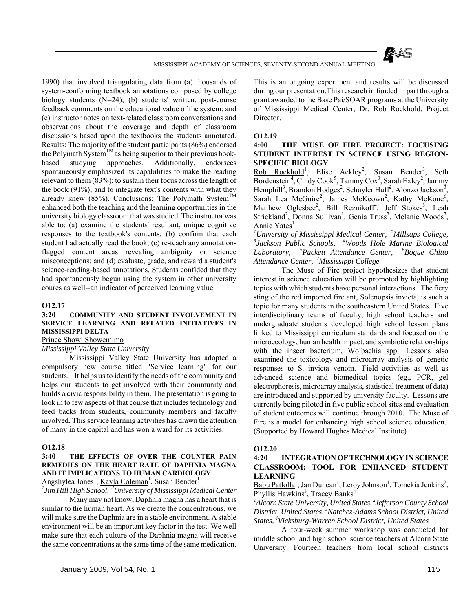

1990) that involved triangulating data from (a) thousands of system-conforming textbook annotations composed by college biology students (N=24); (b) students' written, post-course feedback comments on the educational value of the system; and (c) instructor notes on text-related classroom conversations and observations about the coverage and depth of classroom discussions based upon the textbooks the students annotated. Results: The majority of the student participants (86%) endorsed the Polymath System<sup>TM</sup> as being superior to their previous bookbased studying approaches. Additionally, endorsees spontaneously emphasized its capabilities to make the reading relevant to them (83%); to sustain their focus across the length of the book (91%); and to integrate text's contents with what they already knew (85%). Conclusions: The Polymath System<sup>TM</sup> enhanced both the teaching and the learning opportunities in the university biology classroom that was studied. The instructor was able to: (a) examine the students' resultant, unique cognitive responses to the textbook's contents; (b) confirm that each student had actually read the book; (c) re-teach any annotationflagged content areas revealing ambiguity or science misconceptions; and (d) evaluate, grade, and reward a student's science-reading-based annotations. Students confided that they had spontaneously begun using the system in other university coures as well--an indicator of perceived learning value.

#### **O12.17**

#### **3:20 COMMUNITY AND STUDENT INVOLVEMENT IN SERVICE LEARNING AND RELATED INITIATIVES IN MISSISSIPPI DELTA**

Prince Showi Showemimo

*Mississippi Valley State University*

 Mississippi Valley State University has adopted a compulsory new course titled "Service learning" for our students. It helps us to identify the needs of the community and helps our students to get involved with their community and builds a civic responsibility in them. The presentation is going to look in to few aspects of that course that includes technology and feed backs from students, community members and faculty involved. This service learning activities has drawn the attention of many in the capital and has won a ward for its activities.

#### **O12.18**

#### **3:40 THE EFFECTS OF OVER THE COUNTER PAIN REMEDIES ON THE HEART RATE OF DAPHNIA MAGNA AND IT IMPLICATIONS TO HUMAN CARDIOLOGY**

Angshylea Jones<sup>1</sup>, <u>Kayla Coleman<sup>1</sup>, Susan Bender<sup>1</sup></u>

*1 Jim Hill High School, 2University of Mississippi Medical Center*

 Many may not know, Daphnia magna has a heart that is similar to the human heart. As we create the concentrations, we will make sure the Daphnia are in a stable environment. A stable environment will be an important key factor in the test. We well make sure that each culture of the Daphnia magna will receive the same concentrations at the same time of the same medication. This is an ongoing experiment and results will be discussed during our presentation.This research in funded in part through a grant awarded to the Base Pai/SOAR programs at the University of Mississippi Medical Center, Dr. Rob Rockhold, Project Director.

#### **O12.19**

#### **4:00 THE MUSE OF FIRE PROJECT: FOCUSING STUDENT INTEREST IN SCIENCE USING REGION-SPECIFIC BIOLOGY**

Rob Rockhold<sup>1</sup>, Elise Ackley<sup>2</sup>, Susan Bender<sup>3</sup>, Seth Bordenstein<sup>4</sup>, Cindy Cook<sup>5</sup>, Tammy Cox<sup>3</sup>, Sarah Exley<sup>2</sup>, Jammy Hemphill<sup>3</sup>, Brandon Hodges<sup>2</sup>, Schuyler Huff<sup>2</sup>, Alonzo Jackson<sup>3</sup>, Sarah Lea McGuire<sup>2</sup>, James McKeown<sup>2</sup>, Kathy McKone<sup>6</sup>, Matthew Oglesbee<sup>2</sup>, Bill Reznikoff<sup>4</sup>, Jeff Stokes<sup>3</sup>, Leah Strickland<sup>2</sup>, Donna Sullivan<sup>1</sup>, Genia Truss<sup>7</sup>, Melanie Woods<sup>7</sup>, Annie Yates<sup>1</sup>

<sup>1</sup>University of Mississippi Medical Center, <sup>2</sup>Millsaps College, <sup>3</sup> Laskaan, *Biolagiaal*, <sup>4</sup>Waada, Hala, Marina, Biolagiaal, *Jackson Public Schools, 4Woods Hole Marine Biological Laboratory, 5Puckett Attendance Center, 6Bogue Chitto Attendance Center, 7Mississippi College*

The Muse of Fire project hypothesizes that student interest in science education will be promoted by highlighting topics with which students have personal interactions. The fiery sting of the red imported fire ant, Solenopsis invicta, is such a topic for many students in the southeastern United States. Five interdisciplinary teams of faculty, high school teachers and undergraduate students developed high school lesson plans linked to Mississippi curriculum standards and focused on the microecology, human health impact, and symbiotic relationships with the insect bacterium, Wolbachia spp. Lessons also examined the toxicology and microarray analysis of genetic responses to S. invicta venom. Field activities as well as advanced science and biomedical topics (eg., PCR, gel electrophoresis, microarray analysis, statistical treatment of data) are introduced and supported by university faculty. Lessons are currently being piloted in five public school sites and evaluation of student outcomes will continue through 2010. The Muse of Fire is a model for enhancing high school science education. (Supported by Howard Hughes Medical Institute)

#### **O12.20**

#### **4:20 INTEGRATION OF TECHNOLOGY IN SCIENCE CLASSROOM: TOOL FOR ENHANCED STUDENT LEARNING**

Babu Patlolla<sup>1</sup>, Jan Duncan<sup>1</sup>, Leroy Johnson<sup>1</sup>, Tomekia Jenkins<sup>2</sup>, Phyllis Hawkins<sup>3</sup>, Tracey Banks<sup>4</sup>

<sup>1</sup> Alcorn State University, United States, <sup>2</sup> Jefferson County School *District, United States, 3Natchez-Adams School District, United States, 4Vicksburg-Warren School District, United States*

 A four-week summer workshop was conducted for middle school and high school science teachers at Alcorn State University. Fourteen teachers from local school districts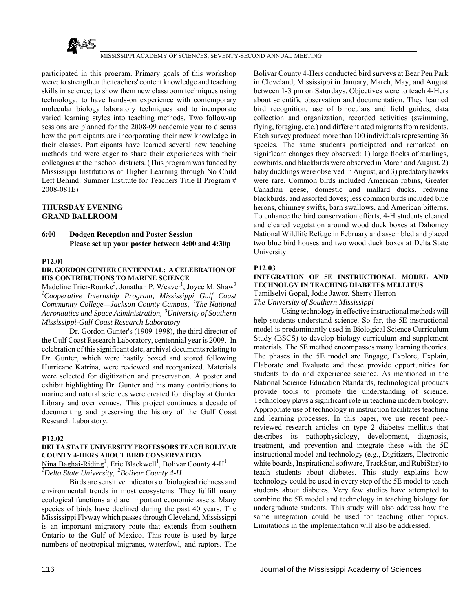

participated in this program. Primary goals of this workshop were: to strengthen the teachers' content knowledge and teaching skills in science; to show them new classroom techniques using technology; to have hands-on experience with contemporary molecular biology laboratory techniques and to incorporate varied learning styles into teaching methods. Two follow-up sessions are planned for the 2008-09 academic year to discuss how the participants are incorporating their new knowledge in their classes. Participants have learned several new teaching methods and were eager to share their experiences with their colleagues at their school districts. (This program was funded by Mississippi Institutions of Higher Learning through No Child Left Behind: Summer Institute for Teachers Title II Program # 2008-081E)

#### **THURSDAY EVENING GRAND BALLROOM**

#### **6:00 Dodgen Reception and Poster Session Please set up your poster between 4:00 and 4:30p**

#### **P12.01**

#### **DR. GORDON GUNTER CENTENNIAL: A CELEBRATION OF HIS CONTRIBUTIONS TO MARINE SCIENCE**

Madeline Trier-Rourke<sup>3</sup>, Jonathan P. Weaver<sup>1</sup>, Joyce M. Shaw<sup>3</sup> *1 Cooperative Internship Program, Mississippi Gulf Coast Community College—Jackson County Campus, 2The National Aeronautics and Space Administration, 3University of Southern Mississippi-Gulf Coast Research Laboratory*

 Dr. Gordon Gunter's (1909-1998), the third director of the Gulf Coast Research Laboratory, centennial year is 2009. In celebration of this significant date, archival documents relating to Dr. Gunter, which were hastily boxed and stored following Hurricane Katrina, were reviewed and reorganized. Materials were selected for digitization and preservation. A poster and exhibit highlighting Dr. Gunter and his many contributions to marine and natural sciences were created for display at Gunter Library and over venues. This project continues a decade of documenting and preserving the history of the Gulf Coast Research Laboratory.

#### **P12.02**

#### **DELTA STATE UNIVERSITY PROFESSORS TEACH BOLIVAR COUNTY 4-HERS ABOUT BIRD CONSERVATION**

Nina Baghai-Riding<sup>1</sup>, Eric Blackwell<sup>1</sup>, Bolivar County 4-H<sup>1</sup> *1 Delta State University, 2Bolivar County 4-H*

 Birds are sensitive indicators of biological richness and environmental trends in most ecosystems. They fulfill many ecological functions and are important economic assets. Many species of birds have declined during the past 40 years. The Mississippi Flyway which passes through Cleveland, Mississippi is an important migratory route that extends from southern Ontario to the Gulf of Mexico. This route is used by large numbers of neotropical migrants, waterfowl, and raptors. The

Bolivar County 4-Hers conducted bird surveys at Bear Pen Park in Cleveland, Mississippi in January, March, May, and August between 1-3 pm on Saturdays. Objectives were to teach 4-Hers about scientific observation and documentation. They learned bird recognition, use of binoculars and field guides, data collection and organization, recorded activities (swimming, flying, foraging, etc.) and differentiated migrants from residents. Each survey produced more than 100 individuals representing 36 species. The same students participated and remarked on significant changes they observed: 1) large flocks of starlings, cowbirds, and blackbirds were observed in March and August, 2) baby ducklings were observed in August, and 3) predatory hawks were rare. Common birds included American robins, Greater Canadian geese, domestic and mallard ducks, redwing blackbirds, and assorted doves; less common birds included blue herons, chimney swifts, barn swallows, and American bitterns. To enhance the bird conservation efforts, 4-H students cleaned and cleared vegetation around wood duck boxes at Dahomey National Wildlife Refuge in February and assembled and placed two blue bird houses and two wood duck boxes at Delta State University.

#### **P12.03**

#### **INTEGRATION OF 5E INSTRUCTIONAL MODEL AND TECHNOLGY IN TEACHING DIABETES MELLITUS**

Tamilselvi Gopal, Jodie Jawor, Sherry Herron

*The University of Southern Mississippi*

 Using technology in effective instructional methods will help students understand science. So far, the 5E instructional model is predominantly used in Biological Science Curriculum Study (BSCS) to develop biology curriculum and supplement materials. The 5E method encompasses many learning theories. The phases in the 5E model are Engage, Explore, Explain, Elaborate and Evaluate and these provide opportunities for students to do and experience science. As mentioned in the National Science Education Standards, technological products provide tools to promote the understanding of science. Technology plays a significant role in teaching modern biology. Appropriate use of technology in instruction facilitates teaching and learning processes. In this paper, we use recent peerreviewed research articles on type 2 diabetes mellitus that describes its pathophysiology, development, diagnosis, treatment, and prevention and integrate these with the 5E instructional model and technology (e.g., Digitizers, Electronic white boards, Inspirational software, TrackStar, and RubiStar) to teach students about diabetes. This study explains how technology could be used in every step of the 5E model to teach students about diabetes. Very few studies have attempted to combine the 5E model and technology in teaching biology for undergraduate students. This study will also address how the same integration could be used for teaching other topics. Limitations in the implementation will also be addressed.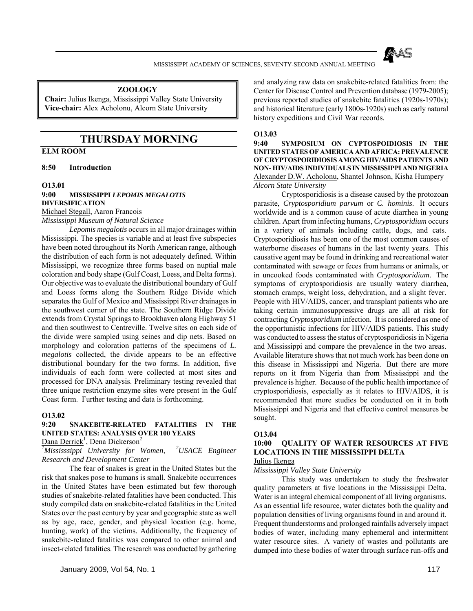

#### **ZOOLOGY**

**Chair:** Julius Ikenga, Mississippi Valley State University **Vice-chair:** Alex Acholonu, Alcorn State University

# **THURSDAY MORNING**

# **ELM ROOM**

**8:50 Introduction** 

#### **O13.01**

#### **9:00 MISSISSIPPI** *LEPOMIS MEGALOTIS* **DIVERSIFICATION** Michael Stegall, Aaron Francois

*Mississippi Museum of Natural Science*

*Lepomis megalotis* occurs in all major drainages within Mississippi. The species is variable and at least five subspecies have been noted throughout its North American range, although the distribution of each form is not adequately defined. Within Mississippi, we recognize three forms based on nuptial male coloration and body shape (Gulf Coast, Loess, and Delta forms). Our objective was to evaluate the distributional boundary of Gulf and Loess forms along the Southern Ridge Divide which separates the Gulf of Mexico and Mississippi River drainages in the southwest corner of the state. The Southern Ridge Divide extends from Crystal Springs to Brookhaven along Highway 51 and then southwest to Centreville. Twelve sites on each side of the divide were sampled using seines and dip nets. Based on morphology and coloration patterns of the specimens of *L. megalotis* collected, the divide appears to be an effective distributional boundary for the two forms. In addition, five individuals of each form were collected at most sites and processed for DNA analysis. Preliminary testing revealed that three unique restriction enzyme sites were present in the Gulf Coast form. Further testing and data is forthcoming.

#### **O13.02**

# **9:20 SNAKEBITE-RELATED FATALITIES IN THE UNITED STATES: ANALYSIS OVER 100 YEARS**

Dana Derrick<sup>1</sup>, Dena Dickerson<sup>2</sup>

*1 Mississsippi University for Women, 2USACE Engineer Research and Development Center*

 The fear of snakes is great in the United States but the risk that snakes pose to humans is small. Snakebite occurrences in the United States have been estimated but few thorough studies of snakebite-related fatalities have been conducted. This study compiled data on snakebite-related fatalities in the United States over the past century by year and geographic state as well as by age, race, gender, and physical location (e.g. home, hunting, work) of the victims. Additionally, the frequency of snakebite-related fatalities was compared to other animal and insect-related fatalities. The research was conducted by gathering

January 2009, Vol 54, No. 1 117

and analyzing raw data on snakebite-related fatalities from: the Center for Disease Control and Prevention database (1979-2005); previous reported studies of snakebite fatalities (1920s-1970s); and historical literature (early 1800s-1920s) such as early natural history expeditions and Civil War records.

#### **O13.03**

**9:40 SYMPOSIUM ON CYPTOSPOIDIOSIS IN THE UNITED STATES OF AMERICA AND AFRICA: PREVALENCE OF CRYPTOSPORIDIOSIS AMONG HIV/AIDS PATIENTS AND NON- HIV/AIDS INDIVIDUALS IN MISSISSIPPI AND NIGERIA** Alexander D.W. Acholonu, Shantel Johnson, Kisha Humpery *Alcorn State University*

 Cryptosporidiosis is a disease caused by the protozoan parasite, *Cryptosporidium parvum* or *C. hominis*. It occurs worldwide and is a common cause of acute diarrhea in young children. Apart from infecting humans, *Cryptosporidium* occurs in a variety of animals including cattle, dogs, and cats. Cryptosporidiosis has been one of the most common causes of waterborne diseases of humans in the last twenty years. This causative agent may be found in drinking and recreational water contaminated with sewage or feces from humans or animals, or in uncooked foods contaminated with *Cryptosporidium*. The symptoms of cryptosporidiosis are usually watery diarrhea, stomach cramps, weight loss, dehydration, and a slight fever. People with HIV/AIDS, cancer, and transplant patients who are taking certain immunosuppressive drugs are all at risk for contracting *Cryptosporidium* infection. It is considered as one of the opportunistic infections for HIV/AIDS patients. This study was conducted to assess the status of cryptosporidiosis in Nigeria and Mississippi and compare the prevalence in the two areas. Available literature shows that not much work has been done on this disease in Mississippi and Nigeria. But there are more reports on it from Nigeria than from Mississippi and the prevalence is higher. Because of the public health importance of cryptosporidiosis, especially as it relates to HIV/AIDS, it is recommended that more studies be conducted on it in both Mississippi and Nigeria and that effective control measures be sought.

#### **O13.04**

#### **10:00 QUALITY OF WATER RESOURCES AT FIVE LOCATIONS IN THE MISSISSIPPI DELTA**  Julius Ikenga

*Mississippi Valley State University*

 This study was undertaken to study the freshwater quality parameters at five locations in the Mississippi Delta. Water is an integral chemical component of all living organisms. As an essential life resource, water dictates both the quality and population densities of living organisms found in and around it. Frequent thunderstorms and prolonged rainfalls adversely impact bodies of water, including many ephemeral and intermittent water resource sites. A variety of wastes and pollutants are dumped into these bodies of water through surface run-offs and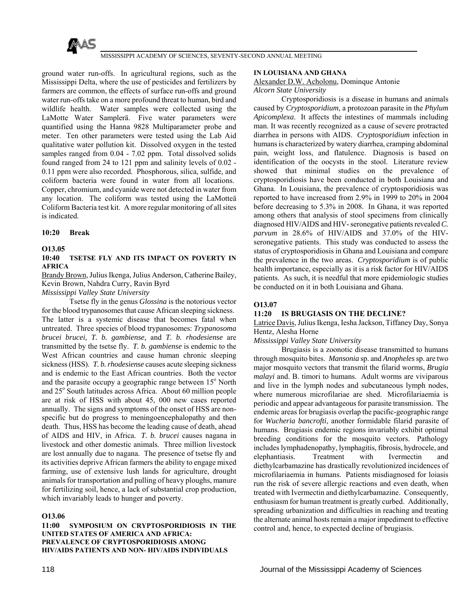

ground water run-offs. In agricultural regions, such as the Mississippi Delta, where the use of pesticides and fertilizers by farmers are common, the effects of surface run-offs and ground water run-offs take on a more profound threat to human, bird and wildlife health. Water samples were collected using the LaMotte Water Samplerä. Five water parameters were quantified using the Hanna 9828 Multiparameter probe and meter. Ten other parameters were tested using the Lab Aid qualitative water pollution kit. Dissolved oxygen in the tested samples ranged from 0.04 - 7.02 ppm. Total dissolved solids found ranged from 24 to 121 ppm and salinity levels of 0.02 - 0.11 ppm were also recorded. Phosphorous, silica, sulfide, and coliform bacteria were found in water from all locations. Copper, chromium, and cyanide were not detected in water from any location. The coliform was tested using the LaMotteä Coliform Bacteria test kit. A more regular monitoring of all sites is indicated.

#### **10:20 Break**

#### **O13.05**

#### **10:40 TSETSE FLY AND ITS IMPACT ON POVERTY IN AFRICA**

Brandy Brown, Julius Ikenga, Julius Anderson, Catherine Bailey, Kevin Brown, Nahdra Curry, Ravin Byrd

*Mississippi Valley State University*

 Tsetse fly in the genus *Glossina* is the notorious vector for the blood trypanosomes that cause African sleeping sickness. The latter is a systemic disease that becomes fatal when untreated. Three species of blood trypanosomes: *Trypanosoma brucei brucei*, *T. b. gambiense,* and *T. b. rhodesiense* are transmitted by the tsetse fly. *T. b. gambiense* is endemic to the West African countries and cause human chronic sleeping sickness (HSS). *T. b. rhodesiense* causes acute sleeping sickness and is endemic to the East African countries. Both the vector and the parasite occupy a geographic range between 15° North and 25° South latitudes across Africa. About 60 million people are at risk of HSS with about 45, 000 new cases reported annually. The signs and symptoms of the onset of HSS are nonspecific but do progress to meningoencephalopathy and then death. Thus, HSS has become the leading cause of death, ahead of AIDS and HIV, in Africa. *T. b. brucei* causes nagana in livestock and other domestic animals. Three million livestock are lost annually due to nagana. The presence of tsetse fly and its activities deprive African farmers the ability to engage mixed farming, use of extensive lush lands for agriculture, drought animals for transportation and pulling of heavy ploughs, manure for fertilizing soil, hence, a lack of substantial crop production, which invariably leads to hunger and poverty.

#### **O13.06**

**11:00 SYMPOSIUM ON CRYPTOSPORIDIOSIS IN THE UNITED STATES OF AMERICA AND AFRICA: PREVALENCE OF CRYPTOSPORIDIOSIS AMONG HIV/AIDS PATIENTS AND NON- HIV/AIDS INDIVIDUALS** 

#### **IN LOUISIANA AND GHANA**

#### Alexander D.W. Acholonu, Dominque Antonie *Alcorn State University*

 Cryptosporidiosis is a disease in humans and animals caused by *Cryptosporidium*, a protozoan parasite in the *Phylum Apicomplexa*. It affects the intestines of mammals including man. It was recently recognized as a cause of severe protracted diarrhea in persons with AIDS. *Cryptosporidium* infection in humans is characterized by watery diarrhea, cramping abdominal pain, weight loss, and flatulence. Diagnosis is based on identification of the oocysts in the stool. Literature review showed that minimal studies on the prevalence of cryptosporidiosis have been conducted in both Louisiana and Ghana. In Louisiana, the prevalence of cryptosporidiosis was reported to have increased from 2.9% in 1999 to 20% in 2004 before decreasing to 5.3% in 2008. In Ghana, it was reported among others that analysis of stool specimens from clinically diagnosed HIV/AIDS and HIV- seronegative patients revealed *C. parvum* in 28.6% of HIV/AIDS and 37.0% of the HIVseronegative patients. This study was conducted to assess the status of cryptosporidiosis in Ghana and Louisiana and compare the prevalence in the two areas. *Cryptosporidium* is of public health importance, especially as it is a risk factor for HIV/AIDS patients. As such, it is needful that more epidemiologic studies be conducted on it in both Louisiana and Ghana.

#### **O13.07**

#### **11:20 IS BRUGIASIS ON THE DECLINE?**

Latrice Davis, Julius Ikenga, Iesha Jackson, Tiffaney Day, Sonya Hentz, Alesha Horne

#### *Mississippi Valley State University*

 Brugiasis is a zoonotic disease transmitted to humans through mosquito bites. *Mansonia* sp. and *Anopheles* sp. are two major mosquito vectors that transmit the filarid worms, *Brugia malayi* and. B. timori to humans. Adult worms are viviparous and live in the lymph nodes and subcutaneous lymph nodes, where numerous microfilariae are shed. Microfilariaemia is periodic and appear advantageous for parasite transmission. The endemic areas for brugiasis overlap the pacific-geographic range for *Wucheria bancrofti*, another formidable filarid parasite of humans. Brugiasis endemic regions invariably exhibit optimal breeding conditions for the mosquito vectors. Pathology includes lymphadenopathy, lymphagitis, fibrosis, hydrocele, and elephantiasis. Treatment with Ivermectin and diethylcarbamazine has drastically revolutionized incidences of microfilariaemia in humans. Patients misdiagnosed for loiasis run the risk of severe allergic reactions and even death, when treated with Ivermectin and diethylcarbamazine. Consequently, enthusiasm for human treatment is greatly curbed. Additionally, spreading urbanization and difficulties in reaching and treating the alternate animal hosts remain a major impediment to effective control and, hence, to expected decline of brugiasis.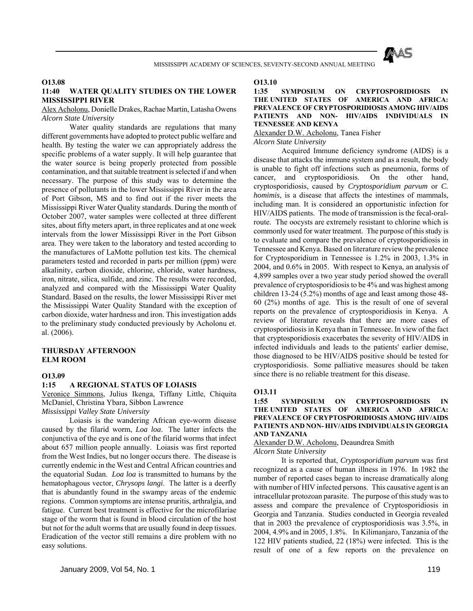

**O13.08**

#### **11:40 WATER QUALITY STUDIES ON THE LOWER MISSISSIPPI RIVER**

Alex Acholonu, Donielle Drakes, Rachae Martin, Latasha Owens *Alcorn State University*

 Water quality standards are regulations that many different governments have adopted to protect public welfare and health. By testing the water we can appropriately address the specific problems of a water supply. It will help guarantee that the water source is being properly protected from possible contamination, and that suitable treatment is selected if and when necessary. The purpose of this study was to determine the presence of pollutants in the lower Mississippi River in the area of Port Gibson, MS and to find out if the river meets the Mississippi River Water Quality standards. During the month of October 2007, water samples were collected at three different sites, about fifty meters apart, in three replicates and at one week intervals from the lower Mississippi River in the Port Gibson area. They were taken to the laboratory and tested according to the manufactures of LaMotte pollution test kits. The chemical parameters tested and recorded in parts per million (ppm) were alkalinity, carbon dioxide, chlorine, chloride, water hardness, iron, nitrate, silica, sulfide, and zinc. The results were recorded, analyzed and compared with the Mississippi Water Quality Standard. Based on the results, the lower Mississippi River met the Mississippi Water Quality Standard with the exception of carbon dioxide, water hardness and iron. This investigation adds to the preliminary study conducted previously by Acholonu et. al. (2006).

#### **THURSDAY AFTERNOON ELM ROOM**

#### **O13.09**

#### **1:15 A REGIONAL STATUS OF LOIASIS**

Veronice Simmons, Julius Ikenga, Tiffany Little, Chiquita McDaniel, Christina Ybara, Sibbon Lawrence

*Mississippi Valley State University*

 Loiasis is the wandering African eye-worm disease caused by the filarid worm, *Loa loa*. The latter infects the conjunctiva of the eye and is one of the filarid worms that infect about 657 million people annually. Loiasis was first reported from the West Indies, but no longer occurs there. The disease is currently endemic in the West and Central African countries and the equatorial Sudan. *Loa loa* is transmitted to humans by the hematophagous vector, *Chrysops langi*. The latter is a deerfly that is abundantly found in the swampy areas of the endemic regions. Common symptoms are intense pruritis, arthralgia, and fatigue. Current best treatment is effective for the microfilariae stage of the worm that is found in blood circulation of the host but not for the adult worms that are usually found in deep tissues. Eradication of the vector still remains a dire problem with no easy solutions.

#### **O13.10**

#### **1:35 SYMPOSIUM ON CRYPTOSPORIDIOSIS IN THE UNITED STATES OF AMERICA AND AFRICA: PREVALENCE OF CRYPTOSPORIDIOSIS AMONG HIV/AIDS PATIENTS AND NON- HIV/AIDS INDIVIDUALS IN TENNESSEE AND KENYA**

Alexander D.W. Acholonu, Tanea Fisher *Alcorn State University*

 Acquired Immune deficiency syndrome (AIDS) is a disease that attacks the immune system and as a result, the body is unable to fight off infections such as pneumonia, forms of cancer, and cryptosporidiosis. On the other hand, cryptosporidiosis, caused by *Cryptosporidium parvum* or *C. homimis*, is a disease that affects the intestines of mammals, including man. It is considered an opportunistic infection for HIV/AIDS patients. The mode of transmission is the fecal-oralroute. The oocysts are extremely resistant to chlorine which is commonly used for water treatment. The purpose of this study is to evaluate and compare the prevalence of cryptosporidiosis in Tennessee and Kenya. Based on literature review the prevalence for Cryptosporidium in Tennessee is 1.2% in 2003, 1.3% in 2004, and 0.6% in 2005. With respect to Kenya, an analysis of 4,899 samples over a two year study period showed the overall prevalence of cryptosporidiosis to be 4% and was highest among children 13-24 (5.2%) months of age and least among those 48- 60 (2%) months of age. This is the result of one of several reports on the prevalence of cryptosporidiosis in Kenya. A review of literature reveals that there are more cases of cryptosporidiosis in Kenya than in Tennessee. In view of the fact that cryptosporidiosis exacerbates the severity of HIV/AIDS in infected individuals and leads to the patients' earlier demise, those diagnosed to be HIV/AIDS positive should be tested for cryptosporidiosis. Some palliative measures should be taken since there is no reliable treatment for this disease.

#### **O13.11**

#### **1:55 SYMPOSIUM ON CRYPTOSPORIDIOSIS IN THE UNITED STATES OF AMERICA AND AFRICA: PREVALENCE OF CRYPTOSPORIDIOSIS AMONG HIV/AIDS PATIENTS AND NON- HIV/AIDS INDIVIDUALS IN GEORGIA AND TANZANIA**

Alexander D.W. Acholonu, Deaundrea Smith

#### *Alcorn State University*

 It is reported that, *Cryptosporidium parvum* was first recognized as a cause of human illness in 1976. In 1982 the number of reported cases began to increase dramatically along with number of HIV infected persons. This causative agent is an intracellular protozoan parasite. The purpose of this study was to assess and compare the prevalence of Cryptosporidiosis in Georgia and Tanzania. Studies conducted in Georgia revealed that in 2003 the prevalence of cryptosporidiosis was 3.5%, in 2004, 4.9% and in 2005, 1.8%. In Kilimanjaro, Tanzania of the 122 HIV patients studied, 22 (18%) were infected. This is the result of one of a few reports on the prevalence on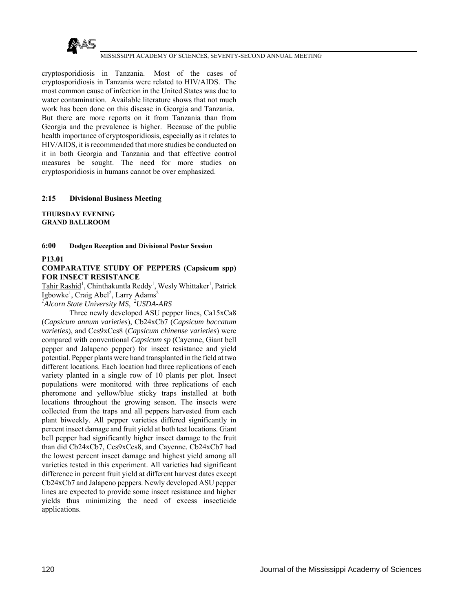

cryptosporidiosis in Tanzania. Most of the cases of cryptosporidiosis in Tanzania were related to HIV/AIDS. The most common cause of infection in the United States was due to water contamination. Available literature shows that not much work has been done on this disease in Georgia and Tanzania. But there are more reports on it from Tanzania than from Georgia and the prevalence is higher. Because of the public health importance of cryptosporidiosis, especially as it relates to HIV/AIDS, it is recommended that more studies be conducted on it in both Georgia and Tanzania and that effective control measures be sought. The need for more studies on cryptosporidiosis in humans cannot be over emphasized.

#### **2:15 Divisional Business Meeting**

**THURSDAY EVENING GRAND BALLROOM** 

**6:00 Dodgen Reception and Divisional Poster Session** 

**P13.01**

#### **COMPARATIVE STUDY OF PEPPERS (Capsicum spp) FOR INSECT RESISTANCE**

Tahir Rashid<sup>1</sup>, Chinthakuntla Reddy<sup>1</sup>, Wesly Whittaker<sup>1</sup>, Patrick Igbowke<sup>1</sup>, Craig Abel<sup>2</sup>, Larry Adams<sup>2</sup>

*1 Alcorn State University MS, 2USDA-ARS*

 Three newly developed ASU pepper lines, Ca15xCa8 (*Capsicum annum varieties*), Cb24xCb7 (*Capsicum baccatum varieties*), and Ccs9xCcs8 (*Capsicum chinense varieties*) were compared with conventional *Capsicum sp* (Cayenne, Giant bell pepper and Jalapeno pepper) for insect resistance and yield potential. Pepper plants were hand transplanted in the field at two different locations. Each location had three replications of each variety planted in a single row of 10 plants per plot. Insect populations were monitored with three replications of each pheromone and yellow/blue sticky traps installed at both locations throughout the growing season. The insects were collected from the traps and all peppers harvested from each plant biweekly. All pepper varieties differed significantly in percent insect damage and fruit yield at both test locations. Giant bell pepper had significantly higher insect damage to the fruit than did Cb24xCb7, Ccs9xCcs8, and Cayenne. Cb24xCb7 had the lowest percent insect damage and highest yield among all varieties tested in this experiment. All varieties had significant difference in percent fruit yield at different harvest dates except Cb24xCb7 and Jalapeno peppers. Newly developed ASU pepper lines are expected to provide some insect resistance and higher yields thus minimizing the need of excess insecticide applications.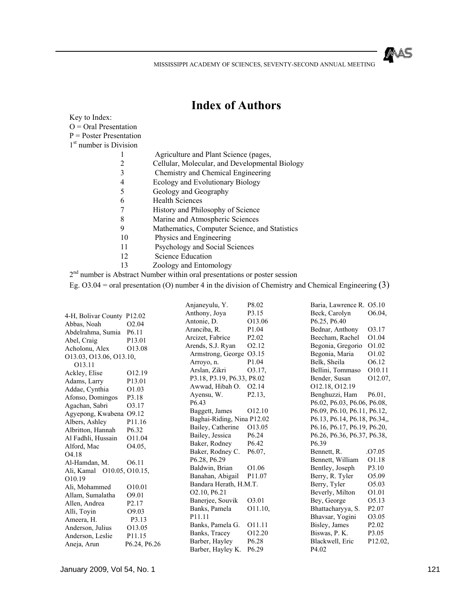MAS

MISSISSIPPI ACADEMY OF SCIENCES, SEVENTY-SECOND ANNUAL MEETING

# **Index of Authors**

| Key to Index:<br>$Q = Q$ ral Presentation<br>$P = Poster$ Presentation |                                                                       |
|------------------------------------------------------------------------|-----------------------------------------------------------------------|
| 1 <sup>st</sup> number is Division                                     |                                                                       |
|                                                                        | Agriculture and Plant Science (pages,                                 |
| 2                                                                      | Cellular, Molecular, and Developmental Biology                        |
| 3                                                                      | Chemistry and Chemical Engineering                                    |
| 4                                                                      | Ecology and Evolutionary Biology                                      |
| 5                                                                      | Geology and Geography                                                 |
| 6                                                                      | <b>Health Sciences</b>                                                |
| 7                                                                      | History and Philosophy of Science                                     |
| 8                                                                      | Marine and Atmospheric Sciences                                       |
| 9                                                                      | Mathematics, Computer Science, and Statistics                         |
| 10                                                                     | Physics and Engineering                                               |
| 11                                                                     | Psychology and Social Sciences                                        |
| 12                                                                     | Science Education                                                     |
| 13                                                                     | Zoology and Entomology                                                |
|                                                                        | number is Abstract Number within oral presentations or poster session |

Eg. O3.04 = oral presentation (O) number 4 in the division of Chemistry and Chemical Engineering (3)

| 4-H, Bolivar County P12.02 |                    | Anjaneyulu, Y.<br>Anthony, Joya | P8.02<br>P3.15      | Baria, Lawrence R. O5.10<br>Beck, Carolyn | O6.04.             |
|----------------------------|--------------------|---------------------------------|---------------------|-------------------------------------------|--------------------|
| Abbas, Noah                | O <sub>2.04</sub>  | Antonie, D.                     | O13.06              | P6.25, P6.40                              |                    |
| Abdelrahma, Sumia          | P <sub>6.11</sub>  | Aranciba, R.                    | P1.04               | Bednar, Anthony                           | O3.17              |
| Abel, Craig                | P13.01             | Arcizet, Fabrice                | P <sub>2.02</sub>   | Beecham, Rachel                           | O1.04              |
| Acholonu, Alex             | O13.08             | Arends, S.J. Ryan               | O <sub>2.12</sub>   | Begonia, Gregorio                         | O1.02              |
| O13.03, O13.06, O13.10,    |                    | Armstrong, George O3.15         |                     | Begonia, Maria                            | O1.02              |
| O <sub>13.11</sub>         |                    | Arroyo, n.                      | P1.04               | Belk. Sheila                              | O <sub>6.12</sub>  |
| Ackley, Elise              | 012.19             | Arslan, Zikri                   | O3.17,              | Bellini, Tommaso                          | O10.11             |
| Adams, Larry               | P13.01             | P3.18, P3.19, P6.33, P8.02      |                     | Bender, Susan                             | O12.07,            |
| Addae, Cynthia             | O1.03              | Awwad, Hibah O.                 | O <sub>2.14</sub>   | 012.18, 012.19                            |                    |
| Afonso, Domingos           | P3.18              | Ayensu, W.                      | P <sub>2.13</sub> , | Benghuzzi, Ham                            | $P6.01$ ,          |
| Agachan, Sabri             | O3.17              | P <sub>6.43</sub>               |                     | P6.02, P6.03, P6.06, P6.08,               |                    |
| Agyepong, Kwabena O9.12    |                    | Baggett, James                  | O12.10              | P6.09, P6.10, P6.11, P6.12,               |                    |
| Albers, Ashley             | P11.16             | Baghai-Riding, Nina P12.02      |                     | P6.13, P6.14, P6.18, P6.34,               |                    |
| Albritton, Hannah          | P <sub>6.32</sub>  | Bailey, Catherine               | O13.05              | P6.16, P6.17, P6.19, P6.20,               |                    |
| Al Fadhli, Hussain         | O11.04             | Bailey, Jessica                 | P <sub>6.24</sub>   | P6.26, P6.36, P6.37, P6.38,               |                    |
| Alford, Mac                | O <sub>4.05</sub>  | Baker, Rodney                   | P <sub>6.42</sub>   | P <sub>6.39</sub>                         |                    |
| O <sub>4.18</sub>          |                    | Baker, Rodney C.                | P6.07.              | Bennett, R.                               | .O <sub>7.05</sub> |
| Al-Hamdan, M.              | O <sub>6.11</sub>  | P6.28, P6.29                    |                     | Bennett, William                          | O <sub>1.18</sub>  |
| Ali, Kamal O10.05, O10.15, |                    | Baldwin, Brian                  | O <sub>1.06</sub>   | Bentley, Joseph                           | P3.10              |
| O <sub>10.19</sub>         |                    | Banahan, Abigail                | P11.07              | Berry, R. Tyler                           | O5.09              |
| Ali, Mohammed              | O10.01             | Bandara Herath, H.M.T.          |                     | Berry, Tyler                              | O5.03              |
| Allam, Sumalatha           | O <sub>9.01</sub>  | O2.10, P6.21                    |                     | Beverly, Milton                           | O1.01              |
| Allen, Andrea              | P <sub>2.17</sub>  | Banerjee, Souvik                | O3.01               | Bey, George                               | O <sub>5.13</sub>  |
| Alli, Toyin                | O <sub>9.0</sub> 3 | Banks, Pamela                   | O11.10,             | Bhattacharyya, S.                         | P <sub>2.07</sub>  |
| Ameera, H.                 | P3.13              | P11.11                          |                     | Bhavsar, Yogini                           | O3.05              |
| Anderson, Julius           | O13.05             | Banks, Pamela G.                | 011.11              | Bisley, James                             | P <sub>2.02</sub>  |
| Anderson, Leslie           | P11.15             | Banks, Tracey                   | O12.20              | Biswas, P. K.                             | P3.05              |
| Aneja, Arun                | P6.24, P6.26       | Barber, Hayley                  | P <sub>6.28</sub>   | Blackwell, Eric                           | P12.02,            |
|                            |                    | Barber, Hayley K.               | P <sub>6.29</sub>   | P <sub>4.02</sub>                         |                    |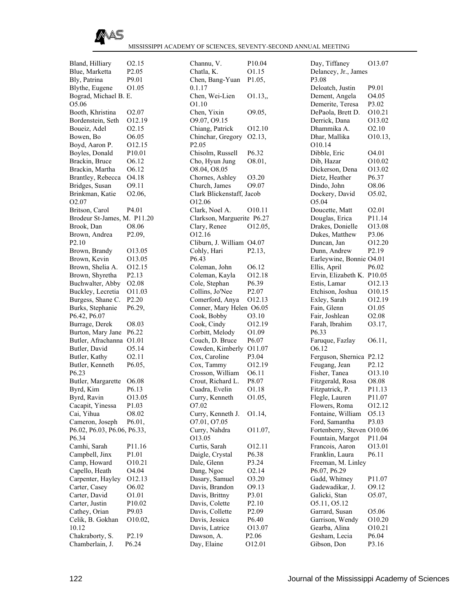

Bland, Hilliary O2.15 Blue, Marketta P2.05 Bly, Patrina P9.01 Blythe, Eugene O1.05 Bograd, Michael B. E. O5.06 Booth, Khristina O2.07 Bordenstein, Seth O12.19 Boueiz, Adel O2.15 Bowen, Bo  $O6.05$ Boyd, Aaron P. O12.15 Boyles, Donald P10.01 Brackin, Bruce O6.12 Brackin, Martha O6.12 Brantley, Rebecca O4.18 Bridges, Susan O9.11 Brinkman, Katie O2.06, O2.07 Britson, Carol P4.01 Brodeur St-James, M. P11.20 Brook, Dan O8.06 Brown, Andrea P2.09, P2.10 Brown, Brandy O13.05 Brown, Kevin O13.05 Brown, Shelia A. O12.15 Brown, Shyretha P2.13 Buchwalter, Abby O2.08 Buckley, Lecretia O11.03 Burgess, Shane C. P2.20 Burks, Stephanie P6.29, P6.42, P6.07 Burrage, Derek O8.03 Burton, Mary Jane P6.22 Butler, Afrachanna O1.01 Butler, David O5.14 Butler, Kathy O2.11 Butler, Kenneth P6.05, P6.23 Butler, Margarette O6.08 Byrd, Kim P6.13 Byrd, Ravin O13.05 Cacapit, Yinessa P1.03 Cai, Yihua O8.02 Cameron, Joseph P6.01, P6.02, P6.03, P6.06, P6.33, P6.34 Camhi, Sarah P11.16 Campbell, Jinx P1.01 Camp, Howard O10.21 Capello, Heath O4.04 Carpenter, Hayley O12.13 Carter, Casey O6.02 Carter, David O1.01 Carter, Justin P10.02 Cathey, Orian P9.03 Celik, B. Gokhan O10.02, 10.12 Chakraborty, S. P2.19 Chamberlain, J. P6.24

| Channu, V.                 | P <sub>10.04</sub> |
|----------------------------|--------------------|
| Chatla, K.                 | O1.15              |
| Chen, Bang-Yuan            | P1.05,             |
| 0.1.17                     |                    |
| Chen, Wei-Lien             | O1.13,             |
| O1.10                      |                    |
| Chen, Yixin                | O9.05,             |
| O9.07, O9.15               |                    |
| Chiang, Patrick            | O12.10             |
| Chinchar, Gregory          | 02.13,             |
| P2.05                      |                    |
| Chisolm, Russell           | P <sub>6.32</sub>  |
| Cho, Hyun Jung             | O8.01,             |
| O8.04, O8.05               |                    |
| Chornes, Ashley            | O3.20              |
| Church, James              | O9.07              |
| Clark Blickenstaff, Jacob  |                    |
| 012.06                     |                    |
| Clark, Noel A.             | 010.11             |
| Clarkson, Marguerite P6.27 |                    |
| Clary, Renee               | O12.05,            |
| 012.16                     |                    |
| Cliburn, J. William O4.07  |                    |
| Cohly, Hari                | P2.13,             |
| P6.43                      |                    |
| Coleman, John              | 06.12              |
| Coleman, Kayla             | O12.18             |
| Cole, Stephan              | P6.39              |
| Collins, Jo'Nee            | P <sub>2.07</sub>  |
| Comerford, Anya            | 012.13             |
| Conner, Mary Helen O6.05   |                    |
| Cook, Bobby                | O3.10              |
| Cook, Cindy                | 012.19             |
| Corbitt, Melody            | O1.09              |
| Couch, D. Bruce            | P6.07              |
| Cowden, Kimberly           | O11.07             |
| Cox, Caroline              | P3.04              |
| Cox, Tammy                 | 012.19             |
| Crosson, William           | O6.11              |
| Crout, Richard L.          |                    |
|                            | P8.07              |
| Cuadra, Evelin             | O1.18              |
| Curry, Kenneth             | O1.05,             |
| O7.02                      |                    |
| Curry, Kenneth J.          | O1.14,             |
| 07.01, 07.05               |                    |
| Curry, Nahdra              | O11.07,            |
| 013.05                     |                    |
| Curtis, Sarah              | 012.11             |
| Daigle, Crystal            | P6.38              |
| Dale, Glenn                | P3.24              |
| Dang, Ngoc                 | O <sub>2</sub> .14 |
| Dasary, Samuel             | O3.20              |
| Davis, Brandon             | 09.13              |
| Davis, Brittny             | P3.01              |
| Davis, Colette             | P2.10              |
| Davis, Collette            | P <sub>2.09</sub>  |
| Davis, Jessica             | P <sub>6.40</sub>  |
| Davis, Latrice             | O13.07             |
| Dawson, A.<br>Day, Elaine  | P2.06<br>O12.01    |

|                              | O13.07             |
|------------------------------|--------------------|
| Day, Tiffaney                |                    |
| Delancey, Jr., James         |                    |
| P3.08                        |                    |
| Deloatch, Justin             | P9.01              |
| Dement, Angela               | O4.05              |
|                              |                    |
| Demerite, Teresa             | P3.02              |
| DePaola, Brett D.            | O10.21             |
| Derrick, Dana                | O13.02             |
| Dhammika A.                  | O2.10              |
| Dhar, Mallika                | O10.13,            |
| O10.14                       |                    |
|                              |                    |
| Dibble, Eric                 | O4.01              |
| Dib, Hazar                   | O10.02             |
| Dickerson, Dena              | O13.02             |
| Dietz, Heather               | P6.37              |
| Dindo, John                  | O8.06              |
|                              |                    |
| Dockery, David               | O5.02,             |
| O5.04                        |                    |
| Doucette, Matt               | O <sub>2.01</sub>  |
| Douglas, Erica               | P11.14             |
| Drakes, Donielle             | O13.08             |
|                              |                    |
| Dukes, Matthew               | P3.06              |
| Duncan, Jan                  | O12.20             |
| Dunn, Andrew                 | P <sub>2.19</sub>  |
| Earleywine, Bonnie           | O <sub>4.01</sub>  |
| Ellis, April                 | P6.02              |
|                              |                    |
| Ervin, Elizabeth K.          | P <sub>10.05</sub> |
| Estis, Lamar                 | 012.13             |
| Etchison, Joshua             | O10.15             |
| Exley, Sarah                 | 012.19             |
|                              |                    |
| Fain, Glenn                  | O1.05              |
| Fair, Joshlean               | O <sub>2.08</sub>  |
| Farah, Ibrahim               | 03.17,             |
| P6.33                        |                    |
| Faruque, Fazlay              | 06.11,             |
|                              |                    |
| 06.12                        |                    |
|                              |                    |
| Ferguson, Shernica           | P <sub>2.12</sub>  |
|                              | P <sub>2.12</sub>  |
| Feugang, Jean                |                    |
| Fisher, Tanea                | 013.10             |
| Fitzgerald, Rosa             | O8.08              |
| Fitzpatrick, P.              | P11.13             |
| Flegle, Lauren               | P11.07             |
|                              |                    |
| Flowers, Roma                | 012.12             |
| Fontaine, William            | O5.13              |
| Ford, Samantha               | P3.03              |
| Fortenberry, Steven O10.06   |                    |
| Fountain, Margot             | P11.04             |
|                              |                    |
| Francois, Aaron              | O13.01             |
| Franklin, Laura              | P6.11              |
| Freeman, M. Linley           |                    |
| P6.07, P6.29                 |                    |
|                              |                    |
| Gadd, Whitney                | P11.07             |
| Gadewadikar, J.              | O9.12              |
| Galicki, Stan                | O5.07,             |
| 05.11, 05.12                 |                    |
| Garrard, Susan               | O5.06              |
|                              | O10.20             |
| Garrison, Wendy              |                    |
| Gearba, Alina                | O10.21             |
| Gesham, Lecia<br>Gibson, Don | P6.04<br>P3.16     |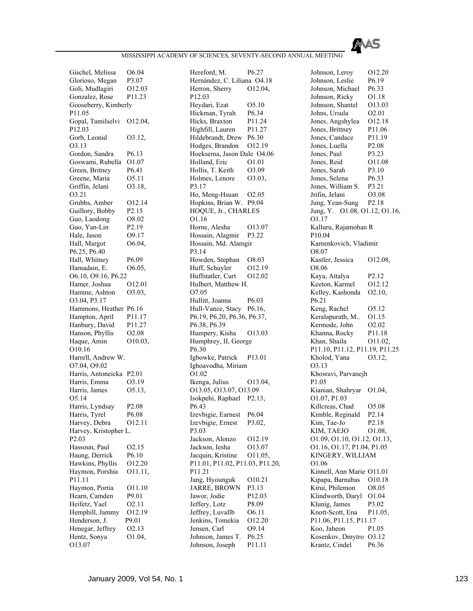

Gischel, Melissa O6.04 Glorioso, Megan P3.07 Goli, Mudlagiri O12.03 Gonzalez, Rose P11.23 Gooseberry, Kimberly P11.05 Gopal, Tamilselvi O12.04, P12.03 Gorb, Leonid O3.12, O3.13 Gordon, Sandra P6.13 Goswami, Rubella O1.07 Green, Britney P6.41 Greene, Maria 05.11 Griffin, Jelani O3.18, O3.21 Grubbs, Amber 012.14 Guillory, Bobby P2.15 Guo, Laodong O8.02 Guo, Yan-Lin P2.19 Hale, Jason 09.17 Hall, Margot  $O6.04$ , P6.25, P6.40 Hall, Whitney P6.09 Hamadain, E. 06.05, O6.10, O9.16, P6.22 Hamer, Joshua O12.01 Hamme, Ashton O3.03, O3.04, P3.17 Hammons, Heather P6.16 Hampton, April P11.17 Hanbury, David P11.27 Hanson, Phyllis O2.08 Haque, Amin O10.03, O10.16 Harrell, Andrew W. O7.04, O9.02 Harris, Antoneicka P2.01 Harris, Emma O3.19 Harris, James O5.13, O5.14 Harris, Lyndsay P2.08 Harris, Tyrel P6.08 Harvey, Debra O12.11 Harvey, Kristopher L. P2.03 Hassoun, Paul O2.15 Haung, Derrick P6.10 Hawkins, Phyllis O12.20 Haymon, Porshia O11.11, P11.11 Haymon, Portia O11.10 Hearn, Camden P9.01 Heifetz, Yael O2.11 Hemphill, Jammy O12.19 Henderson, J. P9.01 Henegar, Jeffrey O2.13 Hentz, Sonya O1.04, O13.07

Hereford, M. P6.27 Hernández, C. Liliana O4.18 Herron, Sherry O12.04, P12.03 Heydari, Ezat O5.10 Hickman, Tyrah P6.34 Hicks, Braxton P11.24 Highfill, Lauren P11.27 Hildebrandt, Drew P6.30 Hodges, Brandon O12.19 Hoeksema, Jason Dale O4.06 Holland, Eric O1.01 Hollis, T. Keith O3.09 Holmes, Lenore O3.03, P3.17 Ho, Meng-Hsuan O2.05 Hopkins, Brian W. P9.04 HOQUE, Jr., CHARLES O1.16 Horne, Alesha O13.07 Hossain, Alagmir P3.22 Hossain, Md. Alamgir P3.14 Howden, Stephan O8.03 Huff, Schuyler O12.19 Huffstatler, Curt O12.02 Hulbert, Matthew H. O7.05 Hullitt, Joanna P6.03 Hull-Vance, Stacy P6.16, P6.19, P6.20, P6.36, P6.37, P6.38, P6.39 Humpery, Kisha O13.03 Humphrey, II, George P6.30 Igbowke, Patrick P13.01 Ighoavodha, Miriam O1.02 Ikenga, Julius O13.04, O13.05, O13.07, O13.09 Isokpehi, Raphael P2.13, P6.43 Izevbigie, Earnest P6.04 Izevbigie, Ernest P3.02, P3.03 Jackson, Alonzo O12.19 Jackson, Iesha O13.07 Jacquin, Kristine O11.05, P11.01, P11.02, P11.03, P11.20, P11.21 Jang, Hyounguk O10.21 JARRE, BROWN P3.13 Jawor, Jodie P12.03 Jeffery, Lotz P8.09 Jeffrey, Luvallb O6.11 Jenkins, Tomekia O12.20 Jensen, Carl O9.14 Johnson, James T. P6.25 Johnson, Joseph P11.11

Johnson, Leroy 012.20 Johnson, Leslie P6.19 Johnson, Michael P6.33 Johnson, Ricky O1.18 Johnson, Shantel O13.03 Johns, Ursula O2.01 Jones, Angshylea O12.18 Jones, Brittney P11.06 Jones, Candace P11.19 Jones, Luella P2.08 Jones, Paul P3.23 Jones, Reid O11.08 Jones, Sarah P3.10 Jones, Selena P6.33 Jones, William S. P3.21 Jrifin, Jelani O3.08 Jung, Yean-Sung P2.18 Jung, Y. O1.08, O1.12, O1.16, O1.17 Kalluru, Rajamohan R P10.04 Kamenkovich, Vladimir O8.07 Kastler, Jessica O12.08, O8.06 Kaya, Attalya P2.12 Keeton, Karmel O12.12 Kelley, Kashonda O2.10, P6.21 Keng, Rachel O5.12 Keralapurath, M.. O1.15 Kermode, John O2.02 Khanna, Rocky P11.18 Khan, Shaila O11.02, P11.10, P11.12, P11.19, P11.25 Kholod, Yana O3.12, O3.13 Khosravi, Parvanejh P1.05 Kianian, Shahryar O1.04, O1.07, P1.03 Killcreas, Chad O5.08 Kimble, Reginald P2.14 Kim, Tae-Jo P2.18 KIM, TAEJO 01.08, O1.09, O1.10, O1.12, O1.13, O1.16, O1.17, P1.04, P1.05 KINGERY, WILLIAM O1.06 Kinnell, Ann Marie O11.01 Kipapa, Barnabas O10.18 Kirui, Philemon O8.05 Klindworth, Daryl O1.04 Klunig, James P3.02 Knott-Scott, Ena P11.05, P11.06, P11.15, P11.17 Koo, Jaheon P1.05 Kosenkov, Dmytro O3.12 Krantz, Cindel P6.36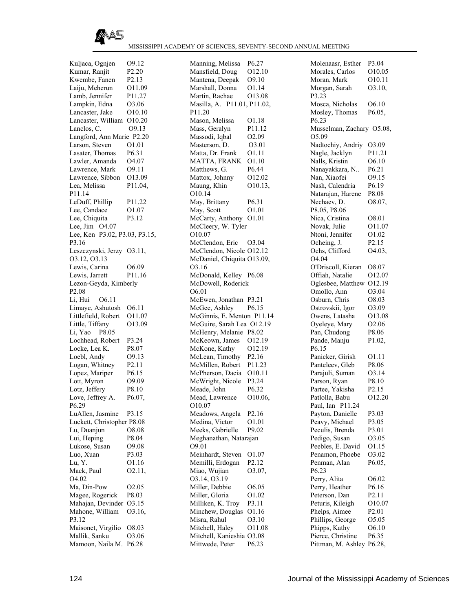

Kuljaca, Ognjen O9.12 Kumar, Ranjit P2.20 Kwembe, Fanen P2.13 Laiju, Meherun O11.09 Lamb, Jennifer P11.27 Lampkin, Edna O3.06 Lancaster, Jake O10.10 Lancaster, William O10.20 Lanclos, C. O9.13 Langford, Ann Marie P2.20 Larson, Steven O1.01 Lasater, Thomas P6.31 Lawler, Amanda O4.07 Lawrence, Mark O9.11 Lawrence, Sibbon O13.09 Lea, Melissa P11.04, P11.14 LeDuff, Phillip P11.22 Lee, Candace  $01.07$ Lee, Chiquita P3.12 Lee, Jim O4.07 Lee, Ken P3.02, P3.03, P3.15, P3.16 Leszczynski, Jerzy O3.11, O3.12, O3.13 Lewis, Carina O6.09 Lewis, Jarrett P11.16 Lezon-Geyda, Kimberly P2.08 Li, Hui O6.11 Limaye, Ashutosh O6.11 Littlefield, Robert O11.07 Little, Tiffany 013.09 Li, Yao P8.05 Lochhead, Robert P3.24 Locke, Lea K. P8.07 Loebl, Andy O9.13 Logan, Whitney P2.11 Lopez, Mariper P6.15 Lott, Myron 09.09 Lotz, Jeffery P8.10 Love, Jeffrey A. P6.07, P6.29 LuAllen, Jasmine P3.15 Luckett, Christopher P8.08 Lu, Duanjun O8.08 Lui, Heping P8.04 Lukose, Susan O9.08 Luo, Xuan P3.03 Lu, Y. O1.16 Mack, Paul O2.11, O4.02 Ma, Din-Pow 02.05 Magee, Rogerick P8.03 Mahajan, Devinder O3.15 Mahone, William O3.16, P3.12 Maisonet, Virgilio O8.03 Mallik, Sanku O3.06 Mamoon, Naila M. P6.28

Manning, Melissa P6.27 Mansfield, Doug O12.10 Mantena, Deepak O9.10 Marshall, Donna O1.14 Martin, Rachae O13.08 Masilla, A. P11.01, P11.02, P11.20 Mason, Melissa O1.18 Mass, Geralyn P11.12 Massodi, Iqbal O2.09 Masterson, D.  $O3.01$ Matta, Dr. Frank O1.11 MATTA, FRANK O1.10 Matthews, G. P6.44 Mattox, Johnny O12.02 Maung, Khin O10.13, O10.14 May, Brittany P6.31 May, Scott  $O1.01$ McCarty, Anthony O1.01 McCleery, W. Tyler O10.07 McClendon, Eric O3.04 McClendon, Nicole O12.12 McDaniel, Chiquita O13.09, O3.16 McDonald, Kelley P6.08 McDowell, Roderick O6.01 McEwen, Jonathan P3.21 McGee, Ashley P6.15 McGinnis, E. Menton P11.14 McGuire, Sarah Lea O12.19 McHenry, Melanie P8.02 McKeown, James O12.19 McKone, Kathy O12.19 McLean, Timothy P2.16 McMillen, Robert P11.23 McPherson, Dacia O10.11 McWright, Nicole P3.24 Meade, John P6.32 Mead, Lawrence O10.06, O10.07 Meadows, Angela P2.16 Medina, Victor 01.01 Meeks, Gabrielle P9.02 Meghanathan, Natarajan O9.01 Meinhardt, Steven O1.07 Memilli, Erdogan P2.12 Miao, Wujian 03.07, O3.14, O3.19 Miller, Debbie O6.05 Miller, Gloria 01.02 Milliken, K. Troy P3.11 Minchew, Douglas O1.16 Misra, Rahul O3.10 Mitchell, Haley O11.08 Mitchell, Kanieshia O3.08 Mittwede, Peter P6.23

| Molenaasr, Esther               | P3.04             |
|---------------------------------|-------------------|
| Morales, Carlos                 | O10.05            |
| Moran, Mark                     | O10.11            |
| Morgan, Sarah                   | O3.10,            |
| P3.23                           |                   |
| Mosca, Nicholas                 | O6.10             |
| Mosley, Thomas                  |                   |
|                                 | P6.05,            |
| P6.23                           |                   |
| Musselman, Zachary O5.08,       |                   |
| O5.09                           |                   |
| Nadtochiy, Andriy               | O3.09             |
| Nagle, Jacklyn                  | P11.21            |
| Nalls, Kristin                  | O6.10             |
| Nanayakkara, N                  | P6.21             |
| Nan, Xiaofei                    | 09.15             |
| Nash, Calendria                 | P6.19             |
| Natarajan, Harene               | P8.08             |
| Nechaev, D.                     | O8.07,            |
| P8.05, P8.06                    |                   |
| Nica, Cristina                  | O8.01             |
| Novak, Julie                    | O11.07            |
| Ntoni, Jennifer                 | O1.02             |
| Ocheing, J.                     | P2.15             |
| Ochs, Clifford                  | O4.03,            |
| O4.04                           |                   |
| O'Driscoll, Kieran              | O8.07             |
| Offiah, Natalie                 | O12.07            |
|                                 |                   |
| Oglesbee, Matthew               | 012.19            |
| Omollo, Ann                     | O3.04             |
| Osburn, Chris                   | O8.03             |
| Ostrovskii, Igor                | O3.09             |
| Owens, Latasha                  | O13.08            |
| Oyeleye, Mary                   | O <sub>2.06</sub> |
| Pan, Chudong                    | P8.06             |
| Pande, Manju                    | P1.02,            |
| P6.15                           |                   |
| Panicker, Girish                | 01.11             |
| Panteleev, Gleb                 | P8.06             |
| Parajuli, Suman                 | O3.14             |
|                                 | P8.10             |
| Parson, Ryan<br>Partee, Yakisha | P2.15             |
| Patlolla, Babu                  | O12.20            |
| Paul, Ian P11.24                |                   |
| Payton, Danielle                | P3.03             |
| Peavy, Michael                  | P3.05             |
| Peculis, Brenda                 | P3.01             |
| Pedigo, Susan                   | O3.05             |
| Peebles, E. David               | 01.15             |
| Penamon, Phoebe                 | O3.02             |
| Penman, Alan                    | P6.05,            |
| P6.23                           |                   |
|                                 |                   |
| Perry, Alita                    | O6.02             |
| Perry, Heather                  | P6.16             |
| Peterson, Dan                   | P2.11             |
| Peturis, Kileigh                | O10.07            |
| Phelps, Aimee                   | P <sub>2.01</sub> |
| Phillips, George                | O5.05             |
| Phipps, Kathy                   | O6.10             |
| Pierce, Christine               | P6.35             |
| Pittman, M. Ashley P6.28,       |                   |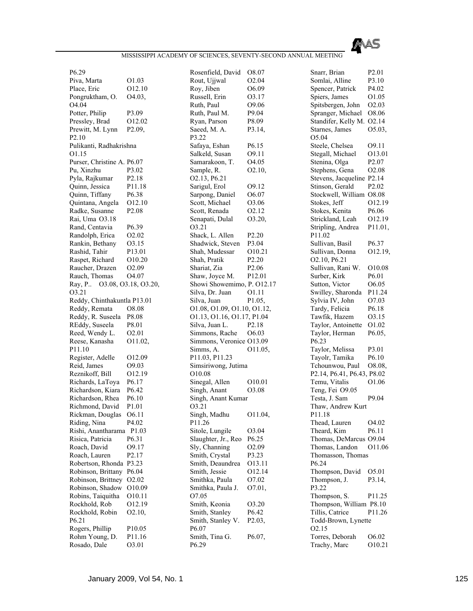

P6.29 Piva, Marta 01.03 Place, Eric  $O12.10$ Pongruktham, O. O4.03, O4.04 Potter, Philip P3.09 Pressley, Brad O12.02 Prewitt, M. Lynn P2.09, P2.10 Pulikanti, Radhakrishna O1.15 Purser, Christine A. P6.07 Pu, Xinzhu P3.02 Pyla, Rajkumar P2.18 Quinn, Jessica P11.18 Quinn, Tiffany P6.38 Quintana, Angela O12.10 Radke, Susanne P2.08 Rai, Uma O3.18 Rand, Centavia P6.39 Randolph, Erica O2.02 Rankin, Bethany O3.15 Rashid, Tahir P13.01 Raspet, Richard O10.20 Raucher, Drazen O2.09 Rauch, Thomas O4.07 Ray, P.. O3.08, O3.18, O3.20, O3.21 Reddy, Chinthakuntla P13.01 Reddy, Remata O8.08 Reddy, R. Suseela P8.08 REddy, Suseela P8.01 Reed, Wendy L. O2.01 Reese, Kanasha O11.02, P11.10 Register, Adelle O12.09 Reid, James O9.03 Reznikoff, Bill O12.19 Richards, LaToya P6.17 Richardson, Kiara P6.42 Richardson, Rhea P6.10 Richmond, David P1.01 Rickman, Douglas O6.11 Riding, Nina P4.02 Rishi, Anantharama P1.03 Risica, Patricia P6.31 Roach, David O9.17 Roach, Lauren P2.17 Robertson, Rhonda P3.23 Robinson, Brittany P6.04 Robinson, Brittney O2.02 Robinson, Shadow O10.09 Robins, Taiquitha O10.11 Rockhold, Rob O12.19 Rockhold, Robin O2.10, P6.21 Rogers, Phillip P10.05 Rohm Young, D. P11.16 Rosado, Dale O3.01

Rosenfield, David O8.07 Rout, Ujjwal O2.04 Roy, Jiben 06.09 Russell, Erin O3.17 Ruth, Paul O9.06 Ruth, Paul M. P9.04 Ryan, Parson P8.09 Saeed, M. A. P3.14, P3.22 Safaya, Eshan P6.15 Salkeld, Susan O9.11 Samarakoon, T. O4.05 Sample, R. 02.10, O2.13, P6.21 Sarigul, Erol O9.12 Sarpong, Daniel O6.07 Scott, Michael O3.06 Scott, Renada O2.12 Senapati, Dulal O3.20, O3.21 Shack, L. Allen P2.20 Shadwick, Steven P3.04 Shah, Mudessar O10.21 Shah, Pratik P2.20 Shariat, Zia P2.06 Shaw, Joyce M. P12.01 Showi Showemimo, P. O12.17 Silva, Dr. Juan O1.11 Silva, Juan P1.05, O1.08, O1.09, O1.10, O1.12, O1.13, O1.16, O1.17, P1.04 Silva, Juan L. P2.18 Simmons, Rache O6.03 Simmons, Veronice O13.09 Simms, A. O11.05, P11.03, P11.23 Simsiriwong, Jutima O10.08 Sinegal, Allen O10.01 Singh, Anant O3.08 Singh, Anant Kumar O3.21 Singh, Madhu O11.04, P11.26 Sitole, Lungile  $03.04$ Slaughter, Jr., Reo P6.25 Sly, Channing O2.09 Smith, Crystal P3.23 Smith, Deaundrea O13.11 Smith, Jessie O12.14 Smithka, Paula O7.02 Smithka, Paula J. O7.01, O7.05 Smith, Keonia O3.20 Smith, Stanley P6.42 Smith, Stanley V. P2.03, P6.07 Smith, Tina G. P6.07, P6.29

| Snarr, Brian                    | P2.01              |
|---------------------------------|--------------------|
|                                 |                    |
| Somlai, Alline                  | P3.10              |
| Spencer, Patrick                | P4.02              |
| Spiers, James                   | O1.05              |
|                                 |                    |
| Spitsbergen, John               | O <sub>2.0</sub> 3 |
| Spranger, Michael               | O8.06              |
| Standifer, Kelly M.             | O <sub>2.14</sub>  |
|                                 |                    |
| Starnes, James                  | O5.03,             |
| O5.04                           |                    |
| Steele, Chelsea                 | O9.11              |
|                                 |                    |
| Stegall, Michael                | O13.01             |
| Stenina, Olga                   | P <sub>2.07</sub>  |
| Stephens, Gena                  | O2.08              |
| Stevens, Jacqueline             | P <sub>2.14</sub>  |
|                                 |                    |
| Stinson, Gerald                 | P <sub>2.02</sub>  |
| Stockwell, William              | O8.08              |
| Stokes, Jeff                    | 012.19             |
|                                 |                    |
| Stokes, Kenita                  | P6.06              |
| Strickland, Leah                | 012.19             |
| Stripling, Andrea               | P11.01,            |
|                                 |                    |
| P11.02                          |                    |
| Sullivan, Basil                 | P6.37              |
| Sullivan, Donna                 | O12.19,            |
|                                 |                    |
| O2.10, P6.21                    |                    |
| Sullivan, Rani W.               | O10.08             |
| Surber, Kirk                    | P6.01              |
|                                 |                    |
| Sutton, Victor                  | O6.05              |
| Swilley, Sharonda               | P11.24             |
| Sylvia IV, John                 | O7.03              |
|                                 |                    |
| Tardy, Felicia                  | P6.18              |
| Tawfik, Hazem                   | 03.15              |
| Taylor, Antoinette              | O1.02              |
| Taylor, Herman                  |                    |
|                                 | P6.05,             |
| P6.23                           |                    |
|                                 |                    |
|                                 |                    |
| Taylor, Melissa                 | P3.01              |
| Tayolr, Tamika                  | P6.10              |
| Tchounwou, Paul                 | O8.08,             |
|                                 |                    |
| P2.14, P6.41, P6.43, P8.02      |                    |
| Temu, Vitalis                   | O1.06              |
| Teng, Fei O9.05                 |                    |
| Testa, J. Sam                   | P9.04              |
|                                 |                    |
| Thaw, Andrew Kurt               |                    |
| P11.18                          |                    |
| Thead, Lauren                   | O <sub>4.0</sub> 2 |
|                                 |                    |
| Theard, Kim                     | P6.11              |
| Thomas, DeMarcus O9.04          |                    |
| Thomas, Landon                  | O11.06             |
|                                 |                    |
| Thomasson, Thomas               |                    |
| P6.24                           |                    |
| Thompson, David                 | O5.01              |
| Thompson, J.                    | P3.14,             |
|                                 |                    |
| P3.22                           |                    |
| Thompson, S.                    | P11.25             |
| Thompson, William P8.10         |                    |
|                                 |                    |
| Tillis, Catrice                 | P11.26             |
| Todd-Brown, Lynette             |                    |
| 02.15                           |                    |
|                                 | O6.02              |
| Torres, Deborah<br>Trachy, Marc | O10.21             |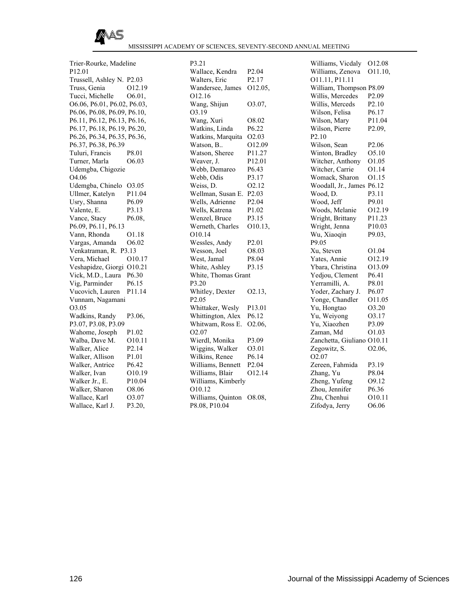

Trier-Rourke, Madeline P12.01 Trussell, Ashley N. P2.03 Truss, Genia O12.19 Tucci, Michelle  $O6.01$ . O6.06, P6.01, P6.02, P6.03, P6.06, P6.08, P6.09, P6.10, P6.11, P6.12, P6.13, P6.16, P6.17, P6.18, P6.19, P6.20, P6.26, P6.34, P6.35, P6.36, P6.37, P6.38, P6.39 Tuluri, Francis P8.01 Turner, Marla O6.03 Udemgba, Chigozie O4.06 Udemgba, Chinelo O3.05 Ullmer, Katelyn P11.04 Usry, Shanna P6.09 Valente, E. P3.13 Vance, Stacy P6.08, P6.09, P6.11, P6.13 Vann, Rhonda O1.18 Vargas, Amanda O6.02 Venkatraman, R. P3.13 Vera, Michael O10.17 Veshapidze, Giorgi O10.21 Vick, M.D., Laura P6.30 Vig, Parminder P6.15 Vucovich, Lauren P11.14 Vunnam, Nagamani O3.05 Wadkins, Randy P3.06, P3.07, P3.08, P3.09 Wahome, Joseph P1.02 Walba, Dave M. O10.11 Walker, Alice P2.14 Walker, Allison P1.01 Walker, Antrice P6.42 Walker, Ivan O10.19 Walker Jr., E. P10.04 Walker, Sharon O8.06 Wallace, Karl O3.07 Wallace, Karl J. P3.20,

P3.21 Wallace, Kendra P2.04 Walters, Eric P2.17 Wandersee, James O12.05, O12.16 Wang, Shijun O3.07, O3.19 Wang, Xuri O8.02 Watkins, Linda P6.22 Watkins, Marquita O2.03 Watson, B.. O12.09 Watson, Sheree P11.27 Weaver, J. P12.01 Webb, Demareo P6.43 Webb, Odis P3.17 Weiss, D. O2.12 Wellman, Susan E. P2.03 Wells, Adrienne P2.04 Wells, Katrena P1.02 Wenzel, Bruce P3.15 Werneth, Charles O10.13, O10.14 Wessles, Andy P2.01 Wesson, Joel O8.03 West, Jamal P8.04 White, Ashley P3.15 White, Thomas Grant P3.20 Whitley, Dexter 02.13, P2.05 Whittaker, Wesly P13.01 Whittington, Alex P6.12 Whitwam, Ross E. O2.06, O2.07 Wierdl, Monika P3.09 Wiggins, Walker O3.01 Wilkins, Renee P6.14 Williams, Bennett P2.04 Williams, Blair O12.14 Williams, Kimberly O10.12 Williams, Quinton O8.08, P8.08, P10.04

Williams, Vicdaly O12.08 Williams, Zenova O11.10, O11.11, P11.11 William, Thompson P8.09 Willis, Mercedes P2.09 Willis, Merceds P2.10 Wilson, Felisa P6.17 Wilson, Mary P11.04 Wilson, Pierre P2.09, P2.10 Wilson, Sean P2.06 Winton, Bradley O5.10 Witcher, Anthony O1.05 Witcher, Carrie O1.14 Womack, Sharon O1.15 Woodall, Jr., James P6.12 Wood, D. P3.11 Wood, Jeff P9.01 Woods, Melanie O12.19 Wright, Brittany P11.23 Wright, Jenna P10.03 Wu, Xiaoqin P9.03, P9.05 Xu, Steven O1.04 Yates, Annie O12.19 Ybara, Christina O13.09 Yedjou, Clement P6.41 Yerramilli, A. P8.01 Yoder, Zachary J. P6.07 Yonge, Chandler O11.05 Yu, Hongtao O3.20 Yu, Weiyong O3.17 Yu, Xiaozhen P3.09 Zaman, Md
O1.03 Zanchetta, Giuliano O10.11 Zegowitz, S.  $O2.06$ , O2.07 Zereen, Fahmida P3.19 Zhang, Yu P8.04 Zheng, Yufeng O9.12 Zhou, Jennifer P6.36 Zhu, Chenhui O10.11 Zifodya, Jerry O6.06